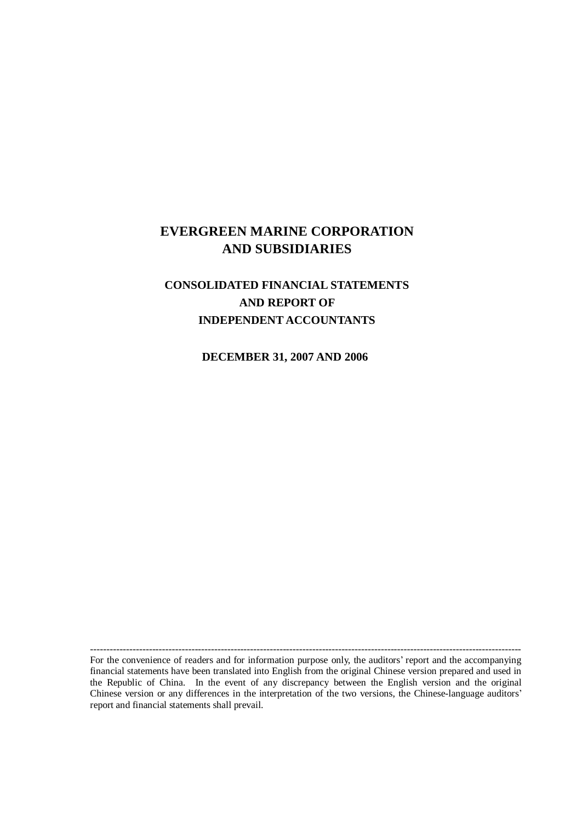# **EVERGREEN MARINE CORPORATION AND SUBSIDIARIES**

# **CONSOLIDATED FINANCIAL STATEMENTS AND REPORT OF INDEPENDENT ACCOUNTANTS**

**DECEMBER 31, 2007 AND 2006**

For the convenience of readers and for information purpose only, the auditors' report and the accompanying financial statements have been translated into English from the original Chinese version prepared and used in the Republic of China. In the event of any discrepancy between the English version and the original Chinese version or any differences in the interpretation of the two versions, the Chinese-language auditors' report and financial statements shall prevail.

------------------------------------------------------------------------------------------------------------------------------------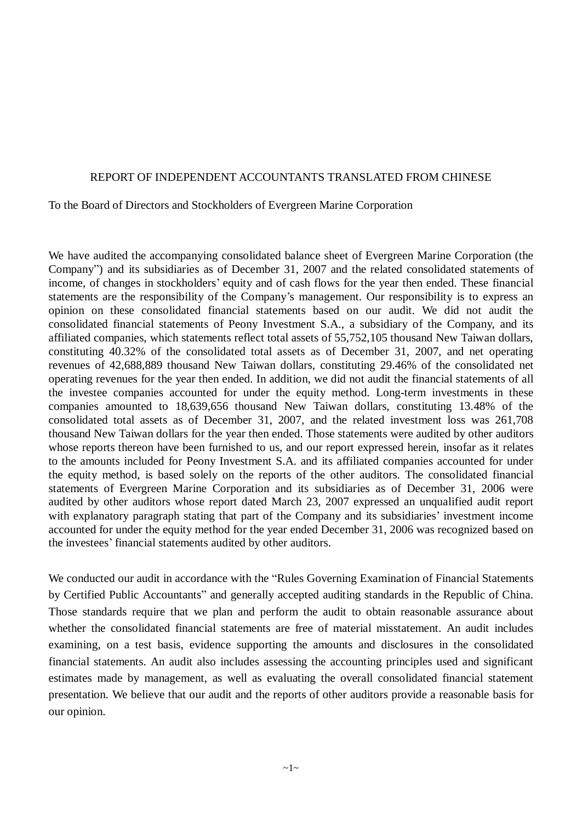#### REPORT OF INDEPENDENT ACCOUNTANTS TRANSLATED FROM CHINESE

#### To the Board of Directors and Stockholders of Evergreen Marine Corporation

We have audited the accompanying consolidated balance sheet of Evergreen Marine Corporation (the Company") and its subsidiaries as of December 31, 2007 and the related consolidated statements of income, of changes in stockholders' equity and of cash flows for the year then ended. These financial statements are the responsibility of the Company's management. Our responsibility is to express an opinion on these consolidated financial statements based on our audit. We did not audit the consolidated financial statements of Peony Investment S.A., a subsidiary of the Company, and its affiliated companies, which statements reflect total assets of 55,752,105 thousand New Taiwan dollars, constituting 40.32% of the consolidated total assets as of December 31, 2007, and net operating revenues of 42,688,889 thousand New Taiwan dollars, constituting 29.46% of the consolidated net operating revenues for the year then ended. In addition, we did not audit the financial statements of all the investee companies accounted for under the equity method. Long-term investments in these companies amounted to 18,639,656 thousand New Taiwan dollars, constituting 13.48% of the consolidated total assets as of December 31, 2007, and the related investment loss was 261,708 thousand New Taiwan dollars for the year then ended. Those statements were audited by other auditors whose reports thereon have been furnished to us, and our report expressed herein, insofar as it relates to the amounts included for Peony Investment S.A. and its affiliated companies accounted for under the equity method, is based solely on the reports of the other auditors. The consolidated financial statements of Evergreen Marine Corporation and its subsidiaries as of December 31, 2006 were audited by other auditors whose report dated March 23, 2007 expressed an unqualified audit report with explanatory paragraph stating that part of the Company and its subsidiaries' investment income accounted for under the equity method for the year ended December 31, 2006 was recognized based on the investees' financial statements audited by other auditors.

We conducted our audit in accordance with the "Rules Governing Examination of Financial Statements by Certified Public Accountants" and generally accepted auditing standards in the Republic of China. Those standards require that we plan and perform the audit to obtain reasonable assurance about whether the consolidated financial statements are free of material misstatement. An audit includes examining, on a test basis, evidence supporting the amounts and disclosures in the consolidated financial statements. An audit also includes assessing the accounting principles used and significant estimates made by management, as well as evaluating the overall consolidated financial statement presentation. We believe that our audit and the reports of other auditors provide a reasonable basis for our opinion.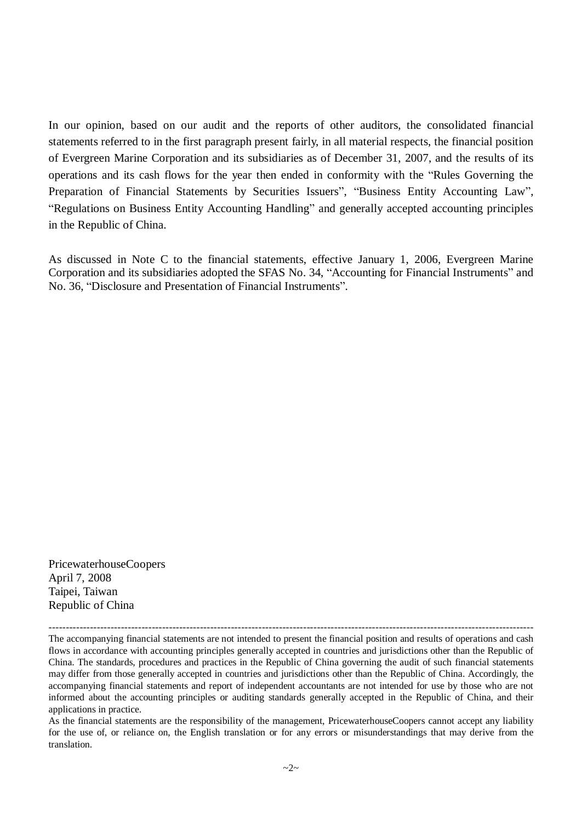In our opinion, based on our audit and the reports of other auditors, the consolidated financial statements referred to in the first paragraph present fairly, in all material respects, the financial position of Evergreen Marine Corporation and its subsidiaries as of December 31, 2007, and the results of its operations and its cash flows for the year then ended in conformity with the "Rules Governing the Preparation of Financial Statements by Securities Issuers", "Business Entity Accounting Law", "Regulations on Business Entity Accounting Handling" and generally accepted accounting principles in the Republic of China.

As discussed in Note C to the financial statements, effective January 1, 2006, Evergreen Marine Corporation and its subsidiaries adopted the SFAS No. 34, "Accounting for Financial Instruments" and No. 36, "Disclosure and Presentation of Financial Instruments".

PricewaterhouseCoopers April 7, 2008 Taipei, Taiwan Republic of China

--------------------------------------------------------------------------------------------------------------------------------------------- The accompanying financial statements are not intended to present the financial position and results of operations and cash flows in accordance with accounting principles generally accepted in countries and jurisdictions other than the Republic of China. The standards, procedures and practices in the Republic of China governing the audit of such financial statements may differ from those generally accepted in countries and jurisdictions other than the Republic of China. Accordingly, the accompanying financial statements and report of independent accountants are not intended for use by those who are not informed about the accounting principles or auditing standards generally accepted in the Republic of China, and their applications in practice.

As the financial statements are the responsibility of the management, PricewaterhouseCoopers cannot accept any liability for the use of, or reliance on, the English translation or for any errors or misunderstandings that may derive from the translation.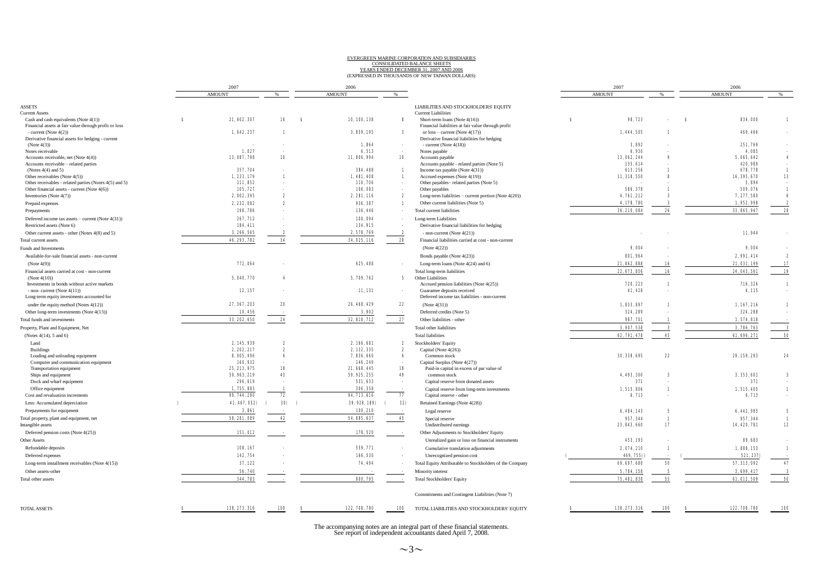# EVERGREEN MARINE CORPORATION AND SUBSIDIARIES<br>CONSOLIDATED BALANCE SHEETS<br>YEARS ENDED DECEMBER 31, 2007 AND 2006<br>(EXPRESSED IN THOUSANDS OF NEW TAIWAN DOLLARS)

|  | EXPRESSED IN THOUSANDS OF NEW TAIWAN DOLLAR. |  |  |
|--|----------------------------------------------|--|--|
|  |                                              |  |  |

|                                                        |   | 2007          |                         |    | 2006          |              |                                                          |    | 2007          |                           |    | 2006          |                         |
|--------------------------------------------------------|---|---------------|-------------------------|----|---------------|--------------|----------------------------------------------------------|----|---------------|---------------------------|----|---------------|-------------------------|
|                                                        |   | <b>AMOUNT</b> |                         |    | <b>AMOUNT</b> | 96           |                                                          |    | <b>AMOUNT</b> |                           |    | <b>AMOUNT</b> | $\%$                    |
| <b>ASSETS</b>                                          |   |               |                         |    |               |              | LIABILITIES AND STOCKHOLDERS' EQUITY                     |    |               |                           |    |               |                         |
| <b>Current Assets</b>                                  |   |               |                         |    |               |              | <b>Current Liabilities</b>                               |    |               |                           |    |               |                         |
| Cash and cash equivalents (Note 4(1))                  | я | 21, 602, 307  | 16                      | -8 | 10, 100, 138  | 8            | Short-term loans (Note 4(16))                            | -8 | 98.723        |                           | -8 | 834,000       | $\mathbf{1}$            |
| Financial assets at fair value through profit or loss  |   |               |                         |    |               |              | Financial liabilities at fair value through profit       |    |               |                           |    |               |                         |
| - current (Note $4(2)$ )                               |   | 1, 642, 237   | $\blacksquare$          |    | 3, 859, 195   | 3            | or $loss$ – current (Note 4(17))                         |    | 1, 444, 505   | $\blacksquare$            |    | 469, 466      |                         |
| Derivative financial assets for hedging - current      |   |               |                         |    | 1,864         |              | Derivative financial liabilities for hedging             |    | 3,892         |                           |    | 251,769       |                         |
| (Note 4(3))<br>Notes receivable                        |   | 1.027         |                         |    | 6,513         |              | - current (Note $4(18)$ )<br>Notes payable               |    | 6,930         |                           |    | 4.085         |                         |
| Accounts receivable, net (Note 4(4))                   |   | 13, 087, 798  | 10                      |    | 11, 806, 994  | 10           | Accounts payable                                         |    | 13, 062, 244  | я                         |    | 5, 065, 642   | $\overline{\mathbf{4}}$ |
| Accounts receivable - related parties                  |   |               |                         |    |               |              | Accounts payable - related parties (Note 5)              |    | 135, 614      |                           |    | 420, 989      |                         |
| (Notes $4(4)$ and 5)                                   |   | 357, 704      |                         |    | 384, 488      | 1            | Income tax payable (Note 4(31))                          |    | 613, 256      |                           |    | 678, 778      | $\mathbf{1}$            |
| Other receivables (Note 4(5))                          |   | 1.233.179     | $\blacksquare$          |    | 1, 481, 408   | $\mathbf{1}$ | Accrued expenses (Note 4(19))                            |    | 11, 318, 550  | 8                         |    | 16, 395, 670  | 13                      |
| Other receivables - related parties (Notes 4(5) and 5) |   | 111, 852      |                         |    | 110, 706      | $\sim$       | Other payables-related parties (Note 5)                  |    |               |                           |    | 5,894         | $\sim$                  |
| Other financial assets - current (Note $4(6)$ )        |   | 105, 727      |                         |    | 106,083       | $\sim$       | Other payables                                           |    | 586, 378      |                           |    | 509,076       | $\mathbf{1}$            |
| Inventories (Note 4(7))                                |   | 2, 002, 395   | $\boldsymbol{z}$        |    | 2, 281, 116   | 2            | Long-term liabilities – current portion (Note $4(20)$ )  |    | 4,761,212     | 3                         |    | 7, 277, 580   | -6                      |
| Prepaid expenses                                       |   | 2, 232, 082   | $\boldsymbol{z}$        |    | 936, 387      | $\mathbf{1}$ | Other current liabilities (Note 5)                       |    | 4, 178, 780   | 3                         |    | 1, 952, 998   | $\boldsymbol{z}$        |
| Prepayments                                            |   | 198,786       |                         |    | 136, 446      |              | Total current liabilities                                |    | 36, 210, 084  | 26                        |    | 33, 865, 947  | 28                      |
| Deferred income tax assets – current (Note $4(31)$ )   |   | 267, 712      |                         |    | 100,094       |              | Long-term Liabilities                                    |    |               |                           |    |               |                         |
| Restricted assets (Note 6)                             |   | 184, 411      |                         |    | 134, 915      |              | Derivative financial liabilities for hedging             |    |               |                           |    |               |                         |
| Other current assets - other (Notes 4(8) and 5)        |   | 3, 266, 565   | -2                      |    | 2, 578, 769   | 2            | - non-current (Note $4(21)$ )                            |    |               |                           |    | 11,944        |                         |
| Total current assets                                   |   | 46, 293, 782  | 34                      |    | 34, 025, 116  | 28           | Financial liabilities carried at cost - non-current      |    |               |                           |    |               |                         |
| Funds and Investments                                  |   |               |                         |    |               |              | (Note 4(22))                                             |    | 9,004         |                           |    | 9,004         |                         |
| Available-for-sale financial assets - non-current      |   |               |                         |    |               |              | Bonds payable (Note 4(23))                               |    | 801, 964      |                           |    | 2,991,414     | $\boldsymbol{z}$        |
| (Note 4(9))                                            |   | 772, 064      |                         |    | 625, 488      |              | Long-term loans (Note 4(24) and 6)                       |    | 21, 862, 888  | 16                        |    | 21,031,199    | 17                      |
| Financial assets carried at cost - non-current         |   |               |                         |    |               |              | Total long-term liabilities                              |    | 22, 673, 856  | 16                        |    | 24, 043, 561  | 19                      |
| (Note $4(10)$ )                                        |   | 5, 040, 770   | $\overline{\mathbf{4}}$ |    | 5, 709, 762   | 5            | Other Liabilities                                        |    |               |                           |    |               |                         |
| Investments in bonds without active markets            |   |               |                         |    |               |              | Accrued pension liabilities (Note 4(25))                 |    | 720, 223      | $\blacksquare$            |    | 716, 326      | $\mathbf{1}$            |
| - non- current (Note $4(11)$ )                         |   | 12, 157       |                         |    | 11,131        |              | Guarantee deposits received                              |    | 41, 428       |                           |    | 4,115         |                         |
| Long-term equity investments accounted for             |   |               |                         |    |               |              | Deferred income tax liabilities - non-current            |    |               |                           |    |               |                         |
| under the equity method (Notes 4(12))                  |   | 27, 367, 203  | 20                      |    | 26, 468, 429  | 22           | (Note 4(31))                                             |    | 1, 833, 897   | $\mathbf{1}$              |    | 1,167,216     | $\mathbf{1}$            |
| Other long-term investments (Note 4(13))               |   | 10,456        |                         |    | 3,902         |              | Deferred credits (Note 5)                                |    | 324, 289      |                           |    | 324, 288      |                         |
| Total funds and investments                            |   | 33, 202, 650  | 24                      |    | 32, 818, 712  | 27           | Other liabilities - other                                |    | 987, 701      | -1                        |    | 1,574,818     |                         |
| Property, Plant and Equipment, Net                     |   |               |                         |    |               |              | Total other liabilities                                  |    | 3, 907, 538   | $\boldsymbol{\mathsf{s}}$ |    | 3, 786, 763   | $\bf{3}$                |
| (Notes $4(14)$ , 5 and 6)                              |   |               |                         |    |               |              | <b>Total liabilities</b>                                 |    | 62, 791, 478  | 45                        |    | 61, 696, 271  | 50                      |
| Land                                                   |   | 2, 145, 939   | $\mathbf{2}$            |    | 2, 166, 681   | 2            | Stockholders' Equity                                     |    |               |                           |    |               |                         |
| <b>Buildings</b>                                       |   | 2, 202, 217   | $\boldsymbol{z}$        |    | 2, 132, 335   | 2            | Capital (Note 4(26))                                     |    |               |                           |    |               |                         |
| Loading and unloading equipment                        |   | 8, 005, 496   | -6                      |    | 7, 836, 660   | 6            | Common stock                                             |    | 30, 338, 695  | 22                        |    | 29, 159, 293  | 24                      |
| Computer and communication equipment                   |   | 160, 932      |                         |    | 146, 249      |              | Capital Surplus (Note 4(27))                             |    |               |                           |    |               |                         |
| Transportation equipment                               |   | 25, 213, 975  | 18                      |    | 21, 668, 445  | 18           | Paid-in capital in excess of par value of                |    |               |                           |    |               |                         |
| Ships and equipment                                    |   | 59, 963, 219  | 43                      |    | 59, 925, 255  | 49           | common stock                                             |    | 4, 493, 300   | 3                         |    | 3, 353, 601   | $\bf{3}$                |
| Dock and wharf equipment                               |   | 296, 619      |                         |    | 531, 633      |              | Capital reserve from donated assets                      |    | 371           |                           |    | 371           | $\sim$                  |
| Office equipment                                       |   | 1,755,883     |                         |    | 306, 358      |              | Capital reserve from long-term investments               |    | 1, 515, 806   | $\mathbf{1}$              |    | 1, 515, 405   | $\mathbf{1}$            |
| Cost and revaluation increments                        |   | 99, 744, 280  | 72                      |    | 94, 713, 616  | $\pmb{77}$   | Capital reserve - other                                  |    | 6,713         | $\overline{\phantom{a}}$  |    | 6,713         | $\sim$                  |
| Less: Accumulated depreciation                         |   | 41, 467, 052) | 30)                     |    | 39, 928, 189) | 32)          | Retained Earnings (Note 4(28))                           |    |               |                           |    |               |                         |
| Prepayments for equipment                              |   | 3,861         |                         |    | 100, 210      |              | Legal reserve                                            |    | 6, 484, 143   | 5                         |    | 6, 442, 985   | 5                       |
| Total property, plant and equipment, net               |   | 58, 281, 089  | 42                      |    | 54, 885, 637  | 45           | Special reserve                                          |    | 957, 344      | $\mathbf{1}$              |    | 957, 344      | $\mathbf{1}$            |
| Intangible assets                                      |   |               |                         |    |               |              | Undistributed earnings                                   |    | 23, 843, 660  | 17                        |    | 14, 420, 781  | 12                      |
| Deferred pension costs (Note 4(25))                    |   | 151.012       |                         |    | 178, 520      |              | Other Adjustments to Stockholders' Equity                |    |               |                           |    |               |                         |
| Other Assets                                           |   |               |                         |    |               |              | Unrealized gain or loss on financial instruments         |    | 453, 193      |                           |    | 89, 683       |                         |
| Refundable deposits                                    |   | 108, 167      |                         |    | 559, 771      |              | Cumulative translation adjustments                       |    | 2,074,210     | $\blacksquare$            |    | 1.888.153     | $\mathbf{1}$            |
| Deferred expenses                                      |   | 142, 754      |                         |    | 166,530       |              | Unrecognized pension cost                                |    | 469, 755)     |                           |    | 521, 237)     |                         |
| Long-term installment receivables (Note 4(15))         |   | 37,122        |                         |    | 74, 494       |              | Total Equity Attributable to Stockholders of the Company |    | 69, 697, 680  | 50                        |    | 57, 313, 092  | 47                      |
| Other assets-other                                     |   | 56,740        |                         |    |               |              | Minority interest                                        |    | 5,784,158     | 5                         |    | 3,699,417     | $\bf{3}$                |
| Total other assets                                     |   | 344, 783      |                         |    | 800, 795      |              | <b>Total Stockholders' Equity</b>                        |    | 75, 481, 838  | 55                        |    | 61, 012, 509  | 50                      |
|                                                        |   |               |                         |    |               |              |                                                          |    |               |                           |    |               |                         |
|                                                        |   |               |                         |    |               |              | Commitments and Contingent Liabilities (Note 7)          |    |               |                           |    |               |                         |
|                                                        |   |               |                         |    |               |              |                                                          |    |               |                           |    |               |                         |
| <b>TOTAL ASSETS</b>                                    |   | 138, 273, 316 | 100                     |    | 122, 708, 780 | 100          | TOTAL LIABILITIES AND STOCKHOLDERS' EQUITY               |    | 138, 273, 316 | 100                       |    | 122, 708, 780 | 100                     |
|                                                        |   |               |                         |    |               |              |                                                          |    |               |                           |    |               |                         |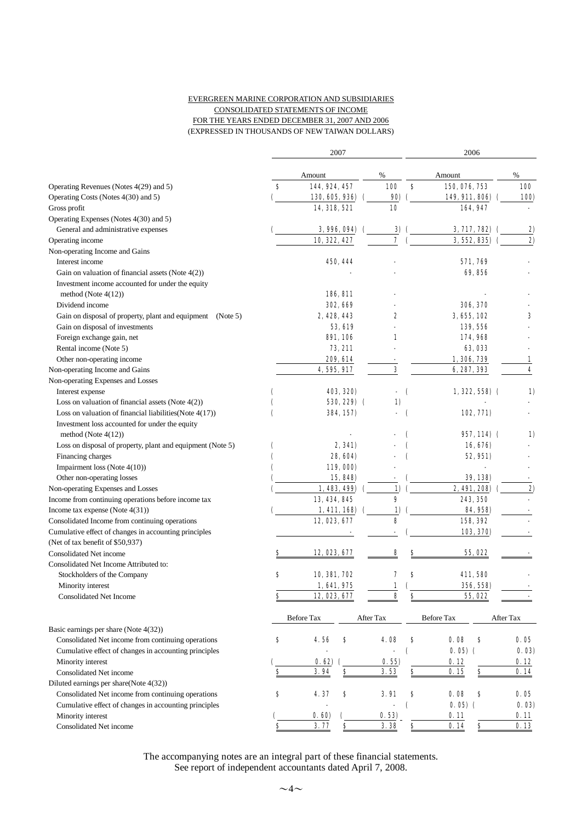#### EVERGREEN MARINE CORPORATION AND SUBSIDIARIES CONSOLIDATED STATEMENTS OF INCOME FOR THE YEARS ENDED DECEMBER 31, 2007 AND 2006 (EXPRESSED IN THOUSANDS OF NEW TAIWAN DOLLARS)

|                                                            |           | 2007              |            | 2006       |                                      |            |  |  |
|------------------------------------------------------------|-----------|-------------------|------------|------------|--------------------------------------|------------|--|--|
|                                                            |           | Amount            | %          |            | Amount                               | %          |  |  |
| Operating Revenues (Notes 4(29) and 5)                     | s         | 144, 924, 457     | <b>100</b> | s          | 150, 076, 753                        | <b>100</b> |  |  |
| Operating Costs (Notes 4(30) and 5)                        |           | 130, 605, 936)    | 90)        |            | 149, 911, 806)                       | 100)       |  |  |
| Gross profit                                               |           | 14, 318, 521      | 10         |            | 164, 947                             |            |  |  |
| Operating Expenses (Notes 4(30) and 5)                     |           |                   |            |            |                                      |            |  |  |
| General and administrative expenses                        |           | 3, 996, 094)      | 3)         |            | 3, 717, 782)                         | <u>2)</u>  |  |  |
| Operating income                                           |           | 10, 322, 427      | 7          |            | 3, 552, 835)                         | 2)         |  |  |
| Non-operating Income and Gains                             |           |                   |            |            |                                      |            |  |  |
| Interest income                                            |           | 450, 444          |            |            | 571, 769                             |            |  |  |
| Gain on valuation of financial assets (Note 4(2))          |           |                   |            |            | 69,856                               |            |  |  |
| Investment income accounted for under the equity           |           |                   |            |            |                                      |            |  |  |
| method (Note $4(12)$ )                                     |           | 186, 811          |            |            |                                      |            |  |  |
| Dividend income                                            |           | <b>302, 669</b>   |            |            | 306, 370                             |            |  |  |
| Gain on disposal of property, plant and equipment (Note 5) |           | 2, 428, 443       | 2          |            | 3, 655, 102                          | 3          |  |  |
| Gain on disposal of investments                            |           | <b>53, 619</b>    |            |            | 139, 556                             |            |  |  |
| Foreign exchange gain, net                                 |           | <b>891, 106</b>   | 1          |            | 174, 968                             |            |  |  |
| Rental income (Note 5)                                     |           | 73, 211           |            |            | 63, 033                              |            |  |  |
| Other non-operating income                                 |           | 209, 614          |            |            | 1, 306, 739                          | 1          |  |  |
| Non-operating Income and Gains                             |           | 4, 595, 917       | 3          |            | 6, 287, 393                          | 4          |  |  |
| Non-operating Expenses and Losses                          |           |                   |            |            |                                      |            |  |  |
| Interest expense                                           |           | 403, 320)         | ÷,         | $\epsilon$ | $1, 322, 558$ (                      | 1)         |  |  |
| Loss on valuation of financial assets (Note $4(2)$ )       |           | 530, 229) (       | 1)         |            |                                      |            |  |  |
| Loss on valuation of financial liabilities (Note $4(17)$ ) | C         | 384, 157)         |            | $\epsilon$ | 102, 771)                            |            |  |  |
| Investment loss accounted for under the equity             |           |                   |            |            |                                      |            |  |  |
| method (Note $4(12)$ )                                     |           |                   |            |            | $957,114)$ (                         | 1)         |  |  |
| Loss on disposal of property, plant and equipment (Note 5) | €         | 2, 341)           |            |            | 16, 676)                             |            |  |  |
| Financing charges                                          |           | 28, 604)          |            |            | 52, 951)                             |            |  |  |
| Impairment loss (Note 4(10))                               |           | 119,000)          |            |            |                                      |            |  |  |
| Other non-operating losses                                 |           | 15, 848)          |            |            | 39, 138)                             |            |  |  |
| Non-operating Expenses and Losses                          |           | 1, 483, 499)      | 1)         |            | 2, 491, 208)                         | 2)         |  |  |
| Income from continuing operations before income tax        |           | 13, 434, 845      | 9          |            | 243, 350                             |            |  |  |
| Income tax expense (Note $4(31)$ )                         |           | 1, 411, 168       | 1)         |            | 84, 958)                             |            |  |  |
| Consolidated Income from continuing operations             |           | 12, 023, 677      | 8          |            | 158, 392                             |            |  |  |
| Cumulative effect of changes in accounting principles      |           |                   |            |            | 103, 370)                            |            |  |  |
| (Net of tax benefit of \$50,937)                           |           |                   |            |            |                                      |            |  |  |
| Consolidated Net income                                    | s         | 12, 023, 677      | 8          | s          | 55, 022                              |            |  |  |
| Consolidated Net Income Attributed to:                     |           |                   |            |            |                                      |            |  |  |
| Stockholders of the Company                                | s         | 10, 381, 702      | 7          | 8          | 411, 580                             |            |  |  |
| Minority interest                                          |           | 1,641,975         | 1          |            | 356, 558)                            |            |  |  |
| <b>Consolidated Net Income</b>                             | \$        | 12, 023, 677      | 8          | \$         | 55, 022                              |            |  |  |
|                                                            |           |                   |            |            |                                      |            |  |  |
| Basic earnings per share (Note 4(32))                      |           | <b>Before Tax</b> | After Tax  |            | Before Tax                           | After Tax  |  |  |
| Consolidated Net income from continuing operations         | \$        | 4.56<br>\$        | 4.08       | \$         | 0.08<br>\$                           | 0.05       |  |  |
| Cumulative effect of changes in accounting principles      |           |                   |            | C          | $0.05$ (                             | 0.03)      |  |  |
| Minority interest                                          |           | 0.62)             | 0.55)      |            | 0.12                                 | 0. 12      |  |  |
| Consolidated Net income                                    | \$        | <u>s</u><br>3.94  | 3.53       | \$         | 0.15                                 | 0.14       |  |  |
| Diluted earnings per share(Note 4(32))                     |           |                   |            |            |                                      |            |  |  |
| Consolidated Net income from continuing operations         | \$        | 4.37<br>s         | 3.91       | \$         | 0.08<br>\$                           | 0.05       |  |  |
| Cumulative effect of changes in accounting principles      |           |                   |            | C          | $0.05$ (                             | 0.03)      |  |  |
| Minority interest                                          |           | 0.60              | 0.53)      |            | 0.11                                 | 0.11       |  |  |
| Consolidated Net income                                    | $\bullet$ | $\bf{s}$<br>3.77  | 3.38       | $\bf{s}$   | $\underline{\underline{\$}}$<br>0.14 | 0.13       |  |  |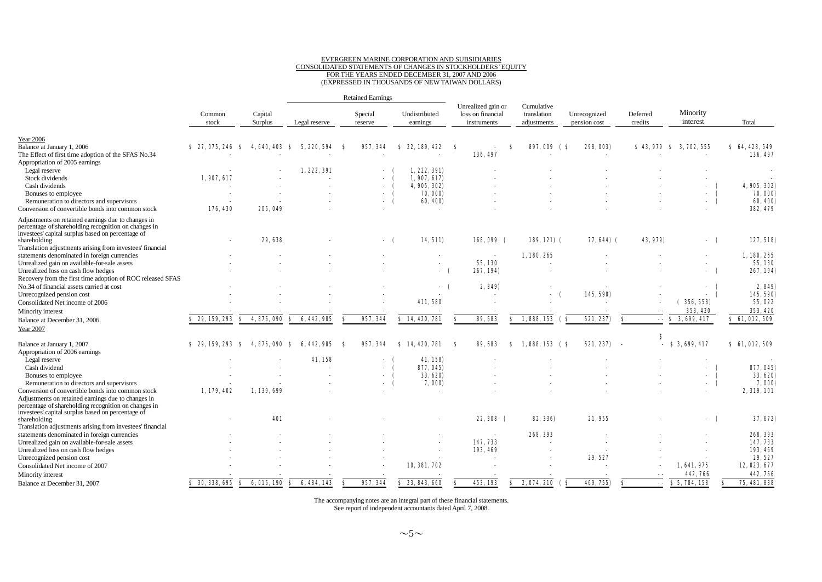# EVERGREEN MARINE CORPORATION AND SUBSIDIARIES CONSOLIDATED STATEMENTS OF CHANGES IN STOCKHOLDERS'EQUITY FOR THE YEARS ENDED DECEMBER 31, 2007 AND 2006 (EXPRESSED IN THOUSANDS OF NEW TAIWAN DOLLARS)

|                                                                                                                                                                 |                   |    | <b>Retained Earnings</b> |                     |    |                          |                           |          |   |                                                        |    |                                          |     |                              |                          |                      |    |                      |
|-----------------------------------------------------------------------------------------------------------------------------------------------------------------|-------------------|----|--------------------------|---------------------|----|--------------------------|---------------------------|----------|---|--------------------------------------------------------|----|------------------------------------------|-----|------------------------------|--------------------------|----------------------|----|----------------------|
|                                                                                                                                                                 | Common<br>stock   |    | Capital<br>Surplus       | Legal reserve       |    | Special<br>reserve       | Undistributed<br>earnings |          |   | Unrealized gain or<br>loss on financial<br>instruments |    | Cumulative<br>translation<br>adjustments |     | Unrecognized<br>pension cost | Deferred<br>credits      | Minority<br>interest |    | Total                |
| <b>Year 2006</b>                                                                                                                                                |                   |    |                          |                     |    |                          |                           |          |   |                                                        |    |                                          |     |                              |                          |                      |    |                      |
| Balance at January 1, 2006                                                                                                                                      | \$ 27,075,246     | -S | 4.640.403                | 220, 594<br>S<br>5. | -S | 957, 344                 | 22, 189, 422<br>S         |          | S |                                                        | S  | 897,009 (S                               |     | 298, 003)                    | \$43,979                 | S<br>3, 702, 555     |    | \$64,428,549         |
| The Effect of first time adoption of the SFAS No.34                                                                                                             |                   |    |                          |                     |    |                          |                           |          |   | 136, 497                                               |    |                                          |     |                              |                          |                      |    | 136, 497             |
| Appropriation of 2005 earnings                                                                                                                                  |                   |    |                          |                     |    |                          |                           |          |   |                                                        |    |                                          |     |                              |                          |                      |    |                      |
| Legal reserve                                                                                                                                                   |                   |    |                          | 1, 222, 391         |    |                          | 1,222,391)                |          |   |                                                        |    |                                          |     |                              |                          |                      |    |                      |
| Stock dividends                                                                                                                                                 | 1,907,617         |    |                          |                     |    |                          | 1,907,617                 |          |   |                                                        |    |                                          |     |                              |                          |                      |    |                      |
| Cash dividends                                                                                                                                                  |                   |    |                          |                     |    |                          | 4, 905, 302)              |          |   |                                                        |    |                                          |     |                              |                          | $\sim$               |    | 4, 905, 302)         |
| Bonuses to employee                                                                                                                                             |                   |    |                          |                     |    |                          |                           | 70,000)  |   |                                                        |    |                                          |     |                              |                          | $\sim$               |    | 70, 000)             |
| Remuneration to directors and supervisors<br>Conversion of convertible bonds into common stock                                                                  |                   |    | 206, 049                 |                     |    | - (                      |                           | 60, 400) |   |                                                        |    |                                          |     |                              |                          | $\sim$               |    | 60, 400)<br>382, 479 |
|                                                                                                                                                                 | 176, 430          |    |                          |                     |    |                          |                           |          |   |                                                        |    |                                          |     |                              |                          |                      |    |                      |
| Adjustments on retained earnings due to changes in<br>percentage of shareholding recognition on changes in<br>investees' capital surplus based on percentage of |                   |    |                          |                     |    |                          |                           |          |   |                                                        |    |                                          |     |                              |                          |                      |    |                      |
| shareholding                                                                                                                                                    |                   |    | 29, 638                  |                     |    | - 6                      |                           | 14, 511) |   | 168,099 (                                              |    | $189, 121)$ (                            |     | 77, 644) (                   | 43, 979)                 | $-$ (                |    | 127, 518)            |
| Translation adjustments arising from investees' financial                                                                                                       |                   |    |                          |                     |    |                          |                           |          |   |                                                        |    |                                          |     |                              |                          |                      |    |                      |
| statements denominated in foreign currencies                                                                                                                    |                   |    |                          |                     |    |                          |                           |          |   |                                                        |    | 1,180,265                                |     |                              |                          | $\sim$               |    | 1, 180, 265          |
| Unrealized gain on available-for-sale assets                                                                                                                    |                   |    |                          |                     |    |                          |                           |          |   | 55, 130                                                |    |                                          |     |                              |                          |                      |    | 55,130               |
| Unrealized loss on cash flow hedges                                                                                                                             |                   |    |                          |                     |    |                          |                           |          |   | 267, 194)                                              |    |                                          |     |                              |                          | $-$ (                |    | 267, 194)            |
| Recovery from the first time adoption of ROC released SFAS                                                                                                      |                   |    |                          |                     |    |                          |                           |          |   |                                                        |    |                                          |     |                              |                          |                      |    | 2, 849)              |
| No.34 of financial assets carried at cost<br>Unrecognized pension cost                                                                                          |                   |    |                          |                     |    |                          |                           |          |   | 2, 849)                                                |    |                                          |     | 145, 590)                    |                          | $\sim$               |    | 145, 590)            |
|                                                                                                                                                                 |                   |    |                          |                     |    |                          | 411,580                   |          |   |                                                        |    |                                          |     |                              |                          | $\sim$<br>356, 558)  |    | 55, 022              |
| Consolidated Net income of 2006                                                                                                                                 |                   |    |                          |                     |    |                          |                           |          |   |                                                        |    |                                          |     |                              |                          |                      |    |                      |
| Minority interest                                                                                                                                               |                   |    |                          |                     |    |                          |                           |          |   |                                                        |    |                                          |     |                              | $\overline{\phantom{a}}$ | 353, 420             |    | 353, 420             |
| Balance at December 31, 2006                                                                                                                                    | $$29,159,293$ $$$ |    | 4,876,090                | \$ 6,442,985        | S  | 957, 344                 | \$14,420,781              |          | S | 89, 683                                                | S. | 1,888,153                                | ( S | 521, 237)                    | s                        | \$3,699,417          |    | \$61,012,509         |
| Year 2007                                                                                                                                                       |                   |    |                          |                     |    |                          |                           |          |   |                                                        |    |                                          |     |                              |                          |                      |    |                      |
|                                                                                                                                                                 |                   |    |                          |                     |    |                          |                           |          |   |                                                        |    |                                          |     |                              | S                        |                      |    |                      |
| Balance at January 1, 2007                                                                                                                                      | \$29,159,293      | -8 | 4, 876, 090              | 442, 985<br>s       | -S | 957, 344                 | S 14, 420, 781            |          | S | 89, 683                                                | s  | $1.888,153$ (\$)                         |     | 521, 237)                    | $\overline{\phantom{a}}$ | \$3,699,417          |    | \$61,012,509         |
| Appropriation of 2006 earnings                                                                                                                                  |                   |    |                          |                     |    |                          |                           |          |   |                                                        |    |                                          |     |                              |                          |                      |    |                      |
| Legal reserve                                                                                                                                                   |                   |    |                          | 41.158              |    |                          |                           | 41, 158) |   |                                                        |    |                                          |     |                              |                          |                      |    |                      |
| Cash dividend                                                                                                                                                   |                   |    |                          |                     |    |                          | 877, 045)                 |          |   |                                                        |    |                                          |     |                              |                          | $\sim$               |    | 877, 045)            |
| Bonuses to employee                                                                                                                                             |                   |    |                          |                     |    |                          |                           | 33, 620) |   |                                                        |    |                                          |     |                              |                          | $\sim$               |    | 33, 620)             |
| Remuneration to directors and supervisors                                                                                                                       |                   |    |                          |                     |    | $\overline{\phantom{a}}$ |                           | 7,000    |   |                                                        |    |                                          |     |                              |                          | - 1                  |    | 7,000)               |
| Conversion of convertible bonds into common stock                                                                                                               | 1, 179, 402       |    | 1, 139, 699              |                     |    |                          |                           |          |   |                                                        |    |                                          |     |                              |                          |                      |    | 2, 319, 101          |
| Adjustments on retained earnings due to changes in<br>percentage of shareholding recognition on changes in                                                      |                   |    |                          |                     |    |                          |                           |          |   |                                                        |    |                                          |     |                              |                          |                      |    |                      |
| investees' capital surplus based on percentage of                                                                                                               |                   |    |                          |                     |    |                          |                           |          |   |                                                        |    |                                          |     |                              |                          |                      |    |                      |
| shareholding                                                                                                                                                    |                   |    | <b>401</b>               |                     |    |                          |                           |          |   | 22,308 (                                               |    | 82, 336)                                 |     | 21,955                       |                          | - (                  |    | 37, 672)             |
| Translation adjustments arising from investees' financial                                                                                                       |                   |    |                          |                     |    |                          |                           |          |   |                                                        |    |                                          |     |                              |                          |                      |    |                      |
| statements denominated in foreign currencies                                                                                                                    |                   |    |                          |                     |    |                          |                           |          |   |                                                        |    | 268, 393                                 |     |                              |                          |                      |    | 268, 393             |
| Unrealized gain on available-for-sale assets                                                                                                                    |                   |    |                          |                     |    |                          |                           |          |   | 147, 733                                               |    |                                          |     |                              |                          |                      |    | 147, 733             |
| Unrealized loss on cash flow hedges                                                                                                                             |                   |    |                          |                     |    |                          |                           |          |   | 193, 469                                               |    |                                          |     |                              |                          |                      |    | 193, 469             |
| Unrecognized pension cost                                                                                                                                       |                   |    |                          |                     |    |                          |                           |          |   |                                                        |    |                                          |     | 29, 527                      |                          |                      |    | 29, 527              |
| Consolidated Net income of 2007                                                                                                                                 |                   |    |                          |                     |    |                          | 10, 381, 702              |          |   |                                                        |    |                                          |     |                              |                          | 1,641,975            |    | 12, 023, 677         |
| Minority interest                                                                                                                                               |                   |    |                          |                     |    |                          |                           |          |   |                                                        |    |                                          |     |                              |                          | 442, 766             |    | 442, 766             |
| Balance at December 31, 2007                                                                                                                                    | \$30,338,695 \$   |    | 6.016.190                | 6, 484, 143<br>-S.  | 8  | 957, 344                 | \$23,843,660              |          | s | 453, 193                                               | s. | 2,074,210 (8)                            |     | 469, 755)                    | - 8<br>$\sim$ $\sim$     | \$5,784,158          | s. | 75, 481, 838         |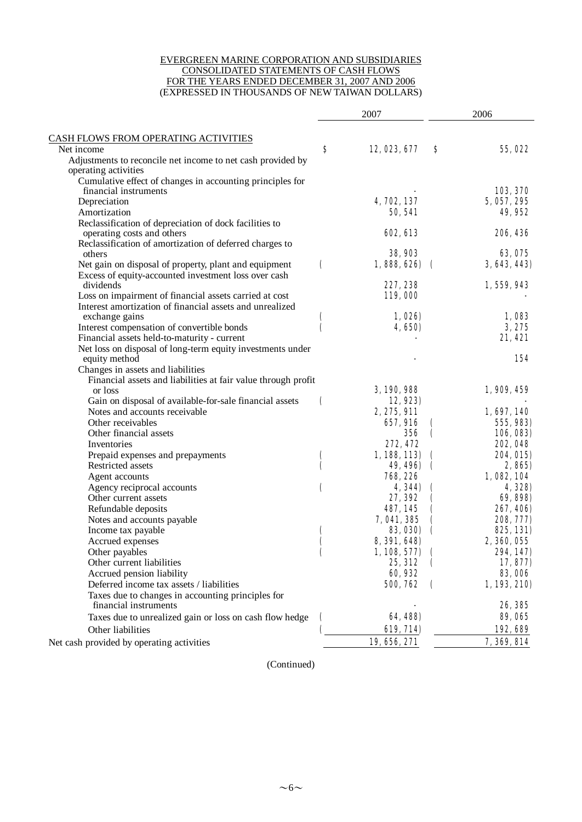#### EVERGREEN MARINE CORPORATION AND SUBSIDIARIES CONSOLIDATED STATEMENTS OF CASH FLOWS FOR THE YEARS ENDED DECEMBER 31, 2007 AND 2006 (EXPRESSED IN THOUSANDS OF NEW TAIWAN DOLLARS)

| CASH FLOWS FROM OPERATING ACTIVITIES<br>S<br>12, 023, 677<br>Net income<br>S<br>55,022<br>Adjustments to reconcile net income to net cash provided by<br>operating activities<br>Cumulative effect of changes in accounting principles for<br>103, 370<br>financial instruments<br>4, 702, 137<br>Depreciation<br>5, 057, 295<br>49,952<br>Amortization<br>50, 541<br>Reclassification of depreciation of dock facilities to<br>operating costs and others<br>602, 613<br>206, 436<br>Reclassification of amortization of deferred charges to<br><b>38, 903</b><br>63, 075<br>others<br>(<br>$1,888,626$ (<br>3, 643, 443)<br>Net gain on disposal of property, plant and equipment<br>Excess of equity-accounted investment loss over cash<br>227, 238<br>1, 559, 943<br>dividends<br>Loss on impairment of financial assets carried at cost<br>119,000<br>Interest amortization of financial assets and unrealized<br>1,026)<br>1,083<br>exchange gains<br>€<br>(<br>Interest compensation of convertible bonds<br>4,650)<br>3,275<br>Financial assets held-to-maturity - current<br>21, 421<br>Net loss on disposal of long-term equity investments under<br>154<br>equity method<br>Changes in assets and liabilities<br>Financial assets and liabilities at fair value through profit<br>3, 190, 988<br>1,909,459<br>or loss<br>Gain on disposal of available-for-sale financial assets<br>12,923)<br>(<br>Notes and accounts receivable<br>2, 275, 911<br>1, 697, 140<br>Other receivables<br>657,916<br>555, 983)<br>Other financial assets<br>356<br>106, 083)<br>€<br>272, 472<br>202, 048<br>Inventories<br>1, 188, 113)<br>204, 015)<br>Prepaid expenses and prepayments<br>$\mathbf \epsilon$<br>$\mathbf \epsilon$<br>Restricted assets<br>49, 496)<br>(<br>2,865)<br>$\mathbf \epsilon$<br><b>768, 226</b><br>1,082,104<br>Agent accounts<br>4, 344)<br>Agency reciprocal accounts<br>€<br>4, 328)<br>Other current assets<br>27, 392<br>69, 898)<br>487, 145<br>267, 406)<br>Refundable deposits<br>Notes and accounts payable<br>7,041,385<br>208, 777)<br><b>83, 030)</b><br>825, 131)<br>Income tax payable<br>2, 360, 055<br>Accrued expenses<br>8, 391, 648)<br>Other payables<br>$1,108,577$ (<br>294, 147)<br>€<br>Other current liabilities<br>25, 312<br>17,877)<br>60,932<br>Accrued pension liability<br><b>83,006</b><br>500, 762<br>Deferred income tax assets / liabilities<br>1,193,210)<br>$\mathbf \Gamma$<br>Taxes due to changes in accounting principles for<br>26, 385<br>financial instruments<br>64, 488)<br>89,065<br>Taxes due to unrealized gain or loss on cash flow hedge<br>€<br>619, 714)<br>192,689<br>Other liabilities<br>7,369,814<br>19, 656, 271<br>Net cash provided by operating activities |  | 2007 | 2006 |  |  |
|--------------------------------------------------------------------------------------------------------------------------------------------------------------------------------------------------------------------------------------------------------------------------------------------------------------------------------------------------------------------------------------------------------------------------------------------------------------------------------------------------------------------------------------------------------------------------------------------------------------------------------------------------------------------------------------------------------------------------------------------------------------------------------------------------------------------------------------------------------------------------------------------------------------------------------------------------------------------------------------------------------------------------------------------------------------------------------------------------------------------------------------------------------------------------------------------------------------------------------------------------------------------------------------------------------------------------------------------------------------------------------------------------------------------------------------------------------------------------------------------------------------------------------------------------------------------------------------------------------------------------------------------------------------------------------------------------------------------------------------------------------------------------------------------------------------------------------------------------------------------------------------------------------------------------------------------------------------------------------------------------------------------------------------------------------------------------------------------------------------------------------------------------------------------------------------------------------------------------------------------------------------------------------------------------------------------------------------------------------------------------------------------------------------------------------------------------------------------------------------------------------------------------------------------------------------------------------------------------------------------------------------------------------------------------------------------------------------------------------------------------|--|------|------|--|--|
|                                                                                                                                                                                                                                                                                                                                                                                                                                                                                                                                                                                                                                                                                                                                                                                                                                                                                                                                                                                                                                                                                                                                                                                                                                                                                                                                                                                                                                                                                                                                                                                                                                                                                                                                                                                                                                                                                                                                                                                                                                                                                                                                                                                                                                                                                                                                                                                                                                                                                                                                                                                                                                                                                                                                                  |  |      |      |  |  |
|                                                                                                                                                                                                                                                                                                                                                                                                                                                                                                                                                                                                                                                                                                                                                                                                                                                                                                                                                                                                                                                                                                                                                                                                                                                                                                                                                                                                                                                                                                                                                                                                                                                                                                                                                                                                                                                                                                                                                                                                                                                                                                                                                                                                                                                                                                                                                                                                                                                                                                                                                                                                                                                                                                                                                  |  |      |      |  |  |
|                                                                                                                                                                                                                                                                                                                                                                                                                                                                                                                                                                                                                                                                                                                                                                                                                                                                                                                                                                                                                                                                                                                                                                                                                                                                                                                                                                                                                                                                                                                                                                                                                                                                                                                                                                                                                                                                                                                                                                                                                                                                                                                                                                                                                                                                                                                                                                                                                                                                                                                                                                                                                                                                                                                                                  |  |      |      |  |  |
|                                                                                                                                                                                                                                                                                                                                                                                                                                                                                                                                                                                                                                                                                                                                                                                                                                                                                                                                                                                                                                                                                                                                                                                                                                                                                                                                                                                                                                                                                                                                                                                                                                                                                                                                                                                                                                                                                                                                                                                                                                                                                                                                                                                                                                                                                                                                                                                                                                                                                                                                                                                                                                                                                                                                                  |  |      |      |  |  |
|                                                                                                                                                                                                                                                                                                                                                                                                                                                                                                                                                                                                                                                                                                                                                                                                                                                                                                                                                                                                                                                                                                                                                                                                                                                                                                                                                                                                                                                                                                                                                                                                                                                                                                                                                                                                                                                                                                                                                                                                                                                                                                                                                                                                                                                                                                                                                                                                                                                                                                                                                                                                                                                                                                                                                  |  |      |      |  |  |
|                                                                                                                                                                                                                                                                                                                                                                                                                                                                                                                                                                                                                                                                                                                                                                                                                                                                                                                                                                                                                                                                                                                                                                                                                                                                                                                                                                                                                                                                                                                                                                                                                                                                                                                                                                                                                                                                                                                                                                                                                                                                                                                                                                                                                                                                                                                                                                                                                                                                                                                                                                                                                                                                                                                                                  |  |      |      |  |  |
|                                                                                                                                                                                                                                                                                                                                                                                                                                                                                                                                                                                                                                                                                                                                                                                                                                                                                                                                                                                                                                                                                                                                                                                                                                                                                                                                                                                                                                                                                                                                                                                                                                                                                                                                                                                                                                                                                                                                                                                                                                                                                                                                                                                                                                                                                                                                                                                                                                                                                                                                                                                                                                                                                                                                                  |  |      |      |  |  |
|                                                                                                                                                                                                                                                                                                                                                                                                                                                                                                                                                                                                                                                                                                                                                                                                                                                                                                                                                                                                                                                                                                                                                                                                                                                                                                                                                                                                                                                                                                                                                                                                                                                                                                                                                                                                                                                                                                                                                                                                                                                                                                                                                                                                                                                                                                                                                                                                                                                                                                                                                                                                                                                                                                                                                  |  |      |      |  |  |
|                                                                                                                                                                                                                                                                                                                                                                                                                                                                                                                                                                                                                                                                                                                                                                                                                                                                                                                                                                                                                                                                                                                                                                                                                                                                                                                                                                                                                                                                                                                                                                                                                                                                                                                                                                                                                                                                                                                                                                                                                                                                                                                                                                                                                                                                                                                                                                                                                                                                                                                                                                                                                                                                                                                                                  |  |      |      |  |  |
|                                                                                                                                                                                                                                                                                                                                                                                                                                                                                                                                                                                                                                                                                                                                                                                                                                                                                                                                                                                                                                                                                                                                                                                                                                                                                                                                                                                                                                                                                                                                                                                                                                                                                                                                                                                                                                                                                                                                                                                                                                                                                                                                                                                                                                                                                                                                                                                                                                                                                                                                                                                                                                                                                                                                                  |  |      |      |  |  |
|                                                                                                                                                                                                                                                                                                                                                                                                                                                                                                                                                                                                                                                                                                                                                                                                                                                                                                                                                                                                                                                                                                                                                                                                                                                                                                                                                                                                                                                                                                                                                                                                                                                                                                                                                                                                                                                                                                                                                                                                                                                                                                                                                                                                                                                                                                                                                                                                                                                                                                                                                                                                                                                                                                                                                  |  |      |      |  |  |
|                                                                                                                                                                                                                                                                                                                                                                                                                                                                                                                                                                                                                                                                                                                                                                                                                                                                                                                                                                                                                                                                                                                                                                                                                                                                                                                                                                                                                                                                                                                                                                                                                                                                                                                                                                                                                                                                                                                                                                                                                                                                                                                                                                                                                                                                                                                                                                                                                                                                                                                                                                                                                                                                                                                                                  |  |      |      |  |  |
|                                                                                                                                                                                                                                                                                                                                                                                                                                                                                                                                                                                                                                                                                                                                                                                                                                                                                                                                                                                                                                                                                                                                                                                                                                                                                                                                                                                                                                                                                                                                                                                                                                                                                                                                                                                                                                                                                                                                                                                                                                                                                                                                                                                                                                                                                                                                                                                                                                                                                                                                                                                                                                                                                                                                                  |  |      |      |  |  |
|                                                                                                                                                                                                                                                                                                                                                                                                                                                                                                                                                                                                                                                                                                                                                                                                                                                                                                                                                                                                                                                                                                                                                                                                                                                                                                                                                                                                                                                                                                                                                                                                                                                                                                                                                                                                                                                                                                                                                                                                                                                                                                                                                                                                                                                                                                                                                                                                                                                                                                                                                                                                                                                                                                                                                  |  |      |      |  |  |
|                                                                                                                                                                                                                                                                                                                                                                                                                                                                                                                                                                                                                                                                                                                                                                                                                                                                                                                                                                                                                                                                                                                                                                                                                                                                                                                                                                                                                                                                                                                                                                                                                                                                                                                                                                                                                                                                                                                                                                                                                                                                                                                                                                                                                                                                                                                                                                                                                                                                                                                                                                                                                                                                                                                                                  |  |      |      |  |  |
|                                                                                                                                                                                                                                                                                                                                                                                                                                                                                                                                                                                                                                                                                                                                                                                                                                                                                                                                                                                                                                                                                                                                                                                                                                                                                                                                                                                                                                                                                                                                                                                                                                                                                                                                                                                                                                                                                                                                                                                                                                                                                                                                                                                                                                                                                                                                                                                                                                                                                                                                                                                                                                                                                                                                                  |  |      |      |  |  |
|                                                                                                                                                                                                                                                                                                                                                                                                                                                                                                                                                                                                                                                                                                                                                                                                                                                                                                                                                                                                                                                                                                                                                                                                                                                                                                                                                                                                                                                                                                                                                                                                                                                                                                                                                                                                                                                                                                                                                                                                                                                                                                                                                                                                                                                                                                                                                                                                                                                                                                                                                                                                                                                                                                                                                  |  |      |      |  |  |
|                                                                                                                                                                                                                                                                                                                                                                                                                                                                                                                                                                                                                                                                                                                                                                                                                                                                                                                                                                                                                                                                                                                                                                                                                                                                                                                                                                                                                                                                                                                                                                                                                                                                                                                                                                                                                                                                                                                                                                                                                                                                                                                                                                                                                                                                                                                                                                                                                                                                                                                                                                                                                                                                                                                                                  |  |      |      |  |  |
|                                                                                                                                                                                                                                                                                                                                                                                                                                                                                                                                                                                                                                                                                                                                                                                                                                                                                                                                                                                                                                                                                                                                                                                                                                                                                                                                                                                                                                                                                                                                                                                                                                                                                                                                                                                                                                                                                                                                                                                                                                                                                                                                                                                                                                                                                                                                                                                                                                                                                                                                                                                                                                                                                                                                                  |  |      |      |  |  |
|                                                                                                                                                                                                                                                                                                                                                                                                                                                                                                                                                                                                                                                                                                                                                                                                                                                                                                                                                                                                                                                                                                                                                                                                                                                                                                                                                                                                                                                                                                                                                                                                                                                                                                                                                                                                                                                                                                                                                                                                                                                                                                                                                                                                                                                                                                                                                                                                                                                                                                                                                                                                                                                                                                                                                  |  |      |      |  |  |
|                                                                                                                                                                                                                                                                                                                                                                                                                                                                                                                                                                                                                                                                                                                                                                                                                                                                                                                                                                                                                                                                                                                                                                                                                                                                                                                                                                                                                                                                                                                                                                                                                                                                                                                                                                                                                                                                                                                                                                                                                                                                                                                                                                                                                                                                                                                                                                                                                                                                                                                                                                                                                                                                                                                                                  |  |      |      |  |  |
|                                                                                                                                                                                                                                                                                                                                                                                                                                                                                                                                                                                                                                                                                                                                                                                                                                                                                                                                                                                                                                                                                                                                                                                                                                                                                                                                                                                                                                                                                                                                                                                                                                                                                                                                                                                                                                                                                                                                                                                                                                                                                                                                                                                                                                                                                                                                                                                                                                                                                                                                                                                                                                                                                                                                                  |  |      |      |  |  |
|                                                                                                                                                                                                                                                                                                                                                                                                                                                                                                                                                                                                                                                                                                                                                                                                                                                                                                                                                                                                                                                                                                                                                                                                                                                                                                                                                                                                                                                                                                                                                                                                                                                                                                                                                                                                                                                                                                                                                                                                                                                                                                                                                                                                                                                                                                                                                                                                                                                                                                                                                                                                                                                                                                                                                  |  |      |      |  |  |
|                                                                                                                                                                                                                                                                                                                                                                                                                                                                                                                                                                                                                                                                                                                                                                                                                                                                                                                                                                                                                                                                                                                                                                                                                                                                                                                                                                                                                                                                                                                                                                                                                                                                                                                                                                                                                                                                                                                                                                                                                                                                                                                                                                                                                                                                                                                                                                                                                                                                                                                                                                                                                                                                                                                                                  |  |      |      |  |  |
|                                                                                                                                                                                                                                                                                                                                                                                                                                                                                                                                                                                                                                                                                                                                                                                                                                                                                                                                                                                                                                                                                                                                                                                                                                                                                                                                                                                                                                                                                                                                                                                                                                                                                                                                                                                                                                                                                                                                                                                                                                                                                                                                                                                                                                                                                                                                                                                                                                                                                                                                                                                                                                                                                                                                                  |  |      |      |  |  |
|                                                                                                                                                                                                                                                                                                                                                                                                                                                                                                                                                                                                                                                                                                                                                                                                                                                                                                                                                                                                                                                                                                                                                                                                                                                                                                                                                                                                                                                                                                                                                                                                                                                                                                                                                                                                                                                                                                                                                                                                                                                                                                                                                                                                                                                                                                                                                                                                                                                                                                                                                                                                                                                                                                                                                  |  |      |      |  |  |
|                                                                                                                                                                                                                                                                                                                                                                                                                                                                                                                                                                                                                                                                                                                                                                                                                                                                                                                                                                                                                                                                                                                                                                                                                                                                                                                                                                                                                                                                                                                                                                                                                                                                                                                                                                                                                                                                                                                                                                                                                                                                                                                                                                                                                                                                                                                                                                                                                                                                                                                                                                                                                                                                                                                                                  |  |      |      |  |  |
|                                                                                                                                                                                                                                                                                                                                                                                                                                                                                                                                                                                                                                                                                                                                                                                                                                                                                                                                                                                                                                                                                                                                                                                                                                                                                                                                                                                                                                                                                                                                                                                                                                                                                                                                                                                                                                                                                                                                                                                                                                                                                                                                                                                                                                                                                                                                                                                                                                                                                                                                                                                                                                                                                                                                                  |  |      |      |  |  |
|                                                                                                                                                                                                                                                                                                                                                                                                                                                                                                                                                                                                                                                                                                                                                                                                                                                                                                                                                                                                                                                                                                                                                                                                                                                                                                                                                                                                                                                                                                                                                                                                                                                                                                                                                                                                                                                                                                                                                                                                                                                                                                                                                                                                                                                                                                                                                                                                                                                                                                                                                                                                                                                                                                                                                  |  |      |      |  |  |
|                                                                                                                                                                                                                                                                                                                                                                                                                                                                                                                                                                                                                                                                                                                                                                                                                                                                                                                                                                                                                                                                                                                                                                                                                                                                                                                                                                                                                                                                                                                                                                                                                                                                                                                                                                                                                                                                                                                                                                                                                                                                                                                                                                                                                                                                                                                                                                                                                                                                                                                                                                                                                                                                                                                                                  |  |      |      |  |  |
|                                                                                                                                                                                                                                                                                                                                                                                                                                                                                                                                                                                                                                                                                                                                                                                                                                                                                                                                                                                                                                                                                                                                                                                                                                                                                                                                                                                                                                                                                                                                                                                                                                                                                                                                                                                                                                                                                                                                                                                                                                                                                                                                                                                                                                                                                                                                                                                                                                                                                                                                                                                                                                                                                                                                                  |  |      |      |  |  |
|                                                                                                                                                                                                                                                                                                                                                                                                                                                                                                                                                                                                                                                                                                                                                                                                                                                                                                                                                                                                                                                                                                                                                                                                                                                                                                                                                                                                                                                                                                                                                                                                                                                                                                                                                                                                                                                                                                                                                                                                                                                                                                                                                                                                                                                                                                                                                                                                                                                                                                                                                                                                                                                                                                                                                  |  |      |      |  |  |
|                                                                                                                                                                                                                                                                                                                                                                                                                                                                                                                                                                                                                                                                                                                                                                                                                                                                                                                                                                                                                                                                                                                                                                                                                                                                                                                                                                                                                                                                                                                                                                                                                                                                                                                                                                                                                                                                                                                                                                                                                                                                                                                                                                                                                                                                                                                                                                                                                                                                                                                                                                                                                                                                                                                                                  |  |      |      |  |  |
|                                                                                                                                                                                                                                                                                                                                                                                                                                                                                                                                                                                                                                                                                                                                                                                                                                                                                                                                                                                                                                                                                                                                                                                                                                                                                                                                                                                                                                                                                                                                                                                                                                                                                                                                                                                                                                                                                                                                                                                                                                                                                                                                                                                                                                                                                                                                                                                                                                                                                                                                                                                                                                                                                                                                                  |  |      |      |  |  |
|                                                                                                                                                                                                                                                                                                                                                                                                                                                                                                                                                                                                                                                                                                                                                                                                                                                                                                                                                                                                                                                                                                                                                                                                                                                                                                                                                                                                                                                                                                                                                                                                                                                                                                                                                                                                                                                                                                                                                                                                                                                                                                                                                                                                                                                                                                                                                                                                                                                                                                                                                                                                                                                                                                                                                  |  |      |      |  |  |
|                                                                                                                                                                                                                                                                                                                                                                                                                                                                                                                                                                                                                                                                                                                                                                                                                                                                                                                                                                                                                                                                                                                                                                                                                                                                                                                                                                                                                                                                                                                                                                                                                                                                                                                                                                                                                                                                                                                                                                                                                                                                                                                                                                                                                                                                                                                                                                                                                                                                                                                                                                                                                                                                                                                                                  |  |      |      |  |  |
|                                                                                                                                                                                                                                                                                                                                                                                                                                                                                                                                                                                                                                                                                                                                                                                                                                                                                                                                                                                                                                                                                                                                                                                                                                                                                                                                                                                                                                                                                                                                                                                                                                                                                                                                                                                                                                                                                                                                                                                                                                                                                                                                                                                                                                                                                                                                                                                                                                                                                                                                                                                                                                                                                                                                                  |  |      |      |  |  |
|                                                                                                                                                                                                                                                                                                                                                                                                                                                                                                                                                                                                                                                                                                                                                                                                                                                                                                                                                                                                                                                                                                                                                                                                                                                                                                                                                                                                                                                                                                                                                                                                                                                                                                                                                                                                                                                                                                                                                                                                                                                                                                                                                                                                                                                                                                                                                                                                                                                                                                                                                                                                                                                                                                                                                  |  |      |      |  |  |
|                                                                                                                                                                                                                                                                                                                                                                                                                                                                                                                                                                                                                                                                                                                                                                                                                                                                                                                                                                                                                                                                                                                                                                                                                                                                                                                                                                                                                                                                                                                                                                                                                                                                                                                                                                                                                                                                                                                                                                                                                                                                                                                                                                                                                                                                                                                                                                                                                                                                                                                                                                                                                                                                                                                                                  |  |      |      |  |  |
|                                                                                                                                                                                                                                                                                                                                                                                                                                                                                                                                                                                                                                                                                                                                                                                                                                                                                                                                                                                                                                                                                                                                                                                                                                                                                                                                                                                                                                                                                                                                                                                                                                                                                                                                                                                                                                                                                                                                                                                                                                                                                                                                                                                                                                                                                                                                                                                                                                                                                                                                                                                                                                                                                                                                                  |  |      |      |  |  |
|                                                                                                                                                                                                                                                                                                                                                                                                                                                                                                                                                                                                                                                                                                                                                                                                                                                                                                                                                                                                                                                                                                                                                                                                                                                                                                                                                                                                                                                                                                                                                                                                                                                                                                                                                                                                                                                                                                                                                                                                                                                                                                                                                                                                                                                                                                                                                                                                                                                                                                                                                                                                                                                                                                                                                  |  |      |      |  |  |
|                                                                                                                                                                                                                                                                                                                                                                                                                                                                                                                                                                                                                                                                                                                                                                                                                                                                                                                                                                                                                                                                                                                                                                                                                                                                                                                                                                                                                                                                                                                                                                                                                                                                                                                                                                                                                                                                                                                                                                                                                                                                                                                                                                                                                                                                                                                                                                                                                                                                                                                                                                                                                                                                                                                                                  |  |      |      |  |  |
|                                                                                                                                                                                                                                                                                                                                                                                                                                                                                                                                                                                                                                                                                                                                                                                                                                                                                                                                                                                                                                                                                                                                                                                                                                                                                                                                                                                                                                                                                                                                                                                                                                                                                                                                                                                                                                                                                                                                                                                                                                                                                                                                                                                                                                                                                                                                                                                                                                                                                                                                                                                                                                                                                                                                                  |  |      |      |  |  |
|                                                                                                                                                                                                                                                                                                                                                                                                                                                                                                                                                                                                                                                                                                                                                                                                                                                                                                                                                                                                                                                                                                                                                                                                                                                                                                                                                                                                                                                                                                                                                                                                                                                                                                                                                                                                                                                                                                                                                                                                                                                                                                                                                                                                                                                                                                                                                                                                                                                                                                                                                                                                                                                                                                                                                  |  |      |      |  |  |
|                                                                                                                                                                                                                                                                                                                                                                                                                                                                                                                                                                                                                                                                                                                                                                                                                                                                                                                                                                                                                                                                                                                                                                                                                                                                                                                                                                                                                                                                                                                                                                                                                                                                                                                                                                                                                                                                                                                                                                                                                                                                                                                                                                                                                                                                                                                                                                                                                                                                                                                                                                                                                                                                                                                                                  |  |      |      |  |  |
|                                                                                                                                                                                                                                                                                                                                                                                                                                                                                                                                                                                                                                                                                                                                                                                                                                                                                                                                                                                                                                                                                                                                                                                                                                                                                                                                                                                                                                                                                                                                                                                                                                                                                                                                                                                                                                                                                                                                                                                                                                                                                                                                                                                                                                                                                                                                                                                                                                                                                                                                                                                                                                                                                                                                                  |  |      |      |  |  |
|                                                                                                                                                                                                                                                                                                                                                                                                                                                                                                                                                                                                                                                                                                                                                                                                                                                                                                                                                                                                                                                                                                                                                                                                                                                                                                                                                                                                                                                                                                                                                                                                                                                                                                                                                                                                                                                                                                                                                                                                                                                                                                                                                                                                                                                                                                                                                                                                                                                                                                                                                                                                                                                                                                                                                  |  |      |      |  |  |
|                                                                                                                                                                                                                                                                                                                                                                                                                                                                                                                                                                                                                                                                                                                                                                                                                                                                                                                                                                                                                                                                                                                                                                                                                                                                                                                                                                                                                                                                                                                                                                                                                                                                                                                                                                                                                                                                                                                                                                                                                                                                                                                                                                                                                                                                                                                                                                                                                                                                                                                                                                                                                                                                                                                                                  |  |      |      |  |  |

(Continued)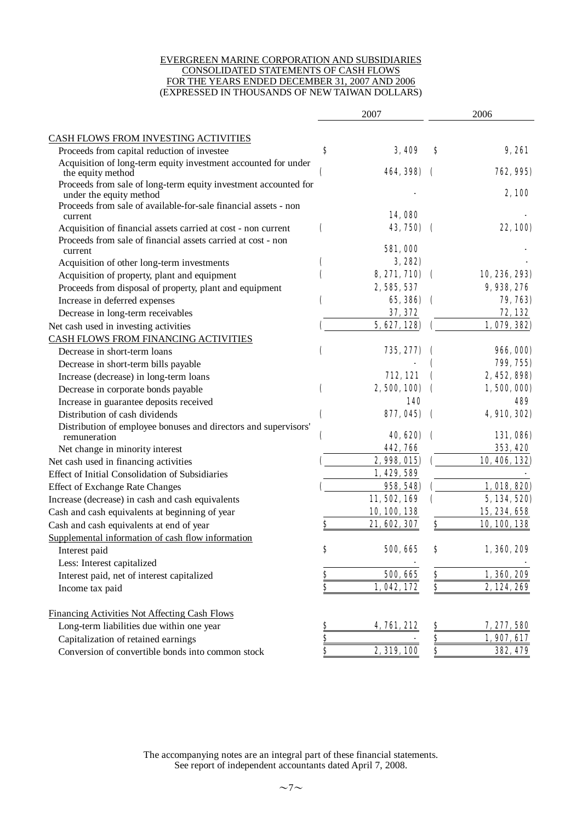#### EVERGREEN MARINE CORPORATION AND SUBSIDIARIES CONSOLIDATED STATEMENTS OF CASH FLOWS FOR THE YEARS ENDED DECEMBER 31, 2007 AND 2006 (EXPRESSED IN THOUSANDS OF NEW TAIWAN DOLLARS)

|                                                                                            |                         | 2007           | 2006                    |                  |  |
|--------------------------------------------------------------------------------------------|-------------------------|----------------|-------------------------|------------------|--|
| CASH FLOWS FROM INVESTING ACTIVITIES                                                       |                         |                |                         |                  |  |
| Proceeds from capital reduction of investee                                                | S                       | <b>3.409</b>   | S                       | 9.261            |  |
| Acquisition of long-term equity investment accounted for under<br>the equity method        |                         | 464, 398)      |                         | 762, 995)        |  |
| Proceeds from sale of long-term equity investment accounted for<br>under the equity method |                         |                |                         | 2,100            |  |
| Proceeds from sale of available-for-sale financial assets - non<br>current                 |                         | 14,080         |                         |                  |  |
| Acquisition of financial assets carried at cost - non current                              | (                       | 43, 750)       | €                       | 22, 100)         |  |
| Proceeds from sale of financial assets carried at cost - non<br>current                    |                         | <b>581,000</b> |                         |                  |  |
| Acquisition of other long-term investments                                                 |                         | 3,282          |                         |                  |  |
| Acquisition of property, plant and equipment                                               |                         | 8, 271, 710)   | €                       | 10, 236, 293)    |  |
| Proceeds from disposal of property, plant and equipment                                    |                         | 2, 585, 537    |                         | 9, 938, 276      |  |
| Increase in deferred expenses                                                              |                         | 65, 386)       | C                       | 79, 763)         |  |
| Decrease in long-term receivables                                                          |                         | 37, 372        |                         | 72, 132          |  |
| Net cash used in investing activities                                                      |                         | 5,627,128      |                         | 1,079,382)       |  |
| CASH FLOWS FROM FINANCING ACTIVITIES                                                       |                         |                |                         |                  |  |
| Decrease in short-term loans                                                               | C                       | 735, 277)      |                         | <b>966, 000)</b> |  |
| Decrease in short-term bills payable                                                       |                         |                |                         | 799, 755)        |  |
| Increase (decrease) in long-term loans                                                     |                         | 712, 121       |                         | 2, 452, 898)     |  |
| Decrease in corporate bonds payable                                                        | (                       | 2, 500, 100)   |                         | 1,500,000)       |  |
| Increase in guarantee deposits received                                                    |                         | 140            |                         | 499              |  |
| Distribution of cash dividends                                                             |                         | 877, 045)      | $\overline{\mathbf{r}}$ | 4, 910, 302)     |  |
| Distribution of employee bonuses and directors and supervisors'<br>remuneration            |                         | 40, 620)       |                         | 131,086)         |  |
| Net change in minority interest                                                            |                         | 442,766        |                         | 353, 420         |  |
| Net cash used in financing activities                                                      |                         | 2,998,015)     |                         | 10, 406, 132)    |  |
| Effect of Initial Consolidation of Subsidiaries                                            |                         | 1, 429, 589    |                         |                  |  |
| <b>Effect of Exchange Rate Changes</b>                                                     |                         | 958, 548)      |                         | 1, 018, 820)     |  |
| Increase (decrease) in cash and cash equivalents                                           |                         | 11, 502, 169   |                         | 5, 134, 520)     |  |
| Cash and cash equivalents at beginning of year                                             |                         | 10, 100, 138   |                         | 15, 234, 658     |  |
| Cash and cash equivalents at end of year                                                   | S                       | 21, 602, 307   | \$                      | 10, 100, 138     |  |
| Supplemental information of cash flow information                                          |                         |                |                         |                  |  |
| Interest paid                                                                              | \$                      | 500, 665       | ð                       | 1, 360, 209      |  |
| Less: Interest capitalized                                                                 |                         |                |                         |                  |  |
| Interest paid, net of interest capitalized                                                 | <u>s</u>                | 500, 665       | <u>s</u>                | 1,360,209        |  |
| Income tax paid                                                                            | $\overline{s}$          | 1,042,172      | \$                      | 2, 124, 269      |  |
| Financing Activities Not Affecting Cash Flows                                              |                         |                |                         |                  |  |
| Long-term liabilities due within one year                                                  | $\frac{8}{2}$           | 4,761,212      | $\frac{8}{2}$           | 7, 277, 580      |  |
| Capitalization of retained earnings                                                        | $\overline{\mathbf{s}}$ |                |                         | 1,907,617        |  |
| Conversion of convertible bonds into common stock                                          | \$                      | 2, 319, 100    | \$                      | 382, 479         |  |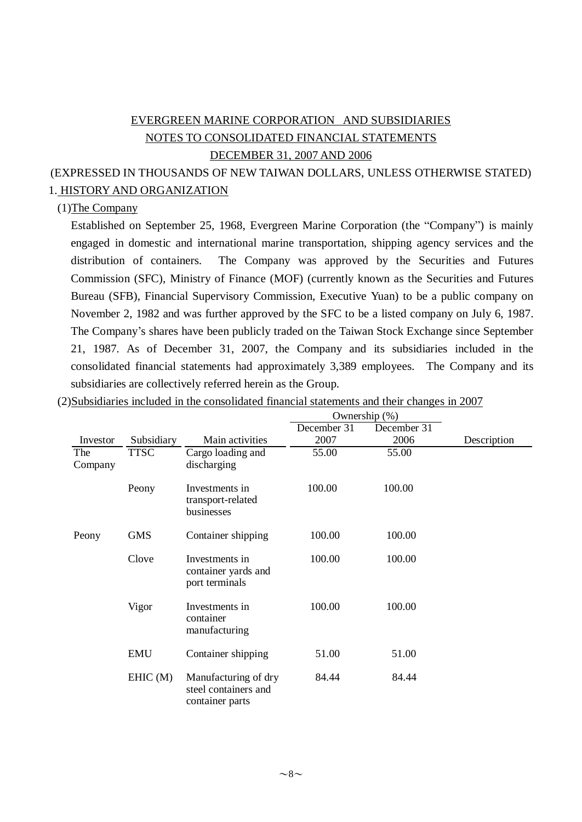# EVERGREEN MARINE CORPORATION AND SUBSIDIARIES NOTES TO CONSOLIDATED FINANCIAL STATEMENTS DECEMBER 31, 2007 AND 2006

# (EXPRESSED IN THOUSANDS OF NEW TAIWAN DOLLARS, UNLESS OTHERWISE STATED) 1. HISTORY AND ORGANIZATION

### (1)The Company

Established on September 25, 1968, Evergreen Marine Corporation (the "Company") is mainly engaged in domestic and international marine transportation, shipping agency services and the distribution of containers. The Company was approved by the Securities and Futures Commission (SFC), Ministry of Finance (MOF) (currently known as the Securities and Futures Bureau (SFB), Financial Supervisory Commission, Executive Yuan) to be a public company on November 2, 1982 and was further approved by the SFC to be a listed company on July 6, 1987. The Company's shares have been publicly traded on the Taiwan Stock Exchange since September 21, 1987. As of December 31, 2007, the Company and its subsidiaries included in the consolidated financial statements had approximately 3,389 employees. The Company and its subsidiaries are collectively referred herein as the Group.

Ownership (%)

|                |             |                                                                 | $\circ$ where $\circ$ and $\circ$ $\circ$ $\prime$ |             |             |
|----------------|-------------|-----------------------------------------------------------------|----------------------------------------------------|-------------|-------------|
|                |             |                                                                 | December 31                                        | December 31 |             |
| Investor       | Subsidiary  | Main activities                                                 | 2007                                               | 2006        | Description |
| The<br>Company | <b>TTSC</b> | Cargo loading and<br>discharging                                | 55.00                                              | 55.00       |             |
|                | Peony       | Investments in<br>transport-related<br>businesses               | 100.00                                             | 100.00      |             |
| Peony          | <b>GMS</b>  | Container shipping                                              | 100.00                                             | 100.00      |             |
|                | Clove       | Investments in<br>container yards and<br>port terminals         | 100.00                                             | 100.00      |             |
|                | Vigor       | Investments in<br>container<br>manufacturing                    | 100.00                                             | 100.00      |             |
|                | <b>EMU</b>  | Container shipping                                              | 51.00                                              | 51.00       |             |
|                | EHIC(M)     | Manufacturing of dry<br>steel containers and<br>container parts | 84.44                                              | 84.44       |             |

(2)Subsidiaries included in the consolidated financial statements and their changes in 2007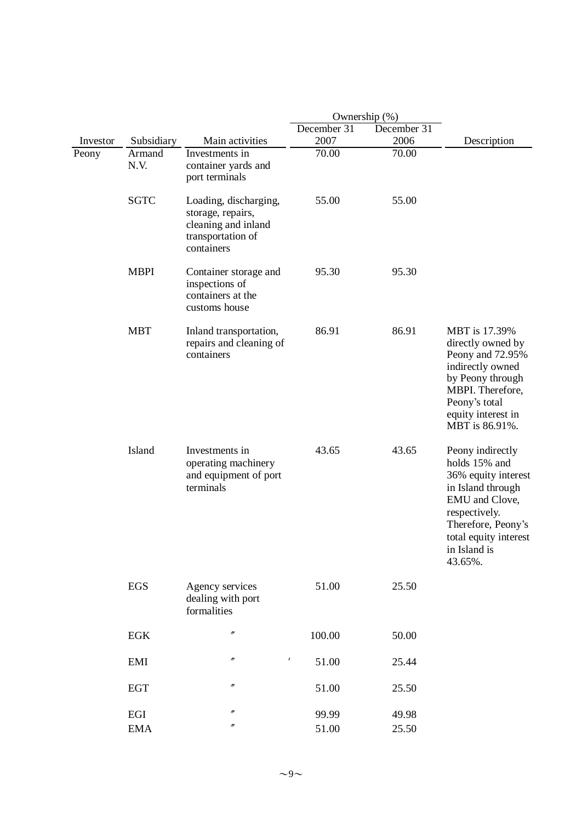|          |                |                                                                                                      | Ownership (%) |             |                                                                                                                                                                                            |  |  |
|----------|----------------|------------------------------------------------------------------------------------------------------|---------------|-------------|--------------------------------------------------------------------------------------------------------------------------------------------------------------------------------------------|--|--|
|          |                |                                                                                                      | December 31   | December 31 |                                                                                                                                                                                            |  |  |
| Investor | Subsidiary     | Main activities                                                                                      | 2007          | 2006        | Description                                                                                                                                                                                |  |  |
| Peony    | Armand<br>N.V. | Investments in<br>container yards and<br>port terminals                                              | 70.00         | 70.00       |                                                                                                                                                                                            |  |  |
|          | <b>SGTC</b>    | Loading, discharging,<br>storage, repairs,<br>cleaning and inland<br>transportation of<br>containers | 55.00         | 55.00       |                                                                                                                                                                                            |  |  |
|          | <b>MBPI</b>    | Container storage and<br>inspections of<br>containers at the<br>customs house                        | 95.30         | 95.30       |                                                                                                                                                                                            |  |  |
|          | <b>MBT</b>     | Inland transportation,<br>repairs and cleaning of<br>containers                                      | 86.91         | 86.91       | MBT is 17.39%<br>directly owned by<br>Peony and 72.95%<br>indirectly owned<br>by Peony through<br>MBPI. Therefore,<br>Peony's total<br>equity interest in<br>MBT is 86.91%.                |  |  |
|          | Island         | Investments in<br>operating machinery<br>and equipment of port<br>terminals                          | 43.65         | 43.65       | Peony indirectly<br>holds 15% and<br>36% equity interest<br>in Island through<br>EMU and Clove,<br>respectively.<br>Therefore, Peony's<br>total equity interest<br>in Island is<br>43.65%. |  |  |
|          | <b>EGS</b>     | Agency services<br>dealing with port<br>formalities                                                  | 51.00         | 25.50       |                                                                                                                                                                                            |  |  |
|          | EGK            | $\prime\prime$                                                                                       | 100.00        | 50.00       |                                                                                                                                                                                            |  |  |
|          | EMI            | $\pmb{\lambda}$<br>n                                                                                 | 51.00         | 25.44       |                                                                                                                                                                                            |  |  |
|          | <b>EGT</b>     | n                                                                                                    | 51.00         | 25.50       |                                                                                                                                                                                            |  |  |
|          | $_{\rm EGI}$   | $^{\prime\prime}$                                                                                    | 99.99         | 49.98       |                                                                                                                                                                                            |  |  |
|          | <b>EMA</b>     | n                                                                                                    | 51.00         | 25.50       |                                                                                                                                                                                            |  |  |
|          |                |                                                                                                      |               |             |                                                                                                                                                                                            |  |  |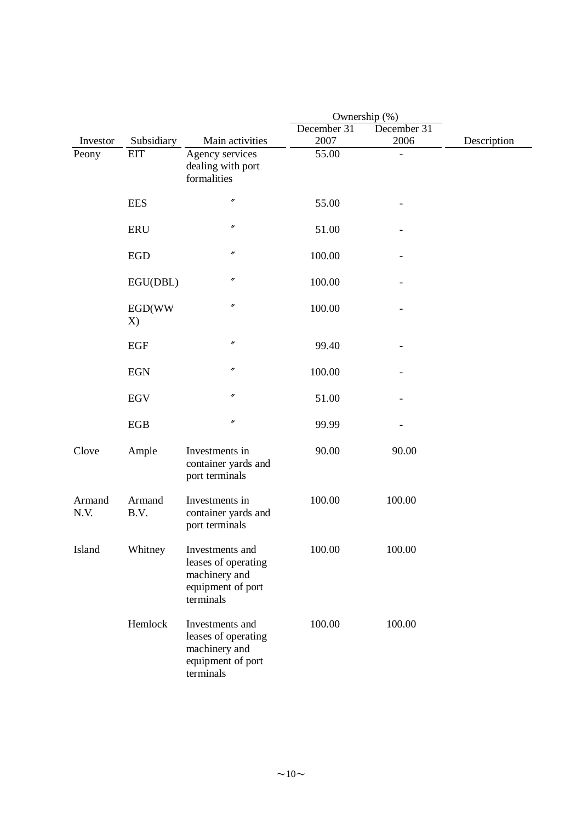|                |                |                                                                                           | Ownership (%) |             |             |
|----------------|----------------|-------------------------------------------------------------------------------------------|---------------|-------------|-------------|
|                |                |                                                                                           | December 31   | December 31 |             |
| Investor       | Subsidiary     | Main activities                                                                           | 2007          | 2006        | Description |
| Peony          | <b>EIT</b>     | Agency services<br>dealing with port<br>formalities                                       | 55.00         |             |             |
|                | <b>EES</b>     | $^{\prime\prime}$                                                                         | 55.00         |             |             |
|                | <b>ERU</b>     | $\prime\prime$                                                                            | 51.00         |             |             |
|                | <b>EGD</b>     | $\prime\prime$                                                                            | 100.00        |             |             |
|                | EGU(DBL)       | $\prime\prime$                                                                            | 100.00        |             |             |
|                | EGD(WW<br>X)   | $^{\prime\prime}$                                                                         | 100.00        |             |             |
|                | EGF            | $\prime\prime$                                                                            | 99.40         |             |             |
|                | <b>EGN</b>     | $^{\prime\prime}$                                                                         | 100.00        |             |             |
|                | <b>EGV</b>     | $\prime\prime$                                                                            | 51.00         |             |             |
|                | EGB            | n                                                                                         | 99.99         |             |             |
| Clove          | Ample          | Investments in<br>container yards and<br>port terminals                                   | 90.00         | 90.00       |             |
| Armand<br>N.V. | Armand<br>B.V. | Investments in<br>container yards and<br>port terminals                                   | 100.00        | 100.00      |             |
| Island         | Whitney        | Investments and<br>leases of operating<br>machinery and<br>equipment of port<br>terminals | 100.00        | 100.00      |             |
|                | Hemlock        | Investments and<br>leases of operating<br>machinery and<br>equipment of port<br>terminals | 100.00        | 100.00      |             |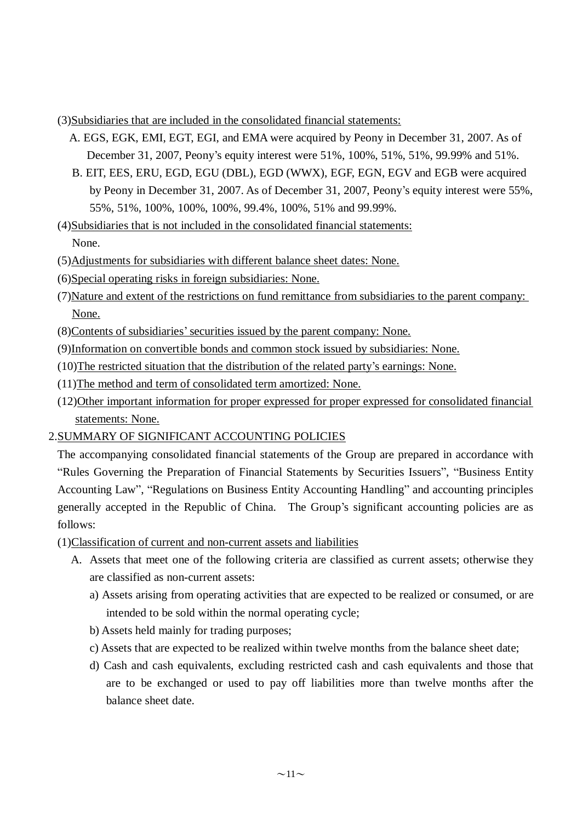#### (3)Subsidiaries that are included in the consolidated financial statements:

- A. EGS, EGK, EMI, EGT, EGI, and EMA were acquired by Peony in December 31, 2007. As of December 31, 2007, Peony's equity interest were 51%, 100%, 51%, 51%, 99.99% and 51%.
- B. EIT, EES, ERU, EGD, EGU (DBL), EGD (WWX), EGF, EGN, EGV and EGB were acquired by Peony in December 31, 2007. As of December 31, 2007, Peony's equity interest were 55%, 55%, 51%, 100%, 100%, 100%, 99.4%, 100%, 51% and 99.99%.

(4)Subsidiaries that is not included in the consolidated financial statements: None.

- (5)Adjustments for subsidiaries with different balance sheet dates: None.
- (6)Special operating risks in foreign subsidiaries: None.
- (7)Nature and extent of the restrictions on fund remittance from subsidiaries to the parent company: None.
- (8)Contents of subsidiaries'securities issued by the parent company: None.
- (9)Information on convertible bonds and common stock issued by subsidiaries: None.
- (10)The restricted situation that the distribution of the related party's earnings: None.
- (11)The method and term of consolidated term amortized: None.
- (12)Other important information for proper expressed for proper expressed for consolidated financial statements: None.

### 2.SUMMARY OF SIGNIFICANT ACCOUNTING POLICIES

The accompanying consolidated financial statements of the Group are prepared in accordance with "Rules Governing the Preparation of Financial Statements by Securities Issuers", "Business Entity Accounting Law", "Regulations on Business Entity Accounting Handling" and accounting principles generally accepted in the Republic of China. The Group's significant accounting policies are as follows:

- (1)Classification of current and non-current assets and liabilities
	- A. Assets that meet one of the following criteria are classified as current assets; otherwise they are classified as non-current assets:
		- a) Assets arising from operating activities that are expected to be realized or consumed, or are intended to be sold within the normal operating cycle;
		- b) Assets held mainly for trading purposes;
		- c) Assets that are expected to be realized within twelve months from the balance sheet date;
		- d) Cash and cash equivalents, excluding restricted cash and cash equivalents and those that are to be exchanged or used to pay off liabilities more than twelve months after the balance sheet date.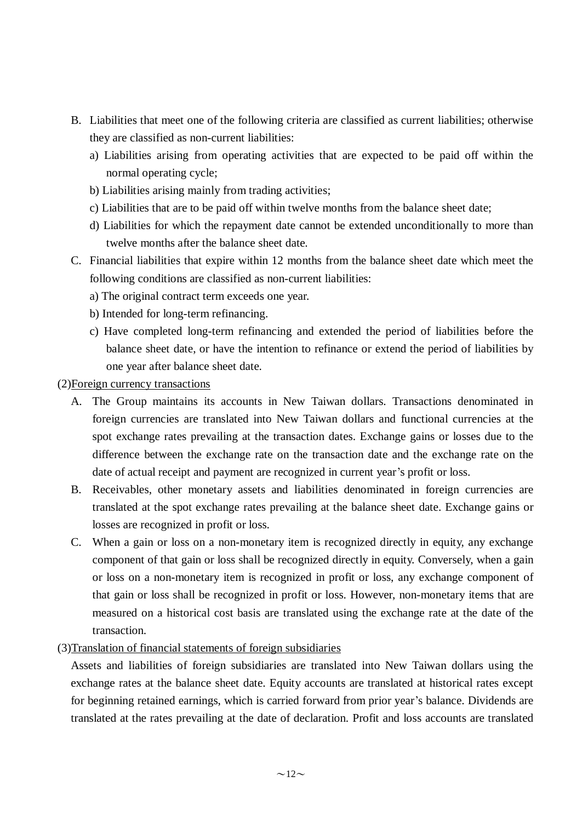- B. Liabilities that meet one of the following criteria are classified as current liabilities; otherwise they are classified as non-current liabilities:
	- a) Liabilities arising from operating activities that are expected to be paid off within the normal operating cycle;
	- b) Liabilities arising mainly from trading activities;
	- c) Liabilities that are to be paid off within twelve months from the balance sheet date;
	- d) Liabilities for which the repayment date cannot be extended unconditionally to more than twelve months after the balance sheet date.
- C. Financial liabilities that expire within 12 months from the balance sheet date which meet the following conditions are classified as non-current liabilities:
	- a) The original contract term exceeds one year.
	- b) Intended for long-term refinancing.
	- c) Have completed long-term refinancing and extended the period of liabilities before the balance sheet date, or have the intention to refinance or extend the period of liabilities by one year after balance sheet date.

#### (2)Foreign currency transactions

- A. The Group maintains its accounts in New Taiwan dollars. Transactions denominated in foreign currencies are translated into New Taiwan dollars and functional currencies at the spot exchange rates prevailing at the transaction dates. Exchange gains or losses due to the difference between the exchange rate on the transaction date and the exchange rate on the date of actual receipt and payment are recognized in current year's profit or loss.
- B. Receivables, other monetary assets and liabilities denominated in foreign currencies are translated at the spot exchange rates prevailing at the balance sheet date. Exchange gains or losses are recognized in profit or loss.
- C. When a gain or loss on a non-monetary item is recognized directly in equity, any exchange component of that gain or loss shall be recognized directly in equity. Conversely, when a gain or loss on a non-monetary item is recognized in profit or loss, any exchange component of that gain or loss shall be recognized in profit or loss. However, non-monetary items that are measured on a historical cost basis are translated using the exchange rate at the date of the transaction.
- (3)Translation of financial statements of foreign subsidiaries

Assets and liabilities of foreign subsidiaries are translated into New Taiwan dollars using the exchange rates at the balance sheet date. Equity accounts are translated at historical rates except for beginning retained earnings, which is carried forward from prior year's balance. Dividends are translated at the rates prevailing at the date of declaration. Profit and loss accounts are translated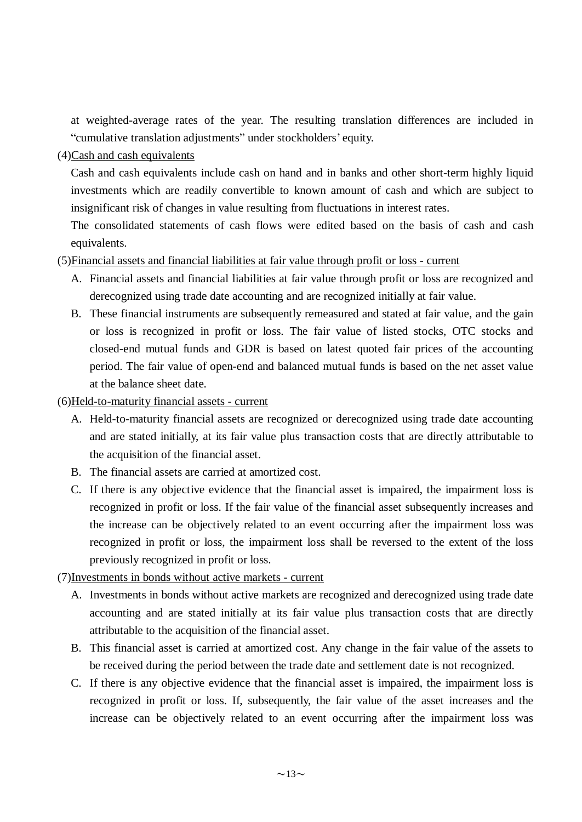at weighted-average rates of the year. The resulting translation differences are included in "cumulative translation adjustments" under stockholders' equity.

### (4)Cash and cash equivalents

Cash and cash equivalents include cash on hand and in banks and other short-term highly liquid investments which are readily convertible to known amount of cash and which are subject to insignificant risk of changes in value resulting from fluctuations in interest rates.

The consolidated statements of cash flows were edited based on the basis of cash and cash equivalents.

### (5)Financial assets and financial liabilities at fair value through profit or loss - current

- A. Financial assets and financial liabilities at fair value through profit or loss are recognized and derecognized using trade date accounting and are recognized initially at fair value.
- B. These financial instruments are subsequently remeasured and stated at fair value, and the gain or loss is recognized in profit or loss. The fair value of listed stocks, OTC stocks and closed-end mutual funds and GDR is based on latest quoted fair prices of the accounting period. The fair value of open-end and balanced mutual funds is based on the net asset value at the balance sheet date.

(6)Held-to-maturity financial assets - current

- A. Held-to-maturity financial assets are recognized or derecognized using trade date accounting and are stated initially, at its fair value plus transaction costs that are directly attributable to the acquisition of the financial asset.
- B. The financial assets are carried at amortized cost.
- C. If there is any objective evidence that the financial asset is impaired, the impairment loss is recognized in profit or loss. If the fair value of the financial asset subsequently increases and the increase can be objectively related to an event occurring after the impairment loss was recognized in profit or loss, the impairment loss shall be reversed to the extent of the loss previously recognized in profit or loss.

### (7)Investments in bonds without active markets - current

- A. Investments in bonds without active markets are recognized and derecognized using trade date accounting and are stated initially at its fair value plus transaction costs that are directly attributable to the acquisition of the financial asset.
- B. This financial asset is carried at amortized cost. Any change in the fair value of the assets to be received during the period between the trade date and settlement date is not recognized.
- C. If there is any objective evidence that the financial asset is impaired, the impairment loss is recognized in profit or loss. If, subsequently, the fair value of the asset increases and the increase can be objectively related to an event occurring after the impairment loss was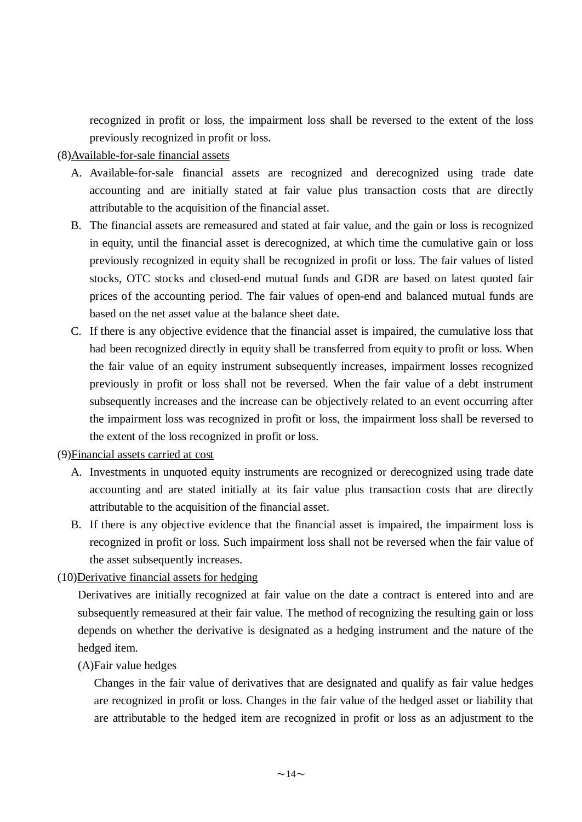recognized in profit or loss, the impairment loss shall be reversed to the extent of the loss previously recognized in profit or loss.

#### (8)Available-for-sale financial assets

- A. Available-for-sale financial assets are recognized and derecognized using trade date accounting and are initially stated at fair value plus transaction costs that are directly attributable to the acquisition of the financial asset.
- B. The financial assets are remeasured and stated at fair value, and the gain or loss is recognized in equity, until the financial asset is derecognized, at which time the cumulative gain or loss previously recognized in equity shall be recognized in profit or loss. The fair values of listed stocks, OTC stocks and closed-end mutual funds and GDR are based on latest quoted fair prices of the accounting period. The fair values of open-end and balanced mutual funds are based on the net asset value at the balance sheet date.
- C. If there is any objective evidence that the financial asset is impaired, the cumulative loss that had been recognized directly in equity shall be transferred from equity to profit or loss. When the fair value of an equity instrument subsequently increases, impairment losses recognized previously in profit or loss shall not be reversed. When the fair value of a debt instrument subsequently increases and the increase can be objectively related to an event occurring after the impairment loss was recognized in profit or loss, the impairment loss shall be reversed to the extent of the loss recognized in profit or loss.

### (9)Financial assets carried at cost

- A. Investments in unquoted equity instruments are recognized or derecognized using trade date accounting and are stated initially at its fair value plus transaction costs that are directly attributable to the acquisition of the financial asset.
- B. If there is any objective evidence that the financial asset is impaired, the impairment loss is recognized in profit or loss. Such impairment loss shall not be reversed when the fair value of the asset subsequently increases.

### (10)Derivative financial assets for hedging

Derivatives are initially recognized at fair value on the date a contract is entered into and are subsequently remeasured at their fair value. The method of recognizing the resulting gain or loss depends on whether the derivative is designated as a hedging instrument and the nature of the hedged item.

### (A)Fair value hedges

Changes in the fair value of derivatives that are designated and qualify as fair value hedges are recognized in profit or loss. Changes in the fair value of the hedged asset or liability that are attributable to the hedged item are recognized in profit or loss as an adjustment to the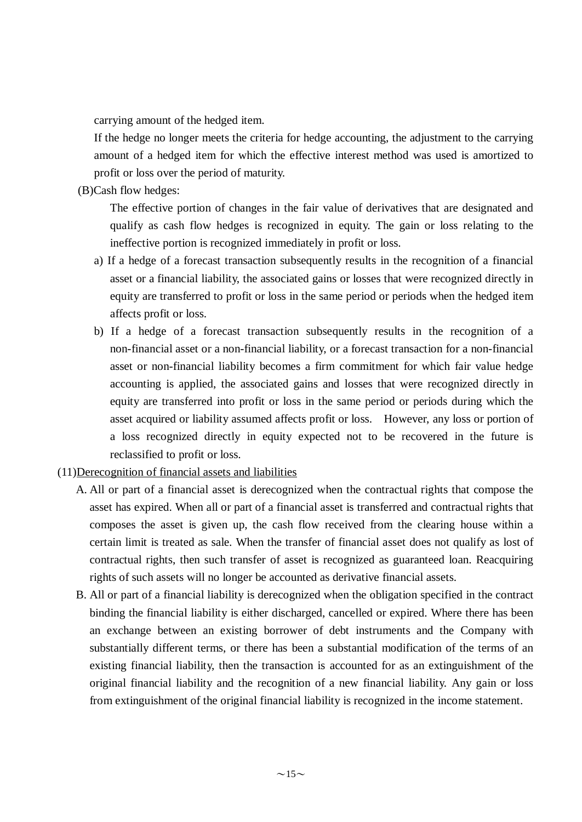carrying amount of the hedged item.

If the hedge no longer meets the criteria for hedge accounting, the adjustment to the carrying amount of a hedged item for which the effective interest method was used is amortized to profit or loss over the period of maturity.

(B)Cash flow hedges:

The effective portion of changes in the fair value of derivatives that are designated and qualify as cash flow hedges is recognized in equity. The gain or loss relating to the ineffective portion is recognized immediately in profit or loss.

- a) If a hedge of a forecast transaction subsequently results in the recognition of a financial asset or a financial liability, the associated gains or losses that were recognized directly in equity are transferred to profit or loss in the same period or periods when the hedged item affects profit or loss.
- b) If a hedge of a forecast transaction subsequently results in the recognition of a non-financial asset or a non-financial liability, or a forecast transaction for a non-financial asset or non-financial liability becomes a firm commitment for which fair value hedge accounting is applied, the associated gains and losses that were recognized directly in equity are transferred into profit or loss in the same period or periods during which the asset acquired or liability assumed affects profit or loss. However, any loss or portion of a loss recognized directly in equity expected not to be recovered in the future is reclassified to profit or loss.
- (11)Derecognition of financial assets and liabilities
	- A. All or part of a financial asset is derecognized when the contractual rights that compose the asset has expired. When all or part of a financial asset is transferred and contractual rights that composes the asset is given up, the cash flow received from the clearing house within a certain limit is treated as sale. When the transfer of financial asset does not qualify as lost of contractual rights, then such transfer of asset is recognized as guaranteed loan. Reacquiring rights of such assets will no longer be accounted as derivative financial assets.
	- B. All or part of a financial liability is derecognized when the obligation specified in the contract binding the financial liability is either discharged, cancelled or expired. Where there has been an exchange between an existing borrower of debt instruments and the Company with substantially different terms, or there has been a substantial modification of the terms of an existing financial liability, then the transaction is accounted for as an extinguishment of the original financial liability and the recognition of a new financial liability. Any gain or loss from extinguishment of the original financial liability is recognized in the income statement.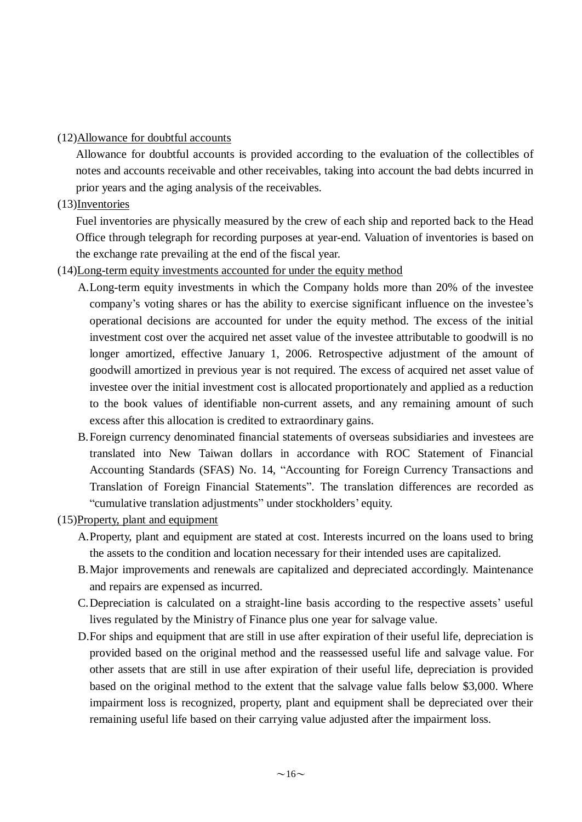#### (12)Allowance for doubtful accounts

Allowance for doubtful accounts is provided according to the evaluation of the collectibles of notes and accounts receivable and other receivables, taking into account the bad debts incurred in prior years and the aging analysis of the receivables.

### (13)Inventories

Fuel inventories are physically measured by the crew of each ship and reported back to the Head Office through telegraph for recording purposes at year-end. Valuation of inventories is based on the exchange rate prevailing at the end of the fiscal year.

## (14)Long-term equity investments accounted for under the equity method

- A.Long-term equity investments in which the Company holds more than 20% of the investee company's voting shares or has the ability to exercise significant influence on the investee's operational decisions are accounted for under the equity method. The excess of the initial investment cost over the acquired net asset value of the investee attributable to goodwill is no longer amortized, effective January 1, 2006. Retrospective adjustment of the amount of goodwill amortized in previous year is not required. The excess of acquired net asset value of investee over the initial investment cost is allocated proportionately and applied as a reduction to the book values of identifiable non-current assets, and any remaining amount of such excess after this allocation is credited to extraordinary gains.
- B.Foreign currency denominated financial statements of overseas subsidiaries and investees are translated into New Taiwan dollars in accordance with ROC Statement of Financial Accounting Standards (SFAS) No. 14, "Accounting for Foreign Currency Transactions and Translation of Foreign Financial Statements". The translation differences are recorded as "cumulative translation adjustments" under stockholders' equity.
- (15)Property, plant and equipment
	- A.Property, plant and equipment are stated at cost. Interests incurred on the loans used to bring the assets to the condition and location necessary for their intended uses are capitalized.
	- B.Major improvements and renewals are capitalized and depreciated accordingly. Maintenance and repairs are expensed as incurred.
	- C.Depreciation is calculated on a straight-line basis according to the respective assets' useful lives regulated by the Ministry of Finance plus one year for salvage value.
	- D.For ships and equipment that are still in use after expiration of their useful life, depreciation is provided based on the original method and the reassessed useful life and salvage value. For other assets that are still in use after expiration of their useful life, depreciation is provided based on the original method to the extent that the salvage value falls below \$3,000. Where impairment loss is recognized, property, plant and equipment shall be depreciated over their remaining useful life based on their carrying value adjusted after the impairment loss.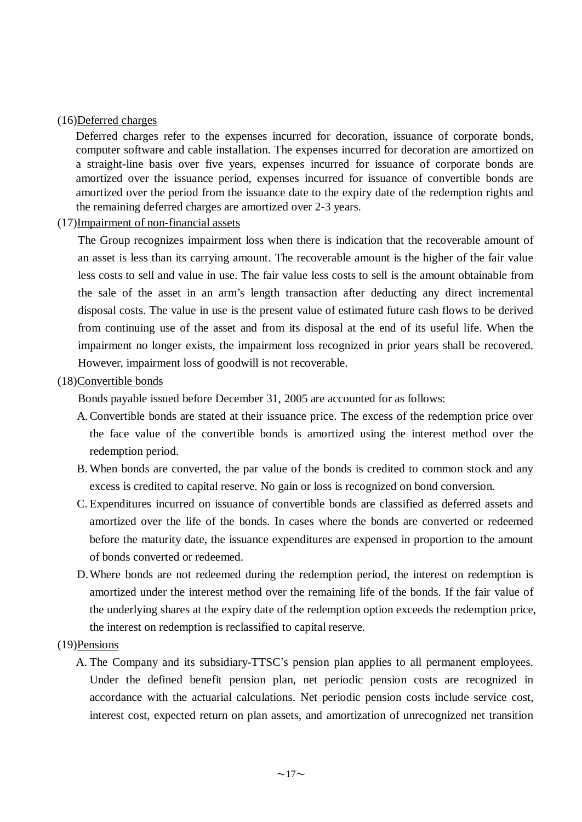#### (16)Deferred charges

Deferred charges refer to the expenses incurred for decoration, issuance of corporate bonds, computer software and cable installation. The expenses incurred for decoration are amortized on a straight-line basis over five years, expenses incurred for issuance of corporate bonds are amortized over the issuance period, expenses incurred for issuance of convertible bonds are amortized over the period from the issuance date to the expiry date of the redemption rights and the remaining deferred charges are amortized over 2-3 years.

#### (17)Impairment of non-financial assets

The Group recognizes impairment loss when there is indication that the recoverable amount of an asset is less than its carrying amount. The recoverable amount is the higher of the fair value less costs to sell and value in use. The fair value less costs to sell is the amount obtainable from the sale of the asset in an arm's length transaction after deducting any direct incremental disposal costs. The value in use is the present value of estimated future cash flows to be derived from continuing use of the asset and from its disposal at the end of its useful life. When the impairment no longer exists, the impairment loss recognized in prior years shall be recovered. However, impairment loss of goodwill is not recoverable.

#### (18)Convertible bonds

Bonds payable issued before December 31, 2005 are accounted for as follows:

- A.Convertible bonds are stated at their issuance price. The excess of the redemption price over the face value of the convertible bonds is amortized using the interest method over the redemption period.
- B. When bonds are converted, the par value of the bonds is credited to common stock and any excess is credited to capital reserve. No gain or loss is recognized on bond conversion.
- C. Expenditures incurred on issuance of convertible bonds are classified as deferred assets and amortized over the life of the bonds. In cases where the bonds are converted or redeemed before the maturity date, the issuance expenditures are expensed in proportion to the amount of bonds converted or redeemed.
- D.Where bonds are not redeemed during the redemption period, the interest on redemption is amortized under the interest method over the remaining life of the bonds. If the fair value of the underlying shares at the expiry date of the redemption option exceeds the redemption price, the interest on redemption is reclassified to capital reserve.

#### (19)Pensions

A. The Company and its subsidiary-TTSC's pension plan applies to all permanent employees. Under the defined benefit pension plan, net periodic pension costs are recognized in accordance with the actuarial calculations. Net periodic pension costs include service cost, interest cost, expected return on plan assets, and amortization of unrecognized net transition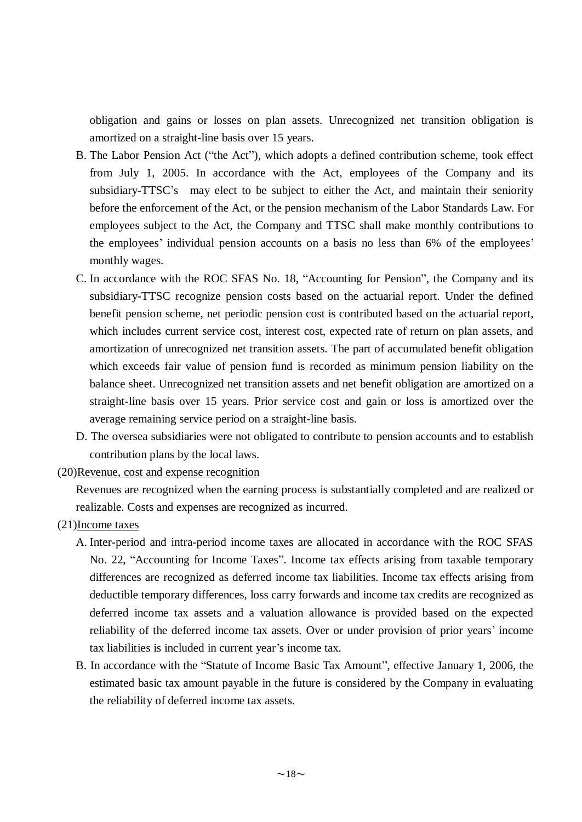obligation and gains or losses on plan assets. Unrecognized net transition obligation is amortized on a straight-line basis over 15 years.

- B. The Labor Pension Act ("the Act"), which adopts a defined contribution scheme, took effect from July 1, 2005. In accordance with the Act, employees of the Company and its subsidiary-TTSC's may elect to be subject to either the Act, and maintain their seniority before the enforcement of the Act, or the pension mechanism of the Labor Standards Law. For employees subject to the Act, the Company and TTSC shall make monthly contributions to the employees' individual pension accounts on a basis no less than 6% of the employees' monthly wages.
- C. In accordance with the ROC SFAS No. 18, "Accounting for Pension", the Company and its subsidiary-TTSC recognize pension costs based on the actuarial report. Under the defined benefit pension scheme, net periodic pension cost is contributed based on the actuarial report, which includes current service cost, interest cost, expected rate of return on plan assets, and amortization of unrecognized net transition assets. The part of accumulated benefit obligation which exceeds fair value of pension fund is recorded as minimum pension liability on the balance sheet. Unrecognized net transition assets and net benefit obligation are amortized on a straight-line basis over 15 years. Prior service cost and gain or loss is amortized over the average remaining service period on a straight-line basis.
- D. The oversea subsidiaries were not obligated to contribute to pension accounts and to establish contribution plans by the local laws.
- (20)Revenue, cost and expense recognition

Revenues are recognized when the earning process is substantially completed and are realized or realizable. Costs and expenses are recognized as incurred.

- (21)Income taxes
	- A. Inter-period and intra-period income taxes are allocated in accordance with the ROC SFAS No. 22, "Accounting for Income Taxes". Income tax effects arising from taxable temporary differences are recognized as deferred income tax liabilities. Income tax effects arising from deductible temporary differences, loss carry forwards and income tax credits are recognized as deferred income tax assets and a valuation allowance is provided based on the expected reliability of the deferred income tax assets. Over or under provision of prior years' income tax liabilities is included in current year's income tax.
	- B. In accordance with the "Statute of Income Basic Tax Amount", effective January 1, 2006, the estimated basic tax amount payable in the future is considered by the Company in evaluating the reliability of deferred income tax assets.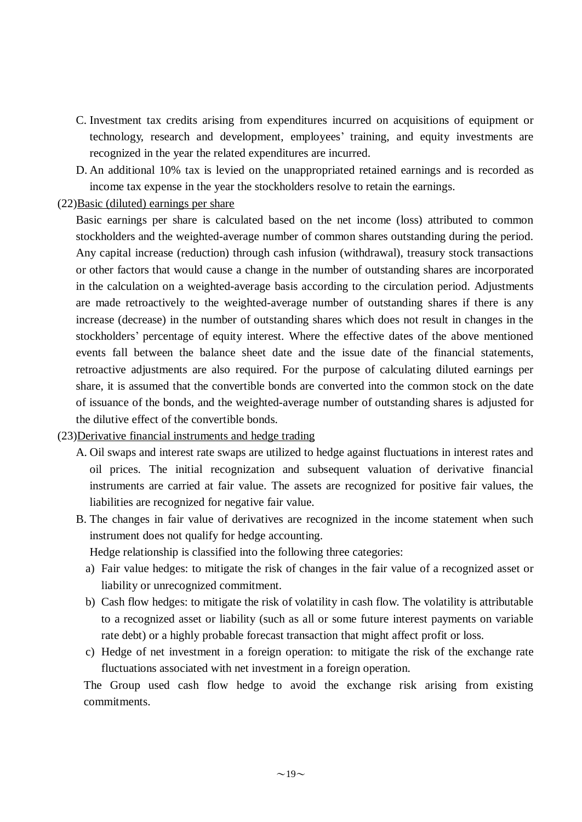- C. Investment tax credits arising from expenditures incurred on acquisitions of equipment or technology, research and development, employees' training, and equity investments are recognized in the year the related expenditures are incurred.
- D. An additional 10% tax is levied on the unappropriated retained earnings and is recorded as income tax expense in the year the stockholders resolve to retain the earnings.

#### $(22)$ Basic (diluted) earnings per share

Basic earnings per share is calculated based on the net income (loss) attributed to common stockholders and the weighted-average number of common shares outstanding during the period. Any capital increase (reduction) through cash infusion (withdrawal), treasury stock transactions or other factors that would cause a change in the number of outstanding shares are incorporated in the calculation on a weighted-average basis according to the circulation period. Adjustments are made retroactively to the weighted-average number of outstanding shares if there is any increase (decrease) in the number of outstanding shares which does not result in changes in the stockholders' percentage of equity interest. Where the effective dates of the above mentioned events fall between the balance sheet date and the issue date of the financial statements, retroactive adjustments are also required. For the purpose of calculating diluted earnings per share, it is assumed that the convertible bonds are converted into the common stock on the date of issuance of the bonds, and the weighted-average number of outstanding shares is adjusted for the dilutive effect of the convertible bonds.

### (23)Derivative financial instruments and hedge trading

- A. Oil swaps and interest rate swaps are utilized to hedge against fluctuations in interest rates and oil prices. The initial recognization and subsequent valuation of derivative financial instruments are carried at fair value. The assets are recognized for positive fair values, the liabilities are recognized for negative fair value.
- B. The changes in fair value of derivatives are recognized in the income statement when such instrument does not qualify for hedge accounting.

Hedge relationship is classified into the following three categories:

- a) Fair value hedges: to mitigate the risk of changes in the fair value of a recognized asset or liability or unrecognized commitment.
- b) Cash flow hedges: to mitigate the risk of volatility in cash flow. The volatility is attributable to a recognized asset or liability (such as all or some future interest payments on variable rate debt) or a highly probable forecast transaction that might affect profit or loss.
- c) Hedge of net investment in a foreign operation: to mitigate the risk of the exchange rate fluctuations associated with net investment in a foreign operation.

The Group used cash flow hedge to avoid the exchange risk arising from existing commitments.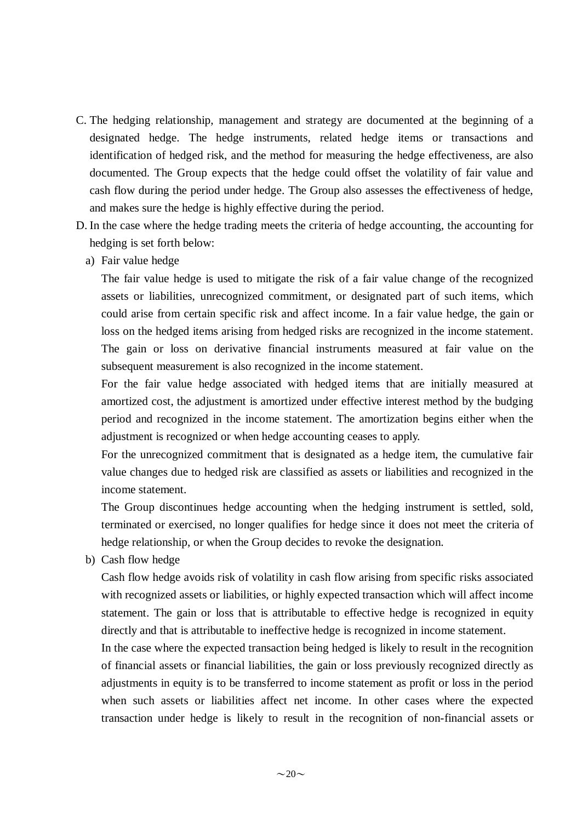- C. The hedging relationship, management and strategy are documented at the beginning of a designated hedge. The hedge instruments, related hedge items or transactions and identification of hedged risk, and the method for measuring the hedge effectiveness, are also documented. The Group expects that the hedge could offset the volatility of fair value and cash flow during the period under hedge. The Group also assesses the effectiveness of hedge, and makes sure the hedge is highly effective during the period.
- D. In the case where the hedge trading meets the criteria of hedge accounting, the accounting for hedging is set forth below:
	- a) Fair value hedge

The fair value hedge is used to mitigate the risk of a fair value change of the recognized assets or liabilities, unrecognized commitment, or designated part of such items, which could arise from certain specific risk and affect income. In a fair value hedge, the gain or loss on the hedged items arising from hedged risks are recognized in the income statement. The gain or loss on derivative financial instruments measured at fair value on the subsequent measurement is also recognized in the income statement.

For the fair value hedge associated with hedged items that are initially measured at amortized cost, the adjustment is amortized under effective interest method by the budging period and recognized in the income statement. The amortization begins either when the adjustment is recognized or when hedge accounting ceases to apply.

For the unrecognized commitment that is designated as a hedge item, the cumulative fair value changes due to hedged risk are classified as assets or liabilities and recognized in the income statement.

The Group discontinues hedge accounting when the hedging instrument is settled, sold, terminated or exercised, no longer qualifies for hedge since it does not meet the criteria of hedge relationship, or when the Group decides to revoke the designation.

b) Cash flow hedge

Cash flow hedge avoids risk of volatility in cash flow arising from specific risks associated with recognized assets or liabilities, or highly expected transaction which will affect income statement. The gain or loss that is attributable to effective hedge is recognized in equity directly and that is attributable to ineffective hedge is recognized in income statement.

In the case where the expected transaction being hedged is likely to result in the recognition of financial assets or financial liabilities, the gain or loss previously recognized directly as adjustments in equity is to be transferred to income statement as profit or loss in the period when such assets or liabilities affect net income. In other cases where the expected transaction under hedge is likely to result in the recognition of non-financial assets or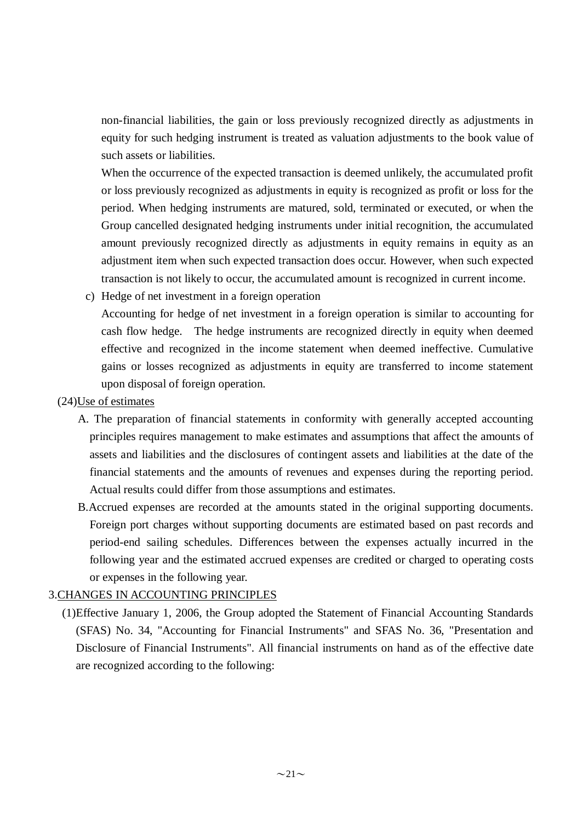non-financial liabilities, the gain or loss previously recognized directly as adjustments in equity for such hedging instrument is treated as valuation adjustments to the book value of such assets or liabilities.

When the occurrence of the expected transaction is deemed unlikely, the accumulated profit or loss previously recognized as adjustments in equity is recognized as profit or loss for the period. When hedging instruments are matured, sold, terminated or executed, or when the Group cancelled designated hedging instruments under initial recognition, the accumulated amount previously recognized directly as adjustments in equity remains in equity as an adjustment item when such expected transaction does occur. However, when such expected transaction is not likely to occur, the accumulated amount is recognized in current income.

c) Hedge of net investment in a foreign operation

Accounting for hedge of net investment in a foreign operation is similar to accounting for cash flow hedge. The hedge instruments are recognized directly in equity when deemed effective and recognized in the income statement when deemed ineffective. Cumulative gains or losses recognized as adjustments in equity are transferred to income statement upon disposal of foreign operation.

### (24)Use of estimates

- A. The preparation of financial statements in conformity with generally accepted accounting principles requires management to make estimates and assumptions that affect the amounts of assets and liabilities and the disclosures of contingent assets and liabilities at the date of the financial statements and the amounts of revenues and expenses during the reporting period. Actual results could differ from those assumptions and estimates.
- B.Accrued expenses are recorded at the amounts stated in the original supporting documents. Foreign port charges without supporting documents are estimated based on past records and period-end sailing schedules. Differences between the expenses actually incurred in the following year and the estimated accrued expenses are credited or charged to operating costs or expenses in the following year.

## 3.CHANGES IN ACCOUNTING PRINCIPLES

(1)Effective January 1, 2006, the Group adopted the Statement of Financial Accounting Standards (SFAS) No. 34, "Accounting for Financial Instruments" and SFAS No. 36, "Presentation and Disclosure of Financial Instruments". All financial instruments on hand as of the effective date are recognized according to the following: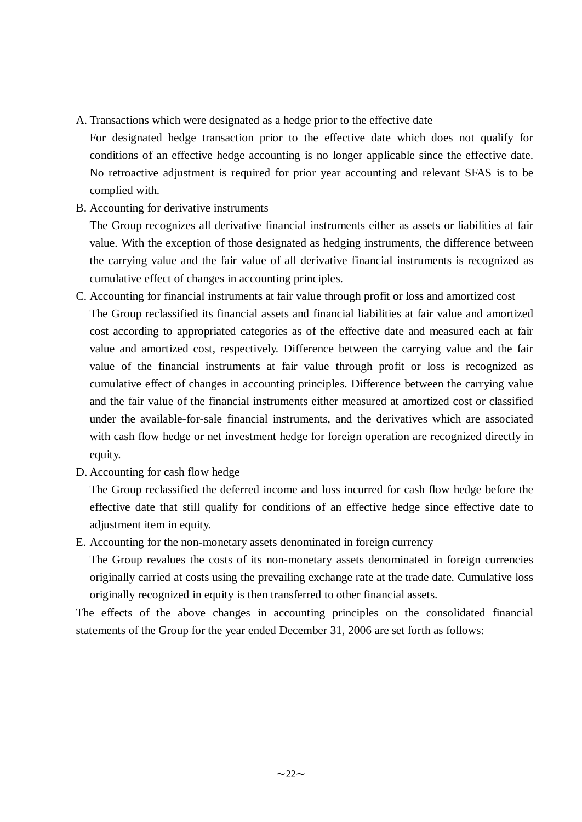A. Transactions which were designated as a hedge prior to the effective date

For designated hedge transaction prior to the effective date which does not qualify for conditions of an effective hedge accounting is no longer applicable since the effective date. No retroactive adjustment is required for prior year accounting and relevant SFAS is to be complied with.

B. Accounting for derivative instruments

The Group recognizes all derivative financial instruments either as assets or liabilities at fair value. With the exception of those designated as hedging instruments, the difference between the carrying value and the fair value of all derivative financial instruments is recognized as cumulative effect of changes in accounting principles.

- C. Accounting for financial instruments at fair value through profit or loss and amortized cost The Group reclassified its financial assets and financial liabilities at fair value and amortized cost according to appropriated categories as of the effective date and measured each at fair value and amortized cost, respectively. Difference between the carrying value and the fair value of the financial instruments at fair value through profit or loss is recognized as cumulative effect of changes in accounting principles. Difference between the carrying value and the fair value of the financial instruments either measured at amortized cost or classified under the available-for-sale financial instruments, and the derivatives which are associated with cash flow hedge or net investment hedge for foreign operation are recognized directly in equity.
- D. Accounting for cash flow hedge

The Group reclassified the deferred income and loss incurred for cash flow hedge before the effective date that still qualify for conditions of an effective hedge since effective date to adjustment item in equity.

E. Accounting for the non-monetary assets denominated in foreign currency

The Group revalues the costs of its non-monetary assets denominated in foreign currencies originally carried at costs using the prevailing exchange rate at the trade date. Cumulative loss originally recognized in equity is then transferred to other financial assets.

The effects of the above changes in accounting principles on the consolidated financial statements of the Group for the year ended December 31, 2006 are set forth as follows: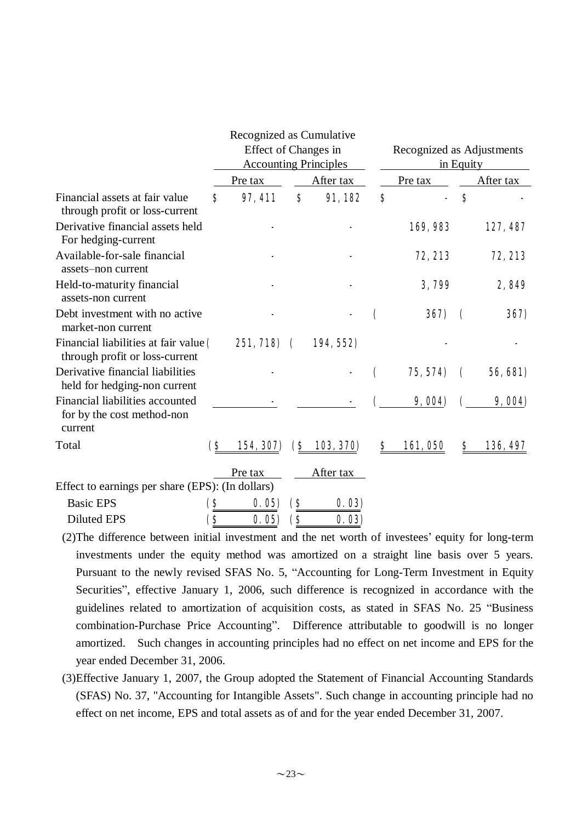|                                                                          |     | Recognized as Cumulative<br>Effect of Changes in<br><b>Accounting Principles</b> |                    |           | Recognized as Adjustments<br>in Equity |          |                         |                 |  |
|--------------------------------------------------------------------------|-----|----------------------------------------------------------------------------------|--------------------|-----------|----------------------------------------|----------|-------------------------|-----------------|--|
|                                                                          |     | Pre tax                                                                          |                    | After tax |                                        | Pre tax  |                         | After tax       |  |
| Financial assets at fair value<br>through profit or loss-current         | S   | 97, 411                                                                          | \$                 | 91,182    | S                                      |          | $\bf{s}$                |                 |  |
| Derivative financial assets held<br>For hedging-current                  |     |                                                                                  |                    |           |                                        | 169,983  |                         | 127, 487        |  |
| Available-for-sale financial<br>assets-non current                       |     |                                                                                  |                    |           |                                        | 72, 213  |                         | 72, 213         |  |
| Held-to-maturity financial<br>assets-non current                         |     |                                                                                  |                    |           |                                        | 3,799    |                         | 2,849           |  |
| Debt investment with no active<br>market-non current                     |     |                                                                                  |                    |           |                                        | 367)     | $\overline{\mathbf{C}}$ | 367)            |  |
| Financial liabilities at fair value (<br>through profit or loss-current  |     | 251, 718)                                                                        | $\mathbf \epsilon$ | 194, 552) |                                        |          |                         |                 |  |
| Derivative financial liabilities<br>held for hedging-non current         |     |                                                                                  |                    |           | $\mathbf \epsilon$                     | 75, 574) | $\overline{\mathbf{C}}$ | <b>56, 681)</b> |  |
| Financial liabilities accounted<br>for by the cost method-non<br>current |     |                                                                                  |                    |           |                                        | 9,004    |                         | 9,004           |  |
| Total                                                                    | (S  | 154, 307)                                                                        | <b>S</b>           | 103, 370) | S                                      | 161,050  | S                       | 136, 497        |  |
|                                                                          |     | Pre tax                                                                          |                    | After tax |                                        |          |                         |                 |  |
| Effect to earnings per share (EPS): (In dollars)                         |     |                                                                                  |                    |           |                                        |          |                         |                 |  |
| <b>Basic EPS</b>                                                         | (\$ | 0.05                                                                             | <b>(\$</b>         | 0.03)     |                                        |          |                         |                 |  |
| <b>Diluted EPS</b>                                                       | (\$ | 0.05                                                                             | (\$                | 0.03      |                                        |          |                         |                 |  |

(2)The difference between initial investment and the net worth of investees' equity for long-term investments under the equity method was amortized on a straight line basis over 5 years. Pursuant to the newly revised SFAS No. 5, "Accounting for Long-Term Investment in Equity Securities", effective January 1, 2006, such difference is recognized in accordance with the guidelines related to amortization of acquisition costs, as stated in SFAS No. 25 "Business combination-Purchase Price Accounting". Difference attributable to goodwill is no longer amortized. Such changes in accounting principles had no effect on net income and EPS for the year ended December 31, 2006.

(3)Effective January 1, 2007, the Group adopted the Statement of Financial Accounting Standards (SFAS) No. 37, "Accounting for Intangible Assets". Such change in accounting principle had no effect on net income, EPS and total assets as of and for the year ended December 31, 2007.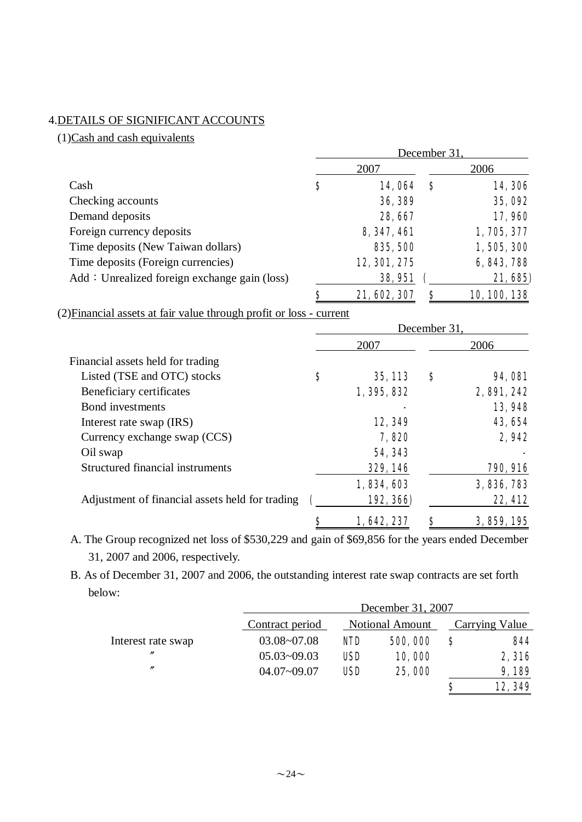### 4.DETAILS OF SIGNIFICANT ACCOUNTS

 $(1)$ Cash and cash equivalents

|                                              |                    | December 31, |              |
|----------------------------------------------|--------------------|--------------|--------------|
|                                              | 2007               |              | 2006         |
| Cash                                         | \$<br>14,064       | S            | 14,306       |
| Checking accounts                            | 36, 389            |              | 35,092       |
| Demand deposits                              | 28, 667            |              | 17,960       |
| Foreign currency deposits                    | 8, 347, 461        |              | 1,705,377    |
| Time deposits (New Taiwan dollars)           | 835, 500           |              | 1,505,300    |
| Time deposits (Foreign currencies)           | 12, 301, 275       |              | 6, 843, 788  |
| Add: Unrealized foreign exchange gain (loss) | 38,951             |              | 21, 685)     |
|                                              | \$<br>21, 602, 307 | S            | 10, 100, 138 |

(2)Financial assets at fair value through profit or loss - current

|                                                 |               | December 31, |                |
|-------------------------------------------------|---------------|--------------|----------------|
|                                                 | 2007          |              | 2006           |
| Financial assets held for trading               |               |              |                |
| Listed (TSE and OTC) stocks                     | \$<br>35, 113 | S            | <b>94, 081</b> |
| Beneficiary certificates                        | 1, 395, 832   |              | 2,891,242      |
| Bond investments                                |               |              | 13,948         |
| Interest rate swap (IRS)                        | 12,349        |              | 43, 654        |
| Currency exchange swap (CCS)                    | 7,820         |              | 2,942          |
| Oil swap                                        | 54, 343       |              |                |
| Structured financial instruments                | 329, 146      |              | 790, 916       |
|                                                 | 1,834,603     |              | 3,836,783      |
| Adjustment of financial assets held for trading | 192, 366)     |              | 22, 412        |
|                                                 | 1,642,237     | Ş            | 3, 859, 195    |

A. The Group recognized net loss of \$530,229 and gain of \$69,856 for the years ended December 31, 2007 and 2006, respectively.

B. As of December 31, 2007 and 2006, the outstanding interest rate swap contracts are set forth below:

|                    |                 | December 31, 2007 |                        |    |                |  |
|--------------------|-----------------|-------------------|------------------------|----|----------------|--|
|                    | Contract period |                   | <b>Notional Amount</b> |    | Carrying Value |  |
| Interest rate swap | $03.08 - 07.08$ | <b>NID</b>        | 500,000                | \$ | 844            |  |
| $^{\prime\prime}$  | $05.03 - 09.03$ | <b>USD</b>        | 10,000                 |    | 2,316          |  |
| $\prime\prime$     | $04.07 - 09.07$ | <b>USD</b>        | 25,000                 |    | 9,189          |  |
|                    |                 |                   |                        | S  | 12,349         |  |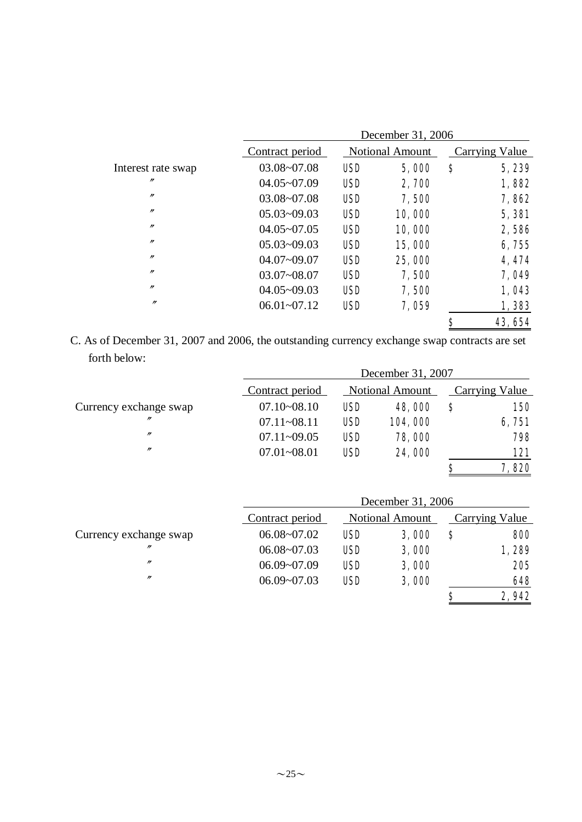|                    |                 |                        | December 31, 2006 |                |         |
|--------------------|-----------------|------------------------|-------------------|----------------|---------|
|                    | Contract period | <b>Notional Amount</b> |                   | Carrying Value |         |
| Interest rate swap | $03.08 - 07.08$ | <b>USD</b>             | 5,000             | \$             | 5,239   |
| $^{\prime\prime}$  | $04.05 - 07.09$ | <b>USD</b>             | 2,700             |                | 1,882   |
| $\prime$           | $03.08 - 07.08$ | <b>USD</b>             | 7,500             |                | 7,862   |
| $\prime$           | $05.03 - 09.03$ | <b>USD</b>             | 10,000            |                | 5,381   |
| $^{\prime\prime}$  | $04.05 - 07.05$ | <b>USD</b>             | 10,000            |                | 2,586   |
| $^{\prime\prime}$  | $05.03 - 09.03$ | <b>USD</b>             | 15,000            |                | 6,755   |
| $^{\prime\prime}$  | $04.07 - 09.07$ | <b>USD</b>             | 25,000            |                | 4, 474  |
| $^{\prime\prime}$  | $03.07 - 08.07$ | <b>USD</b>             | 7,500             |                | 7,049   |
| $^{\prime\prime}$  | $04.05 - 09.03$ | <b>USD</b>             | 7,500             |                | 1,043   |
| $^{\prime\prime}$  | $06.01 - 07.12$ | <b>USD</b>             | 7,059             |                | 1,383   |
|                    |                 |                        |                   | \$             | 43, 654 |

C. As of December 31, 2007 and 2006, the outstanding currency exchange swap contracts are set forth below:

|                        |                 | December 31, 2007 |                        |   |                |  |
|------------------------|-----------------|-------------------|------------------------|---|----------------|--|
|                        | Contract period |                   | <b>Notional Amount</b> |   | Carrying Value |  |
| Currency exchange swap | $07.10 - 08.10$ | <b>USD</b>        | 48,000                 | S | <b>150</b>     |  |
| $^{\prime\prime}$      | $07.11 - 08.11$ | <b>USD</b>        | 104,000                |   | 6,751          |  |
| $^{\prime\prime}$      | $07.11 - 09.05$ | <b>USD</b>        | 78,000                 |   | 798            |  |
| $^{\prime\prime}$      | $07.01 - 08.01$ | <b>USD</b>        | 24,000                 |   | 121            |  |
|                        |                 |                   |                        | S | 7,820          |  |

|                        |                 | December 31, 2006 |                        |    |                |  |
|------------------------|-----------------|-------------------|------------------------|----|----------------|--|
|                        | Contract period |                   | <b>Notional Amount</b> |    | Carrying Value |  |
| Currency exchange swap | $06.08 - 07.02$ | <b>USD</b>        | 3,000                  | \$ | 800            |  |
| $^{\prime\prime}$      | $06.08 - 07.03$ | <b>USD</b>        | 3,000                  |    | 1,289          |  |
| $^{\prime\prime}$      | $06.09 - 07.09$ | <b>USD</b>        | 3,000                  |    | 205            |  |
| $^{\prime\prime}$      | $06.09 - 07.03$ | <b>USD</b>        | 3,000                  |    | 648            |  |
|                        |                 |                   |                        | S  | 2,942          |  |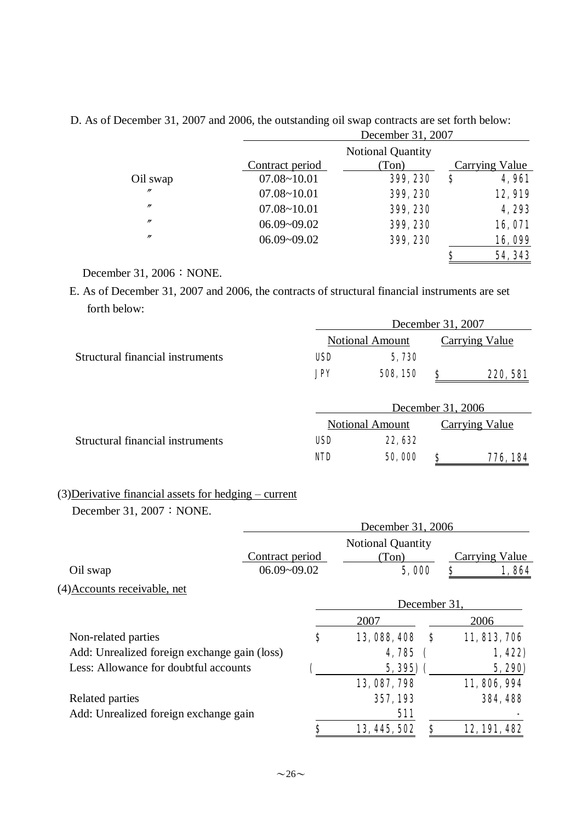|                   | December 31, 2007 |                          |    |                       |
|-------------------|-------------------|--------------------------|----|-----------------------|
|                   |                   | <b>Notional Quantity</b> |    |                       |
|                   | Contract period   | (Ton)                    |    | <b>Carrying Value</b> |
| Oil swap          | $07.08 - 10.01$   | 399, 230                 | \$ | <b>4,961</b>          |
| $^{\prime\prime}$ | $07.08 - 10.01$   | 399, 230                 |    | 12,919                |
| $^{\prime\prime}$ | $07.08 - 10.01$   | 399, 230                 |    | 4,293                 |
| $^{\prime\prime}$ | $06.09 - 09.02$   | 399, 230                 |    | 16,071                |
| $^{\prime\prime}$ | $06.09 - 09.02$   | 399, 230                 |    | 16,099                |
|                   |                   |                          | \$ | 54, 343               |

D. As of December 31, 2007 and 2006, the outstanding oil swap contracts are set forth below:

December 31, 2006: NONE.

E. As of December 31, 2007 and 2006, the contracts of structural financial instruments are set forth below:

|                                                       | December 31, 2007      |          |    |                       |  |  |
|-------------------------------------------------------|------------------------|----------|----|-----------------------|--|--|
|                                                       | <b>Notional Amount</b> |          |    | Carrying Value        |  |  |
| Structural financial instruments                      | USD                    | 5,730    |    |                       |  |  |
|                                                       | <b>JPY</b>             | 508, 150 | \$ | 220, 581              |  |  |
|                                                       | December 31, 2006      |          |    |                       |  |  |
|                                                       | <b>Notional Amount</b> |          |    | <b>Carrying Value</b> |  |  |
| Structural financial instruments                      | USD                    | 22, 632  |    |                       |  |  |
|                                                       | <b>NID</b>             | 50,000   | \$ | 776, 184              |  |  |
| (3) Derivative financial assets for hedging – current |                        |          |    |                       |  |  |
| December 31, $2007 : \text{NONE}$ .                   |                        |          |    |                       |  |  |

|                                              | December 31, 2006 |                                   |    |                |  |
|----------------------------------------------|-------------------|-----------------------------------|----|----------------|--|
|                                              | Contract period   | <b>Notional Quantity</b><br>(Ton) |    | Carrying Value |  |
| Oil swap                                     | $06.09 - 09.02$   | 5,000                             |    | 1,864<br>\$    |  |
| (4) Accounts receivable, net                 |                   |                                   |    |                |  |
|                                              |                   | December 31,                      |    |                |  |
|                                              |                   | 2007                              |    | 2006           |  |
| Non-related parties                          | \$                | 13, 088, 408                      | S  | 11, 813, 706   |  |
| Add: Unrealized foreign exchange gain (loss) |                   | 4,785                             |    | 1,422          |  |
| Less: Allowance for doubtful accounts        |                   | $5,395$ (                         |    | 5, 290)        |  |
|                                              |                   | 13, 087, 798                      |    | 11,806,994     |  |
| Related parties                              |                   | 357, 193                          |    | 384, 488       |  |
| Add: Unrealized foreign exchange gain        |                   | 511                               |    |                |  |
|                                              | S                 | 13, 445, 502                      | \$ | 12, 191, 482   |  |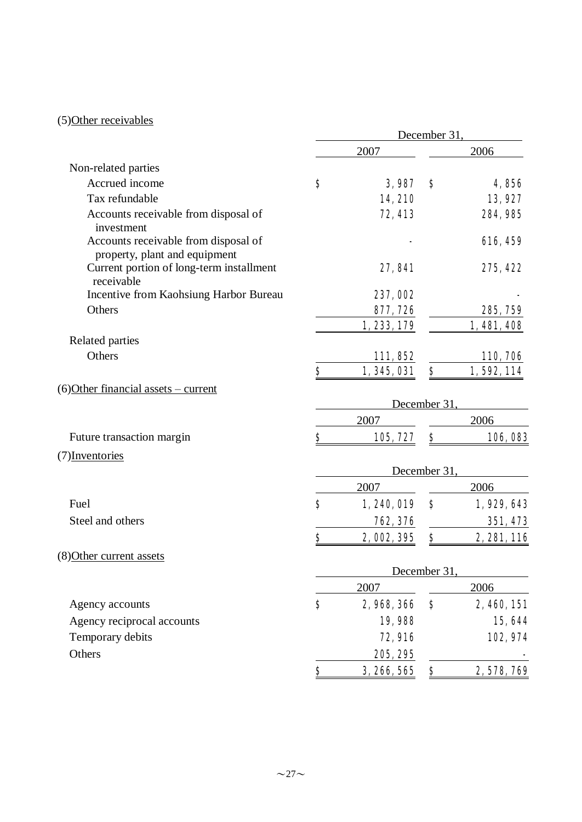## (5)Other receivables

|                                                                       | December 31 |             |              |             |
|-----------------------------------------------------------------------|-------------|-------------|--------------|-------------|
|                                                                       |             | 2007        |              | 2006        |
| Non-related parties                                                   |             |             |              |             |
| Accrued income                                                        | \$          | 3,987       | S            | 4,856       |
| Tax refundable                                                        |             | 14,210      |              | 13,927      |
| Accounts receivable from disposal of<br>investment                    |             | 72, 413     |              | 284, 985    |
| Accounts receivable from disposal of<br>property, plant and equipment |             |             |              | 616, 459    |
| Current portion of long-term installment<br>receivable                |             | 27,841      |              | 275, 422    |
| Incentive from Kaohsiung Harbor Bureau                                |             | 237,002     |              |             |
| Others                                                                |             | 877, 726    |              | 285, 759    |
|                                                                       |             | 1, 233, 179 |              | 1,481,408   |
| Related parties                                                       |             |             |              |             |
| Others                                                                |             | 111, 852    |              | 110, 706    |
|                                                                       | \$          | 1, 345, 031 | \$           | 1,592,114   |
| (6) Other financial assets – current                                  |             |             | December 31  |             |
|                                                                       |             | 2007        |              | 2006        |
| Future transaction margin                                             | \$          | 105, 727    | \$           | 106,083     |
| (7) Inventories                                                       |             |             |              |             |
|                                                                       |             |             | December 31  |             |
|                                                                       |             | 2007        |              | 2006        |
| Fuel                                                                  | $\bf{s}$    | 1,240,019   | $\mathbf{s}$ | 1,929,643   |
| Steel and others                                                      |             | 762, 376    |              | 351, 473    |
|                                                                       | \$          | 2,002,395   | \$           | 2, 281, 116 |
| (8) Other current assets                                              |             |             |              |             |
|                                                                       |             |             | December 31  |             |
|                                                                       | \$          | 2007        | \$           | 2006        |
| Agency accounts                                                       |             | 2,968,366   |              | 2, 460, 151 |
| Agency reciprocal accounts                                            |             | 19,988      |              | 15,644      |
| Temporary debits                                                      |             | 72,916      |              | 102, 974    |
| Others                                                                |             | 205, 295    |              |             |
|                                                                       | \$          | 3, 266, 565 | \$           | 2,578,769   |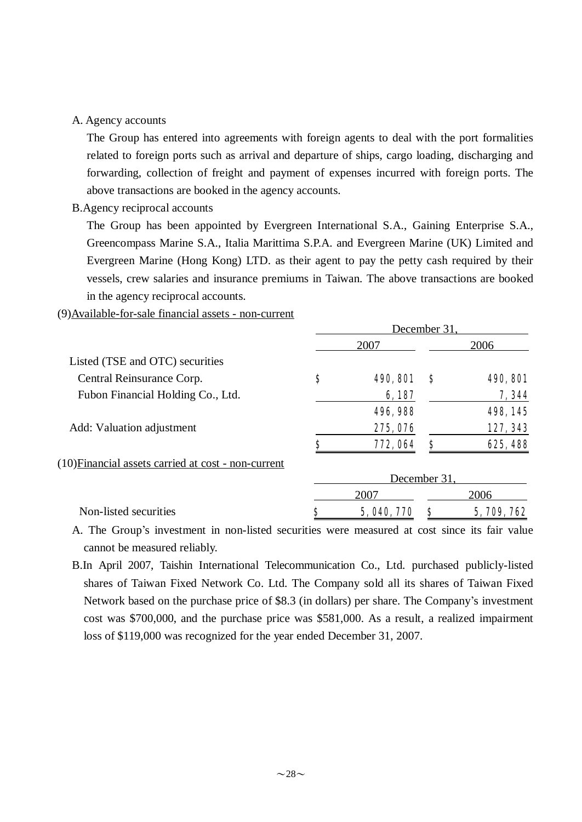#### A. Agency accounts

The Group has entered into agreements with foreign agents to deal with the port formalities related to foreign ports such as arrival and departure of ships, cargo loading, discharging and forwarding, collection of freight and payment of expenses incurred with foreign ports. The above transactions are booked in the agency accounts.

B.Agency reciprocal accounts

The Group has been appointed by Evergreen International S.A., Gaining Enterprise S.A., Greencompass Marine S.A., Italia Marittima S.P.A. and Evergreen Marine (UK) Limited and Evergreen Marine (Hong Kong) LTD. as their agent to pay the petty cash required by their vessels, crew salaries and insurance premiums in Taiwan. The above transactions are booked in the agency reciprocal accounts.

#### (9)Available-for-sale financial assets - non-current

|                                                     | December 31. |                 |              |                 |  |
|-----------------------------------------------------|--------------|-----------------|--------------|-----------------|--|
|                                                     |              | 2007            |              | 2006            |  |
| Listed (TSE and OTC) securities                     |              |                 |              |                 |  |
| Central Reinsurance Corp.                           | \$           | <b>490, 801</b> | S            | <b>490, 801</b> |  |
| Fubon Financial Holding Co., Ltd.                   |              | 6,187           |              | 7,344           |  |
|                                                     |              | 496, 988        |              | 498, 145        |  |
| Add: Valuation adjustment                           |              | 275, 076        |              | 127, 343        |  |
|                                                     | S            | 772, 064        | S            | 625, 488        |  |
| (10) Financial assets carried at cost - non-current |              |                 |              |                 |  |
|                                                     |              |                 | December 31. |                 |  |
|                                                     |              | 2007            |              | 2006            |  |
| Non-listed securities                               | Ş            | 5, 040, 770     |              | 5, 709, 762     |  |

A. The Group's investment in non-listed securities were measured at cost since its fair value cannot be measured reliably.

B.In April 2007, Taishin International Telecommunication Co., Ltd. purchased publicly-listed shares of Taiwan Fixed Network Co. Ltd. The Company sold all its shares of Taiwan Fixed Network based on the purchase price of \$8.3 (in dollars) per share. The Company's investment cost was \$700,000, and the purchase price was \$581,000. As a result, a realized impairment loss of \$119,000 was recognized for the year ended December 31, 2007.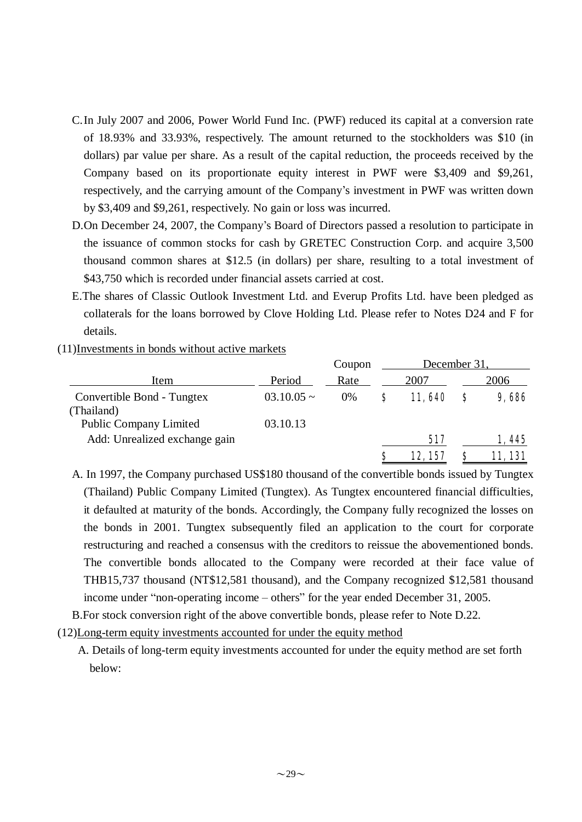- C.In July 2007 and 2006, Power World Fund Inc. (PWF) reduced its capital at a conversion rate of 18.93% and 33.93%, respectively. The amount returned to the stockholders was \$10 (in dollars) par value per share. As a result of the capital reduction, the proceeds received by the Company based on its proportionate equity interest in PWF were \$3,409 and \$9,261, respectively, and the carrying amount of the Company's investment in PWF was written down by \$3,409 and \$9,261, respectively. No gain or loss was incurred.
- D.On December 24, 2007, the Company's Board of Directors passed a resolution to participate in the issuance of common stocks for cash by GRETEC Construction Corp. and acquire 3,500 thousand common shares at \$12.5 (in dollars) per share, resulting to a total investment of \$43,750 which is recorded under financial assets carried at cost.
- E.The shares of Classic Outlook Investment Ltd. and Everup Profits Ltd. have been pledged as collaterals for the loans borrowed by Clove Holding Ltd. Please refer to Notes D24 and F for details.
- (11)Investments in bonds without active markets

|                               |                 | Coupon | December 31, |         |   |        |
|-------------------------------|-----------------|--------|--------------|---------|---|--------|
| Item                          | Period          | Rate   |              | 2007    |   | 2006   |
| Convertible Bond - Tungtex    | $03.10.05 \sim$ | $0\%$  | S            | 11,640  | S | 9,686  |
| (Thailand)                    |                 |        |              |         |   |        |
| <b>Public Company Limited</b> | 03.10.13        |        |              |         |   |        |
| Add: Unrealized exchange gain |                 |        |              | 517     |   | 1,445  |
|                               |                 |        | S            | 12, 157 | S | 11,131 |

- A. In 1997, the Company purchased US\$180 thousand of the convertible bonds issued by Tungtex (Thailand) Public Company Limited (Tungtex). As Tungtex encountered financial difficulties, it defaulted at maturity of the bonds. Accordingly, the Company fully recognized the losses on the bonds in 2001. Tungtex subsequently filed an application to the court for corporate restructuring and reached a consensus with the creditors to reissue the abovementioned bonds. The convertible bonds allocated to the Company were recorded at their face value of THB15,737 thousand (NT\$12,581 thousand), and the Company recognized \$12,581 thousand income under "non-operating income – others" for the year ended December 31, 2005.
- B.For stock conversion right of the above convertible bonds, please refer to Note D.22.
- (12)Long-term equity investments accounted for under the equity method
	- A. Details of long-term equity investments accounted for under the equity method are set forth below: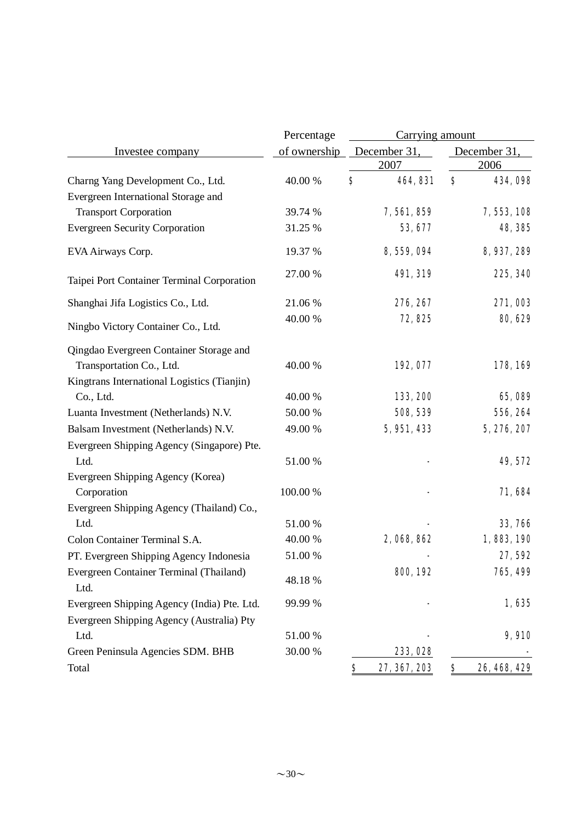|                                                 | Percentage   | Carrying amount              |                    |  |  |
|-------------------------------------------------|--------------|------------------------------|--------------------|--|--|
| Investee company                                | of ownership | December 31,                 | December 31        |  |  |
|                                                 |              | 2007                         | 2006               |  |  |
| Charng Yang Development Co., Ltd.               | 40.00 %      | $\boldsymbol{s}$<br>464, 831 | \$<br>434,098      |  |  |
| Evergreen International Storage and             |              |                              |                    |  |  |
| <b>Transport Corporation</b>                    | 39.74 %      | 7,561,859                    | 7, 553, 108        |  |  |
| <b>Evergreen Security Corporation</b>           | 31.25 %      | 53, 677                      | 48, 385            |  |  |
| EVA Airways Corp.                               | 19.37 %      | 8, 559, 094                  | 8, 937, 289        |  |  |
| Taipei Port Container Terminal Corporation      | 27.00 %      | 491, 319                     | 225, 340           |  |  |
| Shanghai Jifa Logistics Co., Ltd.               | 21.06 %      | 276, 267                     | 271,003            |  |  |
| Ningbo Victory Container Co., Ltd.              | 40.00 %      | 72,825                       | 80, 629            |  |  |
| Qingdao Evergreen Container Storage and         |              |                              |                    |  |  |
| Transportation Co., Ltd.                        | 40.00 %      | 192,077                      | 178,169            |  |  |
| Kingtrans International Logistics (Tianjin)     |              |                              |                    |  |  |
| Co., Ltd.                                       | 40.00 %      | 133, 200                     | 65,089             |  |  |
| Luanta Investment (Netherlands) N.V.            | 50.00 %      | 508, 539                     | 556, 264           |  |  |
| Balsam Investment (Netherlands) N.V.            | 49.00 %      | 5, 951, 433                  | 5, 276, 207        |  |  |
| Evergreen Shipping Agency (Singapore) Pte.      |              |                              |                    |  |  |
| Ltd.                                            | 51.00 %      |                              | 49, 572            |  |  |
| Evergreen Shipping Agency (Korea)               |              |                              |                    |  |  |
| Corporation                                     | 100.00 %     |                              | 71,684             |  |  |
| Evergreen Shipping Agency (Thailand) Co.,       |              |                              |                    |  |  |
| Ltd.                                            | 51.00 %      |                              | 33,766             |  |  |
| Colon Container Terminal S.A.                   | 40.00 %      | 2,068,862                    | 1,883,190          |  |  |
| PT. Evergreen Shipping Agency Indonesia         | 51.00 %      |                              | 27,592             |  |  |
| Evergreen Container Terminal (Thailand)<br>Ltd. | 48.18%       | 800, 192                     | 765, 499           |  |  |
| Evergreen Shipping Agency (India) Pte. Ltd.     | 99.99 %      |                              | 1,635              |  |  |
| Evergreen Shipping Agency (Australia) Pty       |              |                              |                    |  |  |
| Ltd.                                            | 51.00 %      |                              | 9,910              |  |  |
| Green Peninsula Agencies SDM. BHB               | 30.00 %      | 233, 028                     |                    |  |  |
| Total                                           |              | \$<br>27, 367, 203           | \$<br>26, 468, 429 |  |  |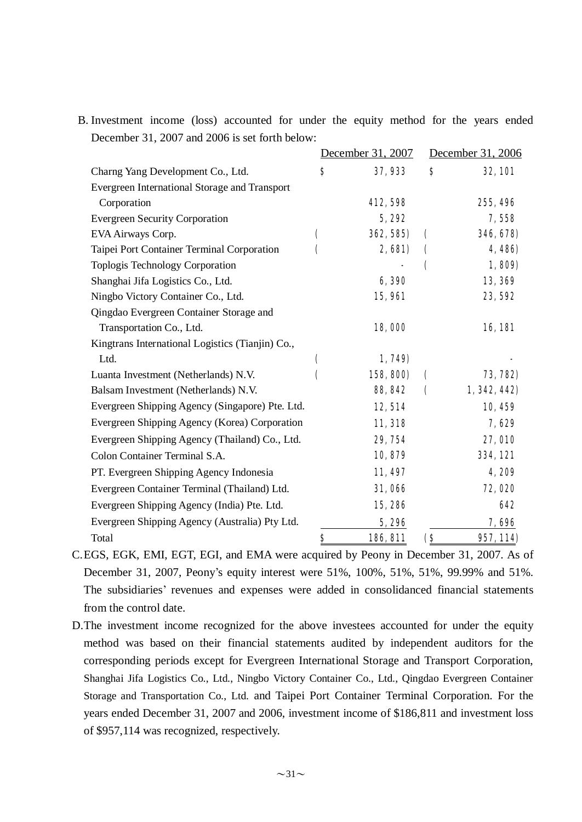B. Investment income (loss) accounted for under the equity method for the years ended December 31, 2007 and 2006 is set forth below:

|                                                  |    | December 31, 2007 |                    | December 31, 2006 |
|--------------------------------------------------|----|-------------------|--------------------|-------------------|
| Charng Yang Development Co., Ltd.                | S  | 37,933            | \$                 | <b>32,101</b>     |
| Evergreen International Storage and Transport    |    |                   |                    |                   |
| Corporation                                      |    | 412,598           |                    | 255, 496          |
| <b>Evergreen Security Corporation</b>            |    | 5,292             |                    | 7,558             |
| EVA Airways Corp.                                | €  | 362, 585)         | C                  | 346, 678)         |
| Taipei Port Container Terminal Corporation       | C  | 2,681)            |                    | 4,486)            |
| <b>Toplogis Technology Corporation</b>           |    |                   | C                  | 1,809)            |
| Shanghai Jifa Logistics Co., Ltd.                |    | 6,390             |                    | 13,369            |
| Ningbo Victory Container Co., Ltd.               |    | <b>15,961</b>     |                    | 23,592            |
| Qingdao Evergreen Container Storage and          |    |                   |                    |                   |
| Transportation Co., Ltd.                         |    | 18,000            |                    | 16,181            |
| Kingtrans International Logistics (Tianjin) Co., |    |                   |                    |                   |
| Ltd.                                             | (  | 1,749)            |                    |                   |
| Luanta Investment (Netherlands) N.V.             | C  | 158, 800)         | $\mathbf \epsilon$ | 73, 782)          |
| Balsam Investment (Netherlands) N.V.             |    | 88, 842           | $\mathbf \epsilon$ | 1, 342, 442)      |
| Evergreen Shipping Agency (Singapore) Pte. Ltd.  |    | 12, 514           |                    | 10, 459           |
| Evergreen Shipping Agency (Korea) Corporation    |    | 11, 318           |                    | 7,629             |
| Evergreen Shipping Agency (Thailand) Co., Ltd.   |    | 29, 754           |                    | <b>27, 010</b>    |
| Colon Container Terminal S.A.                    |    | 10,879            |                    | 334, 121          |
| PT. Evergreen Shipping Agency Indonesia          |    | 11,497            |                    | 4,209             |
| Evergreen Container Terminal (Thailand) Ltd.     |    | 31,066            |                    | 72,020            |
| Evergreen Shipping Agency (India) Pte. Ltd.      |    | 15,286            |                    | 642               |
| Evergreen Shipping Agency (Australia) Pty Ltd.   |    | 5,296             |                    | 7,696             |
| Total                                            | \$ | 186, 811          | <b>(S</b>          | 957, 114)         |

C.EGS, EGK, EMI, EGT, EGI, and EMA were acquired by Peony in December 31, 2007. As of December 31, 2007, Peony's equity interest were 51%, 100%, 51%, 51%, 99.99% and 51%. The subsidiaries' revenues and expenses were added in consolidanced financial statements from the control date.

D.The investment income recognized for the above investees accounted for under the equity method was based on their financial statements audited by independent auditors for the corresponding periods except for Evergreen International Storage and Transport Corporation, Shanghai Jifa Logistics Co., Ltd., Ningbo Victory Container Co., Ltd., Qingdao Evergreen Container Storage and Transportation Co., Ltd. and Taipei Port Container Terminal Corporation. For the years ended December 31, 2007 and 2006, investment income of \$186,811 and investment loss of \$957,114 was recognized, respectively.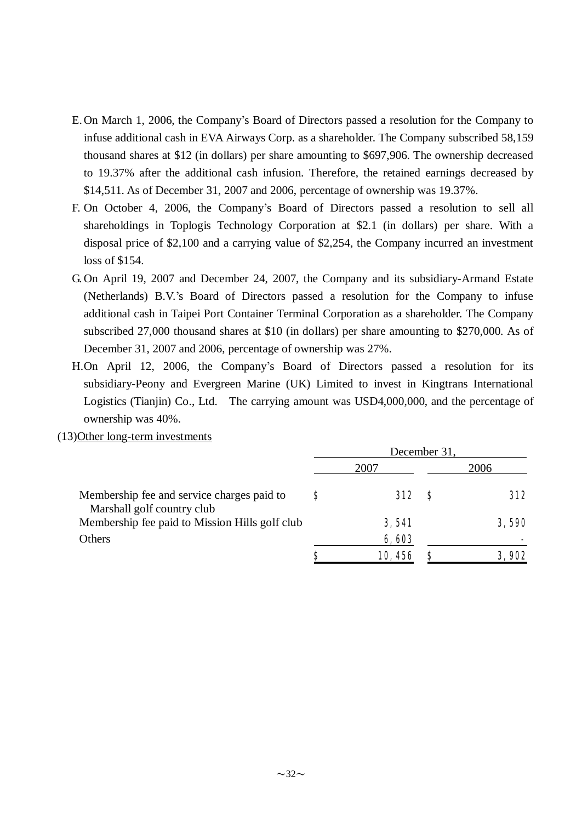- E.On March 1, 2006, the Company's Board of Directors passed a resolution for the Company to infuse additional cash in EVA Airways Corp. as a shareholder. The Company subscribed 58,159 thousand shares at \$12 (in dollars) per share amounting to \$697,906. The ownership decreased to 19.37% after the additional cash infusion. Therefore, the retained earnings decreased by \$14,511. As of December 31, 2007 and 2006, percentage of ownership was 19.37%.
- F. On October 4, 2006, the Company's Board of Directors passed a resolution to sell all shareholdings in Toplogis Technology Corporation at \$2.1 (in dollars) per share. With a disposal price of \$2,100 and a carrying value of \$2,254, the Company incurred an investment loss of \$154.
- G. On April 19, 2007 and December 24, 2007, the Company and its subsidiary-Armand Estate (Netherlands) B.V.'s Board of Directors passed a resolution for the Company to infuse additional cash in Taipei Port Container Terminal Corporation as a shareholder. The Company subscribed 27,000 thousand shares at \$10 (in dollars) per share amounting to \$270,000. As of December 31, 2007 and 2006, percentage of ownership was 27%.
- H.On April 12, 2006, the Company's Board of Directors passed a resolution for its subsidiary-Peony and Evergreen Marine (UK) Limited to invest in Kingtrans International Logistics (Tianjin) Co., Ltd. The carrying amount was USD4,000,000, and the percentage of ownership was 40%.
- (13)Other long-term investments

|                                                                          | December 31, |              |      |              |  |
|--------------------------------------------------------------------------|--------------|--------------|------|--------------|--|
|                                                                          |              | 2007         | 2006 |              |  |
| Membership fee and service charges paid to<br>Marshall golf country club | S            | <b>312</b> S |      | 312          |  |
| Membership fee paid to Mission Hills golf club                           |              | 3,541        |      | 3,590        |  |
| Others                                                                   |              | 6,603        |      |              |  |
|                                                                          | S            | 10,456       |      | <b>3,902</b> |  |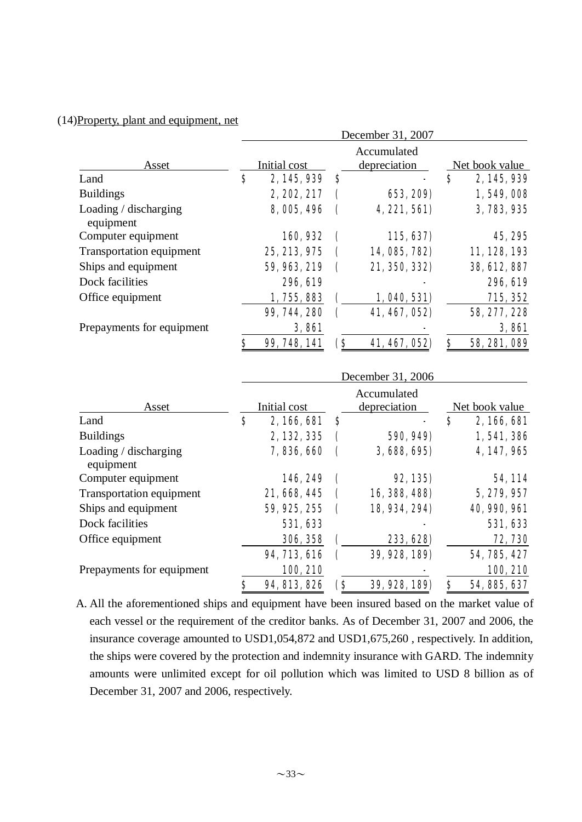#### (14)Property, plant and equipment, net

|                                    | December 31, 2007 |                                             |     |               |                |              |
|------------------------------------|-------------------|---------------------------------------------|-----|---------------|----------------|--------------|
| Asset                              |                   | Accumulated<br>Initial cost<br>depreciation |     |               | Net book value |              |
| Land                               | \$                | 2, 145, 939                                 | S   |               | S              | 2, 145, 939  |
| <b>Buildings</b>                   |                   | 2, 202, 217                                 |     | 653, 209)     |                | 1,549,008    |
| Loading / discharging<br>equipment |                   | 8,005,496                                   |     | 4,221,561)    |                | 3, 783, 935  |
| Computer equipment                 |                   | 160,932                                     | C   | 115, 637)     |                | 45, 295      |
| Transportation equipment           |                   | 25, 213, 975                                |     | 14, 085, 782) |                | 11, 128, 193 |
| Ships and equipment                |                   | 59, 963, 219                                |     | 21, 350, 332) |                | 38, 612, 887 |
| Dock facilities                    |                   | 296, 619                                    |     |               |                | 296, 619     |
| Office equipment                   |                   | 1,755,883                                   |     | 1,040,531)    |                | 715, 352     |
|                                    |                   | 99, 744, 280                                |     | 41, 467, 052) |                | 58, 277, 228 |
| Prepayments for equipment          |                   | 3,861                                       |     |               |                | 3,861        |
|                                    | \$                | 99, 748, 141                                | (\$ | 41, 467, 052) | \$             | 58, 281, 089 |

|                                    | December 31, 2006 |              |     |                             |   |                     |  |
|------------------------------------|-------------------|--------------|-----|-----------------------------|---|---------------------|--|
| Asset                              | Initial cost      |              |     | Accumulated<br>depreciation |   | Net book value      |  |
| Land                               | \$                | 2,166,681    | \$  |                             | S | 2,166,681           |  |
| <b>Buildings</b>                   |                   | 2, 132, 335  |     | 590, 949)                   |   | 1,541,386           |  |
| Loading / discharging<br>equipment |                   | 7,836,660    |     | 3,688,695)                  |   | 4, 147, 965         |  |
| Computer equipment                 |                   | 146, 249     | 1   | <b>92, 135)</b>             |   | 54, 114             |  |
| Transportation equipment           |                   | 21, 668, 445 |     | 16, 388, 488)               |   | 5, 279, 957         |  |
| Ships and equipment                |                   | 59, 925, 255 |     | 18, 934, 294)               |   | <b>40, 990, 961</b> |  |
| Dock facilities                    |                   | 531, 633     |     |                             |   | 531, 633            |  |
| Office equipment                   |                   | 306, 358     |     | 233, 628)                   |   | 72, 730             |  |
|                                    |                   | 94, 713, 616 |     | 39, 928, 189)               |   | 54, 785, 427        |  |
| Prepayments for equipment          |                   | 100, 210     |     |                             |   | 100, 210            |  |
|                                    | \$                | 94, 813, 826 | (\$ | 39, 928, 189)               | S | 54, 885, 637        |  |

A. All the aforementioned ships and equipment have been insured based on the market value of each vessel or the requirement of the creditor banks. As of December 31, 2007 and 2006, the insurance coverage amounted to USD1,054,872 and USD1,675,260 , respectively. In addition, the ships were covered by the protection and indemnity insurance with GARD. The indemnity amounts were unlimited except for oil pollution which was limited to USD 8 billion as of December 31, 2007 and 2006, respectively.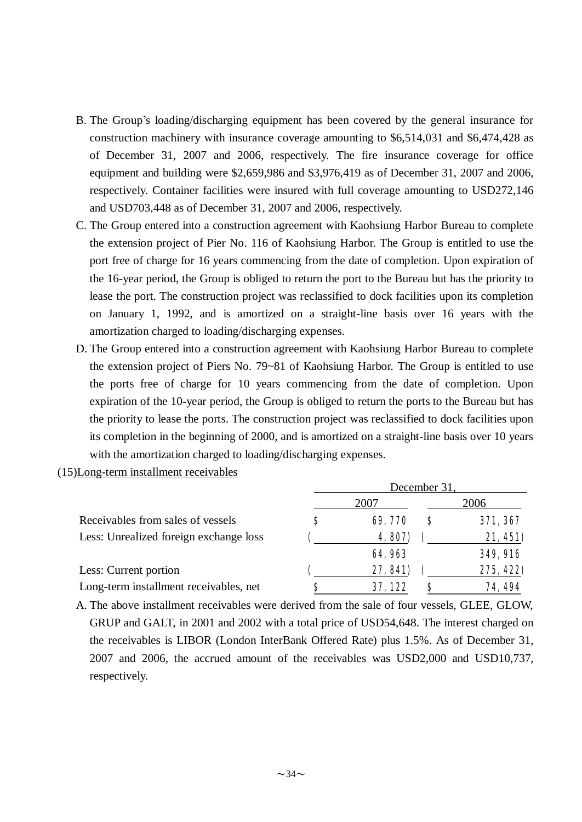- B. The Group's loading/discharging equipment has been covered by the general insurance for construction machinery with insurance coverage amounting to \$6,514,031 and \$6,474,428 as of December 31, 2007 and 2006, respectively. The fire insurance coverage for office equipment and building were \$2,659,986 and \$3,976,419 as of December 31, 2007 and 2006, respectively. Container facilities were insured with full coverage amounting to USD272,146 and USD703,448 as of December 31, 2007 and 2006, respectively.
- C. The Group entered into a construction agreement with Kaohsiung Harbor Bureau to complete the extension project of Pier No. 116 of Kaohsiung Harbor. The Group is entitled to use the port free of charge for 16 years commencing from the date of completion. Upon expiration of the 16-year period, the Group is obliged to return the port to the Bureau but has the priority to lease the port. The construction project was reclassified to dock facilities upon its completion on January 1, 1992, and is amortized on a straight-line basis over 16 years with the amortization charged to loading/discharging expenses.
- D. The Group entered into a construction agreement with Kaohsiung Harbor Bureau to complete the extension project of Piers No. 79~81 of Kaohsiung Harbor. The Group is entitled to use the ports free of charge for 10 years commencing from the date of completion. Upon expiration of the 10-year period, the Group is obliged to return the ports to the Bureau but has the priority to lease the ports. The construction project was reclassified to dock facilities upon its completion in the beginning of 2000, and is amortized on a straight-line basis over 10 years with the amortization charged to loading/discharging expenses.
- (15)Long-term installment receivables

|                                        | December 31, |          |      |                 |  |  |  |
|----------------------------------------|--------------|----------|------|-----------------|--|--|--|
| Receivables from sales of vessels      |              | 2007     | 2006 |                 |  |  |  |
|                                        | S            | 69,770   | S    | 371, 367        |  |  |  |
| Less: Unrealized foreign exchange loss |              | 4,807)   |      | 21,451)         |  |  |  |
|                                        |              | 64,963   |      | <b>349, 916</b> |  |  |  |
| Less: Current portion                  |              | 27, 841) |      | 275, 422)       |  |  |  |
| Long-term installment receivables, net |              | 37,122   | S    | 74, 494         |  |  |  |

A. The above installment receivables were derived from the sale of four vessels, GLEE, GLOW, GRUP and GALT, in 2001 and 2002 with a total price of USD54,648. The interest charged on the receivables is LIBOR (London InterBank Offered Rate) plus 1.5%. As of December 31, 2007 and 2006, the accrued amount of the receivables was USD2,000 and USD10,737, respectively.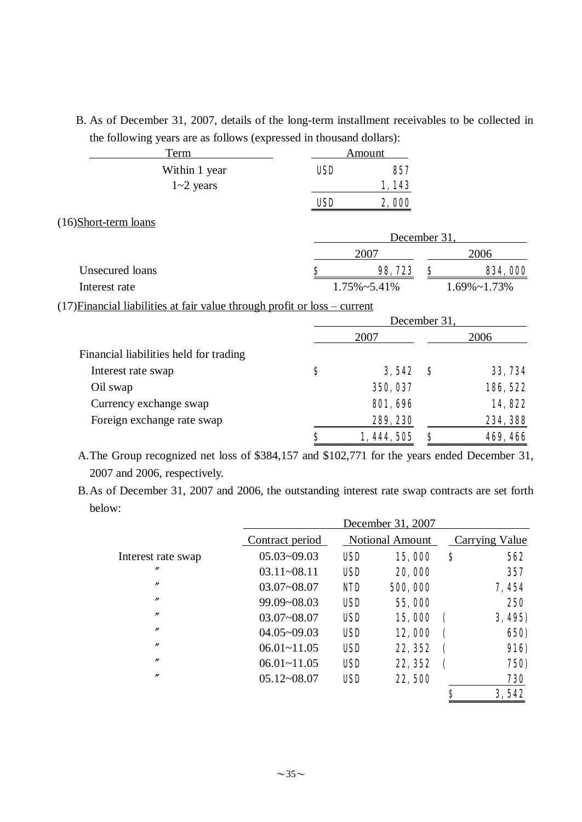B. As of December 31, 2007, details of the long-term installment receivables to be collected in the following years are as follows (expressed in thousand dollars):

| Term                                                                        | Amount     |                      |              |                      |
|-----------------------------------------------------------------------------|------------|----------------------|--------------|----------------------|
| Within 1 year                                                               | <b>USD</b> | 857                  |              |                      |
| $1 - 2$ years                                                               |            | 1,143                |              |                      |
|                                                                             | <b>USD</b> | 2,000                |              |                      |
| (16)Short-term loans                                                        |            |                      |              |                      |
|                                                                             |            |                      | December 31, |                      |
|                                                                             |            | 2007                 |              | 2006                 |
| Unsecured loans                                                             | \$         | 98,723               | \$           | 834,000              |
| Interest rate                                                               |            | $1.75\% \sim 5.41\%$ |              | $1.69\% \sim 1.73\%$ |
| $(17)$ Financial liabilities at fair value through profit or loss – current |            |                      |              |                      |
|                                                                             |            | December 31,         |              |                      |
|                                                                             | 2007       |                      | 2006         |                      |
| Financial liabilities held for trading                                      |            |                      |              |                      |
| Interest rate swap                                                          | \$         | 3,542                | S            | 33, 734              |
| Oil swap                                                                    |            | 350, 037             |              | 186, 522             |
| Currency exchange swap                                                      |            | <b>801, 696</b>      |              | 14,822               |
| Foreign exchange rate swap                                                  |            | 289, 230             |              | 234, 388             |
|                                                                             | \$         | 1, 444, 505          | \$           | 469, 466             |

A.The Group recognized net loss of \$384,157 and \$102,771 for the years ended December 31, 2007 and 2006, respectively.

B.As of December 31, 2007 and 2006, the outstanding interest rate swap contracts are set forth below:

|                    |                 |            | December 31, 2007      |                |             |
|--------------------|-----------------|------------|------------------------|----------------|-------------|
|                    | Contract period |            | <b>Notional Amount</b> | Carrying Value |             |
| Interest rate swap | $05.03 - 09.03$ | <b>USD</b> | 15,000                 | S              | 562         |
| $^{\prime\prime}$  | $03.11 - 08.11$ | <b>USD</b> | 20,000                 |                | 357         |
| $\prime\prime$     | $03.07 - 08.07$ | <b>NID</b> | 500,000                |                | 7,454       |
| $^{\prime\prime}$  | 99.09~08.03     | <b>USD</b> | 55,000                 |                | 250         |
| $\prime\prime$     | $03.07 - 08.07$ | <b>USD</b> | 15,000                 | $\sqrt{ }$     | 3,495)      |
| $^{\prime\prime}$  | $04.05 - 09.03$ | <b>USD</b> | 12,000                 | ſ              | 650)        |
| $^{\prime\prime}$  | $06.01 - 11.05$ | <b>USD</b> | 22, 352                |                | <b>916)</b> |
| $^{\prime\prime}$  | $06.01 - 11.05$ | <b>USD</b> | 22, 352                | -              | 750)        |
| $\prime\prime$     | $05.12 - 08.07$ | <b>USD</b> | 22,500                 |                | 730         |
|                    |                 |            |                        | \$             | 3,542       |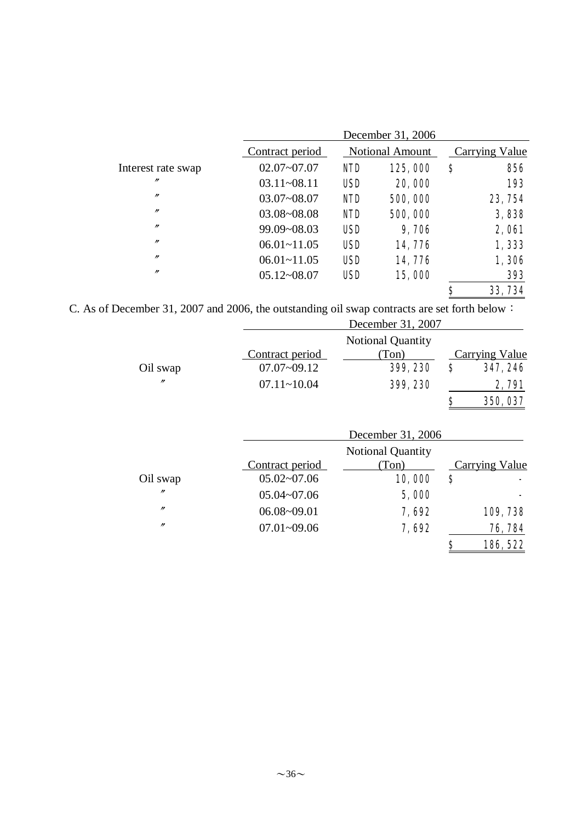|                    |                 | December 31, 2006 |                        |                |              |  |  |  |
|--------------------|-----------------|-------------------|------------------------|----------------|--------------|--|--|--|
|                    | Contract period |                   | <b>Notional Amount</b> | Carrying Value |              |  |  |  |
| Interest rate swap | $02.07 - 07.07$ | <b>NID</b>        | 125,000                | \$             | 856          |  |  |  |
| $\prime\prime$     | $03.11 - 08.11$ | <b>USD</b>        | 20,000                 |                | 193          |  |  |  |
| $^{\prime\prime}$  | $03.07 - 08.07$ | <b>NID</b>        | 500,000                |                | 23, 754      |  |  |  |
| $^{\prime\prime}$  | $03.08 - 08.08$ | <b>NID</b>        | 500,000                |                | 3,838        |  |  |  |
| $^{\prime\prime}$  | 99.09~08.03     | <b>USD</b>        | 9,706                  |                | <b>2,061</b> |  |  |  |
| $^{\prime\prime}$  | $06.01 - 11.05$ | <b>USD</b>        | 14,776                 |                | 1,333        |  |  |  |
| $\prime$           | $06.01 - 11.05$ | <b>USD</b>        | 14,776                 |                | 1,306        |  |  |  |
| $^{\prime\prime}$  | $05.12 - 08.07$ | <b>USD</b>        | 15,000                 |                | 393          |  |  |  |
|                    |                 |                   |                        | \$             | 33, 734      |  |  |  |

C. As of December 31, 2007 and 2006, the outstanding oil swap contracts are set forth below:

|                   |                 | December 31, 2007        |    |                       |
|-------------------|-----------------|--------------------------|----|-----------------------|
|                   |                 | <b>Notional Quantity</b> |    |                       |
|                   | Contract period | (Ton)                    |    | <b>Carrying Value</b> |
| Oil swap          | $07.07 - 09.12$ | 399, 230                 | \$ | 347, 246              |
| $^{\prime\prime}$ | $07.11 - 10.04$ | 399, 230                 |    | 2,791                 |
|                   |                 |                          | S  | 350, 037              |
|                   |                 | December 31, 2006        |    |                       |
|                   |                 | <b>Notional Quantity</b> |    |                       |
|                   | Contract period | (Ton)                    |    | Carrying Value        |
| Oil swap          | $05.02 - 07.06$ | 10,000                   | \$ |                       |
| n                 | $05.04 - 07.06$ | 5,000                    |    |                       |
| $^{\prime\prime}$ | $06.08 - 09.01$ | <b>7,692</b>             |    | 109,738               |
| $^{\prime\prime}$ | $07.01 - 09.06$ | 7,692                    |    | 76, 784               |
|                   |                 |                          | \$ | 186, 522              |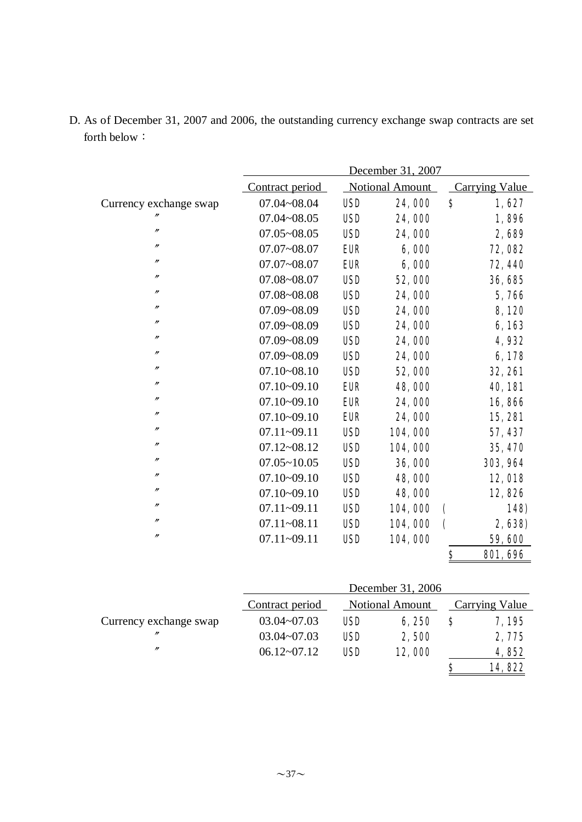|                        | December 31, 2007 |            |                        |                          |                       |  |
|------------------------|-------------------|------------|------------------------|--------------------------|-----------------------|--|
|                        | Contract period   |            | <b>Notional Amount</b> |                          | <b>Carrying Value</b> |  |
| Currency exchange swap | 07.04~08.04       | <b>USD</b> | 24,000                 | \$                       | 1,627                 |  |
|                        | $07.04 - 08.05$   | <b>USD</b> | 24,000                 |                          | 1,896                 |  |
| $^{\prime\prime}$      | $07.05 - 08.05$   | <b>USD</b> | 24,000                 |                          | 2,689                 |  |
| $\prime\prime$         | $07.07 - 08.07$   | <b>EUR</b> | 6,000                  |                          | 72,082                |  |
| $^{\prime\prime}$      | $07.07 - 08.07$   | <b>EUR</b> | 6,000                  |                          | 72, 440               |  |
| $^{\prime\prime}$      | 07.08~08.07       | <b>USD</b> | 52,000                 |                          | 36, 685               |  |
| n                      | 07.08~08.08       | <b>USD</b> | 24,000                 |                          | 5,766                 |  |
| n                      | 07.09~08.09       | <b>USD</b> | 24,000                 |                          | 8,120                 |  |
| n                      | 07.09~08.09       | <b>USD</b> | 24,000                 |                          | 6,163                 |  |
| $^{\prime\prime}$      | 07.09~08.09       | <b>USD</b> | 24,000                 |                          | 4,932                 |  |
| $^{\prime\prime}$      | 07.09~08.09       | <b>USD</b> | 24,000                 |                          | 6,178                 |  |
| $^{\prime\prime}$      | $07.10 - 08.10$   | <b>USD</b> | 52,000                 |                          | <b>32, 261</b>        |  |
| $\prime\prime$         | $07.10 - 09.10$   | <b>EUR</b> | 48,000                 |                          | <b>40, 181</b>        |  |
| n                      | $07.10 - 09.10$   | <b>EUR</b> | 24,000                 |                          | 16,866                |  |
| n                      | $07.10 - 09.10$   | <b>EUR</b> | 24,000                 |                          | <b>15, 281</b>        |  |
| n                      | 07.11~09.11       | <b>USD</b> | 104,000                |                          | 57, 437               |  |
| n                      | $07.12 - 08.12$   | <b>USD</b> | 104,000                |                          | 35, 470               |  |
| n                      | $07.05 - 10.05$   | <b>USD</b> | 36,000                 |                          | 303, 964              |  |
| n                      | $07.10 - 09.10$   | <b>USD</b> | 48,000                 |                          | 12,018                |  |
| n                      | $07.10 - 09.10$   | <b>USD</b> | 48,000                 |                          | 12,826                |  |
| $^{\prime\prime}$      | $07.11 - 09.11$   | <b>USD</b> | 104,000                | $\overline{\mathcal{L}}$ | <b>148)</b>           |  |
| n                      | $07.11 - 08.11$   | <b>USD</b> | 104,000                | $\overline{\mathbf{C}}$  | 2,638)                |  |
| n                      | 07.11~09.11       | <b>USD</b> | 104,000                |                          | 59,600                |  |
|                        |                   |            |                        | \$                       | <b>801, 696</b>       |  |

D. As of December 31, 2007 and 2006, the outstanding currency exchange swap contracts are set forth below:

|                        | December 31, 2006 |                        |        |                       |        |  |
|------------------------|-------------------|------------------------|--------|-----------------------|--------|--|
|                        | Contract period   | <b>Notional Amount</b> |        | <b>Carrying Value</b> |        |  |
| Currency exchange swap | $03.04 - 07.03$   | <b>USD</b>             | 6,250  | S                     | 7,195  |  |
| $^{\prime\prime}$      | $03.04 - 07.03$   | <b>USD</b>             | 2,500  |                       | 2,775  |  |
| $^{\prime\prime}$      | $06.12 - 07.12$   | <b>USD</b>             | 12,000 |                       | 4,852  |  |
|                        |                   |                        |        | S                     | 14,822 |  |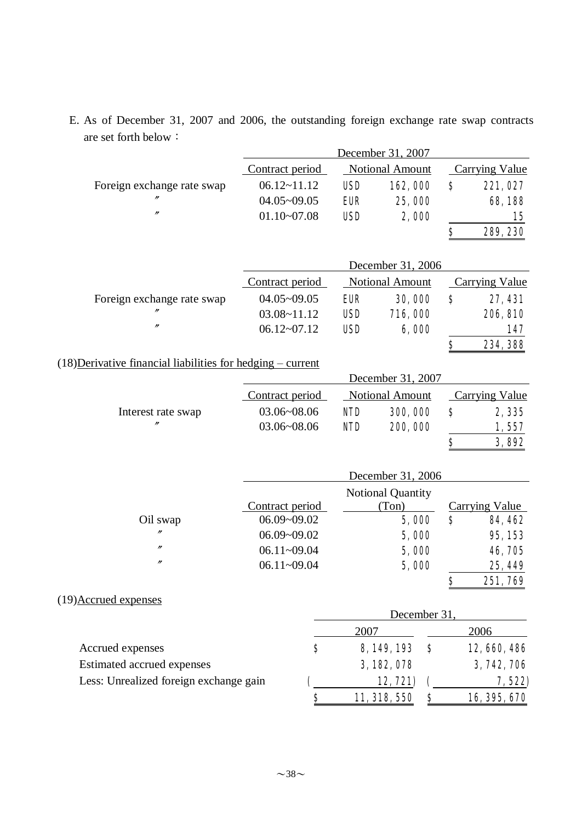|                                                               |                 |            | December 31, 2007      |                  |                       |
|---------------------------------------------------------------|-----------------|------------|------------------------|------------------|-----------------------|
|                                                               | Contract period |            | Notional Amount        |                  | <b>Carrying Value</b> |
| Foreign exchange rate swap                                    | $06.12 - 11.12$ | <b>USD</b> | 162,000                | \$               | 221,027               |
|                                                               | $04.05 - 09.05$ | <b>EUR</b> | 25,000                 |                  | 68,188                |
| $^{\prime\prime}$                                             | $01.10 - 07.08$ | <b>USD</b> | 2,000                  |                  | 15                    |
|                                                               |                 |            |                        | \$               | 289, 230              |
|                                                               |                 |            | December 31, 2006      |                  |                       |
|                                                               | Contract period |            | <b>Notional Amount</b> |                  | <b>Carrying Value</b> |
| Foreign exchange rate swap                                    | $04.05 - 09.05$ | <b>EUR</b> | 30,000                 | \$               | 27, 431               |
|                                                               | $03.08 - 11.12$ | <b>USD</b> | 716,000                |                  | 206, 810              |
| $^{\prime\prime}$                                             | $06.12 - 07.12$ | <b>USD</b> | 6,000                  |                  | 147                   |
|                                                               |                 |            |                        | \$               | 234, 388              |
| $(18)$ Derivative financial liabilities for hedging – current |                 |            |                        |                  |                       |
|                                                               |                 |            | December 31, 2007      |                  |                       |
|                                                               | Contract period |            | Notional Amount        |                  | <b>Carrying Value</b> |
| Interest rate swap                                            | 03.06~08.06     | <b>NID</b> | 300, 000               | \$               | 2,335                 |
| n                                                             | 03.06~08.06     | <b>NID</b> | 200,000                |                  | 1,557                 |
|                                                               |                 |            |                        | \$               | 3,892                 |
|                                                               |                 |            | December 31, 2006      |                  |                       |
|                                                               |                 |            | Notional Quantity      |                  |                       |
|                                                               | Contract period |            | (Ton)                  |                  | <b>Carrying Value</b> |
| Oil swap                                                      | 06.09~09.02     |            | 5,000                  | $\boldsymbol{s}$ | <b>84, 462</b>        |
| $^{\prime\prime}$                                             | 06.09~09.02     |            | 5,000                  |                  | 95, 153               |
| $^{\prime\prime}$                                             | $06.11 - 09.04$ |            | 5,000                  |                  | 46,705                |
| $^{\prime\prime}$                                             | 06.11~09.04     |            | 5,000                  |                  | 25, 449               |
|                                                               |                 |            |                        | ¢                | 251,769               |
| (19) Accrued expenses                                         |                 |            |                        |                  |                       |
|                                                               |                 |            | December 31,           |                  |                       |
|                                                               |                 | 2007       |                        |                  | 2006                  |
| Accrued expenses                                              | \$              |            | 8, 149, 193            | $\mathbf{s}$     | 12, 660, 486          |
| Estimated accrued expenses                                    |                 |            | 3, 182, 078            |                  | 3, 742, 706           |
| Less: Unrealized foreign exchange gain                        |                 |            | 12,721)                |                  | 7, 522)               |
|                                                               | <u>\$</u>       |            | 11, 318, 550           | \$               | 16, 395, 670          |

E. As of December 31, 2007 and 2006, the outstanding foreign exchange rate swap contracts are set forth below: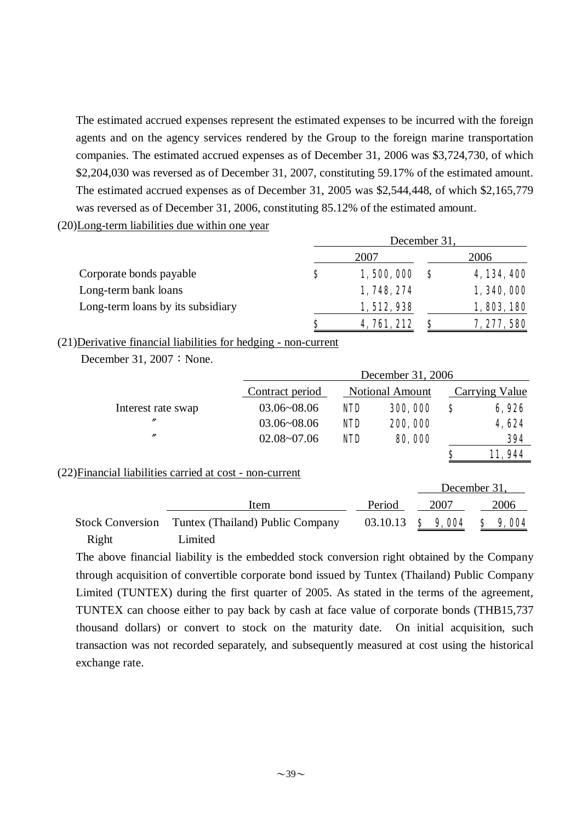The estimated accrued expenses represent the estimated expenses to be incurred with the foreign agents and on the agency services rendered by the Group to the foreign marine transportation companies. The estimated accrued expenses as of December 31, 2006 was \$3,724,730, of which \$2,204,030 was reversed as of December 31, 2007, constituting 59.17% of the estimated amount. The estimated accrued expenses as of December 31, 2005 was \$2,544,448, of which \$2,165,779 was reversed as of December 31, 2006, constituting 85.12% of the estimated amount.

(20)Long-term liabilities due within one year

|                                   | December 31. |                    |  |             |  |
|-----------------------------------|--------------|--------------------|--|-------------|--|
|                                   |              | 2007               |  | 2006        |  |
| Corporate bonds payable           | \$           | 1,500,000          |  | 4, 134, 400 |  |
| Long-term bank loans              |              | 1, 748, 274        |  | 1, 340, 000 |  |
| Long-term loans by its subsidiary |              | 1, 512, 938        |  | 1,803,180   |  |
|                                   | S            | <b>4, 761, 212</b> |  | 7, 277, 580 |  |

(21)Derivative financial liabilities for hedging - non-current

|                                                          |         | December 31, 2006                |                        |  |          |         |              |                       |        |
|----------------------------------------------------------|---------|----------------------------------|------------------------|--|----------|---------|--------------|-----------------------|--------|
|                                                          |         | Contract period                  | <b>Notional Amount</b> |  |          |         |              | <b>Carrying Value</b> |        |
| Interest rate swap                                       |         | $03.06 - 08.06$                  | <b>NID</b>             |  |          | 300,000 | \$           |                       | 6,926  |
| $^{\prime\prime}$                                        |         | $03.06 - 08.06$                  | <b>NID</b>             |  |          | 200,000 |              |                       | 4,624  |
| $\prime\prime$                                           |         | $02.08 - 07.06$                  | <b>NID</b>             |  |          | 80,000  |              |                       | 394    |
|                                                          |         |                                  |                        |  |          |         | S            |                       | 11,944 |
| (22) Financial liabilities carried at cost - non-current |         |                                  |                        |  |          |         |              |                       |        |
|                                                          |         |                                  |                        |  |          |         | December 31, |                       |        |
|                                                          |         | Item                             |                        |  | Period   |         | 2007         |                       | 2006   |
| <b>Stock Conversion</b>                                  |         | Tuntex (Thailand) Public Company |                        |  | 03.10.13 | Ş       | 9,004        | S                     | 9,004  |
| Right                                                    | Limited |                                  |                        |  |          |         |              |                       |        |

December 31,  $2007:$  None.

The above financial liability is the embedded stock conversion right obtained by the Company through acquisition of convertible corporate bond issued by Tuntex (Thailand) Public Company Limited (TUNTEX) during the first quarter of 2005. As stated in the terms of the agreement, TUNTEX can choose either to pay back by cash at face value of corporate bonds (THB15,737 thousand dollars) or convert to stock on the maturity date. On initial acquisition, such transaction was not recorded separately, and subsequently measured at cost using the historical exchange rate.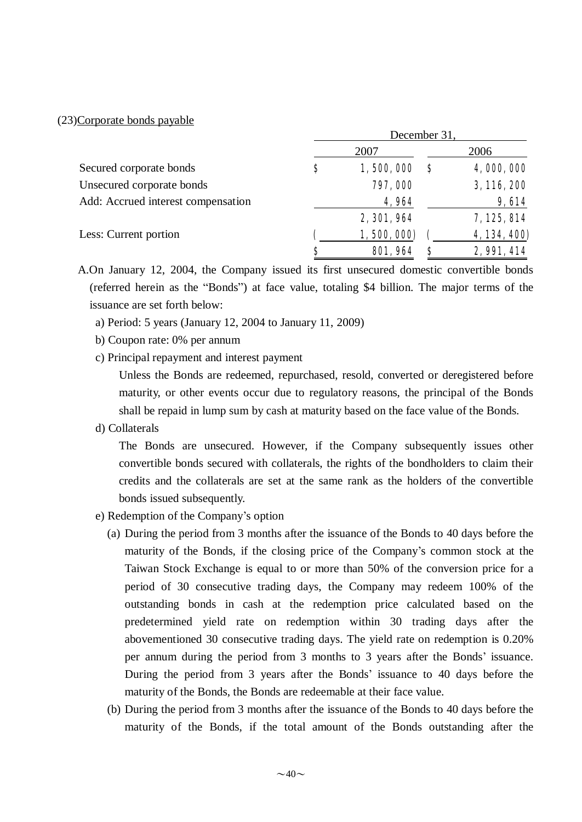#### (23)Corporate bonds payable

|                                    | December 31, |                 |          |              |  |
|------------------------------------|--------------|-----------------|----------|--------------|--|
|                                    |              | 2007            |          | 2006         |  |
| Secured corporate bonds            | \$           | 1,500,000       | <b>S</b> | 4,000,000    |  |
| Unsecured corporate bonds          |              | 797,000         |          | 3, 116, 200  |  |
| Add: Accrued interest compensation |              | 4,964           |          | 9,614        |  |
|                                    |              | 2, 301, 964     |          | 7,125,814    |  |
| Less: Current portion              |              | 1,500,000)      |          | 4, 134, 400) |  |
|                                    | S            | <b>801, 964</b> | S        | 2,991,414    |  |

A.On January 12, 2004, the Company issued its first unsecured domestic convertible bonds (referred herein as the "Bonds") at face value, totaling \$4 billion. The major terms of the issuance are set forth below:

- a) Period: 5 years (January 12, 2004 to January 11, 2009)
- b) Coupon rate: 0% per annum
- c) Principal repayment and interest payment

Unless the Bonds are redeemed, repurchased, resold, converted or deregistered before maturity, or other events occur due to regulatory reasons, the principal of the Bonds shall be repaid in lump sum by cash at maturity based on the face value of the Bonds.

d) Collaterals

The Bonds are unsecured. However, if the Company subsequently issues other convertible bonds secured with collaterals, the rights of the bondholders to claim their credits and the collaterals are set at the same rank as the holders of the convertible bonds issued subsequently.

- e) Redemption of the Company's option
	- (a) During the period from 3 months after the issuance of the Bonds to 40 days before the maturity of the Bonds, if the closing price of the Company's common stock at the Taiwan Stock Exchange is equal to or more than 50% of the conversion price for a period of 30 consecutive trading days, the Company may redeem 100% of the outstanding bonds in cash at the redemption price calculated based on the predetermined yield rate on redemption within 30 trading days after the abovementioned 30 consecutive trading days. The yield rate on redemption is 0.20% per annum during the period from 3 months to 3 years after the Bonds' issuance. During the period from 3 years after the Bonds' issuance to 40 days before the maturity of the Bonds, the Bonds are redeemable at their face value.
	- (b) During the period from 3 months after the issuance of the Bonds to 40 days before the maturity of the Bonds, if the total amount of the Bonds outstanding after the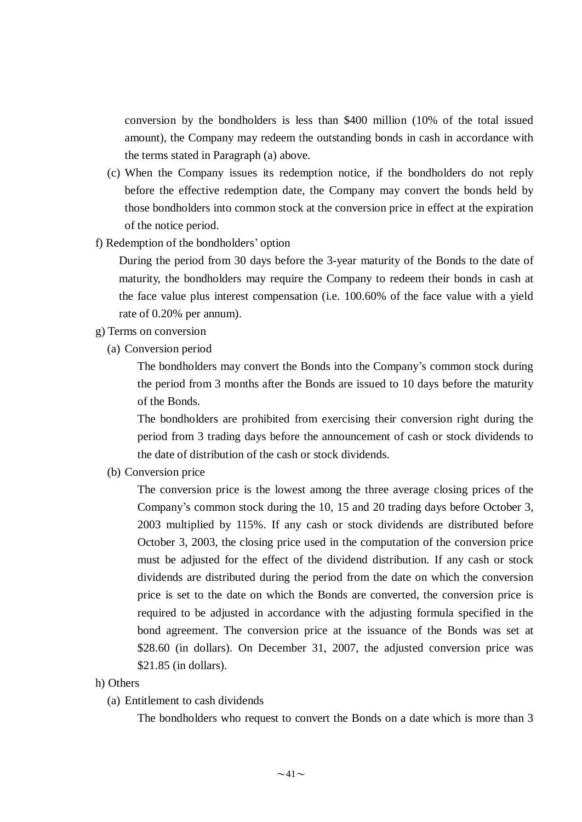conversion by the bondholders is less than \$400 million (10% of the total issued amount), the Company may redeem the outstanding bonds in cash in accordance with the terms stated in Paragraph (a) above.

- (c) When the Company issues its redemption notice, if the bondholders do not reply before the effective redemption date, the Company may convert the bonds held by those bondholders into common stock at the conversion price in effect at the expiration of the notice period.
- f) Redemption of the bondholders' option

During the period from 30 days before the 3-year maturity of the Bonds to the date of maturity, the bondholders may require the Company to redeem their bonds in cash at the face value plus interest compensation (i.e. 100.60% of the face value with a yield rate of 0.20% per annum).

- g) Terms on conversion
	- (a) Conversion period

The bondholders may convert the Bonds into the Company's common stock during the period from 3 months after the Bonds are issued to 10 days before the maturity of the Bonds.

The bondholders are prohibited from exercising their conversion right during the period from 3 trading days before the announcement of cash or stock dividends to the date of distribution of the cash or stock dividends.

(b) Conversion price

The conversion price is the lowest among the three average closing prices of the Company's common stock during the 10, 15 and 20 trading days before October 3, 2003 multiplied by 115%. If any cash or stock dividends are distributed before October 3, 2003, the closing price used in the computation of the conversion price must be adjusted for the effect of the dividend distribution. If any cash or stock dividends are distributed during the period from the date on which the conversion price is set to the date on which the Bonds are converted, the conversion price is required to be adjusted in accordance with the adjusting formula specified in the bond agreement. The conversion price at the issuance of the Bonds was set at \$28.60 (in dollars). On December 31, 2007, the adjusted conversion price was \$21.85 (in dollars).

- h) Others
	- (a) Entitlement to cash dividends

The bondholders who request to convert the Bonds on a date which is more than 3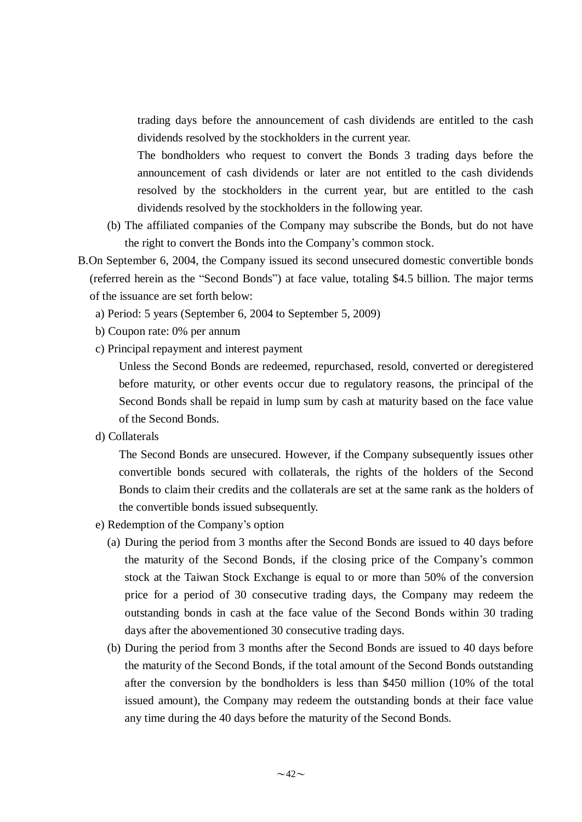trading days before the announcement of cash dividends are entitled to the cash dividends resolved by the stockholders in the current year.

The bondholders who request to convert the Bonds 3 trading days before the announcement of cash dividends or later are not entitled to the cash dividends resolved by the stockholders in the current year, but are entitled to the cash dividends resolved by the stockholders in the following year.

- (b) The affiliated companies of the Company may subscribe the Bonds, but do not have the right to convert the Bonds into the Company's common stock.
- B.On September 6, 2004, the Company issued its second unsecured domestic convertible bonds (referred herein as the "Second Bonds") at face value, totaling \$4.5 billion. The major terms of the issuance are set forth below:
	- a) Period: 5 years (September 6, 2004 to September 5, 2009)
	- b) Coupon rate: 0% per annum
	- c) Principal repayment and interest payment

Unless the Second Bonds are redeemed, repurchased, resold, converted or deregistered before maturity, or other events occur due to regulatory reasons, the principal of the Second Bonds shall be repaid in lump sum by cash at maturity based on the face value of the Second Bonds.

d) Collaterals

The Second Bonds are unsecured. However, if the Company subsequently issues other convertible bonds secured with collaterals, the rights of the holders of the Second Bonds to claim their credits and the collaterals are set at the same rank as the holders of the convertible bonds issued subsequently.

- e) Redemption of the Company's option
	- (a) During the period from 3 months after the Second Bonds are issued to 40 days before the maturity of the Second Bonds, if the closing price of the Company's common stock at the Taiwan Stock Exchange is equal to or more than 50% of the conversion price for a period of 30 consecutive trading days, the Company may redeem the outstanding bonds in cash at the face value of the Second Bonds within 30 trading days after the abovementioned 30 consecutive trading days.
	- (b) During the period from 3 months after the Second Bonds are issued to 40 days before the maturity of the Second Bonds, if the total amount of the Second Bonds outstanding after the conversion by the bondholders is less than \$450 million (10% of the total issued amount), the Company may redeem the outstanding bonds at their face value any time during the 40 days before the maturity of the Second Bonds.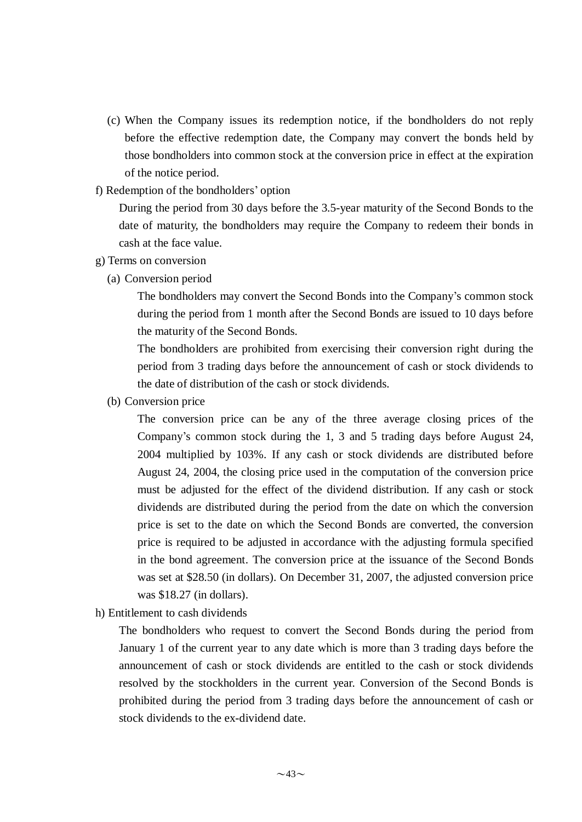- (c) When the Company issues its redemption notice, if the bondholders do not reply before the effective redemption date, the Company may convert the bonds held by those bondholders into common stock at the conversion price in effect at the expiration of the notice period.
- f) Redemption of the bondholders' option

During the period from 30 days before the 3.5-year maturity of the Second Bonds to the date of maturity, the bondholders may require the Company to redeem their bonds in cash at the face value.

#### g) Terms on conversion

(a) Conversion period

The bondholders may convert the Second Bonds into the Company's common stock during the period from 1 month after the Second Bonds are issued to 10 days before the maturity of the Second Bonds.

The bondholders are prohibited from exercising their conversion right during the period from 3 trading days before the announcement of cash or stock dividends to the date of distribution of the cash or stock dividends.

(b) Conversion price

The conversion price can be any of the three average closing prices of the Company's common stock during the 1, 3 and 5 trading days before August 24, 2004 multiplied by 103%. If any cash or stock dividends are distributed before August 24, 2004, the closing price used in the computation of the conversion price must be adjusted for the effect of the dividend distribution. If any cash or stock dividends are distributed during the period from the date on which the conversion price is set to the date on which the Second Bonds are converted, the conversion price is required to be adjusted in accordance with the adjusting formula specified in the bond agreement. The conversion price at the issuance of the Second Bonds was set at \$28.50 (in dollars). On December 31, 2007, the adjusted conversion price was \$18.27 (in dollars).

h) Entitlement to cash dividends

The bondholders who request to convert the Second Bonds during the period from January 1 of the current year to any date which is more than 3 trading days before the announcement of cash or stock dividends are entitled to the cash or stock dividends resolved by the stockholders in the current year. Conversion of the Second Bonds is prohibited during the period from 3 trading days before the announcement of cash or stock dividends to the ex-dividend date.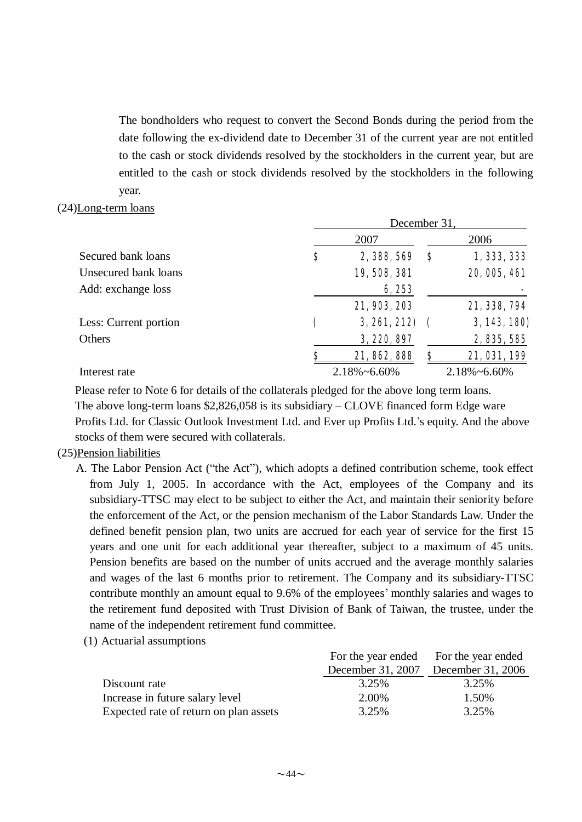The bondholders who request to convert the Second Bonds during the period from the date following the ex-dividend date to December 31 of the current year are not entitled to the cash or stock dividends resolved by the stockholders in the current year, but are entitled to the cash or stock dividends resolved by the stockholders in the following year.

#### (24)Long-term loans

|                       | December 31, |                      |    |                      |  |
|-----------------------|--------------|----------------------|----|----------------------|--|
|                       |              | 2007                 |    | 2006                 |  |
| Secured bank loans    | \$           | 2, 388, 569          | \$ | 1, 333, 333          |  |
| Unsecured bank loans  |              | 19, 508, 381         |    | 20, 005, 461         |  |
| Add: exchange loss    |              | 6,253                |    |                      |  |
|                       |              | 21, 903, 203         |    | 21, 338, 794         |  |
| Less: Current portion |              | 3,261,212            |    | 3, 143, 180)         |  |
| Others                |              | 3, 220, 897          |    | 2, 835, 585          |  |
|                       |              | 21, 862, 888         | S  | 21, 031, 199         |  |
| Interest rate         |              | $2.18\% \sim 6.60\%$ |    | $2.18\% \sim 6.60\%$ |  |

 Please refer to Note 6 for details of the collaterals pledged for the above long term loans. The above long-term loans \$2,826,058 is its subsidiary – CLOVE financed form Edge ware Profits Ltd. for Classic Outlook Investment Ltd. and Ever up Profits Ltd.'s equity. And the above stocks of them were secured with collaterals.

#### (25)Pension liabilities

- A. The Labor Pension Act ("the Act"), which adopts a defined contribution scheme, took effect from July 1, 2005. In accordance with the Act, employees of the Company and its subsidiary-TTSC may elect to be subject to either the Act, and maintain their seniority before the enforcement of the Act, or the pension mechanism of the Labor Standards Law. Under the defined benefit pension plan, two units are accrued for each year of service for the first 15 years and one unit for each additional year thereafter, subject to a maximum of 45 units. Pension benefits are based on the number of units accrued and the average monthly salaries and wages of the last 6 months prior to retirement. The Company and its subsidiary-TTSC contribute monthly an amount equal to 9.6% of the employees' monthly salaries and wages to the retirement fund deposited with Trust Division of Bank of Taiwan, the trustee, under the name of the independent retirement fund committee.
	- (1) Actuarial assumptions

|                                        | For the year ended For the year ended |                                     |
|----------------------------------------|---------------------------------------|-------------------------------------|
|                                        |                                       | December 31, 2007 December 31, 2006 |
| Discount rate                          | 3.25%                                 | 3.25%                               |
| Increase in future salary level        | 2.00%                                 | 1.50%                               |
| Expected rate of return on plan assets | 3.25%                                 | 3.25%                               |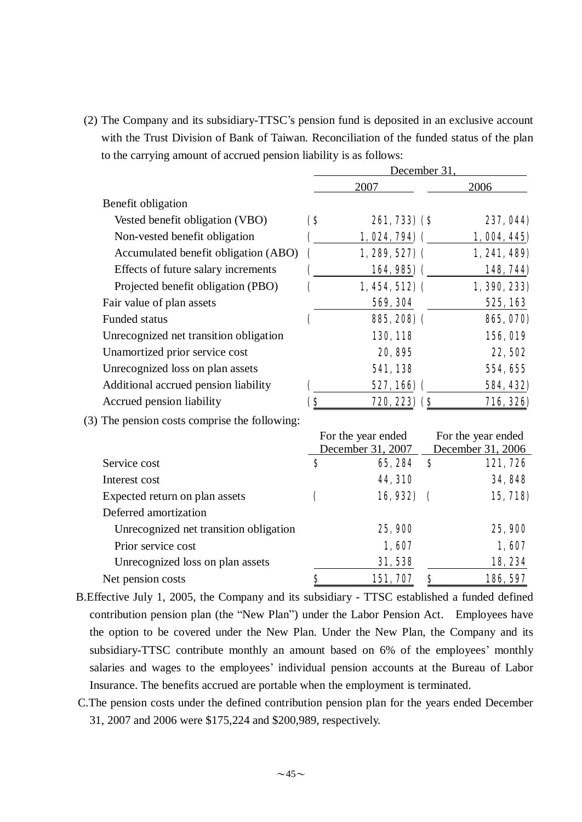(2) The Company and its subsidiary-TTSC's pension fund is deposited in an exclusive account with the Trust Division of Bank of Taiwan. Reconciliation of the funded status of the plan to the carrying amount of accrued pension liability is as follows:

|                                               | December 31,            |                                         |          |                                         |  |
|-----------------------------------------------|-------------------------|-----------------------------------------|----------|-----------------------------------------|--|
|                                               |                         | 2007                                    |          | 2006                                    |  |
| Benefit obligation                            |                         |                                         |          |                                         |  |
| Vested benefit obligation (VBO)               | $\bf (8)$               | <b>261, 733) (\$</b>                    |          | 237, 044)                               |  |
| Non-vested benefit obligation                 |                         | $1,024,794)$ (                          |          | 1,004,445)                              |  |
| Accumulated benefit obligation (ABO)          | $\overline{\mathbf{C}}$ | $1,289,527$ (                           |          | 1, 241, 489                             |  |
| Effects of future salary increments           |                         | 164, 985) (                             |          | 148, 744)                               |  |
| Projected benefit obligation (PBO)            |                         | $1,454,512)$ (                          |          | 1, 390, 233)                            |  |
| Fair value of plan assets                     |                         | 569, 304                                |          | 525, 163                                |  |
| Funded status                                 |                         | 885, 208) (                             |          | 865, 070)                               |  |
| Unrecognized net transition obligation        |                         | 130, 118                                |          | <b>156, 019</b>                         |  |
| Unamortized prior service cost                |                         | 20, 895                                 |          | <b>22,502</b>                           |  |
| Unrecognized loss on plan assets              |                         | 541,138                                 |          | 554, 655                                |  |
| Additional accrued pension liability          |                         | 527, 166) (                             |          | 584, 432)                               |  |
| Accrued pension liability                     | (\$                     | <b>720, 223)</b> (\$                    |          | 716, 326)                               |  |
| (3) The pension costs comprise the following: |                         |                                         |          |                                         |  |
|                                               |                         | For the year ended<br>December 31, 2007 |          | For the year ended<br>December 31, 2006 |  |
| Service cost                                  | S                       | 65, 284                                 | S        | 121,726                                 |  |
| Interest cost                                 |                         | 44, 310                                 |          | 34,848                                  |  |
| Expected return on plan assets                | C                       | 16,932)                                 | $\left($ | 15, 718)                                |  |
| Deferred amortization                         |                         |                                         |          |                                         |  |
| Unrecognized net transition obligation        |                         | 25,900                                  |          | 25,900                                  |  |
| Prior service cost                            |                         | 1,607                                   |          | 1,607                                   |  |
| Unrecognized loss on plan assets              |                         | 31,538                                  |          | 18,234                                  |  |

B.Effective July 1, 2005, the Company and its subsidiary - TTSC established a funded defined contribution pension plan (the "New Plan") under the Labor Pension Act. Employees have the option to be covered under the New Plan. Under the New Plan, the Company and its subsidiary-TTSC contribute monthly an amount based on 6% of the employees' monthly salaries and wages to the employees' individual pension accounts at the Bureau of Labor Insurance. The benefits accrued are portable when the employment is terminated.

Net pension costs **\$** 151,707 \$ 186,597

C.The pension costs under the defined contribution pension plan for the years ended December 31, 2007 and 2006 were \$175,224 and \$200,989, respectively.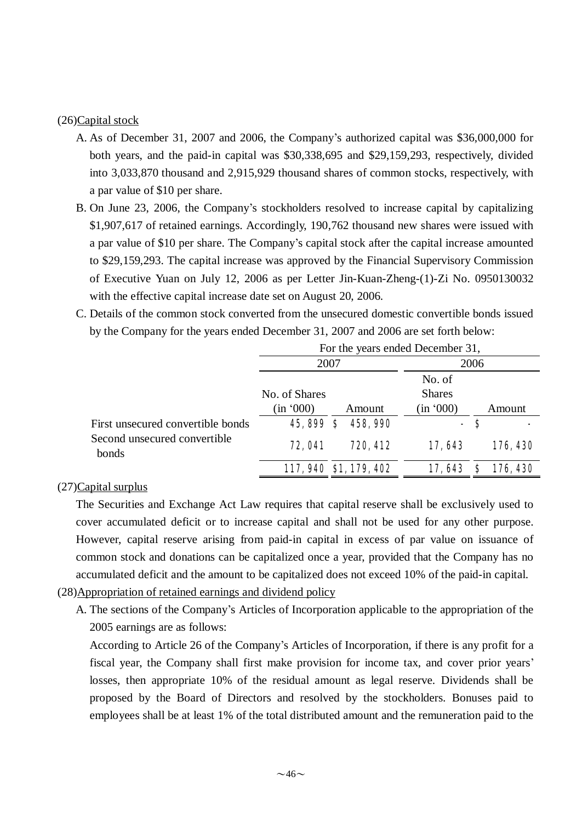#### (26)Capital stock

- A. As of December 31, 2007 and 2006, the Company's authorized capital was \$36,000,000 for both years, and the paid-in capital was \$30,338,695 and \$29,159,293, respectively, divided into 3,033,870 thousand and 2,915,929 thousand shares of common stocks, respectively, with a par value of \$10 per share.
- B. On June 23, 2006, the Company's stockholders resolved to increase capital by capitalizing \$1,907,617 of retained earnings. Accordingly, 190,762 thousand new shares were issued with a par value of \$10 per share. The Company's capital stock after the capital increase amounted to \$29,159,293. The capital increase was approved by the Financial Supervisory Commission of Executive Yuan on July 12, 2006 as per Letter Jin-Kuan-Zheng-(1)-Zi No. 0950130032 with the effective capital increase date set on August 20, 2006.
- C. Details of the common stock converted from the unsecured domestic convertible bonds issued by the Company for the years ended December 31, 2007 and 2006 are set forth below:

|                                       | For the years ended December 31, |                        |                                      |               |
|---------------------------------------|----------------------------------|------------------------|--------------------------------------|---------------|
|                                       | 2007                             |                        |                                      | 2006          |
|                                       | No. of Shares<br>(in '000)       | Amount                 | No. of<br><b>Shares</b><br>(in '000) | Amount        |
| First unsecured convertible bonds     | 45,899\$                         | 458,990                |                                      | - S           |
| Second unsecured convertible<br>bonds | 72,041                           | 720, 412               | 17,643                               | 176, 430      |
|                                       |                                  | 117, 940 \$1, 179, 402 | 17,643                               | 176, 430<br>S |

#### (27)Capital surplus

The Securities and Exchange Act Law requires that capital reserve shall be exclusively used to cover accumulated deficit or to increase capital and shall not be used for any other purpose. However, capital reserve arising from paid-in capital in excess of par value on issuance of common stock and donations can be capitalized once a year, provided that the Company has no accumulated deficit and the amount to be capitalized does not exceed 10% of the paid-in capital.

#### (28)Appropriation of retained earnings and dividend policy

A. The sections of the Company's Articles of Incorporation applicable to the appropriation of the 2005 earnings are as follows:

According to Article 26 of the Company's Articles of Incorporation, if there is any profit for a fiscal year, the Company shall first make provision for income tax, and cover prior years' losses, then appropriate 10% of the residual amount as legal reserve. Dividends shall be proposed by the Board of Directors and resolved by the stockholders. Bonuses paid to employees shall be at least 1% of the total distributed amount and the remuneration paid to the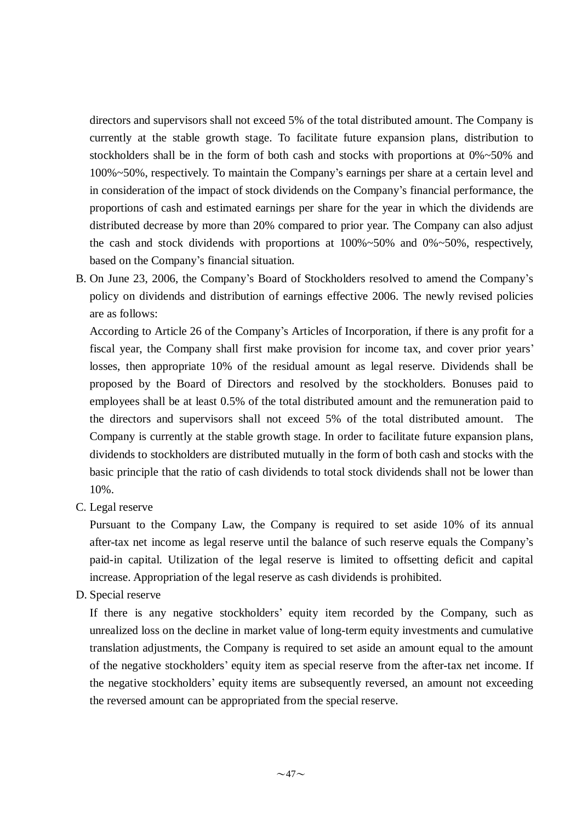directors and supervisors shall not exceed 5% of the total distributed amount. The Company is currently at the stable growth stage. To facilitate future expansion plans, distribution to stockholders shall be in the form of both cash and stocks with proportions at  $0\% \sim 50\%$  and 100%~50%, respectively. To maintain the Company's earnings per share at a certain level and in consideration of the impact of stock dividends on the Company's financial performance, the proportions of cash and estimated earnings per share for the year in which the dividends are distributed decrease by more than 20% compared to prior year. The Company can also adjust the cash and stock dividends with proportions at 100%~50% and 0%~50%, respectively, based on the Company's financial situation.

B. On June 23, 2006, the Company's Board of Stockholders resolved to amend the Company's policy on dividends and distribution of earnings effective 2006. The newly revised policies are as follows:

According to Article 26 of the Company's Articles of Incorporation, if there is any profit for a fiscal year, the Company shall first make provision for income tax, and cover prior years' losses, then appropriate 10% of the residual amount as legal reserve. Dividends shall be proposed by the Board of Directors and resolved by the stockholders. Bonuses paid to employees shall be at least 0.5% of the total distributed amount and the remuneration paid to the directors and supervisors shall not exceed 5% of the total distributed amount. The Company is currently at the stable growth stage. In order to facilitate future expansion plans, dividends to stockholders are distributed mutually in the form of both cash and stocks with the basic principle that the ratio of cash dividends to total stock dividends shall not be lower than 10%.

C. Legal reserve

Pursuant to the Company Law, the Company is required to set aside 10% of its annual after-tax net income as legal reserve until the balance of such reserve equals the Company's paid-in capital. Utilization of the legal reserve is limited to offsetting deficit and capital increase. Appropriation of the legal reserve as cash dividends is prohibited.

D. Special reserve

If there is any negative stockholders' equity item recorded by the Company, such as unrealized loss on the decline in market value of long-term equity investments and cumulative translation adjustments, the Company is required to set aside an amount equal to the amount of the negative stockholders' equity item as special reserve from the after-tax net income. If the negative stockholders' equity items are subsequently reversed, an amount not exceeding the reversed amount can be appropriated from the special reserve.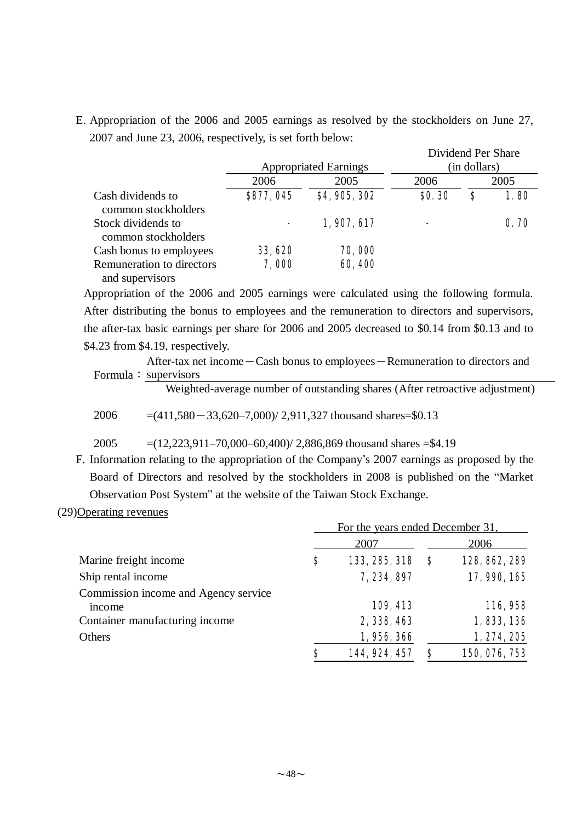E. Appropriation of the 2006 and 2005 earnings as resolved by the stockholders on June 27, 2007 and June 23, 2006, respectively, is set forth below:

|                                              | <b>Appropriated Earnings</b> | Dividend Per Share<br>(in dollars) |               |      |      |  |
|----------------------------------------------|------------------------------|------------------------------------|---------------|------|------|--|
|                                              | 2006                         | 2005                               | 2006          | 2005 |      |  |
| Cash dividends to<br>common stockholders     | \$877,045                    | \$4,905,302                        | <b>SO. 30</b> | \$   | 1.80 |  |
| Stock dividends to<br>common stockholders    | $\overline{\phantom{a}}$     | 1,907,617                          |               |      | 0.70 |  |
| Cash bonus to employees                      | 33, 620                      | 70,000                             |               |      |      |  |
| Remuneration to directors<br>and supervisors | 7,000                        | 60,400                             |               |      |      |  |

Appropriation of the 2006 and 2005 earnings were calculated using the following formula. After distributing the bonus to employees and the remuneration to directors and supervisors, the after-tax basic earnings per share for 2006 and 2005 decreased to \$0.14 from \$0.13 and to \$4.23 from \$4.19, respectively.

After-tax net income-Cash bonus to employees-Remuneration to directors and Formula: supervisors

Weighted-average number of outstanding shares (After retroactive adjustment)

2006  $=(411,580-33,620-7,000)/2,911,327$  thousand shares=\$0.13

2005 =(12,223,911–70,000–60,400)/ 2,886,869 thousand shares =\$4.19

- F. Information relating to the appropriation of the Company's 2007 earnings as proposed by the Board of Directors and resolved by the stockholders in 2008 is published on the "Market Observation Post System" at the website of the Taiwan Stock Exchange.
- (29)Operating revenues

|                                                | For the years ended December 31, |               |    |               |  |
|------------------------------------------------|----------------------------------|---------------|----|---------------|--|
|                                                |                                  | 2007          |    | 2006          |  |
| Marine freight income                          | \$                               | 133, 285, 318 | \$ | 128, 862, 289 |  |
| Ship rental income                             |                                  | 7, 234, 897   |    | 17, 990, 165  |  |
| Commission income and Agency service<br>income |                                  | 109, 413      |    | 116,958       |  |
| Container manufacturing income                 |                                  | 2,338,463     |    | 1,833,136     |  |
| Others                                         |                                  | 1,956,366     |    | 1, 274, 205   |  |
|                                                | \$                               | 144, 924, 457 | S  | 150, 076, 753 |  |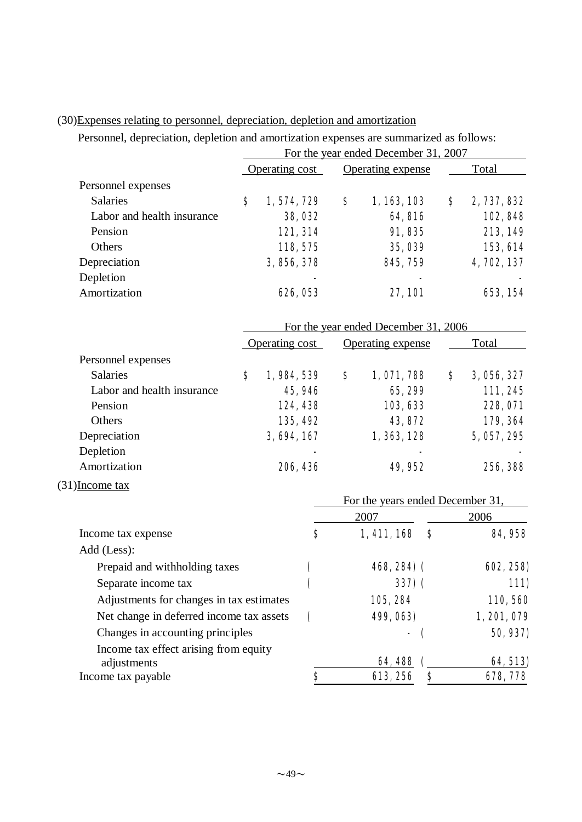| Personnel, depreciation, depletion and amortization expenses are summarized as follows: |                                          |                |                   |                                          |    |             |  |
|-----------------------------------------------------------------------------------------|------------------------------------------|----------------|-------------------|------------------------------------------|----|-------------|--|
|                                                                                         |                                          |                |                   | For the year ended December 31, 2007     |    |             |  |
|                                                                                         |                                          | Operating cost | Operating expense |                                          |    | Total       |  |
| Personnel expenses                                                                      |                                          |                |                   |                                          |    |             |  |
| <b>Salaries</b>                                                                         | \$                                       | 1,574,729      | \$                | 1, 163, 103                              | \$ | 2, 737, 832 |  |
| Labor and health insurance                                                              |                                          | <b>38, 032</b> |                   | <b>64,816</b>                            |    | 102,848     |  |
| Pension                                                                                 |                                          | 121, 314       |                   | 91,835                                   |    | 213, 149    |  |
| Others                                                                                  |                                          | 118, 575       |                   | 35,039                                   |    | 153, 614    |  |
| Depreciation                                                                            |                                          | 3, 856, 378    |                   | 845, 759                                 |    | 4, 702, 137 |  |
| Depletion                                                                               |                                          |                |                   |                                          |    |             |  |
| Amortization                                                                            |                                          | 626, 053       |                   | <b>27,101</b>                            |    | 653, 154    |  |
|                                                                                         |                                          |                |                   | For the year ended December 31, 2006     |    |             |  |
|                                                                                         |                                          | Operating cost |                   | <b>Operating expense</b>                 |    | Total       |  |
| Personnel expenses                                                                      |                                          |                |                   |                                          |    |             |  |
| <b>Salaries</b>                                                                         | $\bf{s}$                                 | 1,984,539      | \$                | 1,071,788                                | \$ | 3, 056, 327 |  |
| Labor and health insurance                                                              |                                          | 45,946         |                   | 65, 299                                  |    | 111,245     |  |
| Pension                                                                                 |                                          | 124, 438       |                   | 103, 633                                 |    | 228, 071    |  |
| Others                                                                                  |                                          | 135, 492       |                   | 43, 872                                  |    | 179, 364    |  |
| Depreciation                                                                            |                                          | 3, 694, 167    |                   | 1, 363, 128                              |    | 5, 057, 295 |  |
| Depletion                                                                               |                                          |                |                   |                                          |    |             |  |
| Amortization                                                                            |                                          | 206, 436       |                   | 49,952                                   |    | 256, 388    |  |
| $(31)$ Income tax                                                                       |                                          |                |                   |                                          |    |             |  |
|                                                                                         |                                          |                |                   | For the years ended December 31,<br>2007 |    | 2006        |  |
| Income tax expense                                                                      |                                          | \$             |                   | 1,411,168<br>S                           |    | 84, 958     |  |
| Add (Less):                                                                             |                                          |                |                   |                                          |    |             |  |
| Prepaid and withholding taxes                                                           |                                          | <sup>'</sup>   |                   | <b>468, 284) (</b>                       |    | 602, 258)   |  |
| Separate income tax                                                                     |                                          |                |                   | 337(                                     |    | <b>111)</b> |  |
|                                                                                         | Adjustments for changes in tax estimates |                |                   | 105, 284                                 |    | 110,560     |  |
| Net change in deferred income tax assets                                                |                                          | (              |                   | 499, 063)                                |    | 1, 201, 079 |  |
| Changes in accounting principles                                                        |                                          |                |                   |                                          |    | 50, 937)    |  |
| Income tax effect arising from equity                                                   |                                          |                |                   |                                          |    |             |  |
| adjustments                                                                             |                                          |                |                   | 64,488                                   |    | 64, 513)    |  |
| Income tax payable                                                                      |                                          | \$             |                   | 613, 256<br>S                            |    | 678, 778    |  |

# (30)Expenses relating to personnel, depreciation, depletion and amortization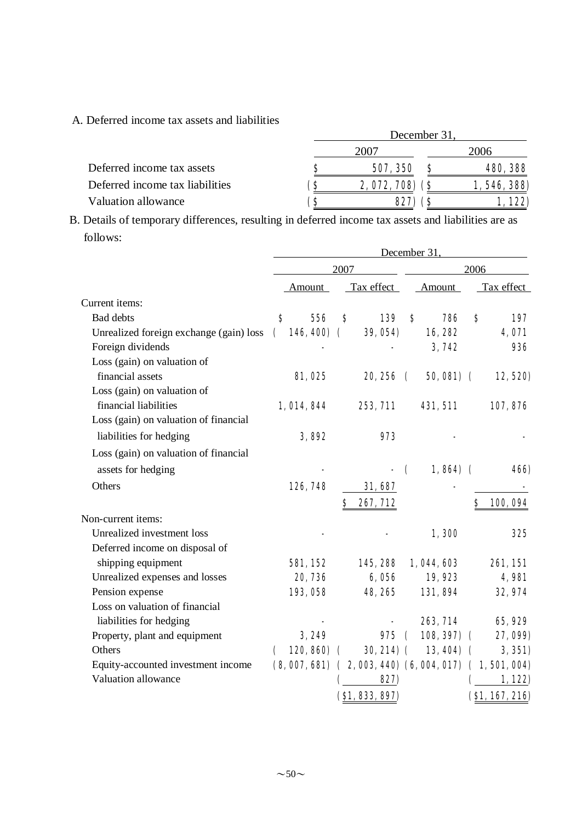#### A. Deferred income tax assets and liabilities

|                                 | December 31 |                |  |                 |  |  |
|---------------------------------|-------------|----------------|--|-----------------|--|--|
|                                 |             | 200'           |  | 2006            |  |  |
| Deferred income tax assets      | S           | 507, 350       |  | <b>480, 388</b> |  |  |
| Deferred income tax liabilities | (S          | 2,072,708) (\$ |  | 1, 546, 388)    |  |  |
| Valuation allowance             | S)          | <b>827) (S</b> |  | 1,122)          |  |  |

B. Details of temporary differences, resulting in deferred income tax assets and liabilities are as follows:

|                                                              | December 31.                                            |                    |                 |                         |                 |    |                 |
|--------------------------------------------------------------|---------------------------------------------------------|--------------------|-----------------|-------------------------|-----------------|----|-----------------|
|                                                              | 2007                                                    |                    |                 | 2006                    |                 |    |                 |
|                                                              | Amount                                                  |                    | Tax effect      |                         | Amount          |    | Tax effect      |
| Current items:                                               |                                                         |                    |                 |                         |                 |    |                 |
| <b>Bad debts</b>                                             | 556<br>S                                                | Ŝ                  | 139             | S                       | 786             | \$ | 197             |
| Unrealized foreign exchange (gain) loss<br>Foreign dividends | 146, 400)<br>$\mathcal{L}$                              | $\mathbf \epsilon$ | 39, 054)        |                         | 16,282<br>3,742 |    | 4,071<br>936    |
| Loss (gain) on valuation of                                  |                                                         |                    |                 |                         |                 |    |                 |
| financial assets                                             | <b>81, 025</b>                                          |                    | 20,256 (        |                         | $50,081)$ (     |    | 12, 520)        |
| Loss (gain) on valuation of                                  |                                                         |                    |                 |                         |                 |    |                 |
| financial liabilities                                        | 1, 014, 844                                             |                    | 253, 711        |                         | 431, 511        |    | 107,876         |
| Loss (gain) on valuation of financial                        |                                                         |                    |                 |                         |                 |    |                 |
| liabilities for hedging                                      | 3,892                                                   |                    | 973             |                         |                 |    |                 |
| Loss (gain) on valuation of financial                        |                                                         |                    |                 |                         |                 |    |                 |
| assets for hedging                                           |                                                         |                    |                 | $\overline{\mathbf{C}}$ | $1,864$ (       |    | <b>466</b>      |
| Others                                                       | 126, 748                                                |                    | 31,687          |                         |                 |    |                 |
|                                                              |                                                         |                    | 267, 712        |                         |                 |    | 100,094         |
|                                                              |                                                         |                    |                 |                         |                 |    |                 |
| Non-current items:<br>Unrealized investment loss             |                                                         |                    |                 |                         |                 |    |                 |
|                                                              |                                                         |                    |                 |                         | 1,300           |    | 325             |
| Deferred income on disposal of                               |                                                         |                    |                 |                         |                 |    |                 |
| shipping equipment                                           | 581, 152                                                |                    | 145, 288        |                         | 1,044,603       |    | <b>261, 151</b> |
| Unrealized expenses and losses                               | 20, 736                                                 |                    | 6,056           |                         | 19,923          |    | 4,981           |
| Pension expense<br>Loss on valuation of financial            | 193,058                                                 |                    | 48, 265         |                         | 131,894         |    | 32, 974         |
|                                                              |                                                         |                    |                 |                         |                 |    |                 |
| liabilities for hedging                                      |                                                         |                    |                 |                         | 263, 714        |    | 65,929          |
| Property, plant and equipment<br>Others                      | 3,249                                                   |                    | 975             | $\epsilon$              | $108, 397$ (    |    | 27, 099)        |
|                                                              | $120, 860$ (                                            |                    | $30, 214)$ (    |                         | $13,404)$ (     |    | 3,351)          |
| Equity-accounted investment income<br>Valuation allowance    | $(8,007,681)$ $(2,003,440)$ $(6,004,017)$ $(1,501,004)$ |                    | 827)            |                         |                 |    |                 |
|                                                              |                                                         |                    |                 |                         |                 |    | 1,122)          |
|                                                              |                                                         |                    | ( \$1, 83, 897) |                         |                 |    | (S1, 167, 216)  |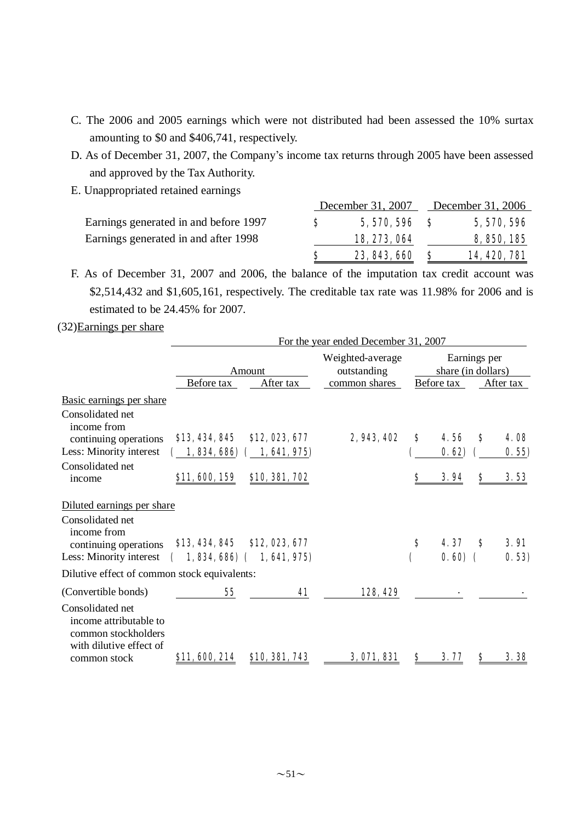- C. The 2006 and 2005 earnings which were not distributed had been assessed the 10% surtax amounting to \$0 and \$406,741, respectively.
- D. As of December 31, 2007, the Company's income tax returns through 2005 have been assessed and approved by the Tax Authority.
- E. Unappropriated retained earnings

|                                       |    | December 31, 2007 |   | December 31, 2006   |
|---------------------------------------|----|-------------------|---|---------------------|
| Earnings generated in and before 1997 | S. | $5,570,596$ \$    |   | 5, 570, 596         |
| Earnings generated in and after 1998  |    | 18, 273, 064      |   | 8, 850, 185         |
|                                       |    | 23, 843, 660      | S | <b>14, 420, 781</b> |

F. As of December 31, 2007 and 2006, the balance of the imputation tax credit account was \$2,514,432 and \$1,605,161, respectively. The creditable tax rate was 11.98% for 2006 and is estimated to be 24.45% for 2007.

(32)Earnings per share

|                                                                                                              |                |                                             | For the year ended December 31, 2007 |                                    |                   |    |                      |  |
|--------------------------------------------------------------------------------------------------------------|----------------|---------------------------------------------|--------------------------------------|------------------------------------|-------------------|----|----------------------|--|
|                                                                                                              |                | Amount                                      | Weighted-average<br>outstanding      | Earnings per<br>share (in dollars) |                   |    |                      |  |
|                                                                                                              | Before tax     | After tax                                   | common shares                        |                                    | Before tax        |    | After tax            |  |
| Basic earnings per share<br>Consolidated net<br>income from<br>continuing operations                         | \$13, 434, 845 | \$12,023,677                                | 2, 943, 402                          | S                                  | 4.56              | S  | <b>4. QS</b>         |  |
| Less: Minority interest                                                                                      | 1, 834, 686)   | 1, 641, 975                                 |                                      |                                    | 0.62              |    | 0.55)                |  |
| Consolidated net<br>income                                                                                   | \$11,600,159   | \$10, 381, 702                              |                                      | S                                  | 3.94              | \$ | 3.53                 |  |
| Diluted earnings per share                                                                                   |                |                                             |                                      |                                    |                   |    |                      |  |
| Consolidated net<br>income from<br>continuing operations<br>Less: Minority interest                          | \$13, 434, 845 | \$12,023,677<br>$1,834,686$ ( $1,641,975$ ) |                                      | S                                  | 4.37<br>$0.600$ ( | S  | <b>3.91</b><br>0.53) |  |
| Dilutive effect of common stock equivalents:                                                                 |                |                                             |                                      |                                    |                   |    |                      |  |
| (Convertible bonds)                                                                                          | 55             | 41                                          | 128, 429                             |                                    |                   |    |                      |  |
| Consolidated net<br>income attributable to<br>common stockholders<br>with dilutive effect of<br>common stock | \$11, 600, 214 | \$10, 381, 743                              | 3,071,831                            | Ş                                  | 3.77              | Ş  | 3.38                 |  |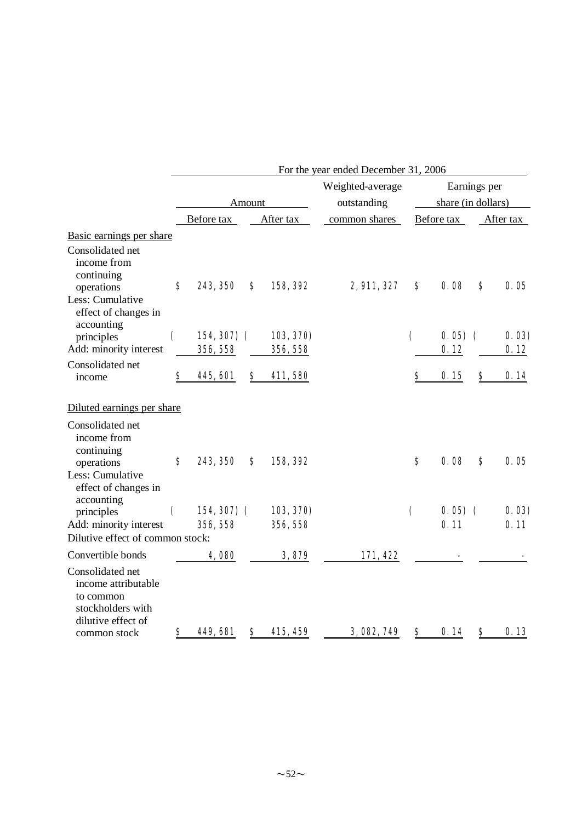|                                                                                                 | For the year ended December 31, 2006 |                          |        |                       |               |                    |                    |    |               |
|-------------------------------------------------------------------------------------------------|--------------------------------------|--------------------------|--------|-----------------------|---------------|--------------------|--------------------|----|---------------|
|                                                                                                 |                                      |                          |        | Weighted-average      | Earnings per  |                    |                    |    |               |
|                                                                                                 |                                      |                          | Amount |                       | outstanding   |                    | share (in dollars) |    |               |
|                                                                                                 |                                      | Before tax               |        | After tax             | common shares |                    | Before tax         |    | After tax     |
| Basic earnings per share                                                                        |                                      |                          |        |                       |               |                    |                    |    |               |
| Consolidated net<br>income from<br>continuing<br>operations                                     | \$                                   | 243, 350                 | S      | 158, 392              | 2, 911, 327   | S                  | 0.08               | S  | 0.05          |
| Less: Cumulative<br>effect of changes in<br>accounting                                          |                                      |                          |        |                       |               |                    |                    |    |               |
| principles<br>Add: minority interest                                                            | $\mathbf \epsilon$                   | $154,307)$ (<br>356, 558 |        | 103, 370)<br>356, 558 |               | $\overline{ }$     | $0.05$ (<br>0.12   |    | 0.03)<br>0.12 |
| Consolidated net                                                                                |                                      |                          |        |                       |               |                    |                    |    |               |
| income                                                                                          | \$                                   | 445, 601                 | \$     | 411,580               |               | \$                 | 0.15               | \$ | 0.14          |
| Diluted earnings per share                                                                      |                                      |                          |        |                       |               |                    |                    |    |               |
| Consolidated net<br>income from<br>continuing<br>operations                                     | $\bf{s}$                             | 243, 350                 | S      | 158, 392              |               | $\bf{s}$           | 0.08               | S  | 0.05          |
| Less: Cumulative<br>effect of changes in<br>accounting                                          |                                      |                          |        |                       |               |                    |                    |    |               |
| principles                                                                                      | $\mathbf \epsilon$                   | $154,307$ (              |        | 103, 370)             |               | $\mathbf \epsilon$ | $0.05)$ (          |    | 0.03)         |
| Add: minority interest<br>Dilutive effect of common stock:                                      |                                      | 356, 558                 |        | 356, 558              |               |                    | 0.11               |    | 0.11          |
| Convertible bonds                                                                               |                                      | 4,080                    |        | 3,879                 | 171, 422      |                    |                    |    |               |
| Consolidated net<br>income attributable<br>to common<br>stockholders with<br>dilutive effect of |                                      |                          |        |                       |               |                    |                    |    |               |
| common stock                                                                                    | \$                                   | <b>449, 681</b>          | \$     | 415, 459              | 3,082,749     | \$                 | 0.14               | \$ | 0.13          |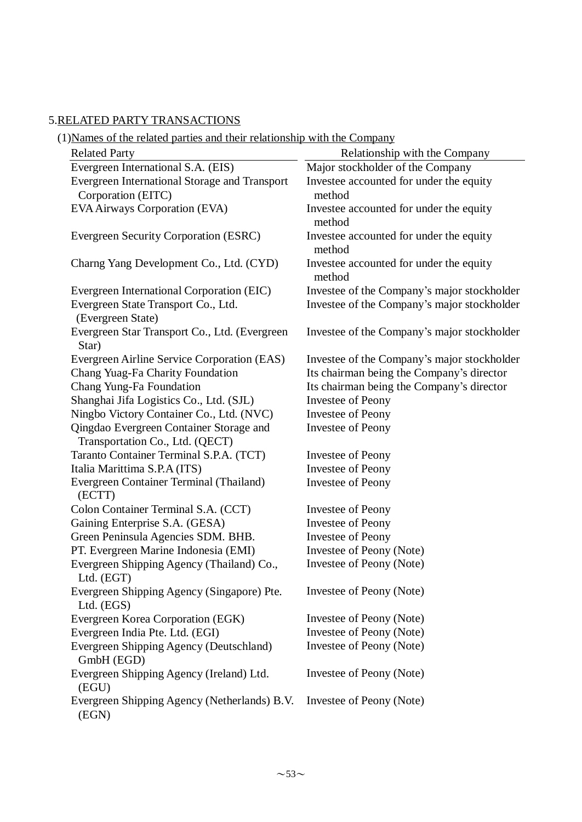# 5.RELATED PARTY TRANSACTIONS

| <b>Related Party</b>                                                       | Relationship with the Company                     |
|----------------------------------------------------------------------------|---------------------------------------------------|
| Evergreen International S.A. (EIS)                                         | Major stockholder of the Company                  |
| Evergreen International Storage and Transport<br>Corporation (EITC)        | Investee accounted for under the equity<br>method |
| EVA Airways Corporation (EVA)                                              | Investee accounted for under the equity<br>method |
| Evergreen Security Corporation (ESRC)                                      | Investee accounted for under the equity<br>method |
| Charng Yang Development Co., Ltd. (CYD)                                    | Investee accounted for under the equity<br>method |
| Evergreen International Corporation (EIC)                                  | Investee of the Company's major stockholder       |
| Evergreen State Transport Co., Ltd.<br>(Evergreen State)                   | Investee of the Company's major stockholder       |
| Evergreen Star Transport Co., Ltd. (Evergreen<br>Star)                     | Investee of the Company's major stockholder       |
| Evergreen Airline Service Corporation (EAS)                                | Investee of the Company's major stockholder       |
| Chang Yuag-Fa Charity Foundation                                           | Its chairman being the Company's director         |
| Chang Yung-Fa Foundation                                                   | Its chairman being the Company's director         |
| Shanghai Jifa Logistics Co., Ltd. (SJL)                                    | <b>Investee of Peony</b>                          |
| Ningbo Victory Container Co., Ltd. (NVC)                                   | <b>Investee of Peony</b>                          |
| Qingdao Evergreen Container Storage and<br>Transportation Co., Ltd. (QECT) | <b>Investee of Peony</b>                          |
| Taranto Container Terminal S.P.A. (TCT)                                    | Investee of Peony                                 |
| Italia Marittima S.P.A (ITS)                                               | <b>Investee of Peony</b>                          |
| Evergreen Container Terminal (Thailand)<br>(ECTT)                          | <b>Investee of Peony</b>                          |
| Colon Container Terminal S.A. (CCT)                                        | Investee of Peony                                 |
| Gaining Enterprise S.A. (GESA)                                             | <b>Investee of Peony</b>                          |
| Green Peninsula Agencies SDM. BHB.                                         | <b>Investee of Peony</b>                          |
| PT. Evergreen Marine Indonesia (EMI)                                       | Investee of Peony (Note)                          |
| Evergreen Shipping Agency (Thailand) Co.,<br>Ltd. (EGT)                    | Investee of Peony (Note)                          |
| Evergreen Shipping Agency (Singapore) Pte.<br>Ltd. (EGS)                   | Investee of Peony (Note)                          |
| Evergreen Korea Corporation (EGK)                                          | Investee of Peony (Note)                          |
| Evergreen India Pte. Ltd. (EGI)                                            | Investee of Peony (Note)                          |
| Evergreen Shipping Agency (Deutschland)<br>GmbH (EGD)                      | Investee of Peony (Note)                          |
| Evergreen Shipping Agency (Ireland) Ltd.<br>(EGU)                          | Investee of Peony (Note)                          |
| Evergreen Shipping Agency (Netherlands) B.V.<br>(EGN)                      | Investee of Peony (Note)                          |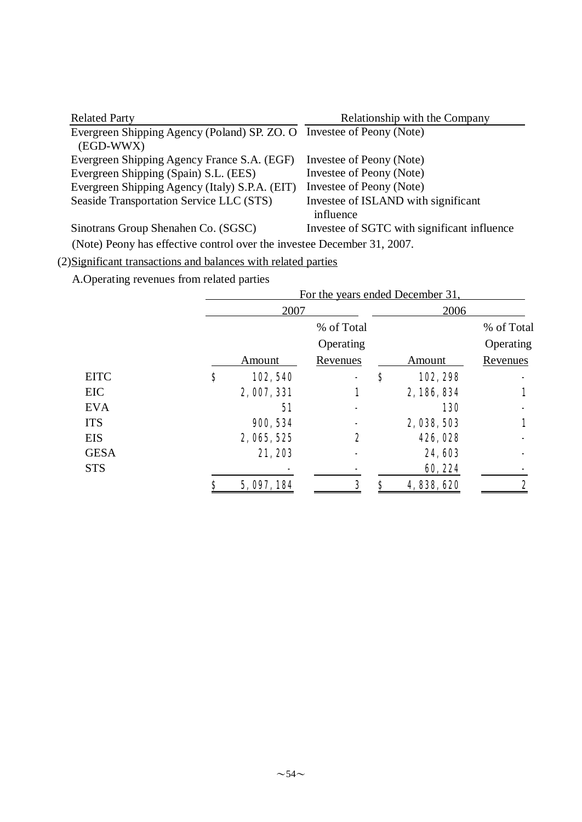| <b>Related Party</b>                                                               | Relationship with the Company                    |
|------------------------------------------------------------------------------------|--------------------------------------------------|
| Evergreen Shipping Agency (Poland) SP. ZO. O Investee of Peony (Note)<br>(EGD-WWX) |                                                  |
| Evergreen Shipping Agency France S.A. (EGF)                                        | Investee of Peony (Note)                         |
| Evergreen Shipping (Spain) S.L. (EES)                                              | Investee of Peony (Note)                         |
| Evergreen Shipping Agency (Italy) S.P.A. (EIT)                                     | Investee of Peony (Note)                         |
| Seaside Transportation Service LLC (STS)                                           | Investee of ISLAND with significant<br>influence |
| Sinotrans Group Shenahen Co. (SGSC)                                                | Investee of SGTC with significant influence      |
|                                                                                    |                                                  |

(Note) Peony has effective control over the investee December 31, 2007.

# (2)Significant transactions and balances with related parties

A.Operating revenues from related parties

|             | For the years ended December 31, |                 |    |             |                 |  |  |  |
|-------------|----------------------------------|-----------------|----|-------------|-----------------|--|--|--|
|             | 2007                             |                 |    | 2006        |                 |  |  |  |
|             |                                  | % of Total      |    |             | % of Total      |  |  |  |
|             |                                  | Operating       |    |             | Operating       |  |  |  |
|             | Amount                           | <u>Revenues</u> |    | Amount      | <u>Revenues</u> |  |  |  |
| <b>EITC</b> | \$<br>102,540                    |                 | \$ | 102, 298    |                 |  |  |  |
| EIC         | 2,007,331                        | 1               |    | 2, 186, 834 |                 |  |  |  |
| <b>EVA</b>  | 51                               |                 |    | <b>130</b>  |                 |  |  |  |
| <b>ITS</b>  | 900, 534                         |                 |    | 2,038,503   |                 |  |  |  |
| <b>EIS</b>  | 2, 065, 525                      | 2               |    | 426, 028    |                 |  |  |  |
| <b>GESA</b> | 21,203                           |                 |    | 24,603      |                 |  |  |  |
| <b>STS</b>  |                                  |                 |    | 60, 224     |                 |  |  |  |
|             | \$<br>5, 097, 184                | 3               |    | 4,838,620   | 2               |  |  |  |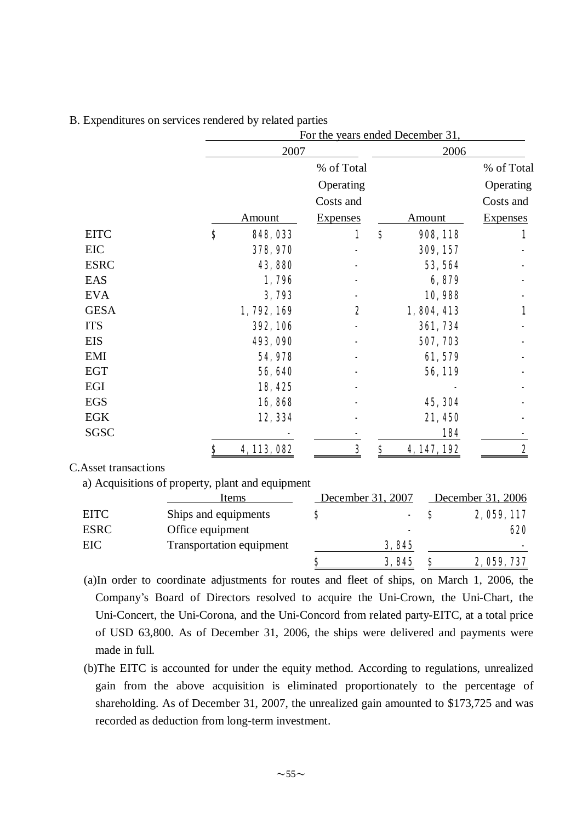|             |                             | For the years ended December 31, |          |                 |                 |
|-------------|-----------------------------|----------------------------------|----------|-----------------|-----------------|
|             | 2007                        |                                  |          | 2006            |                 |
|             |                             | % of Total                       |          |                 | % of Total      |
|             |                             | Operating                        |          |                 | Operating       |
|             |                             | Costs and                        |          |                 | Costs and       |
|             | Amount                      | <b>Expenses</b>                  |          | <b>Amount</b>   | <b>Expenses</b> |
| <b>EITC</b> | $\bf{s}$<br><b>848, 033</b> | 1                                | $\bf{s}$ | 908, 118        | 1               |
| EIC         | 378, 970                    |                                  |          | 309, 157        |                 |
| <b>ESRC</b> | 43,880                      |                                  |          | 53, 564         |                 |
| EAS         | 1,796                       |                                  |          | 6,879           |                 |
| <b>EVA</b>  | 3,793                       |                                  |          | 10,988          |                 |
| <b>GESA</b> | 1,792,169                   | 2                                |          | 1,804,413       | 1               |
| <b>ITS</b>  | <b>392, 106</b>             |                                  |          | <b>361, 734</b> |                 |
| <b>EIS</b>  | 493, 090                    |                                  |          | 507, 703        |                 |
| <b>EMI</b>  | 54,978                      |                                  |          | 61,579          |                 |
| <b>EGT</b>  | 56,640                      |                                  |          | 56,119          |                 |
| EGI         | 18,425                      |                                  |          |                 |                 |
| <b>EGS</b>  | 16,868                      |                                  |          | 45, 304         |                 |
| <b>EGK</b>  | 12, 334                     |                                  |          | 21,450          |                 |
| SGSC        |                             |                                  |          | 184             |                 |
|             | 4, 113, 082<br>\$           | 3                                | \$       | 4, 147, 192     | 2               |

### B. Expenditures on services rendered by related parties

C.Asset transactions

a) Acquisitions of property, plant and equipment

|             | Items                    | December 31, 2007        | December 31, 2006 |
|-------------|--------------------------|--------------------------|-------------------|
| <b>EITC</b> | Ships and equipments     |                          | 2, 059, 117       |
| <b>ESRC</b> | Office equipment         | $\overline{\phantom{0}}$ | 620               |
| EIC         | Transportation equipment | <b>3,845</b>             | -                 |
|             |                          | 3,845                    | 2, 059, 737       |

(a)In order to coordinate adjustments for routes and fleet of ships, on March 1, 2006, the Company's Board of Directors resolved to acquire the Uni-Crown, the Uni-Chart, the Uni-Concert, the Uni-Corona, and the Uni-Concord from related party-EITC, at a total price of USD 63,800. As of December 31, 2006, the ships were delivered and payments were made in full.

(b)The EITC is accounted for under the equity method. According to regulations, unrealized gain from the above acquisition is eliminated proportionately to the percentage of shareholding. As of December 31, 2007, the unrealized gain amounted to \$173,725 and was recorded as deduction from long-term investment.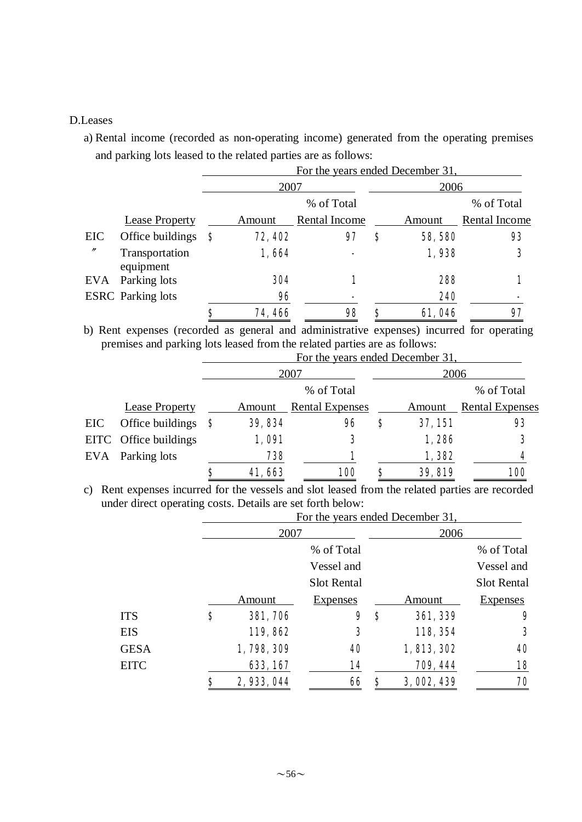#### D.Leases

a) Rental income (recorded as non-operating income) generated from the operating premises and parking lots leased to the related parties are as follows:

|                   |                             |     | For the years ended December 31, |               |      |               |                      |
|-------------------|-----------------------------|-----|----------------------------------|---------------|------|---------------|----------------------|
|                   |                             |     | 2007                             |               | 2006 |               |                      |
|                   |                             |     |                                  | % of Total    |      |               | % of Total           |
|                   | <b>Lease Property</b>       |     | Amount                           | Rental Income |      | Amount        | <b>Rental Income</b> |
| EIC               | Office buildings            | - 8 | 72, 402                          | 97            | S    | 58,580        | 93                   |
| $^{\prime\prime}$ | Transportation<br>equipment |     | 1,664                            |               |      | 1,938         | 3                    |
| EVA               | Parking lots                |     | 304                              |               |      | 288           |                      |
|                   | <b>ESRC</b> Parking lots    |     | 96                               |               |      | 240           |                      |
|                   |                             | Ş   | 74,466                           | 98            |      | <b>61,046</b> | 97                   |

b) Rent expenses (recorded as general and administrative expenses) incurred for operating premises and parking lots leased from the related parties are as follows:

|     |                       |    | For the years ended December 31, |                        |   |         |                        |
|-----|-----------------------|----|----------------------------------|------------------------|---|---------|------------------------|
|     |                       |    |                                  | 2007                   |   | 2006    |                        |
|     |                       |    |                                  | % of Total             |   |         | % of Total             |
|     | <b>Lease Property</b> |    | Amount                           | <b>Rental Expenses</b> |   | Amount  | <b>Rental Expenses</b> |
| EIC | Office buildings      | -S | 39, 834                          | 96                     | S | 37, 151 | 93                     |
|     | EITC Office buildings |    | 1,091                            | 3                      |   | 1,286   | 3                      |
| EVA | Parking lots          |    | 738                              | 1                      |   | 1,382   | 4                      |
|     |                       | S  | 41,663                           | <b>100</b>             | S | 39, 819 | <b>100</b>             |

c) Rent expenses incurred for the vessels and slot leased from the related parties are recorded under direct operating costs. Details are set forth below:

|             | For the years ended December 31, |                    |    |             |                    |
|-------------|----------------------------------|--------------------|----|-------------|--------------------|
|             | 2007                             |                    |    | 2006        |                    |
|             |                                  | % of Total         |    |             | % of Total         |
|             |                                  | Vessel and         |    |             | Vessel and         |
|             |                                  | <b>Slot Rental</b> |    |             | <b>Slot Rental</b> |
|             | Amount                           | <b>Expenses</b>    |    | Amount      | <b>Expenses</b>    |
| <b>ITS</b>  | \$<br><b>381, 706</b>            | 9                  | \$ | 361, 339    | 9                  |
| <b>EIS</b>  | 119,862                          | 3                  |    | 118, 354    | 3                  |
| <b>GESA</b> | 1,798,309                        | 40                 |    | 1, 813, 302 | 40                 |
| <b>EITC</b> | 633, 167                         | 14                 |    | 709, 444    | 18                 |
|             | 2,933,044                        | 66                 | Ş  | 3,002,439   | 70                 |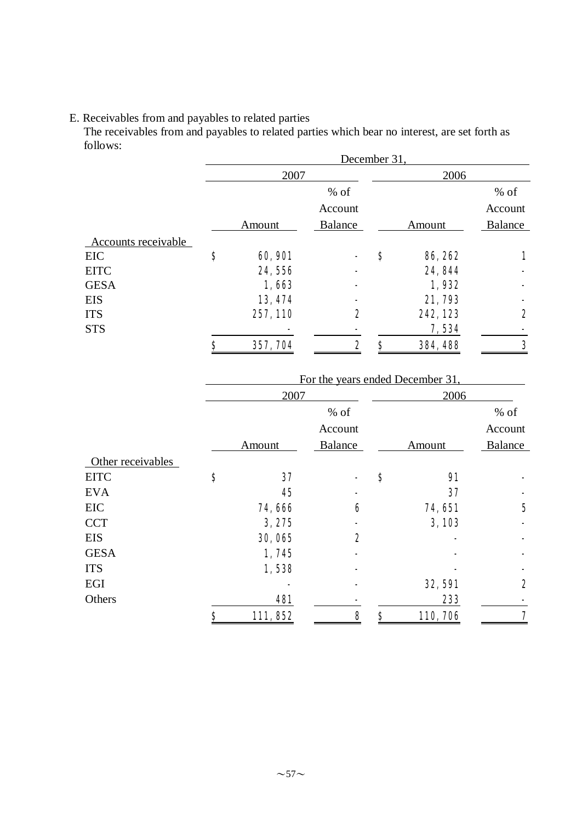#### E. Receivables from and payables to related parties

The receivables from and payables to related parties which bear no interest, are set forth as follows:

| December 31,         |                |    |          |         |  |
|----------------------|----------------|----|----------|---------|--|
| 2007                 |                |    | 2006     |         |  |
|                      | $%$ of         |    |          | $%$ of  |  |
|                      | Account        |    |          | Account |  |
| Amount               | <b>Balance</b> |    | Amount   | Balance |  |
|                      |                |    |          |         |  |
| \$<br><b>60, 901</b> |                | \$ | 86, 262  |         |  |
| 24,556               |                |    | 24, 844  |         |  |
| 1,663                |                |    | 1,932    |         |  |
| 13, 474              |                |    | 21,793   |         |  |
| 257, 110             | 2              |    | 242, 123 | 2       |  |
|                      |                |    | 7,534    |         |  |
| \$<br>357, 704       | 2              | Ş  | 384, 488 | 3       |  |
|                      |                |    |          |         |  |

|                   |                |         | For the years ended December 31, |                |
|-------------------|----------------|---------|----------------------------------|----------------|
|                   | 2007           |         | 2006                             |                |
|                   |                | $%$ of  |                                  | $%$ of         |
|                   |                | Account |                                  | Account        |
|                   | Amount         | Balance | Amount                           | <b>Balance</b> |
| Other receivables |                |         |                                  |                |
| <b>EITC</b>       | \$<br>37       |         | \$<br>$\mathbf{M}$               |                |
| <b>EVA</b>        | 45             |         | 37                               |                |
| EIC               | 74,666         | 6       | 74, 651                          | $\mathbf 5$    |
| <b>CCT</b>        | 3,275          |         | 3,103                            |                |
| <b>EIS</b>        | 30,065         | 2       |                                  |                |
| <b>GESA</b>       | 1,745          |         |                                  |                |
| <b>ITS</b>        | 1,538          |         |                                  |                |
| EGI               |                |         | <b>32, 591</b>                   | 2              |
| Others            | 481            |         | 233                              |                |
|                   | \$<br>111, 852 | 8       | \$<br>110, 706                   | 7              |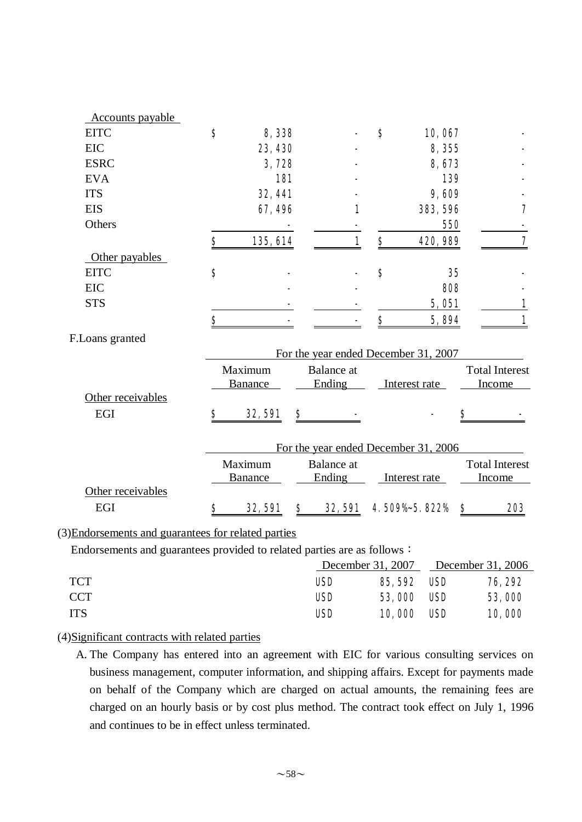| <u>Accounts</u> payable |                      |                                      |                                |                  |                       |
|-------------------------|----------------------|--------------------------------------|--------------------------------|------------------|-----------------------|
| <b>EITC</b>             | \$<br>8,338          |                                      | $\boldsymbol{s}$               | 10,067           |                       |
| <b>EIC</b>              | 23, 430              |                                      |                                | 8,355            |                       |
| <b>ESRC</b>             | 3,728                |                                      |                                | 8,673            |                       |
| <b>EVA</b>              | <b>181</b>           |                                      |                                | 139              |                       |
| <b>ITS</b>              | 32, 441              |                                      |                                | 9,609            |                       |
| <b>EIS</b>              | 67,496               |                                      | 1                              | 383, 596         | 7                     |
| Others                  |                      |                                      |                                | 550              |                       |
|                         | \$<br>135, 614       |                                      | 1<br>$\boldsymbol{\mathsf{S}}$ | 420, 989         | 7                     |
| Other payables          |                      |                                      |                                |                  |                       |
| <b>EITC</b>             | \$                   |                                      | \$                             | 35               |                       |
| <b>EIC</b>              |                      |                                      |                                | 808              |                       |
| <b>STS</b>              |                      |                                      |                                | 5,051            |                       |
|                         | \$                   |                                      | \$                             | 5,894            | 1                     |
| F.Loans granted         |                      |                                      |                                |                  |                       |
|                         |                      | For the year ended December 31, 2007 |                                |                  |                       |
|                         | Maximum              | <b>Balance</b> at                    |                                |                  | <b>Total Interest</b> |
|                         | <b>Banance</b>       | Ending                               |                                | Interest rate    | Income                |
| Other receivables       |                      |                                      |                                |                  |                       |
| EGI                     | \$<br><b>32, 591</b> | \$                                   |                                |                  | \$                    |
|                         |                      |                                      |                                |                  |                       |
|                         |                      | For the year ended December 31, 2006 |                                |                  |                       |
|                         | Maximum              | <b>Balance</b> at                    |                                |                  | <b>Total Interest</b> |
|                         | <b>Banance</b>       | Ending                               |                                | Interest rate    | Income                |
| Other receivables       |                      |                                      |                                |                  |                       |
| EGI                     | \$<br><b>32, 591</b> | \$<br><b>32, 591</b>                 |                                | 4.509%-5.822% \$ | 203                   |

#### (3)Endorsements and guarantees for related parties

Endorsements and guarantees provided to related parties are as follows:

|            |            |                    |            | December 31, 2007 December 31, 2006 |
|------------|------------|--------------------|------------|-------------------------------------|
| TCT        | <b>USD</b> | <b>85, 592 USD</b> |            | <b>76, 292</b>                      |
| CCT.       | <b>USD</b> | <b>53,000</b>      | <b>USD</b> | 53,000                              |
| <b>ITS</b> | <b>USD</b> | <b>10,000</b>      | <b>USD</b> | 10,000                              |

### (4)Significant contracts with related parties

A. The Company has entered into an agreement with EIC for various consulting services on business management, computer information, and shipping affairs. Except for payments made on behalf of the Company which are charged on actual amounts, the remaining fees are charged on an hourly basis or by cost plus method. The contract took effect on July 1, 1996 and continues to be in effect unless terminated.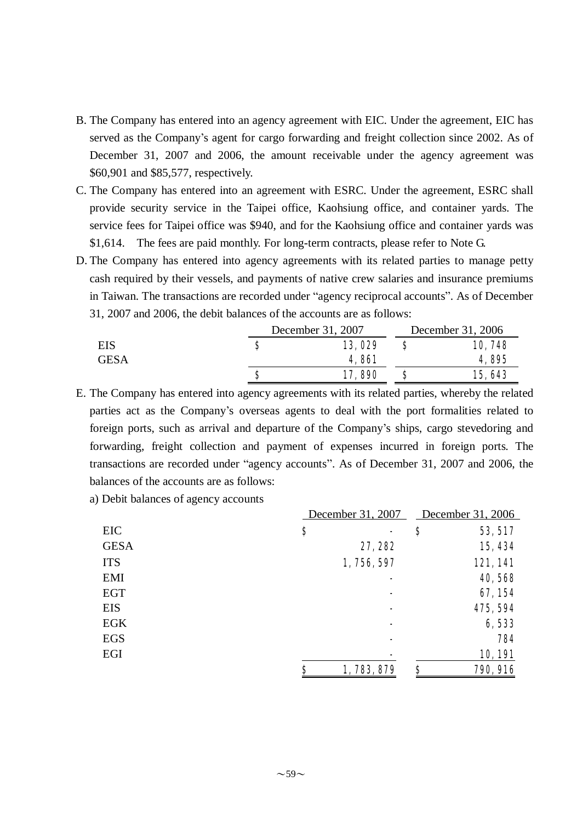- B. The Company has entered into an agency agreement with EIC. Under the agreement, EIC has served as the Company's agent for cargo forwarding and freight collection since 2002. As of December 31, 2007 and 2006, the amount receivable under the agency agreement was \$60,901 and \$85,577, respectively.
- C. The Company has entered into an agreement with ESRC. Under the agreement, ESRC shall provide security service in the Taipei office, Kaohsiung office, and container yards. The service fees for Taipei office was \$940, and for the Kaohsiung office and container yards was \$1,614. The fees are paid monthly. For long-term contracts, please refer to Note G.
- D. The Company has entered into agency agreements with its related parties to manage petty cash required by their vessels, and payments of native crew salaries and insurance premiums in Taiwan. The transactions are recorded under "agency reciprocal accounts". As of December 31, 2007 and 2006, the debit balances of the accounts are as follows:

|             |   | December 31, 2007 | December 31, 2006 |        |
|-------------|---|-------------------|-------------------|--------|
| EIS         | S | 13,029            |                   | 10,748 |
| <b>GESA</b> |   | <b>4,861</b>      |                   | 4,895  |
|             | S | <b>17,890</b>     |                   | 15,643 |

E. The Company has entered into agency agreements with its related parties, whereby the related parties act as the Company's overseas agents to deal with the port formalities related to foreign ports, such as arrival and departure of the Company's ships, cargo stevedoring and forwarding, freight collection and payment of expenses incurred in foreign ports. The transactions are recorded under "agency accounts". As of December 31, 2007 and 2006, the balances of the accounts are as follows:

a) Debit balances of agency accounts

|             | December 31, 2007 | December 31, 2006     |
|-------------|-------------------|-----------------------|
| EIC         | \$                | \$<br>53, 517         |
| <b>GESA</b> | 27, 282           | 15, 434               |
| <b>ITS</b>  | 1,756,597         | 121,141               |
| <b>EMI</b>  |                   | 40,568                |
| <b>EGT</b>  |                   | 67, 154               |
| <b>EIS</b>  |                   | 475, 594              |
| <b>EGK</b>  |                   | 6,533                 |
| <b>EGS</b>  |                   | 784                   |
| EGI         |                   | 10,191                |
|             | \$<br>1,783,879   | \$<br><b>790, 916</b> |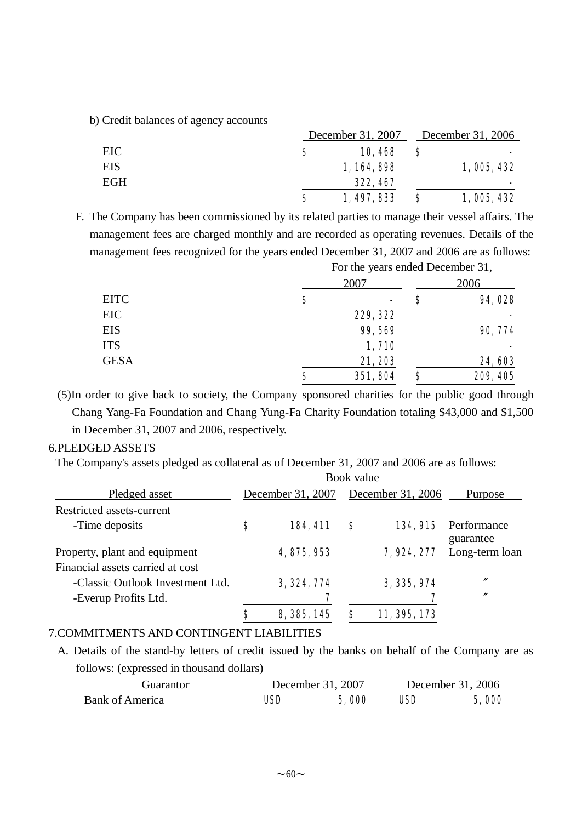b) Credit balances of agency accounts

|     | December 31, 2007 |             |  | December 31, 2006 |
|-----|-------------------|-------------|--|-------------------|
| EIC | S                 | 10,468      |  |                   |
| EIS |                   | 1, 164, 898 |  | 1,005,432         |
| EGH |                   | 322, 467    |  | -                 |
|     | S                 | 1, 497, 833 |  | 1,005,432         |

F. The Company has been commissioned by its related parties to manage their vessel affairs. The management fees are charged monthly and are recorded as operating revenues. Details of the management fees recognized for the years ended December 31, 2007 and 2006 are as follows:

|             |    | For the years ended December 31, |   |          |  |  |  |  |  |
|-------------|----|----------------------------------|---|----------|--|--|--|--|--|
| <b>EITC</b> |    | 2007                             |   |          |  |  |  |  |  |
|             | \$ | -                                | Ş | 94,028   |  |  |  |  |  |
| EIC         |    | 229, 322                         |   |          |  |  |  |  |  |
| <b>EIS</b>  |    | 99,569                           |   | 90, 774  |  |  |  |  |  |
| <b>ITS</b>  |    | 1,710                            |   |          |  |  |  |  |  |
| <b>GESA</b> |    | 21,203                           |   | 24,603   |  |  |  |  |  |
|             | Ş  | 351, 804                         | Ş | 209, 405 |  |  |  |  |  |

(5)In order to give back to society, the Company sponsored charities for the public good through Chang Yang-Fa Foundation and Chang Yung-Fa Charity Foundation totaling \$43,000 and \$1,500 in December 31, 2007 and 2006, respectively.

### 6.PLEDGED ASSETS

The Company's assets pledged as collateral as of December 31, 2007 and 2006 are as follows:

|                                                                   | Book value        |   |                   |                          |
|-------------------------------------------------------------------|-------------------|---|-------------------|--------------------------|
| Pledged asset                                                     | December 31, 2007 |   | December 31, 2006 | <b>Purpose</b>           |
| Restricted assets-current                                         |                   |   |                   |                          |
| -Time deposits                                                    | \$<br>184, 411    | S | <b>134, 915</b>   | Performance<br>guarantee |
| Property, plant and equipment<br>Financial assets carried at cost | 4, 875, 953       |   | 7,924, 277        | Long-term loan           |
| -Classic Outlook Investment Ltd.                                  | 3, 324, 774       |   | 3, 335, 974       | $^{\prime\prime}$        |
| -Everup Profits Ltd.                                              |                   |   | 7                 | $^{\prime\prime}$        |
|                                                                   | 8, 385, 145       | S | 11, 395, 173      |                          |

### 7.COMMITMENTS AND CONTINGENT LIABILITIES

A. Details of the stand-by letters of credit issued by the banks on behalf of the Company are as follows: (expressed in thousand dollars)

| Guarantor              |     | December 31, 2007 | December 31, 2006 |       |  |  |
|------------------------|-----|-------------------|-------------------|-------|--|--|
| <b>Bank of America</b> | USD | 5,000             | USD               | 5,000 |  |  |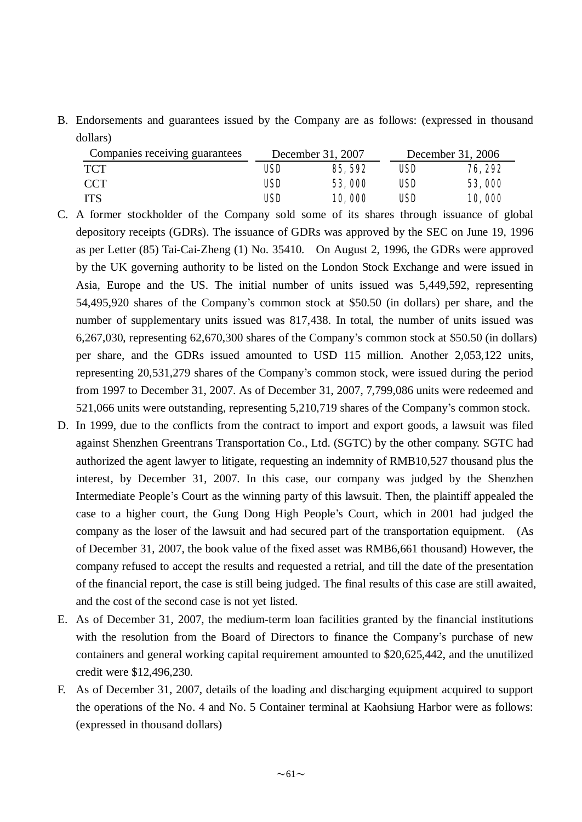B. Endorsements and guarantees issued by the Company are as follows: (expressed in thousand dollars)

| Companies receiving guarantees |     | December 31, 2007 | December 31, 2006 |                |  |  |
|--------------------------------|-----|-------------------|-------------------|----------------|--|--|
| TCT                            | USD | <b>85, 592</b>    | USD               | <b>76, 292</b> |  |  |
| CCT                            | USD | <b>53,000</b>     | USD               | 53,000         |  |  |
| ITS                            | USD | <b>10,000</b>     | USD               | 10,000         |  |  |

- C. A former stockholder of the Company sold some of its shares through issuance of global depository receipts (GDRs). The issuance of GDRs was approved by the SEC on June 19, 1996 as per Letter (85) Tai-Cai-Zheng (1) No. 35410. On August 2, 1996, the GDRs were approved by the UK governing authority to be listed on the London Stock Exchange and were issued in Asia, Europe and the US. The initial number of units issued was 5,449,592, representing 54,495,920 shares of the Company's common stock at \$50.50 (in dollars) per share, and the number of supplementary units issued was 817,438. In total, the number of units issued was 6,267,030, representing 62,670,300 shares of the Company's common stock at \$50.50 (in dollars) per share, and the GDRs issued amounted to USD 115 million. Another 2,053,122 units, representing 20,531,279 shares of the Company's common stock, were issued during the period from 1997 to December 31, 2007. As of December 31, 2007, 7,799,086 units were redeemed and 521,066 units were outstanding, representing 5,210,719 shares of the Company's common stock.
- D. In 1999, due to the conflicts from the contract to import and export goods, a lawsuit was filed against Shenzhen Greentrans Transportation Co., Ltd. (SGTC) by the other company. SGTC had authorized the agent lawyer to litigate, requesting an indemnity of RMB10,527 thousand plus the interest, by December 31, 2007. In this case, our company was judged by the Shenzhen Intermediate People's Court as the winning party of this lawsuit. Then, the plaintiff appealed the case to a higher court, the Gung Dong High People's Court, which in 2001 had judged the company as the loser of the lawsuit and had secured part of the transportation equipment. (As of December 31, 2007, the book value of the fixed asset was RMB6,661 thousand) However, the company refused to accept the results and requested a retrial, and till the date of the presentation of the financial report, the case is still being judged. The final results of this case are still awaited, and the cost of the second case is not yet listed.
- E. As of December 31, 2007, the medium-term loan facilities granted by the financial institutions with the resolution from the Board of Directors to finance the Company's purchase of new containers and general working capital requirement amounted to \$20,625,442, and the unutilized credit were \$12,496,230.
- F. As of December 31, 2007, details of the loading and discharging equipment acquired to support the operations of the No. 4 and No. 5 Container terminal at Kaohsiung Harbor were as follows: (expressed in thousand dollars)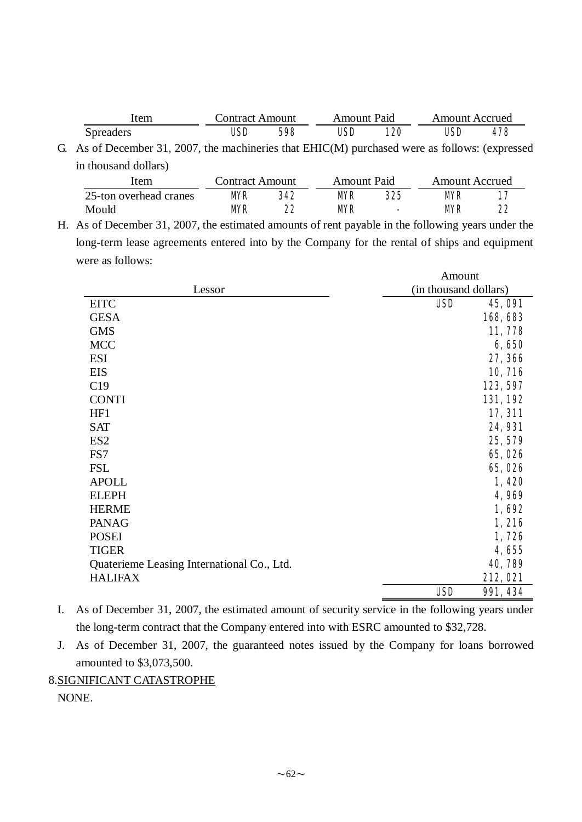| Item             | Contract Amount |     | Amount Paid |     | <b>Amount Accrued</b> |     |  |  |
|------------------|-----------------|-----|-------------|-----|-----------------------|-----|--|--|
| <b>Spreaders</b> | USD             | 598 | USD         | 120 | USD                   | 478 |  |  |

G. As of December 31, 2007, the machineries that EHIC(M) purchased were as follows: (expressed in thousand dollars)

| item                   |    | Amount Paid |           |        | Contract Amount<br>Amount Accrued |    |  |  |  |
|------------------------|----|-------------|-----------|--------|-----------------------------------|----|--|--|--|
| 25-ton overhead cranes | MR | 342         | MR        | 325    | MR                                |    |  |  |  |
| Mould                  | MR | 22          | <b>MR</b> | $\sim$ | MR                                | 22 |  |  |  |

H. As of December 31, 2007, the estimated amounts of rent payable in the following years under the long-term lease agreements entered into by the Company for the rental of ships and equipment were as follows:

|                                            | Amount                |                 |  |  |
|--------------------------------------------|-----------------------|-----------------|--|--|
| Lessor                                     | (in thousand dollars) |                 |  |  |
| <b>EITC</b>                                | <b>USD</b>            | <b>45, 091</b>  |  |  |
| <b>GESA</b>                                |                       | 168,683         |  |  |
| <b>GMS</b>                                 |                       | 11,778          |  |  |
| <b>MCC</b>                                 |                       | 6,650           |  |  |
| <b>ESI</b>                                 |                       | 27, 366         |  |  |
| EIS                                        |                       | 10, 716         |  |  |
| C19                                        |                       | 123, 597        |  |  |
| <b>CONTI</b>                               |                       | 131, 192        |  |  |
| HF1                                        |                       | 17, 311         |  |  |
| <b>SAT</b>                                 |                       | <b>24, 931</b>  |  |  |
| ES <sub>2</sub>                            |                       | 25, 579         |  |  |
| FS7                                        |                       | 65,026          |  |  |
| <b>FSL</b>                                 |                       | 65,026          |  |  |
| <b>APOLL</b>                               |                       | 1,420           |  |  |
| <b>ELEPH</b>                               |                       | 4,969           |  |  |
| <b>HERME</b>                               |                       | 1,692           |  |  |
| <b>PANAG</b>                               |                       | 1,216           |  |  |
| <b>POSEI</b>                               |                       | 1,726           |  |  |
| <b>TIGER</b>                               |                       | 4,655           |  |  |
| Quaterieme Leasing International Co., Ltd. |                       | 40,789          |  |  |
| <b>HALIFAX</b>                             |                       | 212,021         |  |  |
|                                            | <b>USD</b>            | <b>991, 434</b> |  |  |

I. As of December 31, 2007, the estimated amount of security service in the following years under the long-term contract that the Company entered into with ESRC amounted to \$32,728.

J. As of December 31, 2007, the guaranteed notes issued by the Company for loans borrowed amounted to \$3,073,500.

# 8.SIGNIFICANT CATASTROPHE

NONE.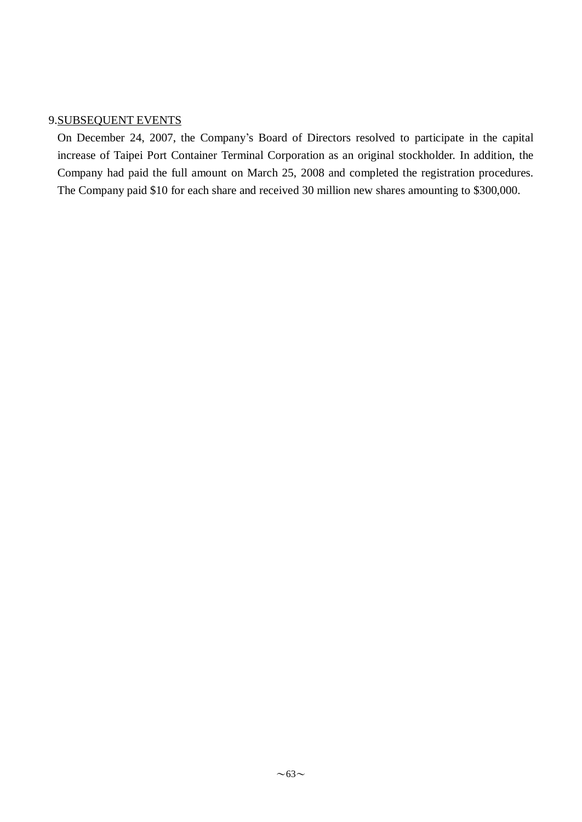### 9.SUBSEQUENT EVENTS

On December 24, 2007, the Company's Board of Directors resolved to participate in the capital increase of Taipei Port Container Terminal Corporation as an original stockholder. In addition, the Company had paid the full amount on March 25, 2008 and completed the registration procedures. The Company paid \$10 for each share and received 30 million new shares amounting to \$300,000.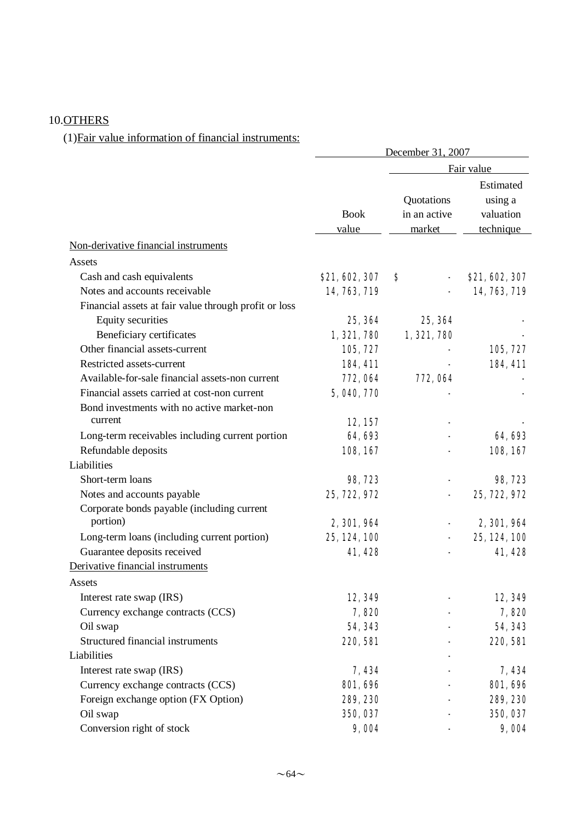# 10.OTHERS

# (1)Fair value information of financial instruments:

|                                                       | December 31, 2007    |                                      |                                                |  |  |
|-------------------------------------------------------|----------------------|--------------------------------------|------------------------------------------------|--|--|
|                                                       |                      | Fair value                           |                                                |  |  |
|                                                       | <b>Book</b><br>value | Quotations<br>in an active<br>market | Estimated<br>using a<br>valuation<br>technique |  |  |
| Non-derivative financial instruments                  |                      |                                      |                                                |  |  |
| Assets                                                |                      |                                      |                                                |  |  |
| Cash and cash equivalents                             | \$21, 602, 307       | \$                                   | \$21, 602, 307                                 |  |  |
| Notes and accounts receivable                         | 14, 763, 719         |                                      | 14, 763, 719                                   |  |  |
| Financial assets at fair value through profit or loss |                      |                                      |                                                |  |  |
| <b>Equity securities</b>                              | 25, 364              | 25, 364                              |                                                |  |  |
| Beneficiary certificates                              | 1, 321, 780          | 1, 321, 780                          |                                                |  |  |
| Other financial assets-current                        | 105, 727             |                                      | 105, 727                                       |  |  |
| Restricted assets-current                             | 184, 411             |                                      | 184, 411                                       |  |  |
| Available-for-sale financial assets-non current       | 772, 064             | 772, 064                             |                                                |  |  |
| Financial assets carried at cost-non current          | 5, 040, 770          |                                      |                                                |  |  |
| Bond investments with no active market-non            |                      |                                      |                                                |  |  |
| current                                               | 12, 157              |                                      |                                                |  |  |
| Long-term receivables including current portion       | 64, 693              |                                      | 64, 693                                        |  |  |
| Refundable deposits                                   | 108, 167             |                                      | 108, 167                                       |  |  |
| Liabilities                                           |                      |                                      |                                                |  |  |
| Short-term loans                                      | 98,723               |                                      | 98,723                                         |  |  |
| Notes and accounts payable                            | 25, 722, 972         |                                      | 25, 722, 972                                   |  |  |
| Corporate bonds payable (including current            |                      |                                      |                                                |  |  |
| portion)                                              | 2, 301, 964          |                                      | 2, 301, 964                                    |  |  |
| Long-term loans (including current portion)           | 25, 124, 100         |                                      | 25, 124, 100                                   |  |  |
| Guarantee deposits received                           | 41,428               |                                      | 41,428                                         |  |  |
| Derivative financial instruments                      |                      |                                      |                                                |  |  |
| Assets                                                |                      |                                      |                                                |  |  |
| Interest rate swap (IRS)                              | 12,349               |                                      | 12,349                                         |  |  |
| Currency exchange contracts (CCS)                     | 7,820                |                                      | 7,820                                          |  |  |
| Oil swap                                              | 54, 343              |                                      | 54, 343                                        |  |  |
| Structured financial instruments                      | <b>220, 581</b>      |                                      | 220, 581                                       |  |  |
| Liabilities                                           |                      |                                      |                                                |  |  |
| Interest rate swap (IRS)                              | 7,434                |                                      | 7,434                                          |  |  |
| Currency exchange contracts (CCS)                     | <b>801, 696</b>      |                                      | <b>801, 696</b>                                |  |  |
| Foreign exchange option (FX Option)                   | 289, 230             |                                      | 289, 230                                       |  |  |
| Oil swap                                              | 350, 037             |                                      | 350, 037                                       |  |  |
| Conversion right of stock                             | 9,004                |                                      | 9,004                                          |  |  |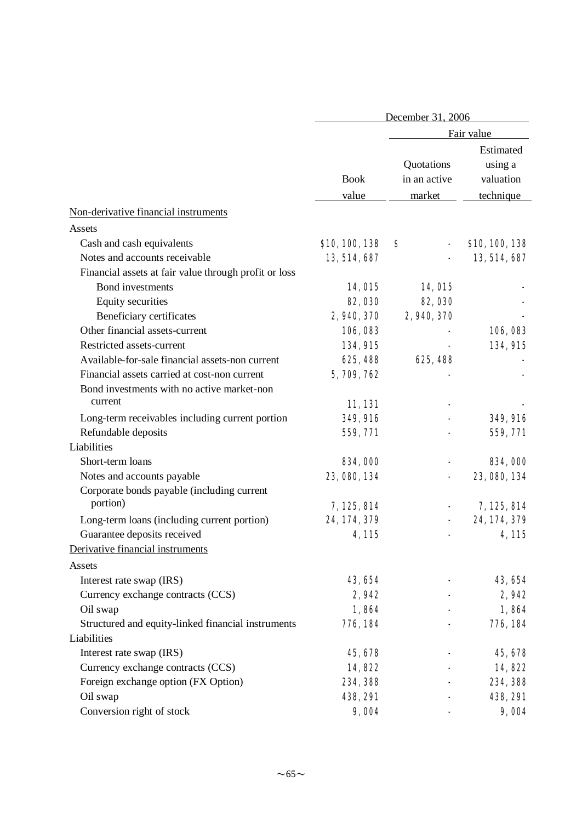|                                                       | December 31, 2006    |                                      |                                                |  |  |
|-------------------------------------------------------|----------------------|--------------------------------------|------------------------------------------------|--|--|
|                                                       |                      | Fair value                           |                                                |  |  |
|                                                       | <b>Book</b><br>value | Quotations<br>in an active<br>market | Estimated<br>using a<br>valuation<br>technique |  |  |
| Non-derivative financial instruments                  |                      |                                      |                                                |  |  |
| Assets                                                |                      |                                      |                                                |  |  |
| Cash and cash equivalents                             | \$10,100,138         | S                                    | \$10, 100, 138                                 |  |  |
| Notes and accounts receivable                         | 13, 514, 687         |                                      | 13, 514, 687                                   |  |  |
| Financial assets at fair value through profit or loss |                      |                                      |                                                |  |  |
| Bond investments                                      | 14, <b>015</b>       | 14, 015                              |                                                |  |  |
| <b>Equity securities</b>                              | <b>82, 030</b>       | <b>82, 030</b>                       |                                                |  |  |
| Beneficiary certificates                              | 2, 940, 370          | 2,940,370                            |                                                |  |  |
| Other financial assets-current                        | 106,083              |                                      | 106,083                                        |  |  |
| Restricted assets-current                             | 134, 915             |                                      | <b>134, 915</b>                                |  |  |
| Available-for-sale financial assets-non current       | 625, 488             | 625, 488                             |                                                |  |  |
| Financial assets carried at cost-non current          | 5,709,762            |                                      |                                                |  |  |
| Bond investments with no active market-non            |                      |                                      |                                                |  |  |
| current                                               | 11,131               |                                      |                                                |  |  |
| Long-term receivables including current portion       | <b>349, 916</b>      |                                      | <b>349, 916</b>                                |  |  |
| Refundable deposits                                   | 559, 771             |                                      | 559, 771                                       |  |  |
| Liabilities                                           |                      |                                      |                                                |  |  |
| Short-term loans                                      | 834,000              |                                      | 834,000                                        |  |  |
| Notes and accounts payable                            | 23, 080, 134         |                                      | 23, 080, 134                                   |  |  |
| Corporate bonds payable (including current            |                      |                                      |                                                |  |  |
| portion)                                              | 7, 125, 814          |                                      | 7,125,814                                      |  |  |
| Long-term loans (including current portion)           | 24, 174, 379         |                                      | 24, 174, 379                                   |  |  |
| Guarantee deposits received                           | 4, 115               |                                      | 4,115                                          |  |  |
| Derivative financial instruments                      |                      |                                      |                                                |  |  |
| Assets                                                |                      |                                      |                                                |  |  |
| Interest rate swap (IRS)                              | 43, 654              |                                      | 43, 654                                        |  |  |
| Currency exchange contracts (CCS)                     | 2,942                |                                      | 2,942                                          |  |  |
| Oil swap                                              | 1,864                |                                      | 1,864                                          |  |  |
| Structured and equity-linked financial instruments    | 776, 184             |                                      | 776, 184                                       |  |  |
| Liabilities                                           |                      |                                      |                                                |  |  |
| Interest rate swap (IRS)                              | 45, 678              |                                      | 45, 678                                        |  |  |
| Currency exchange contracts (CCS)                     | 14,822               |                                      | 14,822                                         |  |  |
| Foreign exchange option (FX Option)                   | 234, 388             |                                      | 234, 388                                       |  |  |
| Oil swap                                              | <b>438, 291</b>      |                                      | <b>438, 291</b>                                |  |  |
| Conversion right of stock                             | 9,004                |                                      | 9,004                                          |  |  |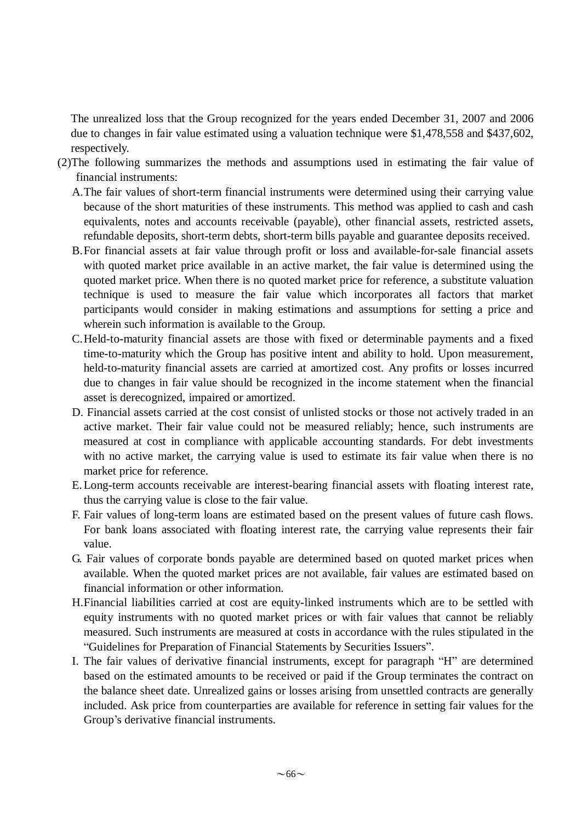The unrealized loss that the Group recognized for the years ended December 31, 2007 and 2006 due to changes in fair value estimated using a valuation technique were \$1,478,558 and \$437,602, respectively.

- (2)The following summarizes the methods and assumptions used in estimating the fair value of financial instruments:
	- A.The fair values of short-term financial instruments were determined using their carrying value because of the short maturities of these instruments. This method was applied to cash and cash equivalents, notes and accounts receivable (payable), other financial assets, restricted assets, refundable deposits, short-term debts, short-term bills payable and guarantee deposits received.
	- B.For financial assets at fair value through profit or loss and available-for-sale financial assets with quoted market price available in an active market, the fair value is determined using the quoted market price. When there is no quoted market price for reference, a substitute valuation technique is used to measure the fair value which incorporates all factors that market participants would consider in making estimations and assumptions for setting a price and wherein such information is available to the Group.
	- C.Held-to-maturity financial assets are those with fixed or determinable payments and a fixed time-to-maturity which the Group has positive intent and ability to hold. Upon measurement, held-to-maturity financial assets are carried at amortized cost. Any profits or losses incurred due to changes in fair value should be recognized in the income statement when the financial asset is derecognized, impaired or amortized.
	- D. Financial assets carried at the cost consist of unlisted stocks or those not actively traded in an active market. Their fair value could not be measured reliably; hence, such instruments are measured at cost in compliance with applicable accounting standards. For debt investments with no active market, the carrying value is used to estimate its fair value when there is no market price for reference.
	- E.Long-term accounts receivable are interest-bearing financial assets with floating interest rate, thus the carrying value is close to the fair value.
	- F. Fair values of long-term loans are estimated based on the present values of future cash flows. For bank loans associated with floating interest rate, the carrying value represents their fair value.
	- G. Fair values of corporate bonds payable are determined based on quoted market prices when available. When the quoted market prices are not available, fair values are estimated based on financial information or other information.
	- H.Financial liabilities carried at cost are equity-linked instruments which are to be settled with equity instruments with no quoted market prices or with fair values that cannot be reliably measured. Such instruments are measured at costs in accordance with the rules stipulated in the "Guidelines for Preparation of Financial Statements by Securities Issuers".
	- I. The fair values of derivative financial instruments, except for paragraph "H" are determined based on the estimated amounts to be received or paid if the Group terminates the contract on the balance sheet date. Unrealized gains or losses arising from unsettled contracts are generally included. Ask price from counterparties are available for reference in setting fair values for the Group's derivative financial instruments.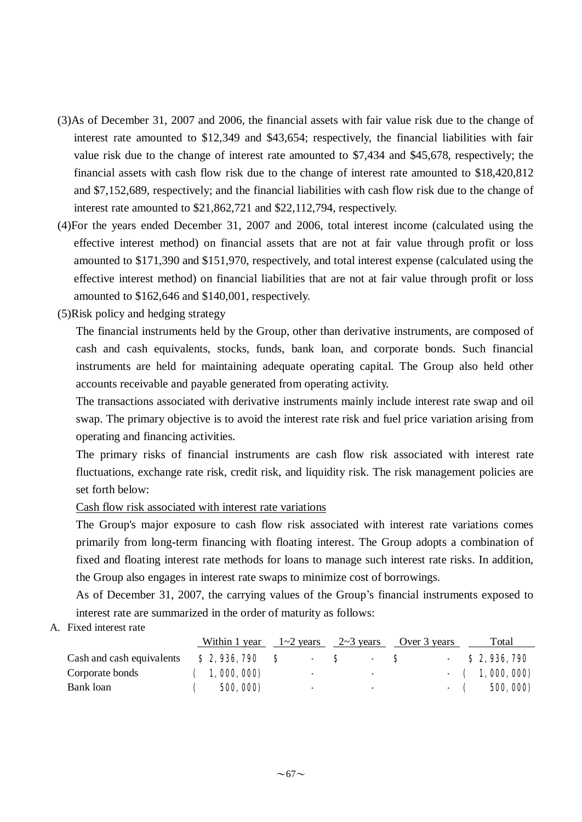- (3)As of December 31, 2007 and 2006, the financial assets with fair value risk due to the change of interest rate amounted to \$12,349 and \$43,654; respectively, the financial liabilities with fair value risk due to the change of interest rate amounted to \$7,434 and \$45,678, respectively; the financial assets with cash flow risk due to the change of interest rate amounted to \$18,420,812 and \$7,152,689, respectively; and the financial liabilities with cash flow risk due to the change of interest rate amounted to \$21,862,721 and \$22,112,794, respectively.
- (4)For the years ended December 31, 2007 and 2006, total interest income (calculated using the effective interest method) on financial assets that are not at fair value through profit or loss amounted to \$171,390 and \$151,970, respectively, and total interest expense (calculated using the effective interest method) on financial liabilities that are not at fair value through profit or loss amounted to \$162,646 and \$140,001, respectively.
- (5)Risk policy and hedging strategy

The financial instruments held by the Group, other than derivative instruments, are composed of cash and cash equivalents, stocks, funds, bank loan, and corporate bonds. Such financial instruments are held for maintaining adequate operating capital. The Group also held other accounts receivable and payable generated from operating activity.

The transactions associated with derivative instruments mainly include interest rate swap and oil swap. The primary objective is to avoid the interest rate risk and fuel price variation arising from operating and financing activities.

The primary risks of financial instruments are cash flow risk associated with interest rate fluctuations, exchange rate risk, credit risk, and liquidity risk. The risk management policies are set forth below:

Cash flow risk associated with interest rate variations

The Group's major exposure to cash flow risk associated with interest rate variations comes primarily from long-term financing with floating interest. The Group adopts a combination of fixed and floating interest rate methods for loans to manage such interest rate risks. In addition, the Group also engages in interest rate swaps to minimize cost of borrowings.

As of December 31, 2007, the carrying values of the Group's financial instruments exposed to interest rate are summarized in the order of maturity as follows:

A. Fixed interest rate

|                           |                  | Within 1 year $1 \sim 2$ years | $2 \sim 3$ years | Over 3 years | Total            |
|---------------------------|------------------|--------------------------------|------------------|--------------|------------------|
| Cash and cash equivalents | \$2,936,790      | - 8                            | - 8              | - 8          | $-$ \$ 2,936,790 |
| Corporate bonds           | (1,000,000)      | $\overline{\phantom{a}}$       | $\sim$           |              | $-$ (1,000,000)  |
| Bank loan                 | <b>500, 000)</b> | $\blacksquare$                 | ж.               |              | $-$ ( 500, 000)  |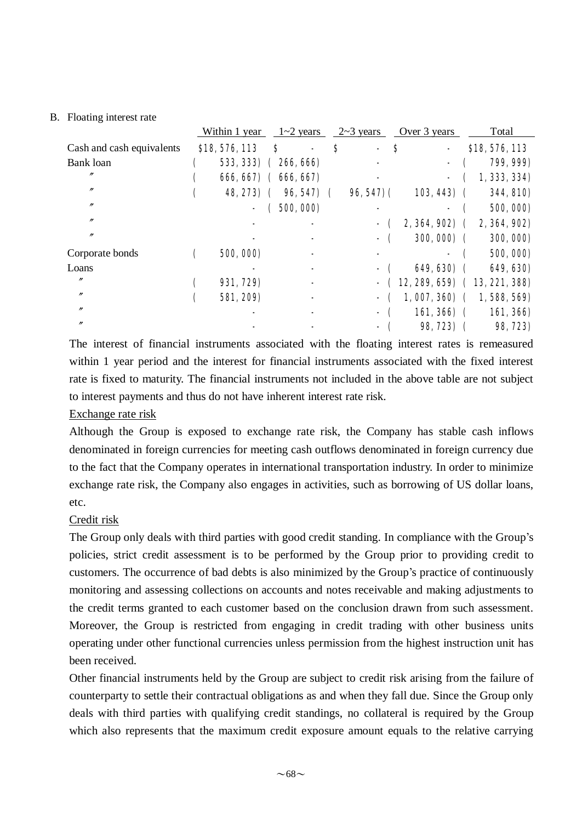#### B. Floating interest rate

|                           | Within 1 year        |    | $1 - 2$ years |                         | $2 \sim 3$ years |   | Over 3 years  |  | Total                             |
|---------------------------|----------------------|----|---------------|-------------------------|------------------|---|---------------|--|-----------------------------------|
| Cash and cash equivalents | \$18,576,113         | \$ |               | S                       |                  | S |               |  | \$18,576,113                      |
| Bank loan                 | 533, 333) (266, 666) |    |               |                         |                  |   |               |  | 799, 999)                         |
| n                         | 666, 667) (666, 667) |    |               |                         |                  |   |               |  | 1, 333, 334)                      |
| $^{\prime\prime}$         | 48, 273) (           |    | 96, 547)      | $\overline{\mathbf{C}}$ | $96,547$ ) (     |   | $103, 443)$ ( |  | <b>344, 810)</b>                  |
| $^{\prime\prime}$         |                      |    | (500, 000)    |                         |                  |   |               |  | 500, 000)                         |
| n                         |                      |    |               |                         |                  |   | $2,364,902$ ( |  | 2, 364, 902)                      |
| n                         |                      |    |               |                         |                  |   | $300,000)$ (  |  | 300, 000)                         |
| Corporate bonds           | 500, 000)            |    |               |                         |                  |   |               |  | 500, 000)                         |
| Loans                     |                      |    |               |                         |                  |   | 649, 630) (   |  | 649, 630)                         |
| n                         | 931, 729)            |    |               |                         |                  |   |               |  | $-$ (12, 289, 659) (13, 221, 388) |
| $^{\prime\prime}$         | 581, 209)            |    |               |                         |                  |   | $1,007,360$ ( |  | 1,588,569)                        |
| $^{\prime\prime}$         |                      |    |               |                         |                  |   | $161,366$ (   |  | 161, 366)                         |
| $^{\prime\prime}$         |                      |    |               |                         |                  |   | 98, 723) (    |  | 98, 723)                          |

The interest of financial instruments associated with the floating interest rates is remeasured within 1 year period and the interest for financial instruments associated with the fixed interest rate is fixed to maturity. The financial instruments not included in the above table are not subject to interest payments and thus do not have inherent interest rate risk.

#### Exchange rate risk

Although the Group is exposed to exchange rate risk, the Company has stable cash inflows denominated in foreign currencies for meeting cash outflows denominated in foreign currency due to the fact that the Company operates in international transportation industry. In order to minimize exchange rate risk, the Company also engages in activities, such as borrowing of US dollar loans, etc.

### Credit risk

The Group only deals with third parties with good credit standing. In compliance with the Group's policies, strict credit assessment is to be performed by the Group prior to providing credit to customers. The occurrence of bad debts is also minimized by the Group's practice of continuously monitoring and assessing collections on accounts and notes receivable and making adjustments to the credit terms granted to each customer based on the conclusion drawn from such assessment. Moreover, the Group is restricted from engaging in credit trading with other business units operating under other functional currencies unless permission from the highest instruction unit has been received.

Other financial instruments held by the Group are subject to credit risk arising from the failure of counterparty to settle their contractual obligations as and when they fall due. Since the Group only deals with third parties with qualifying credit standings, no collateral is required by the Group which also represents that the maximum credit exposure amount equals to the relative carrying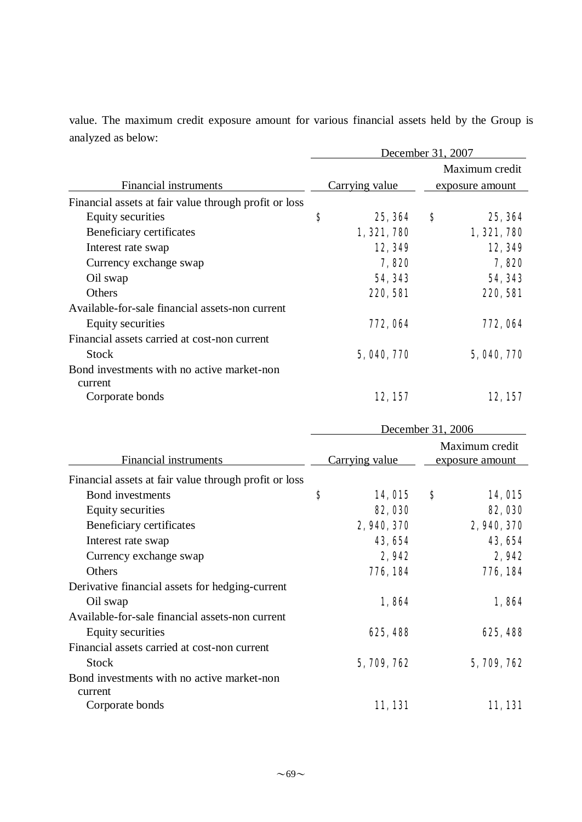value. The maximum credit exposure amount for various financial assets held by the Group is analyzed as below:

|                                                       | December 31, 2007 |                |                 |                |  |  |
|-------------------------------------------------------|-------------------|----------------|-----------------|----------------|--|--|
|                                                       |                   |                |                 | Maximum credit |  |  |
| Financial instruments                                 |                   | Carrying value | exposure amount |                |  |  |
| Financial assets at fair value through profit or loss |                   |                |                 |                |  |  |
| Equity securities                                     | \$                | 25, 364        | S               | 25, 364        |  |  |
| Beneficiary certificates                              |                   | 1, 321, 780    |                 | 1, 321, 780    |  |  |
| Interest rate swap                                    |                   | 12,349         |                 | 12, 349        |  |  |
| Currency exchange swap                                |                   | 7,820          |                 | 7,820          |  |  |
| Oil swap                                              |                   | 54, 343        |                 | 54, 343        |  |  |
| Others                                                |                   | 220, 581       |                 | 220, 581       |  |  |
| Available-for-sale financial assets-non current       |                   |                |                 |                |  |  |
| Equity securities                                     |                   | 772, 064       |                 | 772, 064       |  |  |
| Financial assets carried at cost-non current          |                   |                |                 |                |  |  |
| <b>Stock</b>                                          |                   | 5, 040, 770    |                 | 5, 040, 770    |  |  |
| Bond investments with no active market-non            |                   |                |                 |                |  |  |
| current                                               |                   |                |                 |                |  |  |
| Corporate bonds                                       |                   | 12, 157        |                 | 12, 157        |  |  |

|                                                       | December 31, 2006     |                |                                   |                |
|-------------------------------------------------------|-----------------------|----------------|-----------------------------------|----------------|
| Financial instruments                                 | <b>Carrying value</b> |                | Maximum credit<br>exposure amount |                |
| Financial assets at fair value through profit or loss |                       |                |                                   |                |
| Bond investments                                      | S                     | 14, <b>015</b> | S                                 | <b>14, 015</b> |
| Equity securities                                     |                       | <b>82, 030</b> |                                   | <b>82, 030</b> |
| Beneficiary certificates                              |                       | 2, 940, 370    |                                   | 2, 940, 370    |
| Interest rate swap                                    |                       | 43, 654        |                                   | 43, 654        |
| Currency exchange swap                                |                       | 2,942          |                                   | 2,942          |
| Others                                                |                       | 776, 184       |                                   | 776, 184       |
| Derivative financial assets for hedging-current       |                       |                |                                   |                |
| Oil swap                                              |                       | 1,864          |                                   | 1,864          |
| Available-for-sale financial assets-non current       |                       |                |                                   |                |
| Equity securities                                     |                       | 625, 488       |                                   | 625, 488       |
| Financial assets carried at cost-non current          |                       |                |                                   |                |
| Stock                                                 |                       | 5, 709, 762    |                                   | 5, 709, 762    |
| Bond investments with no active market-non            |                       |                |                                   |                |
| current                                               |                       |                |                                   |                |
| Corporate bonds                                       |                       | 11,131         |                                   | 11,131         |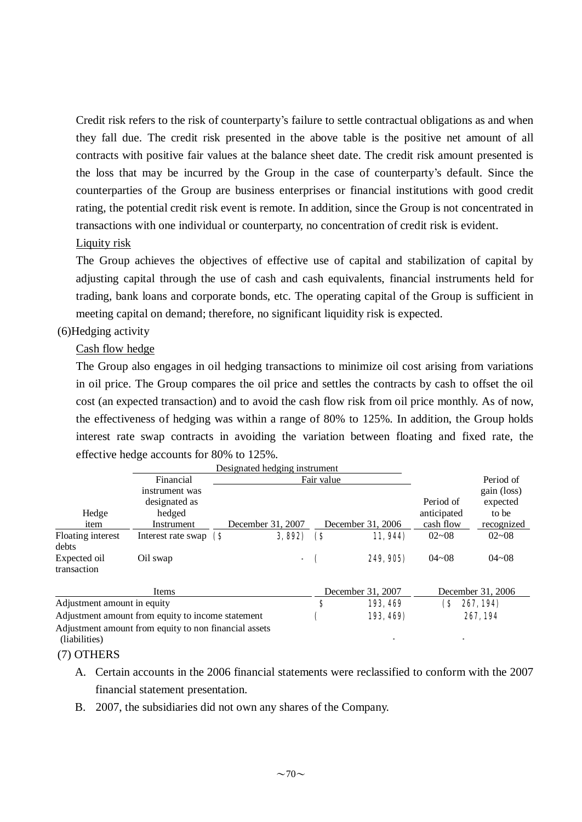Credit risk refers to the risk of counterparty's failure to settle contractual obligations as and when they fall due. The credit risk presented in the above table is the positive net amount of all contracts with positive fair values at the balance sheet date. The credit risk amount presented is the loss that may be incurred by the Group in the case of counterparty's default. Since the counterparties of the Group are business enterprises or financial institutions with good credit rating, the potential credit risk event is remote. In addition, since the Group is not concentrated in transactions with one individual or counterparty, no concentration of credit risk is evident.

#### Liquity risk

The Group achieves the objectives of effective use of capital and stabilization of capital by adjusting capital through the use of cash and cash equivalents, financial instruments held for trading, bank loans and corporate bonds, etc. The operating capital of the Group is sufficient in meeting capital on demand; therefore, no significant liquidity risk is expected.

#### (6)Hedging activity

#### Cash flow hedge

The Group also engages in oil hedging transactions to minimize oil cost arising from variations in oil price. The Group compares the oil price and settles the contracts by cash to offset the oil cost (an expected transaction) and to avoid the cash flow risk from oil price monthly. As of now, the effectiveness of hedging was within a range of 80% to 125%. In addition, the Group holds interest rate swap contracts in avoiding the variation between floating and fixed rate, the effective hedge accounts for 80% to 125%.

|                                                   |                                                       | Designated hedging instrument |        |                    |                   |                          |                                  |
|---------------------------------------------------|-------------------------------------------------------|-------------------------------|--------|--------------------|-------------------|--------------------------|----------------------------------|
|                                                   | Financial                                             | Fair value                    |        |                    |                   |                          | Period of                        |
| Hedge                                             | instrument was<br>designated as<br>hedged             |                               |        |                    |                   | Period of<br>anticipated | gain (loss)<br>expected<br>to be |
| item                                              | Instrument                                            | December 31, 2007             |        |                    | December 31, 2006 | cash flow                | recognized                       |
| Floating interest<br>debts                        | Interest rate swap $\left( \right)$                   |                               | 3,892  | $\bm{\mathcal{S}}$ | 11, 944)          | $02 - 08$                | $02 - 08$                        |
| Expected oil<br>transaction                       | Oil swap                                              |                               | $\sim$ |                    | 249, 905)         | $04 - 08$                | $04 - 08$                        |
| Items                                             |                                                       |                               |        | December 31, 2007  |                   | December 31, 2006        |                                  |
| Adjustment amount in equity                       |                                                       |                               |        | \$                 | 193, 469          | (\$                      | 267, 194)                        |
| Adjustment amount from equity to income statement |                                                       |                               |        | 193, 469)          |                   | 267,194                  |                                  |
| (liabilities)                                     | Adjustment amount from equity to non financial assets |                               |        |                    |                   |                          |                                  |

#### (7) OTHERS

- A. Certain accounts in the 2006 financial statements were reclassified to conform with the 2007 financial statement presentation.
- B. 2007, the subsidiaries did not own any shares of the Company.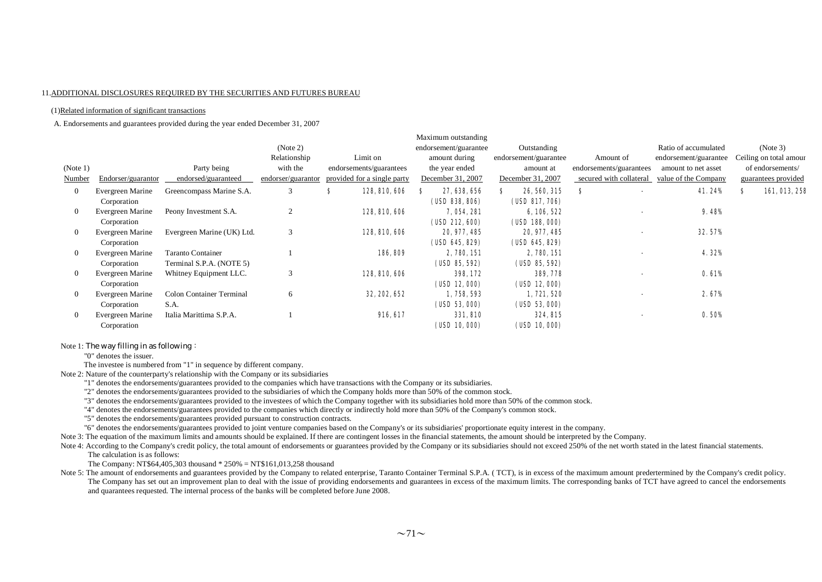#### 11.ADDITIONAL DISCLOSURES REQUIRED BY THE SECURITIES AND FUTURES BUREAU

#### (1)Related information of significant transactions

A. Endorsements and guarantees provided during the year ended December 31, 2007

|                |                    |                            |                    |                             | Maximum outstanding   |                       |                         |                       |                        |
|----------------|--------------------|----------------------------|--------------------|-----------------------------|-----------------------|-----------------------|-------------------------|-----------------------|------------------------|
|                |                    |                            | (Note 2)           |                             | endorsement/guarantee | Outstanding           |                         | Ratio of accumulated  | (Note 3)               |
|                |                    |                            | Relationship       | Limit on                    | amount during         | endorsement/guarantee | Amount of               | endorsement/guarantee | Ceiling on total amour |
| (Note 1)       |                    | Party being                | with the           | endorsements/guarantees     | the year ended        | amount at             | endorsements/guarantees | amount to net asset   | of endorsements/       |
| Number         | Endorser/guarantor | endorsed/guaranteed        | endorser/guarantor | provided for a single party | December 31, 2007     | December 31, 2007     | secured with collateral | value of the Company  | guarantees provided    |
| $\overline{0}$ | Evergreen Marine   | Greencompass Marine S.A.   | 3                  | s<br>128, 810, 606          | 27, 638, 656          | 26, 560, 315<br>S.    | S                       | 41.24%                | 161,013,251<br>s       |
|                | Corporation        |                            |                    |                             | (USD 838, 806)        | (USD 817, 706)        |                         |                       |                        |
| $\overline{0}$ | Evergreen Marine   | Peony Investment S.A.      | $\overline{c}$     | 128, 810, 606               | 7, 054, 281           | 6, 106, 522           |                         | 9.48%                 |                        |
|                | Corporation        |                            |                    |                             | (USD 212, 600)        | (USD 188, 000)        |                         |                       |                        |
| $\overline{0}$ | Evergreen Marine   | Evergreen Marine (UK) Ltd. | 3                  | 128, 810, 606               | 20, 977, 485          | 20, 977, 485          |                         | 32.57%                |                        |
|                | Corporation        |                            |                    |                             | (USD 645, 829)        | (USD 645, 829)        |                         |                       |                        |
| $\overline{0}$ | Evergreen Marine   | <b>Taranto Container</b>   |                    | 186, 809                    | 2, 780, 151           | 2, 780, 151           |                         | 4.32%                 |                        |
|                | Corporation        | Terminal S.P.A. (NOTE 5)   |                    |                             | (USD 85, 592)         | (UBD 85, 592)         |                         |                       |                        |
| $\overline{0}$ | Evergreen Marine   | Whitney Equipment LLC.     | 3                  | 128, 810, 606               | 398, 172              | 389, 778              |                         | 0.61%                 |                        |
|                | Corporation        |                            |                    |                             | (UD12,000)            | (UD12,000)            |                         |                       |                        |
| $\overline{0}$ | Evergreen Marine   | Colon Container Terminal   | 6                  | 32, 202, 652                | 1,758,593             | 1,721,520             |                         | 2.67%                 |                        |
|                | Corporation        | S.A.                       |                    |                             | (USD 53, 000)         | (USD 53, 000)         |                         |                       |                        |
| $\overline{0}$ | Evergreen Marine   | Italia Marittima S.P.A.    |                    | 916, 617                    | 331,810               | 324, 815              |                         | 0.50%                 |                        |
|                | Corporation        |                            |                    |                             | (USD 10, 000)         | (USD 10, 000)         |                         |                       |                        |

#### Note 1: The way filling in as following:

"0" denotes the issuer.

The investee is numbered from "1" in sequence by different company.

Note 2: Nature of the counterparty's relationship with the Company or its subsidiaries

"1" denotes the endorsements/guarantees provided to the companies which have transactions with the Company or its subsidiaries.

"2" denotes the endorsements/guarantees provided to the subsidiaries of which the Company holds more than 50% of the common stock.

"3" denotes the endorsements/guarantees provided to the investees of which the Company together with its subsidiaries hold more than 50% of the common stock.

"4" denotes the endorsements/guarantees provided to the companies which directly or indirectly hold more than 50% of the Company's common stock.

"5" denotes the endorsements/guarantees provided pursuant to construction contracts.

"6" denotes the endorsements/guarantees provided to joint venture companies based on the Company's or its subsidiaries' proportionate equity interest in the company.

Note 3: The equation of the maximum limits and amounts should be explained. If there are contingent losses in the financial statements, the amount should be interpreted by the Company.

Note 4: According to the Company's credit policy, the total amount of endorsements or guarantees provided by the Company or its subsidiaries should not exceed 250% of the net worth stated in the latest financial statements The calculation is as follows:

The Company: NT\$64,405,303 thousand \* 250% = NT\$161,013,258 thousand

Note 5: The amount of endorsements and guarantees provided by the Company to related enterprise, Taranto Container Terminal S.P.A. (TCT), is in excess of the maximum amount predertermined by the Company's credit policy. The Company has set out an improvement plan to deal with the issue of providing endorsements and guarantees in excess of the maximum limits. The corresponding banks of TCT have agreed to cancel the endorsements and quarantees requested. The internal process of the banks will be completed before June 2008.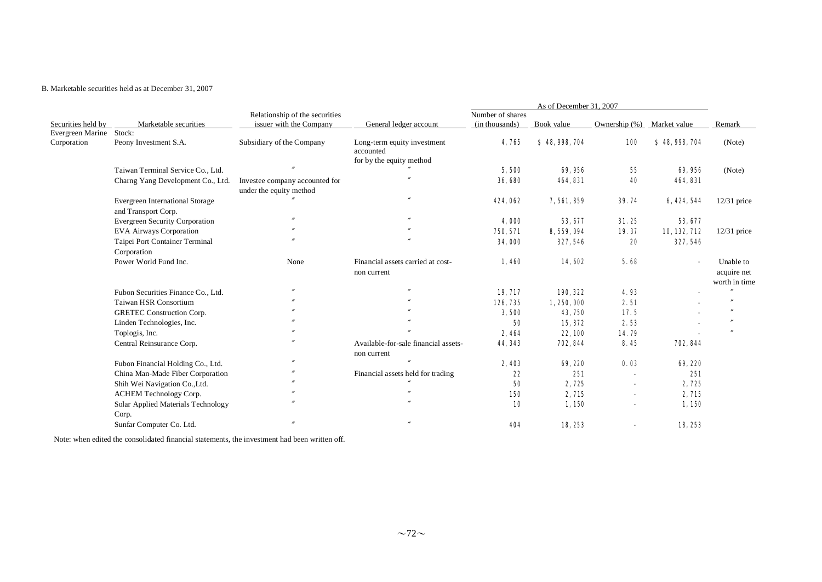# B. Marketable securities held as at December 31, 2007

|                    |                                        |                                                           |                                                                      |                                    | As of December 31, 2007 |               |              |                          |
|--------------------|----------------------------------------|-----------------------------------------------------------|----------------------------------------------------------------------|------------------------------------|-------------------------|---------------|--------------|--------------------------|
| Securities held by | Marketable securities                  | Relationship of the securities<br>issuer with the Company | General ledger account                                               | Number of shares<br>(in thousands) | Book value              | Ownership (%) | Market value | Remark                   |
| Evergreen Marine   | Stock:                                 |                                                           |                                                                      |                                    |                         |               |              |                          |
| Corporation        | Peony Investment S.A.                  | Subsidiary of the Company                                 | Long-term equity investment<br>accounted<br>for by the equity method | 4,765                              | \$48,998,704            | <b>100</b>    | \$48,998,704 | (Note)                   |
|                    | Taiwan Terminal Service Co., Ltd.      |                                                           |                                                                      | 5,500                              | 69,956                  |               | 69,956       | (Note)                   |
|                    |                                        |                                                           |                                                                      |                                    |                         | 55            |              |                          |
|                    | Charng Yang Development Co., Ltd.      | Investee company accounted for                            |                                                                      | 36,680                             | 464, 831                | 40            | 464, 831     |                          |
|                    |                                        | under the equity method                                   |                                                                      |                                    |                         |               |              |                          |
|                    | <b>Evergreen International Storage</b> |                                                           |                                                                      | 424,062                            | 7,561,859               | 39.74         | 6, 424, 544  | $12/31$ price            |
|                    | and Transport Corp.                    | $\overline{''}$                                           | $\boldsymbol{r}$                                                     |                                    |                         |               |              |                          |
|                    | <b>Evergreen Security Corporation</b>  |                                                           |                                                                      | 4,000                              | 53, 677                 | 31.25         | 53, 677      |                          |
|                    | <b>EVA Airways Corporation</b>         |                                                           |                                                                      | 750, 571                           | 8, 559, 094             | 19.37         | 10, 132, 712 | $12/31$ price            |
|                    | Taipei Port Container Terminal         |                                                           |                                                                      | 34,000                             | 327, 546                | 20            | 327, 546     |                          |
|                    | Corporation                            |                                                           |                                                                      |                                    |                         |               |              |                          |
|                    | Power World Fund Inc.                  | None                                                      | Financial assets carried at cost-<br>non current                     | 1,460                              | 14,602                  | 5.68          |              | Unable to<br>acquire net |
|                    |                                        | $\overline{v}$                                            |                                                                      |                                    |                         |               |              | worth in time            |
|                    | Fubon Securities Finance Co., Ltd.     |                                                           |                                                                      | 19, 717                            | 190, 322                | 4.93          |              |                          |
|                    | Taiwan HSR Consortium                  |                                                           |                                                                      | 126, 735                           | 1, 250, 000             | 2.51          |              |                          |
|                    | <b>GRETEC Construction Corp.</b>       |                                                           |                                                                      | 3,500                              | 43, 750                 | 17.5          |              |                          |
|                    | Linden Technologies, Inc.              |                                                           |                                                                      | 50                                 | 15, 372                 | 2.53          |              |                          |
|                    | Toplogis, Inc.                         |                                                           |                                                                      | 2,464                              | 22, 100                 | 14.79         |              |                          |
|                    | Central Reinsurance Corp.              |                                                           | Available-for-sale financial assets-<br>non current                  | 44, 343                            | 702, 844                | 8.45          | 702, 844     |                          |
|                    | Fubon Financial Holding Co., Ltd.      |                                                           |                                                                      | 2,403                              | 69, 220                 | 0.03          | 69, 220      |                          |
|                    | China Man-Made Fiber Corporation       |                                                           | Financial assets held for trading                                    | 22                                 | 251                     |               | 251          |                          |
|                    | Shih Wei Navigation Co., Ltd.          |                                                           |                                                                      | 50                                 | 2,725                   |               | 2,725        |                          |
|                    | ACHEM Technology Corp.                 |                                                           |                                                                      | 150                                | 2, 715                  |               | 2, 715       |                          |
|                    | Solar Applied Materials Technology     |                                                           |                                                                      | 10                                 | 1,150                   |               | 1,150        |                          |
|                    | Corp.                                  |                                                           |                                                                      |                                    |                         |               |              |                          |
|                    | Sunfar Computer Co. Ltd.               |                                                           |                                                                      | 404                                | 18, 253                 |               | 18, 253      |                          |

Note: when edited the consolidated financial statements, the investment had been written off.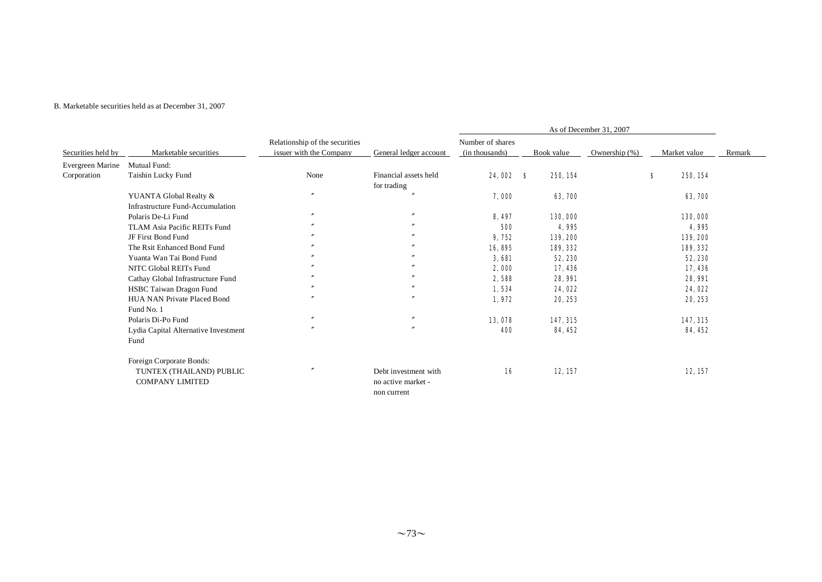#### B. Marketable securities held as at December 31, 2007

|                    |                                      |                                                           |                        |                                    |            | As of December 31, 2007 |   |              |        |
|--------------------|--------------------------------------|-----------------------------------------------------------|------------------------|------------------------------------|------------|-------------------------|---|--------------|--------|
| Securities held by | Marketable securities                | Relationship of the securities<br>issuer with the Company | General ledger account | Number of shares<br>(in thousands) | Book value | Ownership $(\%)$        |   | Market value | Remark |
| Evergreen Marine   | Mutual Fund:                         |                                                           |                        |                                    |            |                         |   |              |        |
| Corporation        | Taishin Lucky Fund                   | None                                                      | Financial assets held  | 24,002 \$                          |            | 250, 154                | s | 250, 154     |        |
|                    |                                      |                                                           | for trading            |                                    |            |                         |   |              |        |
|                    | YUANTA Global Realty &               | $\prime$                                                  |                        | 7,000                              |            | 63, 700                 |   | 63, 700      |        |
|                    | Infrastructure Fund-Accumulation     |                                                           |                        |                                    |            |                         |   |              |        |
|                    | Polaris De-Li Fund                   | $\prime\prime$                                            | $\boldsymbol{''}$      | 8,497                              |            | 130,000                 |   | 130,000      |        |
|                    | TLAM Asia Pacific REITs Fund         | $\prime\prime$                                            | $\boldsymbol{''}$      | 500                                |            | 4,995                   |   | 4,995        |        |
|                    | JF First Bond Fund                   | $\prime\prime$                                            |                        | 9,752                              |            | 139, 200                |   | 139, 200     |        |
|                    | The Rsit Enhanced Bond Fund          | $\prime\prime$                                            | $\boldsymbol{''}$      | 16,895                             |            | 189, 332                |   | 189, 332     |        |
|                    | Yuanta Wan Tai Bond Fund             | $\prime\prime$                                            |                        | 3,681                              |            | 52, 230                 |   | 52, 230      |        |
|                    | NITC Global REITs Fund               | $\prime\prime$                                            |                        | 2,000                              |            | 17, 436                 |   | 17,436       |        |
|                    | Cathay Global Infrastructure Fund    | $\prime\prime$                                            | $\boldsymbol{''}$      | 2,588                              |            | 28, 991                 |   | 28, 991      |        |
|                    | HSBC Taiwan Dragon Fund              | $\prime\prime$                                            | $\boldsymbol{''}$      | 1,534                              |            | 24,022                  |   | 24, 022      |        |
|                    | HUA NAN Private Placed Bond          | $\mathbf{r}$                                              | $\theta$               | 1,972                              |            | 20, 253                 |   | 20, 253      |        |
|                    | Fund No. 1                           |                                                           |                        |                                    |            |                         |   |              |        |
|                    | Polaris Di-Po Fund                   | $\mathbf{r}$                                              | $^{\prime\prime}$      | 13,078                             |            | 147, 315                |   | 147, 315     |        |
|                    | Lydia Capital Alternative Investment |                                                           | $\boldsymbol{r}$       | 400                                |            | 84, 452                 |   | 84, 452      |        |
|                    | Fund                                 |                                                           |                        |                                    |            |                         |   |              |        |
|                    | Foreign Corporate Bonds:             |                                                           |                        |                                    |            |                         |   |              |        |
|                    | TUNTEX (THAILAND) PUBLIC             |                                                           | Debt investment with   | 16                                 |            | 12, 157                 |   | 12, 157      |        |
|                    | <b>COMPANY LIMITED</b>               |                                                           | no active market -     |                                    |            |                         |   |              |        |
|                    |                                      |                                                           | non current            |                                    |            |                         |   |              |        |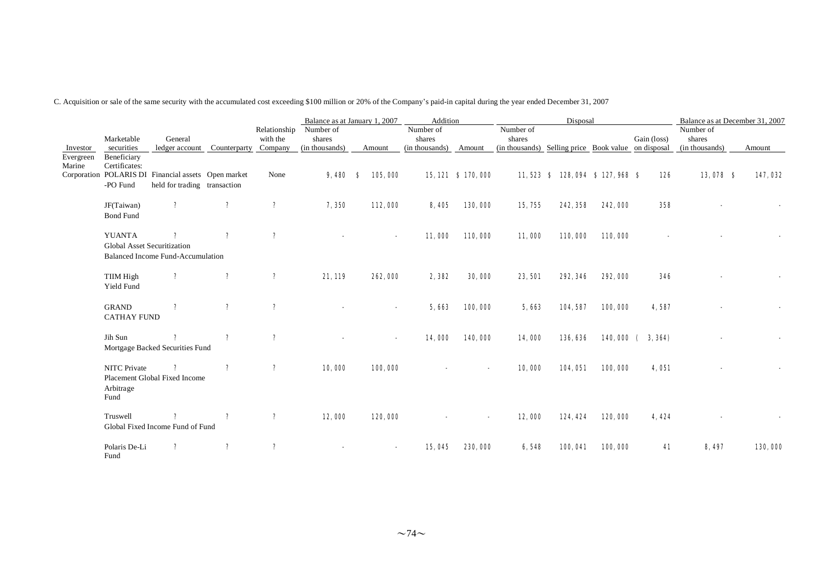C. Acquisition or sale of the same security with the accumulated cost exceeding \$100 million or 20% of the Company's paid-in capital during the year ended December 31, 2007

|                     |                                              |                                                                                     |              |                            | Balance as at January 1, 2007 |               |                                    | Addition            |                                                     | Disposal                           |         |                 |                     | Balance as at December 31, 2007 |
|---------------------|----------------------------------------------|-------------------------------------------------------------------------------------|--------------|----------------------------|-------------------------------|---------------|------------------------------------|---------------------|-----------------------------------------------------|------------------------------------|---------|-----------------|---------------------|---------------------------------|
|                     | Marketable                                   | General                                                                             |              | Relationship<br>with the   | Number of<br>shares           |               | Number of<br>shares                |                     | Number of<br>shares                                 |                                    |         | Gain (loss)     | Number of<br>shares |                                 |
| Investor            | securities                                   | ledger account Counterparty Company                                                 |              |                            | (in thousands)                | Amount        | (in thousands)                     | Amount              | (in thousands) Selling price Book value on disposal |                                    |         |                 | (in thousands)      | Amount                          |
| Evergreen<br>Marine | Beneficiary<br>Certificates:<br>-PO Fund     | Corporation POLARIS DI Financial assets Open market<br>held for trading transaction |              | None                       | 9,480                         | 105,000<br>-8 |                                    | 15, 121 \$ 170, 000 |                                                     | 11, 523 \$ 128, 094 \$ 127, 968 \$ |         | 126             | 13,078 \$           | 147,032                         |
|                     | JF(Taiwan)<br><b>Bond Fund</b>               | $\mathbf{r}$                                                                        | $\mathbf{r}$ | $\mathbf{r}$               | 7,350                         | 112,000       |                                    | 8,405<br>130,000    | 15, 755                                             | 242, 358                           | 242,000 | 358             |                     |                                 |
|                     | <b>YUANTA</b><br>Global Asset Securitization | ?                                                                                   | ?            | $\mathbf{?}$               |                               |               | 11,000                             | 110,000             | 11,000                                              | 110,000                            | 110,000 |                 |                     |                                 |
|                     |                                              | <b>Balanced Income Fund-Accumulation</b>                                            |              |                            |                               |               |                                    |                     |                                                     |                                    |         |                 |                     |                                 |
|                     | TIIM High<br>Yield Fund                      | $\mathbf{?}$                                                                        | $\mathbf{r}$ | $\boldsymbol{\mathcal{P}}$ | 21, 119                       | 262,000       |                                    | 2,382<br>30,000     | 23,501                                              | 292, 346                           | 292,000 | 346             |                     |                                 |
|                     | <b>GRAND</b><br><b>CATHAY FUND</b>           | $\boldsymbol{r}$                                                                    | $\mathbf{?}$ | $\mathbf{r}$               |                               |               |                                    | 100,000<br>5,663    | 5,663                                               | 104,587                            | 100,000 | 4,587           |                     |                                 |
|                     | Jih Sun                                      | Mortgage Backed Securities Fund                                                     | ?            | $\mathbf{r}$               |                               |               | 14,000<br>$\overline{\phantom{a}}$ | 140,000             | 14,000                                              | 136, 636                           |         | 140,000 (3,364) |                     |                                 |
|                     | <b>NITC</b> Private<br>Arbitrage<br>Fund     | $\boldsymbol{\mathsf{?}}$<br>Placement Global Fixed Income                          | $\mathbf{r}$ | $\mathbf{r}$               | 10,000                        | 100,000       |                                    |                     | 10,000                                              | 104,051                            | 100,000 | 4,051           |                     |                                 |
|                     | Truswell                                     | Global Fixed Income Fund of Fund                                                    | ?            | $\mathbf{r}$               | 12,000                        | 120,000       |                                    |                     | 12,000                                              | 124, 424                           | 120,000 | 4.424           |                     |                                 |
|                     | Polaris De-Li<br>Fund                        | ?                                                                                   | ?            | ?                          |                               |               | 15, 045                            | 230,000             | 6,548                                               | 100,041                            | 100,000 | 41              | 8, 497              | 130,000                         |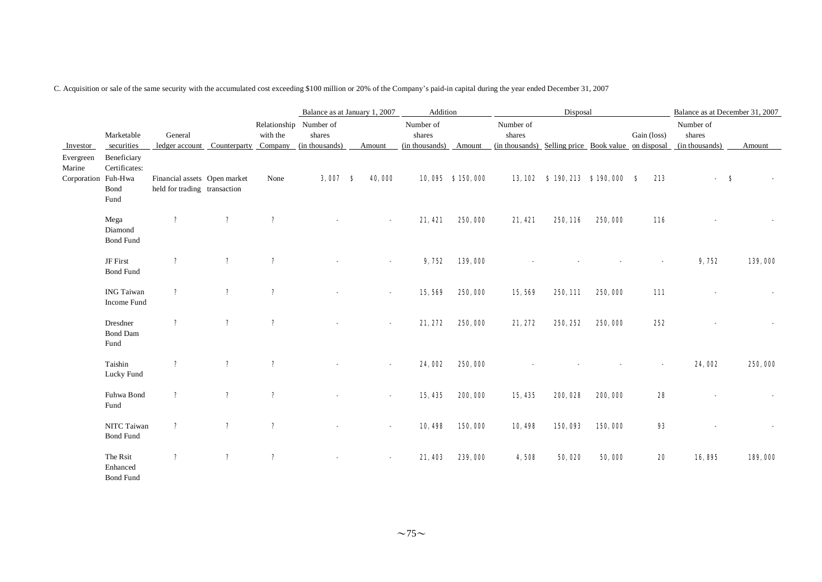C. Acquisition or sale of the same security with the accumulated cost exceeding \$100 million or 20% of the Company's paid-in capital during the year ended December 31, 2007

|                                            |                                              |                                                               |                           |              |                                  | Balance as at January 1, 2007 | Addition                                     |                  |                                                                            | Disposal                      |         |             |                                       | Balance as at December 31, 2007 |
|--------------------------------------------|----------------------------------------------|---------------------------------------------------------------|---------------------------|--------------|----------------------------------|-------------------------------|----------------------------------------------|------------------|----------------------------------------------------------------------------|-------------------------------|---------|-------------|---------------------------------------|---------------------------------|
| Investor                                   | Marketable<br>securities                     | General<br>ledger account Counterparty Company (in thousands) |                           | with the     | Relationship Number of<br>shares | Amount                        | Number of<br>shares<br>(in thousands) Amount |                  | Number of<br>shares<br>(in thousands) Selling price Book value on disposal |                               |         | Gain (loss) | Number of<br>shares<br>(in thousands) | Amount                          |
| Evergreen<br>Marine<br>Corporation Fuh-Hwa | Beneficiary<br>Certificates:<br>Bond<br>Fund | Financial assets Open market<br>held for trading transaction  |                           | None         | $3,007$ \$                       | 40,000                        |                                              | 10,095 \$150,000 |                                                                            | 13,102 \$190,213 \$190,000 \$ |         | 213         |                                       | S                               |
|                                            | Mega<br>Diamond<br><b>Bond Fund</b>          | $\mathbf{r}$                                                  | $\boldsymbol{\mathsf{?}}$ | $\mathbf{?}$ |                                  |                               | 21,421                                       | 250,000          | 21,421                                                                     | 250, 116                      | 250,000 | 116         |                                       |                                 |
|                                            | JF First<br><b>Bond Fund</b>                 | $\mathbf{?}$                                                  | $\boldsymbol{\mathsf{?}}$ | ?            |                                  |                               | 9,752                                        | 139,000          |                                                                            |                               |         |             | 9,752                                 | 139,000                         |
|                                            | <b>ING Taiwan</b><br>Income Fund             | $\mathbf{?}$                                                  | $\mathbf{?}$              | ?            |                                  |                               | 15,569                                       | 250,000          | 15,569                                                                     | 250, 111                      | 250,000 | 111         |                                       |                                 |
|                                            | Dresdner<br><b>Bond Dam</b><br>Fund          | $\mathbf{r}$                                                  | $\mathbf{?}$              | $\mathbf{r}$ |                                  |                               | 21, 272                                      | 250,000          | 21,272                                                                     | 250, 252                      | 250,000 | 252         |                                       |                                 |
|                                            | Taishin<br>Lucky Fund                        | $\mathbf{?}$                                                  | $\mathbf{?}$              | ?            |                                  |                               | 24,002                                       | 250,000          |                                                                            |                               |         |             | 24,002                                | 250,000                         |
|                                            | Fuhwa Bond<br>Fund                           | $\mathbf{r}$                                                  | $\mathbf{r}$              | ?            |                                  |                               | 15, 435                                      | 200,000          | 15, 435                                                                    | 200, 028                      | 200,000 | 28          |                                       |                                 |
|                                            | NITC Taiwan<br><b>Bond Fund</b>              | $\mathbf{?}$                                                  | $\boldsymbol{\mathsf{?}}$ | ?            |                                  |                               | 10,498                                       | 150,000          | 10,498                                                                     | 150,093                       | 150,000 | 93          |                                       |                                 |
|                                            | The Rsit<br>Enhanced<br><b>Bond Fund</b>     | $\mathbf{?}$                                                  | $\boldsymbol{\mathsf{?}}$ | ?            |                                  |                               | 21,403                                       | 239,000          | 4,508                                                                      | 50,020                        | 50,000  | 20          | 16,895                                | 189,000                         |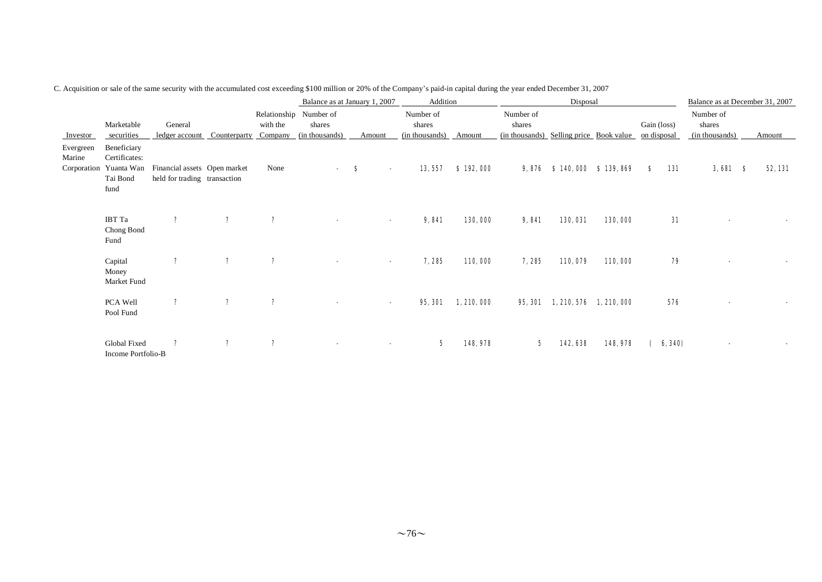|                                    |                                                                |                                                              |              |                     | Balance as at January 1, 2007                      |                          | Addition                              |             |                                                                            | Disposal                  |          |             |         | Balance as at December 31, 2007       |         |
|------------------------------------|----------------------------------------------------------------|--------------------------------------------------------------|--------------|---------------------|----------------------------------------------------|--------------------------|---------------------------------------|-------------|----------------------------------------------------------------------------|---------------------------|----------|-------------|---------|---------------------------------------|---------|
| Investor                           | Marketable<br>securities                                       | General<br>ledger account                                    | Counterparty | with the<br>Company | Relationship Number of<br>shares<br>(in thousands) | Amount                   | Number of<br>shares<br>(in thousands) | Amount      | Number of<br>shares<br>(in thousands) Selling price Book value on disposal |                           |          | Gain (loss) |         | Number of<br>shares<br>(in thousands) | Amount  |
| Evergreen<br>Marine<br>Corporation | Beneficiary<br>Certificates:<br>Yuanta Wan<br>Tai Bond<br>fund | Financial assets Open market<br>held for trading transaction |              | None                |                                                    | - 8                      | 13, 557                               | \$192,000   |                                                                            | 9,876 \$140,000 \$139,869 |          | s           | 131     | $3,681$ \$                            | 52, 131 |
|                                    | IBT Ta<br>Chong Bond<br>Fund                                   | $\mathbf{?}$                                                 | $\mathbf{?}$ | $\mathbf{r}$        |                                                    | $\blacksquare$           | 9,841                                 | 130,000     | 9,841                                                                      | 130,031                   | 130,000  |             | 31      |                                       |         |
|                                    | Capital<br>Money<br>Market Fund                                | $\mathbf{?}$                                                 | $\mathbf{r}$ | $\mathbf{r}$        |                                                    | $\blacksquare$           | 7,285                                 | 110,000     | 7,285                                                                      | 110,079                   | 110,000  |             | 79      |                                       |         |
|                                    | PCA Well<br>Pool Fund                                          | $\mathbf{?}$                                                 | $\mathbf{?}$ | $\mathbf{r}$        |                                                    | $\overline{\phantom{a}}$ | 95, 301                               | 1, 210, 000 | 95, 301                                                                    | 1, 210, 576 1, 210, 000   |          |             | 576     |                                       |         |
|                                    | Global Fixed<br>Income Portfolio-B                             | $\mathbf{r}$                                                 | $\mathbf{r}$ | $\mathbf{r}$        |                                                    |                          | 5                                     | 148, 978    | 5                                                                          | 142,638                   | 148, 978 |             | 6, 340) |                                       |         |

C. Acquisition or sale of the same security with the accumulated cost exceeding \$100 million or 20% of the Company's paid-in capital during the year ended December 31, 2007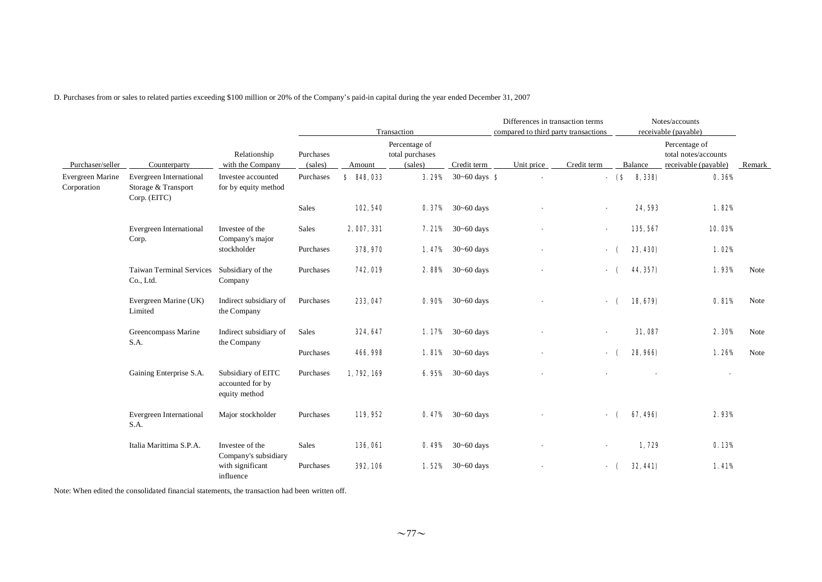D. Purchases from or sales to related parties exceeding \$100 million or 20% of the Company's paid-in capital during the year ended December 31, 2007

|                                 |                                                                |                                                         |                      |                       | Transaction                                 |                                 | Differences in transaction terms<br>compared to third party transactions |                |                   | Notes/accounts<br>receivable (payable)                        |        |
|---------------------------------|----------------------------------------------------------------|---------------------------------------------------------|----------------------|-----------------------|---------------------------------------------|---------------------------------|--------------------------------------------------------------------------|----------------|-------------------|---------------------------------------------------------------|--------|
| Purchaser/seller                | Counterparty                                                   | Relationship<br>with the Company                        | Purchases<br>(sales) | Amount                | Percentage of<br>total purchases<br>(sales) | Credit term                     | Unit price                                                               | Credit term    | Balance           | Percentage of<br>total notes/accounts<br>receivable (payable) | Remark |
| Evergreen Marine<br>Corporation | Evergreen International<br>Storage & Transport<br>Corp. (EITC) | Investee accounted<br>for by equity method              | Purchases            | \$<br><b>848, 033</b> | 3.29%                                       | $30 - 60$ days $\bullet$        |                                                                          |                | $-$ (\$<br>8,338) | 0.36%                                                         |        |
|                                 |                                                                |                                                         | Sales                | 102, 540              |                                             | <b>0.37%</b> $30 \sim 60$ days  |                                                                          | $\blacksquare$ | 24,593            | 1.82%                                                         |        |
|                                 | Evergreen International<br>Corp.                               | Investee of the<br>Company's major                      | Sales                | 2, 007, 331           |                                             | <b>7.21%</b> $30-60$ days       |                                                                          |                | 135, 567          | 10.03%                                                        |        |
|                                 |                                                                | stockholder                                             | Purchases            | 378, 970              |                                             | <b>1.47%</b> $30 \sim 60$ days  |                                                                          |                | 23, 430)<br>- (   | 1.02%                                                         |        |
|                                 | <b>Taiwan Terminal Services</b><br>Co., Ltd.                   | Subsidiary of the<br>Company                            | Purchases            | 742,019               |                                             | <b>2.88%</b> $30-60$ days       |                                                                          |                | 44, 357)<br>- (   | 1.93%                                                         | Note   |
|                                 | Evergreen Marine (UK)<br>Limited                               | Indirect subsidiary of<br>the Company                   | Purchases            | 233, 047              |                                             | <b>0. 90%</b> $30 \sim 60$ days |                                                                          | - (            | 18, 679)          | 0.81%                                                         | Note   |
|                                 | Greencompass Marine<br>S.A.                                    | Indirect subsidiary of<br>the Company                   | Sales                | 324, 647              |                                             | <b>1.17%</b> $30 \sim 60$ days  |                                                                          | $\blacksquare$ | 31,087            | 2.30%                                                         | Note   |
|                                 |                                                                |                                                         | Purchases            | 466, 998              |                                             | <b>1.81%</b> $30 \sim 60$ days  |                                                                          |                | 28, 966)          | 1.26%                                                         | Note   |
|                                 | Gaining Enterprise S.A.                                        | Subsidiary of EITC<br>accounted for by<br>equity method | Purchases            | 1,792,169             |                                             | <b>6.95%</b> 30~60 days         |                                                                          |                |                   |                                                               |        |
|                                 | Evergreen International<br>S.A.                                | Major stockholder                                       | Purchases            | 119,952               |                                             | <b>0.47%</b> $30 \sim 60$ days  |                                                                          |                | 67, 496)<br>- 1   | 2.93%                                                         |        |
|                                 | Italia Marittima S.P.A.                                        | Investee of the<br>Company's subsidiary                 | Sales                | 136,061               |                                             | <b>0.49%</b> $30 \sim 60$ days  |                                                                          | ۰.             | 1,729             | 0.13%                                                         |        |
|                                 |                                                                | with significant<br>influence                           | Purchases            | 392, 106              | 1.52%                                       | $30 - 60$ days                  |                                                                          |                | 32, 441)          | 1.41%                                                         |        |

Note: When edited the consolidated financial statements, the transaction had been written off.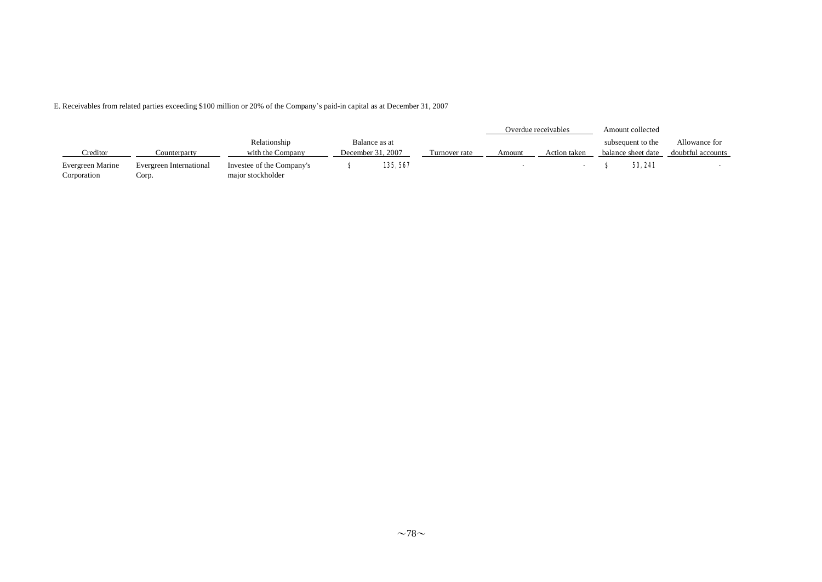E. Receivables from related parties exceeding \$100 million or 20% of the Company's paid-in capital as at December 31, 2007

|                                 |                                  |                                                |                   |               |               |        | Overdue receivables | Amount collected   |                   |
|---------------------------------|----------------------------------|------------------------------------------------|-------------------|---------------|---------------|--------|---------------------|--------------------|-------------------|
|                                 |                                  | Relationship                                   |                   | Balance as at |               |        |                     | subsequent to the  | Allowance for     |
| Creditor                        | Counterparty                     | with the Company                               | December 31, 2007 |               | Turnover rate | Amount | Action taken        | balance sheet date | doubtful accounts |
| Evergreen Marine<br>Corporation | Evergreen International<br>Corp. | Investee of the Company's<br>major stockholder | 135, 567          |               |               |        |                     | 50, 241            |                   |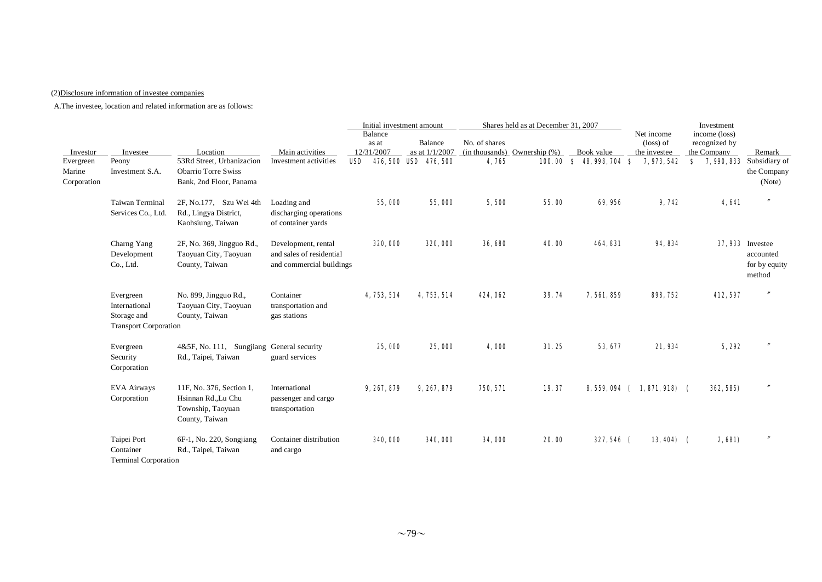### (2)Disclosure information of investee companies

|                                                |                                                                           |                                                                                                |                                                                             | Initial investment amount             |                                                    |                        | Shares held as at December 31, 2007 |                                       |                                                                 | Investment                                          |                                                                     |
|------------------------------------------------|---------------------------------------------------------------------------|------------------------------------------------------------------------------------------------|-----------------------------------------------------------------------------|---------------------------------------|----------------------------------------------------|------------------------|-------------------------------------|---------------------------------------|-----------------------------------------------------------------|-----------------------------------------------------|---------------------------------------------------------------------|
| Investor<br>Evergreen<br>Marine<br>Corporation | Investee<br>Peony<br>Investment S.A.                                      | Location<br>53Rd Street, Urbanizacion<br><b>Obarrio Torre Swiss</b><br>Bank, 2nd Floor, Panama | Main activities<br>Investment activities                                    | Balance<br>as at<br>12/31/2007<br>USD | Balance<br>as at 1/1/2007<br>476, 500 USD 476, 500 | No. of shares<br>4,765 | (in thousands) Ownership $(\%)$     | Book value<br>100.00 \$ 48,998,704 \$ | Net income<br>$(\text{loss})$ of<br>the investee<br>7, 973, 542 | income (loss)<br>recognized by<br>the Company<br>S. | Remark<br><b>7, 990, 833</b> Subsidiary of<br>the Company<br>(Note) |
|                                                | <b>Taiwan Terminal</b><br>Services Co., Ltd.                              | 2F, No.177, Szu Wei 4th<br>Rd., Lingya District,<br>Kaohsiung, Taiwan                          | Loading and<br>discharging operations<br>of container yards                 | 55,000                                | 55,000                                             | 5,500                  | 55.00                               | 69,956                                | 9,742                                                           | 4,641                                               |                                                                     |
|                                                | Charng Yang<br>Development<br>Co., Ltd.                                   | 2F, No. 369, Jingguo Rd.,<br>Taoyuan City, Taoyuan<br>County, Taiwan                           | Development, rental<br>and sales of residential<br>and commercial buildings | 320,000                               | 320,000                                            | 36,680                 | 40.00                               | 464, 831                              | 94, 834                                                         |                                                     | <b>37,933</b> Investee<br>accounted<br>for by equity<br>method      |
|                                                | Evergreen<br>International<br>Storage and<br><b>Transport Corporation</b> | No. 899, Jingguo Rd.,<br>Taoyuan City, Taoyuan<br>County, Taiwan                               | Container<br>transportation and<br>gas stations                             | 4, 753, 514                           | 4, 753, 514                                        | 424,062                | 39.74                               | 7,561,859                             | 898, 752                                                        | 412, 597                                            |                                                                     |
|                                                | Evergreen<br>Security<br>Corporation                                      | 4&5F, No. 111, Sungjiang General security<br>Rd., Taipei, Taiwan                               | guard services                                                              | 25,000                                | 25,000                                             | 4,000                  | 31.25                               | 53, 677                               | 21,934                                                          | 5,292                                               |                                                                     |
|                                                | <b>EVA Airways</b><br>Corporation                                         | 11F, No. 376, Section 1,<br>Hsinnan Rd., Lu Chu<br>Township, Taoyuan<br>County, Taiwan         | International<br>passenger and cargo<br>transportation                      | 9, 267, 879                           | 9, 267, 879                                        | 750, 571               | 19.37                               | 8,559,094 (                           | 1, 871, 918)                                                    | 362, 585)                                           |                                                                     |
|                                                | Taipei Port<br>Container<br><b>Terminal Corporation</b>                   | 6F-1, No. 220, Songjiang<br>Rd., Taipei, Taiwan                                                | Container distribution<br>and cargo                                         | 340,000                               | 340,000                                            | 34,000                 | 20.00                               | 327,546 (                             | $13,404$ (                                                      | 2,681)                                              |                                                                     |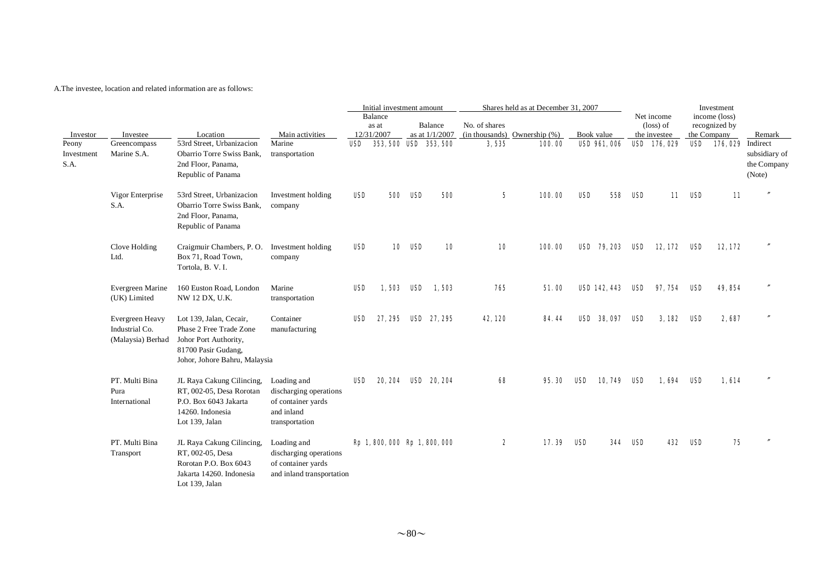|                                         |                                                        |                                                                                                                                     |                                                                                             |            | Initial investment amount |                |                                           |                 | Shares held as at December 31, 2007         |     |                                   |     |                                  |     | Investment                                  |                                                  |
|-----------------------------------------|--------------------------------------------------------|-------------------------------------------------------------------------------------------------------------------------------------|---------------------------------------------------------------------------------------------|------------|---------------------------|----------------|-------------------------------------------|-----------------|---------------------------------------------|-----|-----------------------------------|-----|----------------------------------|-----|---------------------------------------------|--------------------------------------------------|
|                                         |                                                        |                                                                                                                                     |                                                                                             |            | Balance<br>as at          |                | <b>Balance</b>                            | No. of shares   |                                             |     |                                   |     | Net income<br>$(\text{loss})$ of |     | income (loss)<br>recognized by              |                                                  |
| Investor<br>Peony<br>Investment<br>S.A. | Investee<br>Greencompass<br>Marine S.A.                | Location<br>53rd Street, Urbanizacion<br>Obarrio Torre Swiss Bank,<br>2nd Floor, Panama,<br>Republic of Panama                      | Main activities<br>Marine<br>transportation                                                 | USD        | 12/31/2007                |                | as at $1/1/2007$<br>353, 500 ISD 353, 500 | 3,535           | $(in thousands)$ Ownership $(\%)$<br>100.00 |     | Book value<br><b>USD 961, 006</b> |     | the investee<br>USD 176, 029     |     | the Company<br><b>USD 176, 029</b> Indirect | Remark<br>subsidiary of<br>the Company<br>(Note) |
|                                         | Vigor Enterprise<br>S.A.                               | 53rd Street, Urbanizacion<br>Obarrio Torre Swiss Bank.<br>2nd Floor, Panama,<br>Republic of Panama                                  | Investment holding<br>company                                                               | <b>USD</b> |                           | <b>500 USD</b> | 500                                       | $5\phantom{.0}$ | 100.00                                      | USD | 558                               | USD | 11                               | USD | 11                                          |                                                  |
|                                         | Clove Holding<br>Ltd.                                  | Craigmuir Chambers, P.O.<br>Box 71, Road Town,<br>Tortola, B. V. I.                                                                 | Investment holding<br>company                                                               | <b>USD</b> |                           | <b>10 USD</b>  | 10                                        | 10              | 100.00                                      |     | <b>USD</b> 79, 203                | USD | 12, 172                          | USD | 12,172                                      |                                                  |
|                                         | Evergreen Marine<br>(UK) Limited                       | 160 Euston Road, London<br>NW 12 DX, U.K.                                                                                           | Marine<br>transportation                                                                    | <b>USD</b> |                           |                | 1.503 USD 1.503                           | 765             | 51.00                                       |     | <b>USD 142, 443</b>               | USD | 97. 754                          | USD | 49, 854                                     |                                                  |
|                                         | Evergreen Heavy<br>Industrial Co.<br>(Malaysia) Berhad | Lot 139, Jalan, Cecair,<br>Phase 2 Free Trade Zone<br>Johor Port Authority,<br>81700 Pasir Gudang,<br>Johor, Johore Bahru, Malaysia | Container<br>manufacturing                                                                  | USD        | 27.295                    |                | <b>USD</b> 27, 295                        | 42, 120         | 84.44                                       |     | <b>USD 38,097</b>                 | USD | 3,182                            | USD | 2,687                                       |                                                  |
|                                         | PT. Multi Bina<br>Pura<br>International                | JL Raya Cakung Cilincing,<br>RT, 002-05, Desa Rorotan<br>P.O. Box 6043 Jakarta<br>14260. Indonesia<br>Lot 139, Jalan                | Loading and<br>discharging operations<br>of container yards<br>and inland<br>transportation | USD        |                           |                | 20, 204 USD 20, 204                       | 68              | 95.30                                       | USD | 10, 749                           | USD | 1,694                            | USD | 1,614                                       |                                                  |
|                                         | PT. Multi Bina<br>Transport                            | JL Raya Cakung Cilincing,<br>RT, 002-05, Desa<br>Rorotan P.O. Box 6043<br>Jakarta 14260. Indonesia<br>Lot 139, Jalan                | Loading and<br>discharging operations<br>of container yards<br>and inland transportation    |            |                           |                | Rp 1, 800, 000 Rp 1, 800, 000             | 2               | 17.39                                       | USD | 344                               | USD | 432                              | USD | 75                                          |                                                  |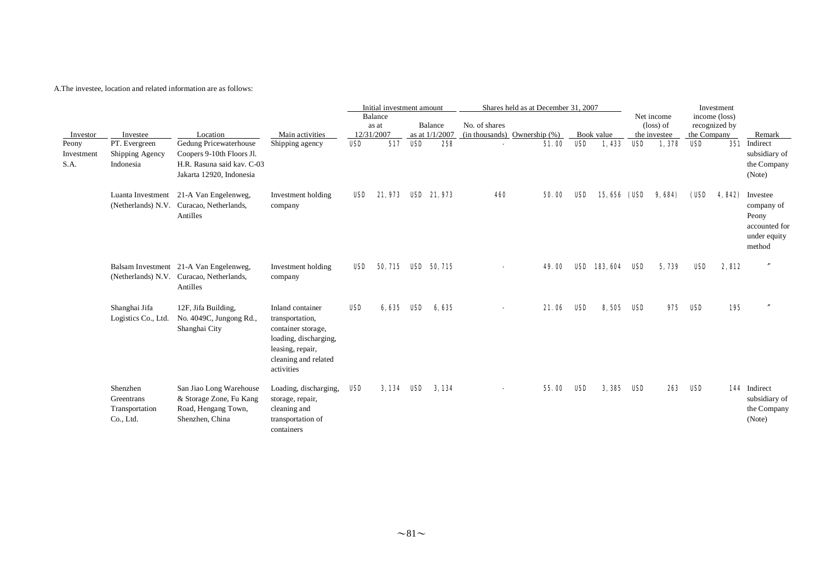|                             |                                                       |                                                                                                               |                                                                                                                                              |            | Initial investment amount      |            |                           |               | Shares held as at December 31, 2007 |            |                    |            |                                                  |             | Investment                     |                                                                            |
|-----------------------------|-------------------------------------------------------|---------------------------------------------------------------------------------------------------------------|----------------------------------------------------------------------------------------------------------------------------------------------|------------|--------------------------------|------------|---------------------------|---------------|-------------------------------------|------------|--------------------|------------|--------------------------------------------------|-------------|--------------------------------|----------------------------------------------------------------------------|
| Investor                    | Investee                                              | Location                                                                                                      | Main activities                                                                                                                              |            | Balance<br>as at<br>12/31/2007 |            | Balance<br>as at 1/1/2007 | No. of shares | (in thousands) Ownership $(\%)$     |            | Book value         |            | Net income<br>$(\text{loss})$ of<br>the investee | the Company | income (loss)<br>recognized by | Remark                                                                     |
| Peony<br>Investment<br>S.A. | PT. Evergreen<br>Shipping Agency<br>Indonesia         | Gedung Pricewaterhouse<br>Coopers 9-10th Floors Jl.<br>H.R. Rasuna said kav. C-03<br>Jakarta 12920, Indonesia | Shipping agency                                                                                                                              | <b>USD</b> | 517                            | <b>USD</b> | 258                       |               | 51.00                               | <b>USD</b> | 1,433              | <b>USD</b> | 1,378                                            | <b>USD</b>  |                                | 351 Indirect<br>subsidiary of<br>the Company<br>(Note)                     |
|                             |                                                       | Luanta Investment 21-A Van Engelenweg,<br>(Netherlands) N.V. Curacao, Netherlands,<br>Antilles                | Investment holding<br>company                                                                                                                | USD        | 21,973                         |            | <b>USD</b> 21,973         | 460           | 50.00                               | <b>USD</b> | <b>15,656 (USD</b> |            | 9,684)                                           | (USD        | 4, 842)                        | Investee<br>company of<br>Peony<br>accounted for<br>under equity<br>method |
|                             |                                                       | Balsam Investment 21-A Van Engelenweg,<br>(Netherlands) N.V. Curacao, Netherlands,<br>Antilles                | Investment holding<br>company                                                                                                                | USD        | 50, 715 USD 50, 715            |            |                           |               | 49.00                               |            | USD 183, 604 USD   |            | 5,739                                            | USD         | 2,812                          | $\overline{''}$                                                            |
|                             | Shanghai Jifa<br>Logistics Co., Ltd.                  | 12F, Jifa Building,<br>No. 4049C, Jungong Rd.,<br>Shanghai City                                               | Inland container<br>transportation,<br>container storage,<br>loading, discharging,<br>leasing, repair,<br>cleaning and related<br>activities | <b>USD</b> | 6,635 USD                      |            | 6.635                     |               | 21.06                               | <b>USD</b> | 8,505              | USD        | 975                                              | USD         | 195                            | $\overline{''}$                                                            |
|                             | Shenzhen<br>Greentrans<br>Transportation<br>Co., Ltd. | San Jiao Long Warehouse<br>& Storage Zone, Fu Kang<br>Road, Hengang Town,<br>Shenzhen, China                  | Loading, discharging,<br>storage, repair,<br>cleaning and<br>transportation of<br>containers                                                 | USD        | 3.134 USD                      |            | 3.134                     |               | 55.00                               | USD        | 3,385              | USD        | 263                                              | USD         |                                | 144 Indirect<br>subsidiary of<br>the Company<br>(Note)                     |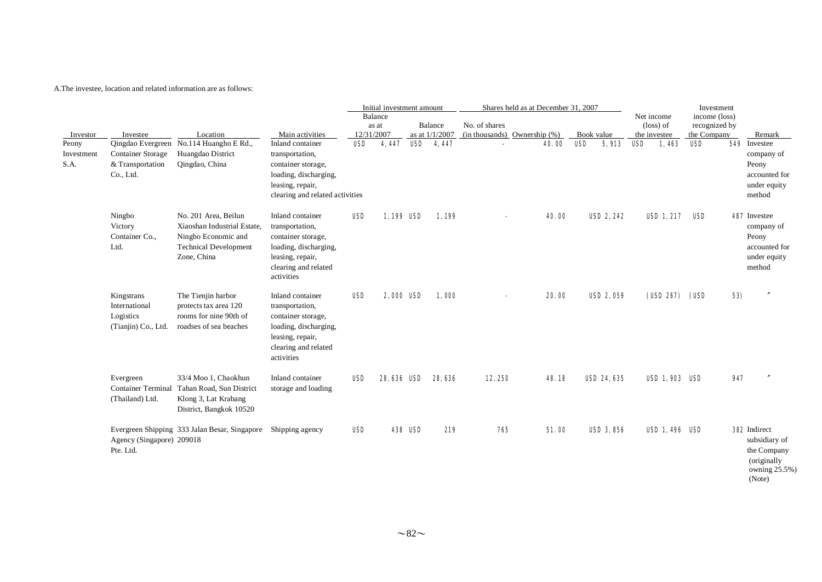|                             |                                                                 |                                                                                                                           |                                                                                                                                              |            | Initial investment amount |                |                           |                                                    | Shares held as at December 31, 2007 |       |            |                    |     |                                                  | Investment                                    |     |                                                                                                |
|-----------------------------|-----------------------------------------------------------------|---------------------------------------------------------------------------------------------------------------------------|----------------------------------------------------------------------------------------------------------------------------------------------|------------|---------------------------|----------------|---------------------------|----------------------------------------------------|-------------------------------------|-------|------------|--------------------|-----|--------------------------------------------------|-----------------------------------------------|-----|------------------------------------------------------------------------------------------------|
| Investor                    | Investee                                                        | Location                                                                                                                  | Main activities                                                                                                                              | 12/31/2007 | Balance<br>as at          |                | Balance<br>as at 1/1/2007 | No. of shares<br>$(in thousands)$ Ownership $(\%)$ |                                     |       | Book value |                    |     | Net income<br>$(\text{loss})$ of<br>the investee | income (loss)<br>recognized by<br>the Company |     | Remark                                                                                         |
| Peony<br>Investment<br>S.A. | Container Storage<br>& Transportation<br>Co., Ltd.              | Qingdao Evergreen No.114 Huangho E Rd.,<br>Huangdao District<br>Qingdao, China                                            | Inland container<br>transportation,<br>container storage,<br>loading, discharging,<br>leasing, repair,<br>clearing and related activities    | USD        | 4,447                     |                | USD 4, 447                |                                                    |                                     | 40.00 | USD        | 5,913              | USD | 1,463                                            | USD                                           |     | 549 Investee<br>company of<br>Peony<br>accounted for<br>under equity<br>method                 |
|                             | Ningbo<br>Victory<br>Container Co.,<br>Ltd.                     | No. 201 Area, Beilun<br>Xiaoshan Industrial Estate,<br>Ningbo Economic and<br><b>Technical Development</b><br>Zone, China | Inland container<br>transportation,<br>container storage,<br>loading, discharging,<br>leasing, repair,<br>clearing and related<br>activities | <b>USD</b> | 1,199 USD                 |                | 1,199                     |                                                    |                                     | 40.00 |            | USD 2, 242         |     | <b>USD 1, 217</b>                                | USD                                           |     | <b>487</b> Investee<br>company of<br>Peony<br>accounted for<br>under equity<br>method          |
|                             | Kingstrans<br>International<br>Logistics<br>(Tianjin) Co., Ltd. | The Tienjin harbor<br>protects tax area 120<br>rooms for nine 90th of<br>roadses of sea beaches                           | Inland container<br>transportation,<br>container storage,<br>loading, discharging,<br>leasing, repair,<br>clearing and related<br>activities | <b>USD</b> | <b>2,000 USD</b>          |                | 1,000                     |                                                    |                                     | 20.00 |            | <b>USD 2, 059</b>  |     | (USD 267) (USD                                   |                                               | 53) |                                                                                                |
|                             | Evergreen<br><b>Container Terminal</b><br>(Thailand) Ltd.       | 33/4 Moo 1, Chaokhun<br>Tahan Road, Sun District<br>Klong 3, Lat Krabang<br>District, Bangkok 10520                       | Inland container<br>storage and loading                                                                                                      | <b>USD</b> | <b>28,636 USD</b>         |                | 28, 636                   | 12,250                                             |                                     | 48.18 |            | <b>USD 24, 635</b> |     | <b>USD 1, 903 USD</b>                            |                                               | 947 |                                                                                                |
|                             | Agency (Singapore) 209018<br>Pte. Ltd.                          | Evergreen Shipping 333 Jalan Besar, Singapore                                                                             | Shipping agency                                                                                                                              | <b>USD</b> |                           | <b>438 USD</b> | 219                       | 765                                                |                                     | 51.00 |            | <b>USD 3, 856</b>  |     | USD 1, 496 USD                                   |                                               |     | <b>392</b> Indirect<br>subsidiary of<br>the Company<br>(originally)<br>owning 25.5%)<br>(Note) |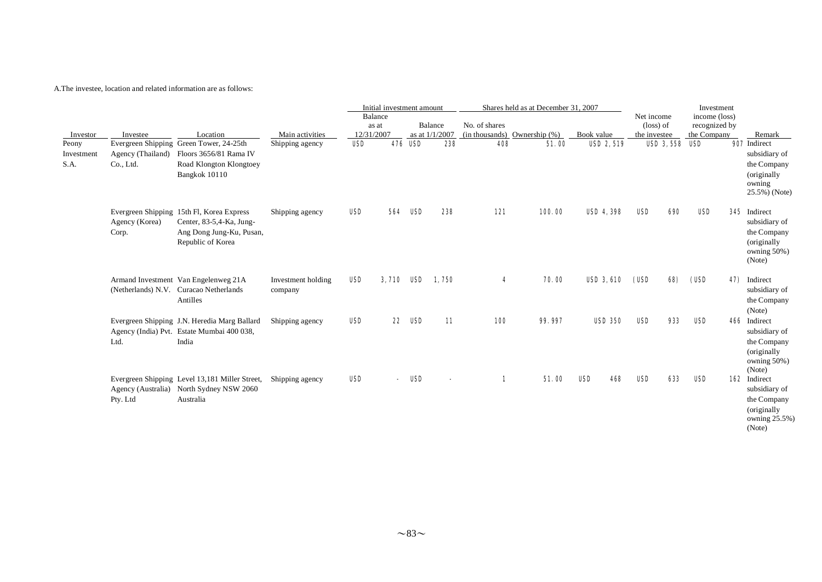|                             |                                |                                                                                                                        |                               |                                | Initial investment amount |                |                           |               | Shares held as at December 31, 2007 |                   |                                                  |     | Investment                                    |                                                                                        |
|-----------------------------|--------------------------------|------------------------------------------------------------------------------------------------------------------------|-------------------------------|--------------------------------|---------------------------|----------------|---------------------------|---------------|-------------------------------------|-------------------|--------------------------------------------------|-----|-----------------------------------------------|----------------------------------------------------------------------------------------|
| Investor                    | Investee                       | Location                                                                                                               | Main activities               | Balance<br>as at<br>12/31/2007 |                           |                | Balance<br>as at 1/1/2007 | No. of shares | $(in thousands)$ Ownership $(\%)$   | Book value        | Net income<br>$(\text{loss})$ of<br>the investee |     | income (loss)<br>recognized by<br>the Company | Remark                                                                                 |
| Peony<br>Investment<br>S.A. | Agency (Thailand)<br>Co., Ltd. | Evergreen Shipping Green Tower, 24-25th<br>Floors 3656/81 Rama IV<br>Road Klongton Klongtoey<br>Bangkok 10110          | Shipping agency               | <b>USD</b>                     |                           | <b>476 USD</b> | 238                       | 408           | 51.00                               | <b>USD 2, 519</b> | <b>USD 3, 558 USD</b>                            |     |                                               | 907 Indirect<br>subsidiary of<br>the Company<br>(originally<br>owning<br>25.5%) (Note) |
|                             | Agency (Korea)<br>Corp.        | Evergreen Shipping 15th Fl, Korea Express<br>Center, 83-5,4-Ka, Jung-<br>Ang Dong Jung-Ku, Pusan,<br>Republic of Korea | Shipping agency               | <b>USD</b>                     | 564                       | USD            | 238                       | 121           | 100.00                              | <b>USD 4, 398</b> | USD                                              | 690 | <b>USD</b>                                    | 345 Indirect<br>subsidiary of<br>the Company<br>(originally<br>owning 50%)<br>(Note)   |
|                             |                                | Armand Investment Van Engelenweg 21A<br>(Netherlands) N.V. Curacao Netherlands<br>Antilles                             | Investment holding<br>company | <b>USD</b>                     |                           |                | 3.710 USD 1.750           | 4             | 70.00                               | <b>USD 3, 610</b> | (USD                                             | 68) | (USD                                          | 47) Indirect<br>subsidiary of<br>the Company<br>(Note)                                 |
|                             | Ltd.                           | Evergreen Shipping J.N. Heredia Marg Ballard<br>Agency (India) Pvt. Estate Mumbai 400 038,<br>India                    | Shipping agency               | <b>USD</b>                     | 22                        | USD            | 11                        | <b>100</b>    | 99.997                              | <b>USD 350</b>    | <b>USD</b>                                       | 933 | USD                                           | 466 Indirect<br>subsidiary of<br>the Company<br>(originally<br>owning 50%)<br>(Note)   |
|                             | Pty. Ltd                       | Evergreen Shipping Level 13,181 Miller Street,<br>Agency (Australia) North Sydney NSW 2060<br>Australia                | Shipping agency               | <b>USD</b>                     |                           | USD            |                           | 1             | 51.00                               | USD<br>468        | USD                                              | 633 | USD                                           | 162 Indirect<br>subsidiary of<br>the Company<br>(originally<br>owning 25.5%)<br>(Note) |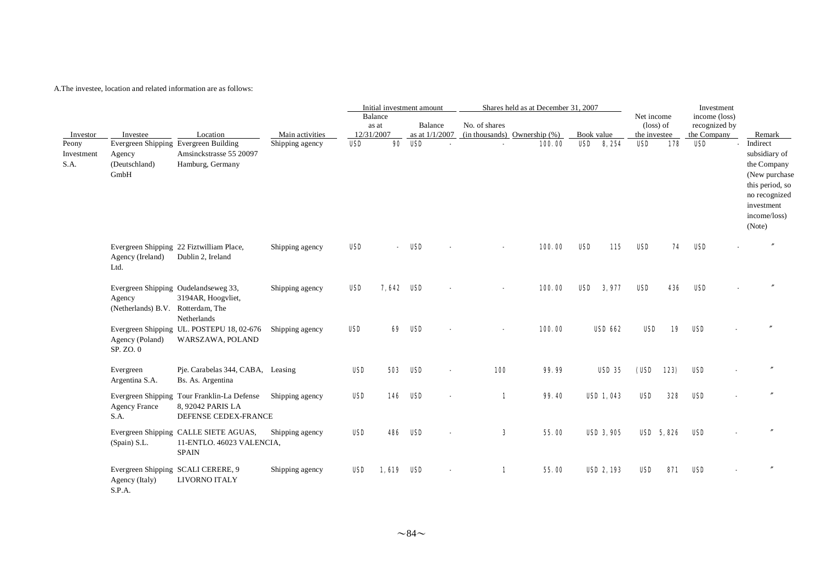|                                         |                                                                                      |                                                                                          |                                    |                          | Initial investment amount |            |                |               | Shares held as at December 31, 2007         |                          |                   |                                  |           | Investment                     |                                                                                                                                                 |
|-----------------------------------------|--------------------------------------------------------------------------------------|------------------------------------------------------------------------------------------|------------------------------------|--------------------------|---------------------------|------------|----------------|---------------|---------------------------------------------|--------------------------|-------------------|----------------------------------|-----------|--------------------------------|-------------------------------------------------------------------------------------------------------------------------------------------------|
|                                         |                                                                                      |                                                                                          |                                    |                          | Balance<br>as at          |            | Balance        | No. of shares |                                             |                          |                   | Net income<br>$(\text{loss})$ of |           | income (loss)<br>recognized by |                                                                                                                                                 |
| Investor<br>Peony<br>Investment<br>S.A. | Investee<br>Evergreen Shipping Evergreen Building<br>Agency<br>(Deutschland)<br>GmbH | Location<br>Amsinckstrasse 55 20097<br>Hamburg, Germany                                  | Main activities<br>Shipping agency | 12/31/2007<br><b>USD</b> | 90                        | <b>USD</b> | as at 1/1/2007 |               | $(in thousands)$ Ownership $(\%)$<br>100.00 | Book value<br><b>USD</b> | 8, 254            | the investee<br><b>USD</b>       | 178       | the Company<br><b>USD</b>      | Remark<br>Indirect<br>subsidiary of<br>the Company<br>(New purchase<br>this period, so<br>no recognized<br>investment<br>income/loss)<br>(Note) |
|                                         | Agency (Ireland)<br>Ltd.                                                             | Evergreen Shipping 22 Fiztwilliam Place,<br>Dublin 2, Ireland                            | Shipping agency                    | USD                      |                           | USD        |                |               | 100.00                                      | <b>USD</b>               | 115               | <b>USD</b>                       | 74        | USD                            |                                                                                                                                                 |
|                                         | Evergreen Shipping Oudelandseweg 33,<br>Agency<br>(Netherlands) B.V. Rotterdam, The  | 3194AR, Hoogvliet,<br>Netherlands                                                        | Shipping agency                    | USD                      | 7.642                     | USD        |                |               | 100.00                                      | <b>USD</b>               | 3,977             | <b>USD</b>                       | 436       | <b>USD</b>                     |                                                                                                                                                 |
|                                         | Agency (Poland)<br>SP. ZO. 0                                                         | Evergreen Shipping UL. POSTEPU 18, 02-676<br>WARSZAWA, POLAND                            | Shipping agency                    | <b>USD</b>               | 69                        | USD        |                |               | 100.00                                      |                          | <b>USD 662</b>    | USD                              | 19        | USD                            |                                                                                                                                                 |
|                                         | Evergreen<br>Argentina S.A.                                                          | Pje. Carabelas 344, CABA, Leasing<br>Bs. As. Argentina                                   |                                    | <b>USD</b>               | 503                       | USD        |                | <b>100</b>    | 99.99                                       |                          | <b>USD 35</b>     | (USD 123)                        |           | <b>USD</b>                     |                                                                                                                                                 |
|                                         | <b>Agency France</b><br>S.A.                                                         | Evergreen Shipping Tour Franklin-La Defense<br>8, 92042 PARIS LA<br>DEFENSE CEDEX-FRANCE | Shipping agency                    | <b>USD</b>               | 146                       | USD        |                | 1             | 99.40                                       |                          | <b>USD 1, 043</b> | <b>USD</b>                       | 328       | <b>USD</b>                     |                                                                                                                                                 |
|                                         | (Spain) S.L.                                                                         | Evergreen Shipping CALLE SIETE AGUAS,<br>11-ENTLO. 46023 VALENCIA,<br><b>SPAIN</b>       | Shipping agency                    | <b>USD</b>               | 486                       | USD        |                | 3             | 55.00                                       |                          | <b>USD 3, 905</b> |                                  | USD 5.826 | <b>USD</b>                     |                                                                                                                                                 |
|                                         | Evergreen Shipping SCALI CERERE, 9<br>Agency (Italy)<br>S.P.A.                       | LIVORNO ITALY                                                                            | Shipping agency                    | <b>USD</b>               | 1.619                     | USD        |                | 1             | 55.00                                       |                          | <b>USD 2, 193</b> | <b>USD</b>                       | 871       | <b>USD</b>                     |                                                                                                                                                 |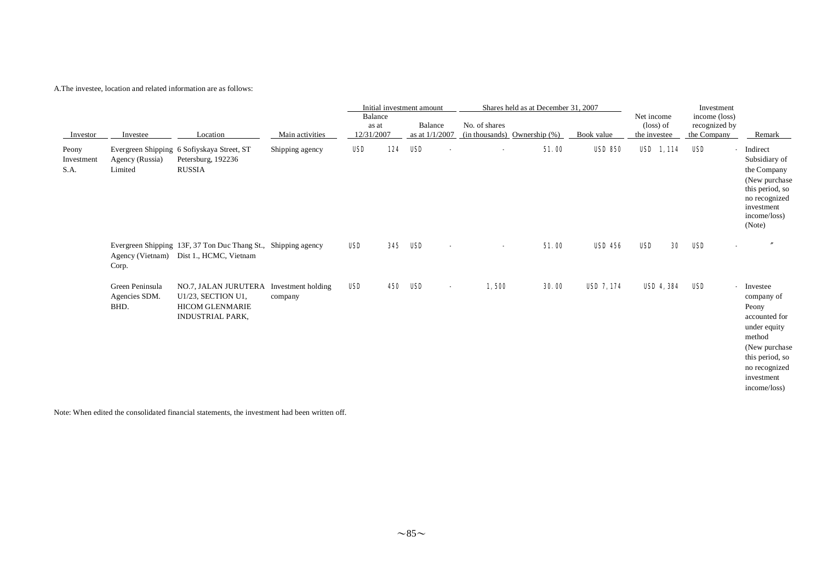| Investor                    | Investee                                 | Location                                                                                                           |                 | Main activities | Initial investment amount<br>Shares held as at December 31, 2007<br>Balance<br>No. of shares<br>Balance<br>as at<br>12/31/2007<br>as at $1/1/2007$<br>$(in thousands)$ Ownership $(\%)$<br>Book value |            |                                   | Net income<br>(loss) of<br>the investee | Investment<br>income (loss)<br>recognized by<br>the Company | Remark            |     |                                                                                                                                                                  |
|-----------------------------|------------------------------------------|--------------------------------------------------------------------------------------------------------------------|-----------------|-----------------|-------------------------------------------------------------------------------------------------------------------------------------------------------------------------------------------------------|------------|-----------------------------------|-----------------------------------------|-------------------------------------------------------------|-------------------|-----|------------------------------------------------------------------------------------------------------------------------------------------------------------------|
| Peony<br>Investment<br>S.A. | Agency (Russia)<br>Limited               | Evergreen Shipping 6 Sofiyskaya Street, ST<br>Petersburg, 192236<br>RUSSIA                                         | Shipping agency | <b>USD</b>      | 124                                                                                                                                                                                                   | <b>USD</b> |                                   | 51.00                                   | <b>USD 850</b>                                              | <b>USD</b> 1,114  | USD | - Indirect<br>Subsidiary of<br>the Company<br>(New purchase<br>this period, so<br>no recognized<br>investment<br>income/loss)<br>(Note)                          |
|                             | Corp.                                    | Evergreen Shipping 13F, 37 Ton Duc Thang St., Shipping agency<br>Agency (Vietnam) Dist 1., HCMC, Vietnam           |                 | <b>USD</b>      | 345                                                                                                                                                                                                   | USD        |                                   | 51.00                                   | <b>USD 456</b>                                              | <b>USD</b><br>30  | USD |                                                                                                                                                                  |
|                             | Green Peninsula<br>Agencies SDM.<br>BHD. | NO.7, JALAN JURUTERA Investment holding<br>U1/23, SECTION U1,<br><b>HICOM GLENMARIE</b><br><b>INDUSTRIAL PARK,</b> | company         | <b>USD</b>      | 450                                                                                                                                                                                                   | USD        | 1,500<br>$\overline{\phantom{0}}$ | 30.00                                   | <b>USD 7, 174</b>                                           | <b>USD 4, 384</b> | USD | - Investee<br>company of<br>Peony<br>accounted for<br>under equity<br>method<br>(New purchase)<br>this period, so<br>no recognized<br>investment<br>income/loss) |

Note: When edited the consolidated financial statements, the investment had been written off.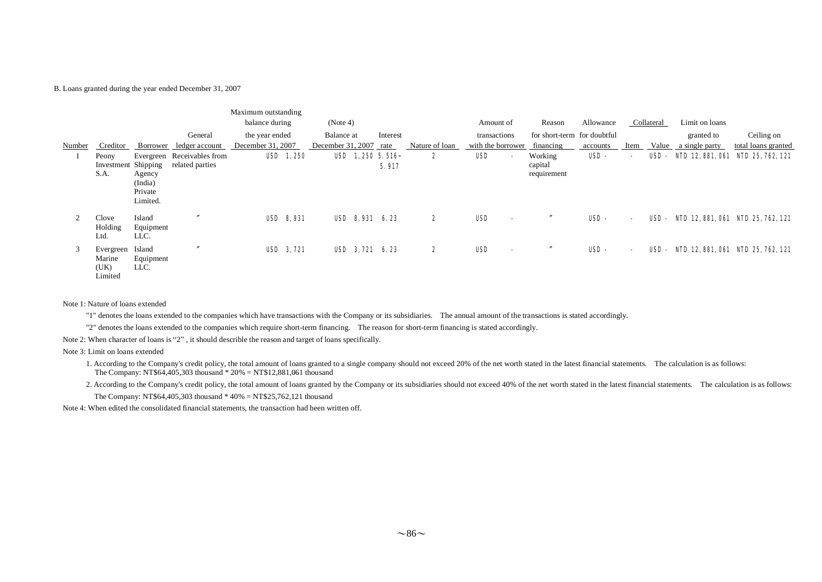#### B. Loans granted during the year ended December 31, 2007

|        |                                        |                                          | General                                       | Maximum outstanding<br>balance during<br>the year ended |                  | (Note 4)<br>Balance at | Interest                   |                | Amount of<br>transactions       | Reason<br>for short-term for doubtful | Allowance   |                          | Collateral | Limit on loans<br>granted to | Ceiling on                        |
|--------|----------------------------------------|------------------------------------------|-----------------------------------------------|---------------------------------------------------------|------------------|------------------------|----------------------------|----------------|---------------------------------|---------------------------------------|-------------|--------------------------|------------|------------------------------|-----------------------------------|
| Number | Creditor                               |                                          | Borrower ledger account                       | December 31, 2007                                       |                  | December 31, 2007 rate |                            | Nature of loan | with the borrower               | financing                             | accounts    | Item                     |            | Value a single party         | total loans granted               |
|        | Peony<br>Investment Shipping<br>S.A.   | Agency<br>(India)<br>Private<br>Limited. | Evergreen Receivables from<br>related parties |                                                         | <b>USD</b> 1,250 |                        | USD $1,250,5.516$<br>5.917 | 2              | USD<br>$\sim$                   | Working<br>capital<br>requirement     | USD-        | $\overline{\phantom{a}}$ | USD -      |                              | NID 12, 881, 061 NID 25, 762, 121 |
| 2      | Clove<br>Holding<br>Ltd.               | Island<br>Equipment<br>LLC.              |                                               | <b>USD 8,931</b>                                        |                  |                        | USD 8,931 6.23             | 2              | USD<br>$\overline{\phantom{0}}$ |                                       | <b>USD-</b> | $\sim$                   | USD -      |                              | NID 12, 881, 061 NID 25, 762, 121 |
| 3      | Evergreen<br>Marine<br>(UK)<br>Limited | Island<br>Equipment<br>LLC.              |                                               | USD 3, 721                                              |                  |                        | USD 3, 721 6.23            | 2              | USD<br>$\overline{\phantom{0}}$ |                                       | <b>USD-</b> | $\overline{\phantom{a}}$ | USD-       |                              | NID 12, 881, 061 NID 25, 762, 121 |

#### Note 1: Nature of loans extended

"1" denotes the loans extended to the companies which have transactions with the Company or its subsidiaries. The annual amount of the transactions is stated accordingly.

"2" denotes the loans extended to the companies which require short-term financing. The reason for short-term financing is stated accordingly.

Note 2: When character of loans is "2" , it should describle the reason and target of loans specifically.

#### Note 3: Limit on loans extended

1. According to the Company's credit policy, the total amount of loans granted to a single company should not exceed 20% of the net worth stated in the latest financial statements. The calculation is as follows: The Company: NT\$64,405,303 thousand \* 20% = NT\$12,881,061 thousand

2. According to the Company's credit policy, the total amount of loans granted by the Company or its subsidiaries should not exceed 40% of the net worth stated in the latest financial statements. The calculation is as foll

The Company: NT\$64,405,303 thousand \* 40% = NT\$25,762,121 thousand

Note 4: When edited the consolidated financial statements, the transaction had been written off.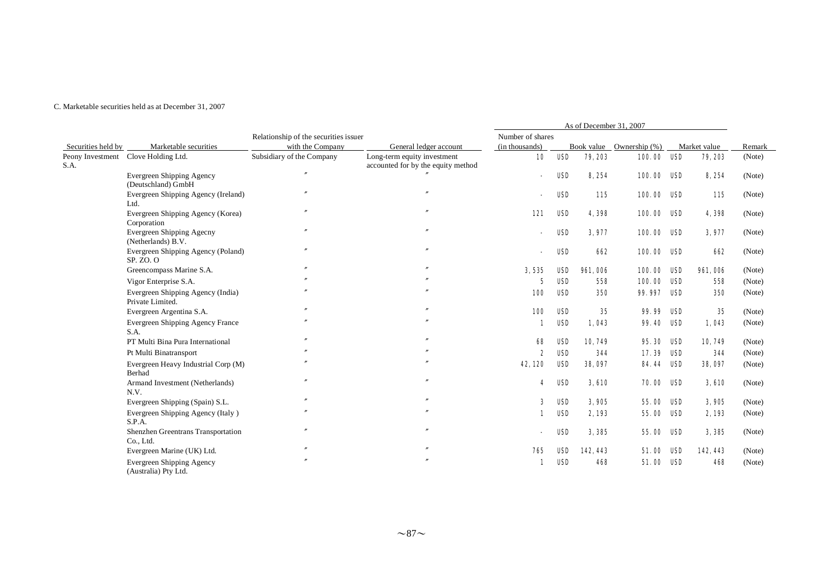#### C. Marketable securities held as at December 31, 2007

|                          |                                                          |                                       |                                                                   |                  |            | As of December 31, 2007 |                          |     |                |        |
|--------------------------|----------------------------------------------------------|---------------------------------------|-------------------------------------------------------------------|------------------|------------|-------------------------|--------------------------|-----|----------------|--------|
|                          |                                                          | Relationship of the securities issuer |                                                                   | Number of shares |            |                         |                          |     |                |        |
| Securities held by       | Marketable securities                                    | with the Company                      | General ledger account                                            | (in thousands)   |            |                         | Book value Ownership (%) |     | Market value   | Remark |
| Peony Investment<br>S.A. | Clove Holding Ltd.                                       | Subsidiary of the Company             | Long-term equity investment<br>accounted for by the equity method | 10               | <b>USD</b> | 79, 203                 | 100.00 USD               |     | 79, 203        | (Note) |
|                          | <b>Evergreen Shipping Agency</b><br>(Deutschland) GmbH   | $^{\prime\prime}$                     |                                                                   |                  | <b>USD</b> | 8,254                   | 100.00 USD               |     | 8, 254         | (Note) |
|                          | Evergreen Shipping Agency (Ireland)<br>Ltd.              | $^{\prime\prime}$                     | $^{\prime\prime}$                                                 |                  | USD        | 115                     | 100.00 USD               |     | 115            | (Note) |
|                          | Evergreen Shipping Agency (Korea)<br>Corporation         | $^{\prime\prime}$                     | $\prime$                                                          | 121              | <b>USD</b> | 4,398                   | 100.00 USD               |     | 4,398          | (Note) |
|                          | Evergreen Shipping Agecny<br>(Netherlands) B.V.          | $^{\prime\prime}$                     | $^{\prime\prime}$                                                 |                  | <b>USD</b> | 3,977                   | 100.00 USD               |     | 3,977          | (Note) |
|                          | Evergreen Shipping Agency (Poland)<br>SP. ZO. O          | $\overline{v}$                        | $\overline{v}$                                                    |                  | USD        | 662                     | 100.00 USD               |     | 662            | (Note) |
|                          | Greencompass Marine S.A.                                 | $\overline{v}$                        | $\prime$                                                          | 3,535            | <b>USD</b> | <b>961,006</b>          | 100.00 USD               |     | <b>961,006</b> | (Note) |
|                          | Vigor Enterprise S.A.                                    |                                       |                                                                   | 5                | <b>USD</b> | 558                     | 100.00                   | USD | 558            | (Note) |
|                          | Evergreen Shipping Agency (India)<br>Private Limited.    |                                       |                                                                   | 100              | <b>USD</b> | 350                     | 99.997                   | USD | 350            | (Note) |
|                          | Evergreen Argentina S.A.                                 |                                       |                                                                   | 100              | <b>USD</b> | 35                      | <b>99.99</b>             | USD | 35             | (Note) |
|                          | <b>Evergreen Shipping Agency France</b><br>S.A.          |                                       |                                                                   | 1                | <b>USD</b> | 1,043                   | <b>99.40 USD</b>         |     | 1,043          | (Note) |
|                          | PT Multi Bina Pura International                         |                                       |                                                                   | 68               | USD        | 10,749                  | 95.30 ISD                |     | 10,749         | (Note) |
|                          | Pt Multi Binatransport                                   |                                       |                                                                   |                  | <b>USD</b> | 344                     | 17.39 ISD                |     | 344            | (Note) |
|                          | Evergreen Heavy Industrial Corp (M)<br><b>Berhad</b>     |                                       |                                                                   | 42.120           | USD        | 38,097                  | <b>84.44 USD</b>         |     | 38,097         | (Note) |
|                          | Armand Investment (Netherlands)<br>N.V.                  |                                       |                                                                   | 4                | USD        | 3,610                   | <b>70.00 USD</b>         |     | 3,610          | (Note) |
|                          | Evergreen Shipping (Spain) S.L.                          | $\overline{v}$                        | $\overline{''}$                                                   | 3                | USD        | 3,905                   | 55.00 ISD                |     | 3,905          | (Note) |
|                          | Evergreen Shipping Agency (Italy)<br>S.P.A.              |                                       |                                                                   | 1                | <b>USD</b> | 2,193                   | 55.00                    | USD | 2,193          | (Note) |
|                          | Shenzhen Greentrans Transportation<br>Co., Ltd.          |                                       |                                                                   |                  | USD        | 3,385                   | 55.00 ISD                |     | 3,385          | (Note) |
|                          | Evergreen Marine (UK) Ltd.                               |                                       |                                                                   | 765              | <b>USD</b> | 142, 443                | 51.00 USD                |     | 142, 443       | (Note) |
|                          | <b>Evergreen Shipping Agency</b><br>(Australia) Pty Ltd. | $\overline{v}$                        |                                                                   |                  | USD        | 468                     | 51.00 USD                |     | 468            | (Note) |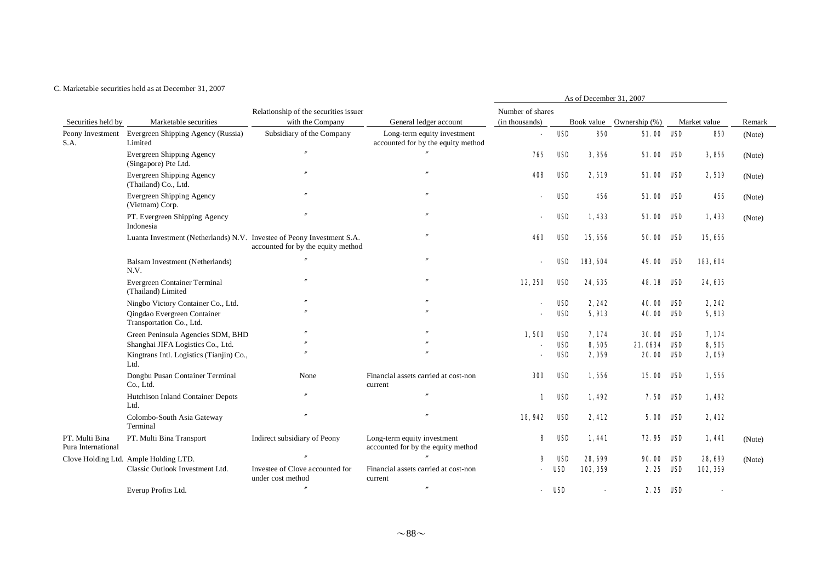#### C. Marketable securities held as at December 31, 2007

|                                      |                                                                        |                                                      |                                                                   |                          |            | As of December 31, 2007 |                          |     |              |        |
|--------------------------------------|------------------------------------------------------------------------|------------------------------------------------------|-------------------------------------------------------------------|--------------------------|------------|-------------------------|--------------------------|-----|--------------|--------|
|                                      |                                                                        | Relationship of the securities issuer                |                                                                   | Number of shares         |            |                         |                          |     |              |        |
| Securities held by                   | Marketable securities                                                  | with the Company                                     | General ledger account                                            | (in thousands)           |            |                         | Book value Ownership (%) |     | Market value | Remark |
| S.A.                                 | Peony Investment Evergreen Shipping Agency (Russia)<br>Limited         | Subsidiary of the Company                            | Long-term equity investment<br>accounted for by the equity method | ä,                       | USD        | 850                     | 51.00 ISD                |     | 850          | (Note) |
|                                      | Evergreen Shipping Agency<br>(Singapore) Pte Ltd.                      | $^{\prime\prime}$                                    |                                                                   | 765                      | USD        | 3.856                   | 51.00                    | USD | 3,856        | (Note) |
|                                      | Evergreen Shipping Agency<br>(Thailand) Co., Ltd.                      |                                                      | $\theta$                                                          | 408                      | USD        | 2,519                   | <b>51.00 USD</b>         |     | 2,519        | (Note) |
|                                      | <b>Evergreen Shipping Agency</b><br>(Vietnam) Corp.                    |                                                      | $\theta$                                                          |                          | USD        | 456                     | <b>51.00 USD</b>         |     | 456          | (Note) |
|                                      | PT. Evergreen Shipping Agency<br>Indonesia                             |                                                      | $\prime$                                                          |                          | USD        | 1,433                   | 51.00 USD                |     | 1,433        | (Note) |
|                                      | Luanta Investment (Netherlands) N.V. Investee of Peony Investment S.A. | accounted for by the equity method                   |                                                                   | 460                      | USD        | 15,656                  | <b>50.00 USD</b>         |     | 15,656       |        |
|                                      | Balsam Investment (Netherlands)<br>N.V.                                |                                                      | $^{\prime\prime}$                                                 | $\overline{\phantom{a}}$ | <b>USD</b> | 183, 604                | <b>49.00 USD</b>         |     | 183, 604     |        |
|                                      | Evergreen Container Terminal<br>(Thailand) Limited                     |                                                      | $\theta$                                                          | 12,250                   | USD        | 24, 635                 | <b>48.18 USD</b>         |     | 24, 635      |        |
|                                      | Ningbo Victory Container Co., Ltd.                                     |                                                      |                                                                   |                          | USD        | 2,242                   | <b>40.00</b>             | USD | 2, 242       |        |
|                                      | Qingdao Evergreen Container<br>Transportation Co., Ltd.                |                                                      |                                                                   |                          | <b>USD</b> | 5,913                   | <b>40.00 USD</b>         |     | 5,913        |        |
|                                      | Green Peninsula Agencies SDM, BHD                                      | $^{\prime\prime}$                                    |                                                                   | 1,500                    | USD        | 7,174                   | <b>30. 00</b>            | USD | 7,174        |        |
|                                      | Shanghai JIFA Logistics Co., Ltd.                                      |                                                      |                                                                   |                          | USD        | 8,505                   | 21.0634                  | USD | 8,505        |        |
|                                      | Kingtrans Intl. Logistics (Tianjin) Co.,<br>Ltd.                       |                                                      |                                                                   |                          | <b>USD</b> | 2,059                   | 20.00                    | USD | 2,059        |        |
|                                      | Dongbu Pusan Container Terminal<br>Co., Ltd.                           | None                                                 | Financial assets carried at cost-non<br>current                   | 300                      | USD        | 1,556                   | 15.00 ISD                |     | 1,556        |        |
|                                      | Hutchison Inland Container Depots<br>Ltd.                              |                                                      | $^{\prime\prime}$                                                 | 1                        | USD        | 1.492                   | 7.50                     | USD | 1,492        |        |
|                                      | Colombo-South Asia Gateway<br>Terminal                                 |                                                      |                                                                   | 18,942                   | <b>USD</b> | 2,412                   | 5.00                     | USD | 2,412        |        |
| PT. Multi Bina<br>Pura International | PT. Multi Bina Transport                                               | Indirect subsidiary of Peony                         | Long-term equity investment<br>accounted for by the equity method | 8                        | USD        | 1,441                   | 72.95                    | USD | 1,441        | (Note) |
|                                      | Clove Holding Ltd. Ample Holding LTD.                                  |                                                      |                                                                   | 9                        | USD        | 28, 699                 | 90. OO                   | USD | 28,699       | (Note) |
|                                      | Classic Outlook Investment Ltd.                                        | Investee of Clove accounted for<br>under cost method | Financial assets carried at cost-non<br>current                   |                          | <b>USD</b> | 102, 359                | 2.25                     | USD | 102, 359     |        |
|                                      | Everup Profits Ltd.                                                    |                                                      | $\theta$                                                          |                          | USD        |                         | 2.25 USD                 |     |              |        |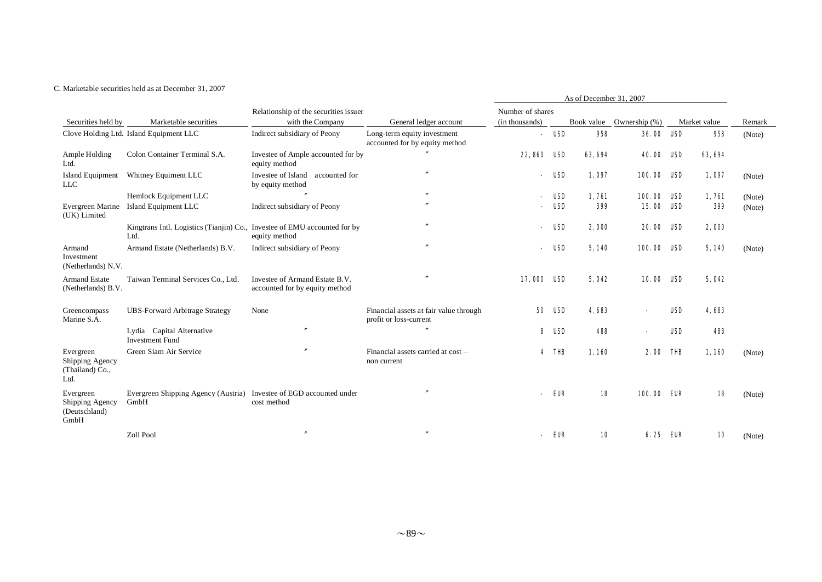#### C. Marketable securities held as at December 31, 2007

|                                                         |                                                                                   |                                                                  |                                                                  |                          |            | As of December 31, 2007 |                          |            |              |        |
|---------------------------------------------------------|-----------------------------------------------------------------------------------|------------------------------------------------------------------|------------------------------------------------------------------|--------------------------|------------|-------------------------|--------------------------|------------|--------------|--------|
| Securities held by<br>Marketable securities             |                                                                                   | Relationship of the securities issuer                            |                                                                  | Number of shares         |            |                         |                          |            |              |        |
|                                                         |                                                                                   | with the Company                                                 | General ledger account                                           | (in thousands)           |            |                         | Book value Ownership (%) |            | Market value | Remark |
|                                                         | Clove Holding Ltd. Island Equipment LLC                                           | Indirect subsidiary of Peony                                     | Long-term equity investment<br>accounted for by equity method    | $\blacksquare$           | USD        | 958                     | <b>36.00 USD</b>         |            | 958          | (Note) |
| Ample Holding<br>Ltd.                                   | Colon Container Terminal S.A.                                                     | Investee of Ample accounted for by<br>equity method              |                                                                  | 22, 860                  | USD        | 63, 694                 | <b>40.00 USD</b>         |            | 63, 694      |        |
| <b>Island Equipment</b><br><b>LLC</b>                   | Whitney Equiment LLC                                                              | Investee of Island<br>accounted for<br>by equity method          | $\overline{''}$                                                  | $\overline{\phantom{a}}$ | USD        | 1,097                   | 100.00 USD               |            | 1,097        | (Note) |
|                                                         | Hemlock Equipment LLC                                                             |                                                                  |                                                                  |                          | USD        | 1,761                   | 100.00                   | USD        | 1,761        | (Note) |
| Evergreen Marine<br>(UK) Limited                        | Island Equipment LLC                                                              | Indirect subsidiary of Peony                                     |                                                                  |                          | <b>USD</b> | 399                     | 15.00                    | USD        | 399          | (Note) |
|                                                         | Kingtrans Intl. Logistics (Tianjin) Co., Investee of EMU accounted for by<br>Ltd. | equity method                                                    |                                                                  |                          | USD        | 2,000                   | <b>20.00</b>             | USD        | 2,000        |        |
| Armand<br>Investment<br>(Netherlands) N.V.              | Armand Estate (Netherlands) B.V.                                                  | Indirect subsidiary of Peony                                     |                                                                  |                          | USD        | 5,140                   | 100.00                   | USD        | 5,140        | (Note) |
| <b>Armand Estate</b><br>(Netherlands) B.V.              | Taiwan Terminal Services Co., Ltd.                                                | Investee of Armand Estate B.V.<br>accounted for by equity method |                                                                  | 17,000 USD               |            | 5,042                   | 10.00 ISD                |            | 5,042        |        |
| Greencompass<br>Marine S.A.                             | <b>UBS-Forward Arbitrage Strategy</b>                                             | None                                                             | Financial assets at fair value through<br>profit or loss-current | 50                       | USD        | 4,683                   |                          | <b>USD</b> | 4683         |        |
|                                                         | Lydia Capital Alternative<br><b>Investment Fund</b>                               | $\prime$                                                         |                                                                  | 8                        | USD        | 488                     |                          | <b>USD</b> | 488          |        |
| Evergreen<br>Shipping Agency<br>(Thailand) Co.,<br>Ltd. | Green Siam Air Service                                                            |                                                                  | Financial assets carried at cost -<br>non current                | $\overline{\mathbf{4}}$  | THB        | 1,160                   | 2.00                     | THB        | 1,160        | (Note) |
| Evergreen<br>Shipping Agency<br>(Deutschland)<br>GmbH   | Evergreen Shipping Agency (Austria) Investee of EGD accounted under<br>GmbH       | cost method                                                      |                                                                  |                          | EUR        | 18                      | 100.00 EUR               |            | 18           | (Note) |
|                                                         | Zoll Pool                                                                         |                                                                  |                                                                  |                          | EUR        | 10                      | 6.25 ELR                 |            | 10           | (Note) |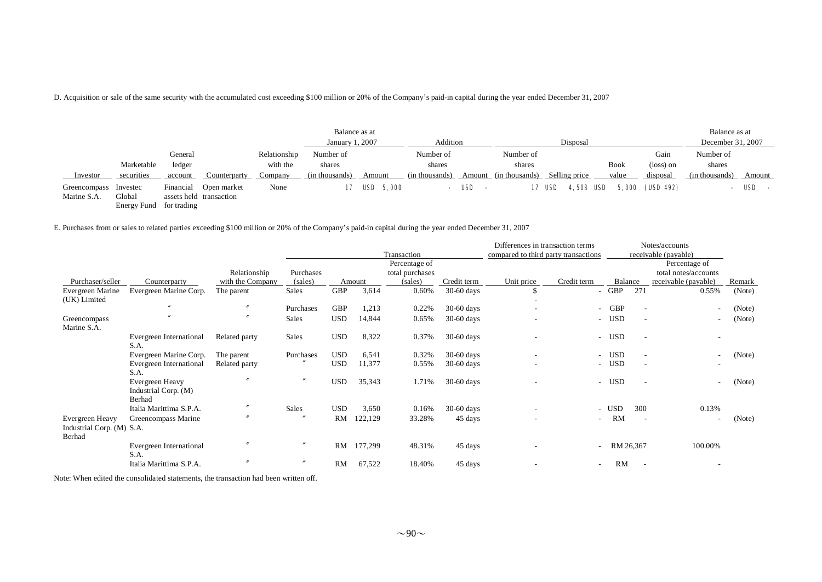D. Acquisition or sale of the same security with the accumulated cost exceeding \$100 million or 20% of the Company's paid-in capital during the year ended December 31, 2007

|                             |                                   |                              |                                        |                                     | Balance as at<br>January 1, 2007      |                  | Addition                              |               |                                       | Disposal                   |                      |                               | Balance as at<br>December 31, 2007    |            |
|-----------------------------|-----------------------------------|------------------------------|----------------------------------------|-------------------------------------|---------------------------------------|------------------|---------------------------------------|---------------|---------------------------------------|----------------------------|----------------------|-------------------------------|---------------------------------------|------------|
| Investor                    | Marketable<br>securities          | General<br>ledger<br>account | Counterparty                           | Relationship<br>with the<br>Company | Number of<br>shares<br>(in thousands) | Amount           | Number of<br>shares<br>(in thousands) | Amount        | Number of<br>shares<br>(in thousands) | Selling price              | <b>Book</b><br>value | Gain<br>(loss) on<br>disposal | Number of<br>shares<br>(in thousands) | Amount     |
| Greencompass<br>Marine S.A. | Investec<br>Global<br>Energy Fund | Financial<br>for trading     | Open market<br>assets held transaction | None                                | 17                                    | <b>USD</b> 5,000 | $\sim$                                | USD<br>$\sim$ |                                       | <b>4,508 USD</b><br>17 USD |                      | 5,000 (USD 492)               | $\overline{\phantom{0}}$              | <b>USD</b> |

E. Purchases from or sales to related parties exceeding \$100 million or 20% of the Company's paid-in capital during the year ended December 31, 2007

|                                              |                                                   |                   |                   |            |         |                 |              | Differences in transaction terms     |             |           |                          | Notes/accounts           |        |
|----------------------------------------------|---------------------------------------------------|-------------------|-------------------|------------|---------|-----------------|--------------|--------------------------------------|-------------|-----------|--------------------------|--------------------------|--------|
|                                              |                                                   |                   |                   |            |         | Transaction     |              | compared to third party transactions |             |           |                          | receivable (payable)     |        |
|                                              |                                                   |                   |                   |            |         | Percentage of   |              |                                      |             |           |                          | Percentage of            |        |
|                                              |                                                   | Relationship      | Purchases         |            |         | total purchases |              |                                      |             |           |                          | total notes/accounts     |        |
| Purchaser/seller                             | Counterparty                                      | with the Company  | (sales)           |            | Amount  | (sales)         | Credit term  | Unit price                           | Credit term | Balance   |                          | receivable (payable)     | Remark |
| Evergreen Marine                             | Evergreen Marine Corp.                            | The parent        | Sales             | <b>GBP</b> | 3,614   | 0.60%           | 30-60 days   |                                      |             | - GBP     | 271                      | 0.55%                    | (Note) |
| (UK) Limited                                 |                                                   |                   |                   |            |         |                 |              |                                      |             |           |                          |                          |        |
|                                              |                                                   | $^{\prime\prime}$ | Purchases         | <b>GBP</b> | 1,213   | 0.22%           | $30-60$ days |                                      |             | - GBP     |                          | $\overline{\phantom{a}}$ | (Note) |
| Greencompass<br>Marine S.A.                  |                                                   |                   | Sales             | <b>USD</b> | 14,844  | 0.65%           | $30-60$ days |                                      |             | - USD     |                          | $\overline{\phantom{a}}$ | (Note) |
|                                              | Evergreen International<br>S.A.                   | Related party     | Sales             | <b>USD</b> | 8,322   | 0.37%           | 30-60 days   |                                      |             | - USD     | $\overline{\phantom{a}}$ | $\overline{\phantom{a}}$ |        |
|                                              | Evergreen Marine Corp.                            | The parent        | Purchases         | <b>USD</b> | 6,541   | 0.32%           | $30-60$ days |                                      |             | - USD     |                          | $\overline{\phantom{a}}$ | (Note) |
|                                              | Evergreen International                           | Related party     |                   | <b>USD</b> | 11,377  | 0.55%           | $30-60$ days |                                      |             | - USD     |                          |                          |        |
|                                              | S.A.                                              |                   |                   |            |         |                 |              |                                      |             |           |                          |                          |        |
|                                              | Evergreen Heavy<br>Industrial Corp. (M)<br>Berhad |                   | $^{\prime\prime}$ | <b>USD</b> | 35,343  | 1.71%           | $30-60$ days |                                      |             | - USD     |                          | $\overline{\phantom{a}}$ | (Note) |
|                                              | Italia Marittima S.P.A.                           | $\prime$          | Sales             | <b>USD</b> | 3,650   | 0.16%           | $30-60$ days |                                      |             | - USD     | 300                      | 0.13%                    |        |
| Evergreen Heavy<br>Industrial Corp. (M) S.A. | Greencompass Marine                               |                   |                   | RM         | 122,129 | 33.28%          | 45 days      |                                      | $\sim$      | RM        | $\overline{\phantom{a}}$ | $\overline{\phantom{a}}$ | (Note) |
| Berhad                                       |                                                   |                   |                   |            |         |                 |              |                                      |             |           |                          |                          |        |
|                                              | Evergreen International<br>S.A.                   |                   | $\prime$          | RM         | 177,299 | 48.31%          | 45 days      |                                      |             | RM 26,367 |                          | 100.00%                  |        |
|                                              | Italia Marittima S.P.A.                           |                   |                   | RM         | 67,522  | 18.40%          | 45 days      |                                      |             | <b>RM</b> |                          |                          |        |

Note: When edited the consolidated statements, the transaction had been written off.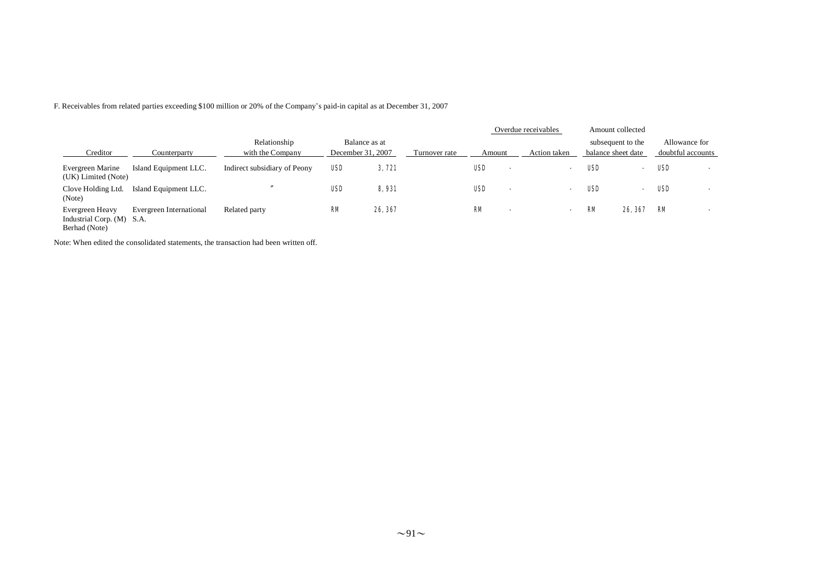F. Receivables from related parties exceeding \$100 million or 20% of the Company's paid-in capital as at December 31, 2007

|                                                               |                         |                                  |            |                                    |               |                                        | Overdue receivables      |     | Amount collected                        |                                    |  |
|---------------------------------------------------------------|-------------------------|----------------------------------|------------|------------------------------------|---------------|----------------------------------------|--------------------------|-----|-----------------------------------------|------------------------------------|--|
| Creditor                                                      | Counterparty            | Relationship<br>with the Company |            | Balance as at<br>December 31, 2007 | Turnover rate | Amount                                 | Action taken             |     | subsequent to the<br>balance sheet date | Allowance for<br>doubtful accounts |  |
| Evergreen Marine<br>(UK) Limited (Note)                       | Island Equipment LLC.   | Indirect subsidiary of Peony     | <b>USD</b> | 3,721                              |               | <b>USD</b><br>$\overline{\phantom{0}}$ | $\overline{\phantom{0}}$ | USD | $\sim$                                  | USD                                |  |
| Clove Holding Ltd.<br>(Note)                                  | Island Equipment LLC.   |                                  | <b>USD</b> | 8,931                              |               | <b>USD</b><br>$\overline{\phantom{0}}$ |                          | USD | $\blacksquare$                          | USD                                |  |
| Evergreen Heavy<br>Industrial Corp. (M) S.A.<br>Berhad (Note) | Evergreen International | Related party                    | <b>RM</b>  | 26, 367                            |               | ЮM<br>$\overline{\phantom{a}}$         | $\sim$                   | RМ  | 26, 367                                 | RМ                                 |  |

Note: When edited the consolidated statements, the transaction had been written off.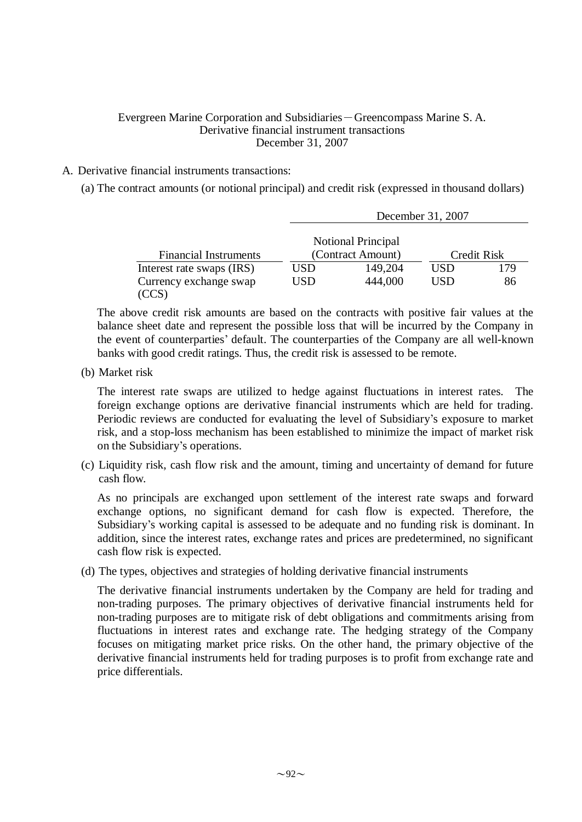### Evergreen Marine Corporation and Subsidiaries-Greencompass Marine S. A. Derivative financial instrument transactions December 31, 2007

# A. Derivative financial instruments transactions:

(a) The contract amounts (or notional principal) and credit risk (expressed in thousand dollars)

|                              |     |                           | December 31, 2007 |             |
|------------------------------|-----|---------------------------|-------------------|-------------|
|                              |     | <b>Notional Principal</b> |                   |             |
| <b>Financial Instruments</b> |     | (Contract Amount)         |                   | Credit Risk |
| Interest rate swaps (IRS)    | USD | 149,204                   | USD               | 179         |
| Currency exchange swap       | USD | 444,000                   | USD               | 86          |
|                              |     |                           |                   |             |

The above credit risk amounts are based on the contracts with positive fair values at the balance sheet date and represent the possible loss that will be incurred by the Company in the event of counterparties' default. The counterparties of the Company are all well-known banks with good credit ratings. Thus, the credit risk is assessed to be remote.

(b) Market risk

The interest rate swaps are utilized to hedge against fluctuations in interest rates. The foreign exchange options are derivative financial instruments which are held for trading. Periodic reviews are conducted for evaluating the level of Subsidiary's exposure to market risk, and a stop-loss mechanism has been established to minimize the impact of market risk on the Subsidiary's operations.

(c) Liquidity risk, cash flow risk and the amount, timing and uncertainty of demand for future cash flow.

As no principals are exchanged upon settlement of the interest rate swaps and forward exchange options, no significant demand for cash flow is expected. Therefore, the Subsidiary's working capital is assessed to be adequate and no funding risk is dominant. In addition, since the interest rates, exchange rates and prices are predetermined, no significant cash flow risk is expected.

(d) The types, objectives and strategies of holding derivative financial instruments

The derivative financial instruments undertaken by the Company are held for trading and non-trading purposes. The primary objectives of derivative financial instruments held for non-trading purposes are to mitigate risk of debt obligations and commitments arising from fluctuations in interest rates and exchange rate. The hedging strategy of the Company focuses on mitigating market price risks. On the other hand, the primary objective of the derivative financial instruments held for trading purposes is to profit from exchange rate and price differentials.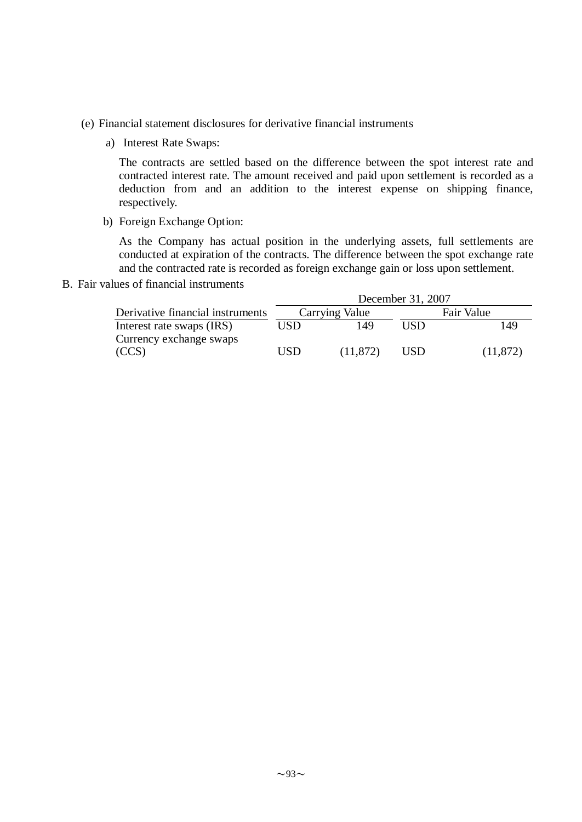- (e) Financial statement disclosures for derivative financial instruments
	- a) Interest Rate Swaps:

The contracts are settled based on the difference between the spot interest rate and contracted interest rate. The amount received and paid upon settlement is recorded as a deduction from and an addition to the interest expense on shipping finance, respectively.

b) Foreign Exchange Option:

As the Company has actual position in the underlying assets, full settlements are conducted at expiration of the contracts. The difference between the spot exchange rate and the contracted rate is recorded as foreign exchange gain or loss upon settlement.

B. Fair values of financial instruments

|                                  |     |                | December 31, 2007 |            |
|----------------------------------|-----|----------------|-------------------|------------|
| Derivative financial instruments |     | Carrying Value |                   | Fair Value |
| Interest rate swaps (IRS)        | USD | 149            | ISD               | 149        |
| Currency exchange swaps          |     |                |                   |            |
| (CCS)                            | USD | (11, 872)      | USD               | (11, 872)  |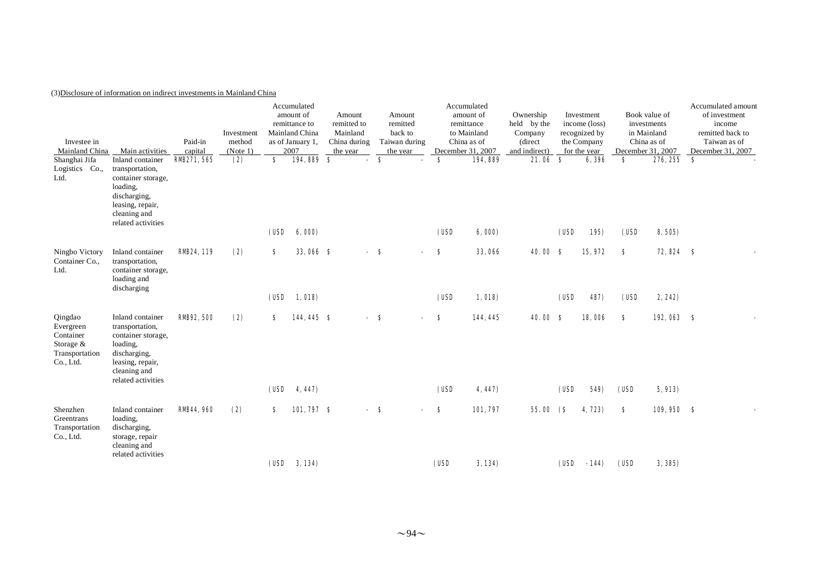### (3)Disclosure of information on indirect investments in Mainland China

| December 31, 2007<br>$\mathbf{s}$<br>276, 255 |
|-----------------------------------------------|
|                                               |
| <b>72, 824 S</b>                              |
| 192,063 \$                                    |
| 109,950 \$                                    |
| 8,505)<br>2, 242)<br>5,913<br>3, 385)         |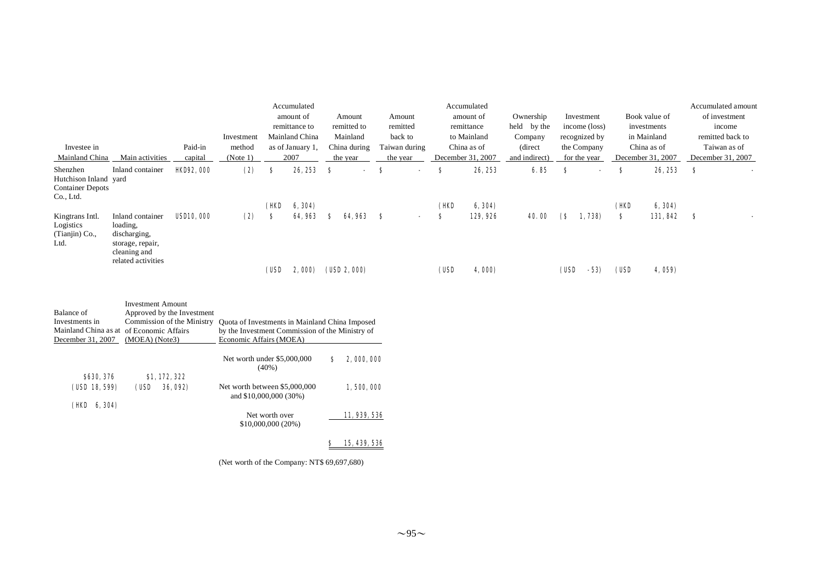|                                                                                                        |                                                                                                                                                                           |                   |                                                                                                                                                                                                                        | Accumulated                                     |                            |                 |                                        |                    |           | Accumulated             |                          |                      |                             |           |                              | Accumulated amount      |
|--------------------------------------------------------------------------------------------------------|---------------------------------------------------------------------------------------------------------------------------------------------------------------------------|-------------------|------------------------------------------------------------------------------------------------------------------------------------------------------------------------------------------------------------------------|-------------------------------------------------|----------------------------|-----------------|----------------------------------------|--------------------|-----------|-------------------------|--------------------------|----------------------|-----------------------------|-----------|------------------------------|-------------------------|
|                                                                                                        |                                                                                                                                                                           |                   |                                                                                                                                                                                                                        |                                                 | amount of<br>remittance to |                 | Amount<br>remitted to                  | Amount<br>remitted |           | amount of<br>remittance | Ownership<br>held by the |                      | Investment<br>income (loss) |           | Book value of<br>investments | of investment<br>income |
|                                                                                                        |                                                                                                                                                                           |                   | Investment                                                                                                                                                                                                             |                                                 | Mainland China             |                 | Mainland                               | back to            |           | to Mainland             | Company                  |                      | recognized by               |           | in Mainland                  | remitted back to        |
| Investee in                                                                                            |                                                                                                                                                                           | Paid-in           | method                                                                                                                                                                                                                 |                                                 | as of January 1,           |                 | China during                           | Taiwan during      |           | China as of             | (direct)                 |                      | the Company                 |           | China as of                  | Taiwan as of            |
| Mainland China                                                                                         | Main activities                                                                                                                                                           | capital           | (Note 1)                                                                                                                                                                                                               |                                                 | 2007                       | the year        |                                        | the year           |           | December 31, 2007       | and indirect)            |                      | for the year                |           | December 31, 2007            | December 31, 2007       |
| Shenzhen<br>Hutchison Inland yard<br><b>Container Depots</b><br>Co., Ltd.                              | Inland container                                                                                                                                                          | <b>HO92, 000</b>  | (2)                                                                                                                                                                                                                    | s                                               | 26, 253                    | -8              |                                        | S                  | S         | 26, 253                 | 6.85                     | S                    |                             | \$        | 26, 253                      | -8                      |
|                                                                                                        |                                                                                                                                                                           |                   |                                                                                                                                                                                                                        | (HD                                             | 6, 304)                    |                 |                                        |                    | (HO       | 6, 304)                 |                          |                      |                             | (HO       | 6, 304)                      |                         |
| Kingtrans Intl.<br>Logistics<br>(Tianjin) Co.,<br>Ltd.                                                 | Inland container<br>loading,<br>discharging,<br>storage, repair,<br>cleaning and<br>related activities                                                                    | <b>USD10, 000</b> | (2)                                                                                                                                                                                                                    | s<br>(USD                                       | 64.963<br>2,000)           | S<br>(UBD2,000) | <b>64.963 S</b>                        |                    | s<br>(USD | 129, 926<br>4,000)      | 40.00                    | $\mathbf{s}$<br>(USD | 1,738)<br>$-53$             | S<br>(USD | 131,842<br>4, 059)           | S                       |
| Balance of<br>Investments in<br>December 31, 2007<br><b>\$630, 376</b><br>(USD 18, 599)<br>(HD 6, 304) | <b>Investment Amount</b><br>Approved by the Investment<br>Commission of the Ministry<br>Mainland China as at of Economic Affairs<br>(MOEA) (Note3)<br>\$1,172,322<br>(USD | 36, 092)          | Quota of Investments in Mainland China Imposed<br>by the Investment Commission of the Ministry of<br>Economic Affairs (MOEA)<br>Net worth under \$5,000,000<br>Net worth between \$5,000,000<br>and \$10,000,000 (30%) | $(40\%)$<br>Net worth over<br>\$10,000,000(20%) |                            | s               | 2,000,000<br>1,500,000<br>11, 939, 536 |                    |           |                         |                          |                      |                             |           |                              |                         |
|                                                                                                        |                                                                                                                                                                           |                   |                                                                                                                                                                                                                        |                                                 |                            | s               | 15, 439, 536                           |                    |           |                         |                          |                      |                             |           |                              |                         |

(Net worth of the Company: NT\$ 69,697,680)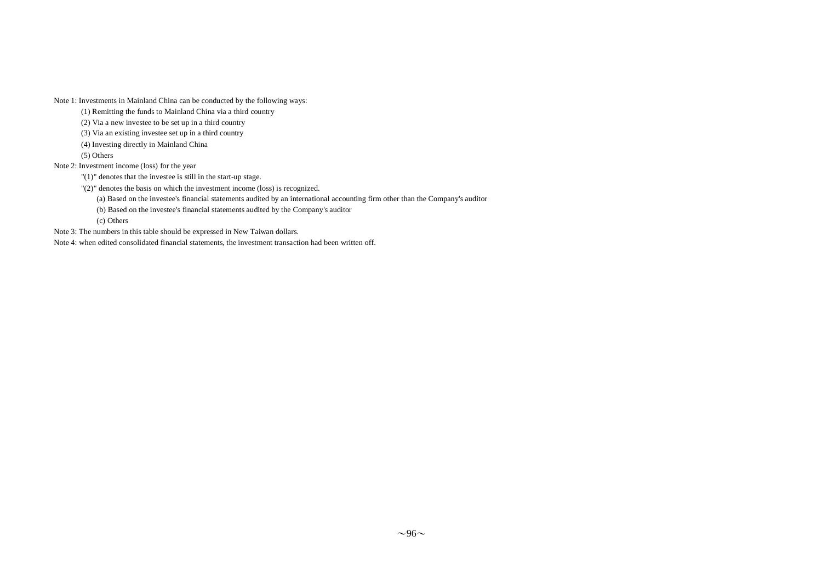Note 1: Investments in Mainland China can be conducted by the following ways:

(1) Remitting the funds to Mainland China via a third country

(2) Via a new investee to be set up in a third country

(3) Via an existing investee set up in a third country

(4) Investing directly in Mainland China

(5) Others

Note 2: Investment income (loss) for the year

"(1)" denotes that the investee is still in the start-up stage.

"(2)" denotes the basis on which the investment income (loss) is recognized.

(a) Based on the investee's financial statements audited by an international accounting firm other than the Company's auditor

(b) Based on the investee's financial statements audited by the Company's auditor

(c) Others

Note 3: The numbers in this table should be expressed in New Taiwan dollars.

Note 4: when edited consolidated financial statements, the investment transaction had been written off.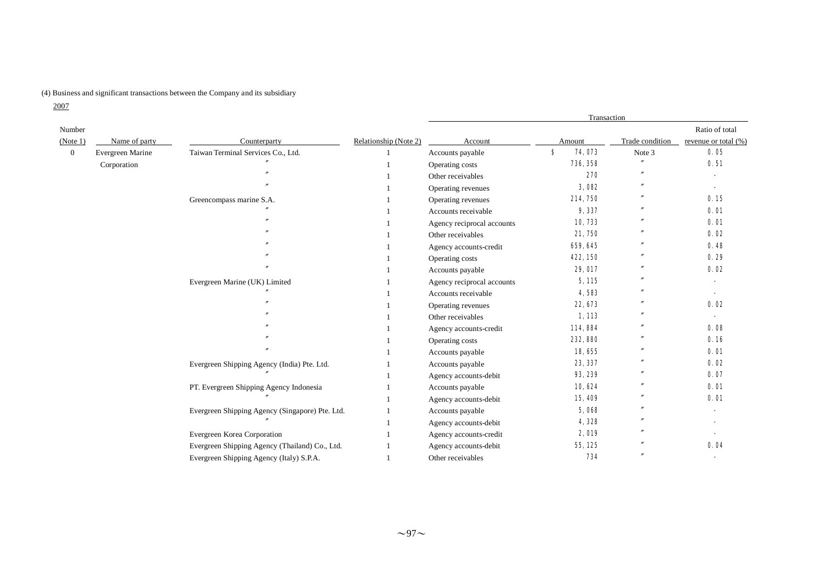### (4) Business and significant transactions between the Company and its subsidiary

2007

|                |                  |                                                 |                       | Transaction                |        |          |                 |                      |  |
|----------------|------------------|-------------------------------------------------|-----------------------|----------------------------|--------|----------|-----------------|----------------------|--|
| Number         |                  |                                                 |                       |                            |        |          |                 | Ratio of total       |  |
| (Note 1)       | Name of party    | Counterparty                                    | Relationship (Note 2) | Account                    | Amount |          | Trade condition | revenue or total (%) |  |
| $\overline{0}$ | Evergreen Marine | Taiwan Terminal Services Co., Ltd.              |                       | Accounts payable           | s      | 74,073   | Note 3          | 0.05                 |  |
|                | Corporation      |                                                 |                       | Operating costs            |        | 736, 358 |                 | 0.51                 |  |
|                |                  |                                                 |                       | Other receivables          |        | 270      |                 |                      |  |
|                |                  |                                                 |                       | Operating revenues         |        | 3,082    |                 |                      |  |
|                |                  | Greencompass marine S.A.                        |                       | Operating revenues         |        | 214, 750 |                 | 0.15                 |  |
|                |                  |                                                 |                       | Accounts receivable        |        | 9,337    |                 | 0.01                 |  |
|                |                  |                                                 |                       | Agency reciprocal accounts |        | 10,733   |                 | <b>0.01</b>          |  |
|                |                  |                                                 |                       | Other receivables          |        | 21,750   |                 | 0.02                 |  |
|                |                  |                                                 |                       | Agency accounts-credit     |        | 659, 645 |                 | 0.48                 |  |
|                |                  |                                                 |                       | Operating costs            |        | 422, 150 |                 | 0.29                 |  |
|                |                  |                                                 |                       | Accounts payable           |        | 29, 017  |                 | 0.02                 |  |
|                |                  | Evergreen Marine (UK) Limited                   |                       | Agency reciprocal accounts |        | 5, 115   |                 |                      |  |
|                |                  |                                                 |                       | Accounts receivable        |        | 4,583    |                 | $\blacksquare$       |  |
|                |                  |                                                 |                       | Operating revenues         |        | 22, 673  |                 | 0.02                 |  |
|                |                  |                                                 |                       | Other receivables          |        | 1,113    |                 |                      |  |
|                |                  |                                                 |                       | Agency accounts-credit     |        | 114,884  |                 | 0.08                 |  |
|                |                  |                                                 |                       | Operating costs            |        | 232, 880 |                 | 0.16                 |  |
|                |                  |                                                 |                       | Accounts payable           |        | 18,655   |                 | 0.01                 |  |
|                |                  | Evergreen Shipping Agency (India) Pte. Ltd.     |                       | Accounts payable           |        | 23, 337  |                 | 0.02                 |  |
|                |                  |                                                 |                       | Agency accounts-debit      |        | 93, 239  |                 | 0.07                 |  |
|                |                  | PT. Evergreen Shipping Agency Indonesia         |                       | Accounts payable           |        | 10,624   |                 | 0.01                 |  |
|                |                  |                                                 |                       | Agency accounts-debit      |        | 15,409   | $\prime$        | 0.01                 |  |
|                |                  | Evergreen Shipping Agency (Singapore) Pte. Ltd. |                       | Accounts payable           |        | 5,068    |                 |                      |  |
|                |                  |                                                 |                       | Agency accounts-debit      |        | 4,328    |                 |                      |  |
|                |                  | Evergreen Korea Corporation                     |                       | Agency accounts-credit     |        | 2,019    |                 |                      |  |
|                |                  | Evergreen Shipping Agency (Thailand) Co., Ltd.  |                       | Agency accounts-debit      |        | 55, 125  |                 | 0.04                 |  |
|                |                  | Evergreen Shipping Agency (Italy) S.P.A.        |                       | Other receivables          |        | 734      |                 |                      |  |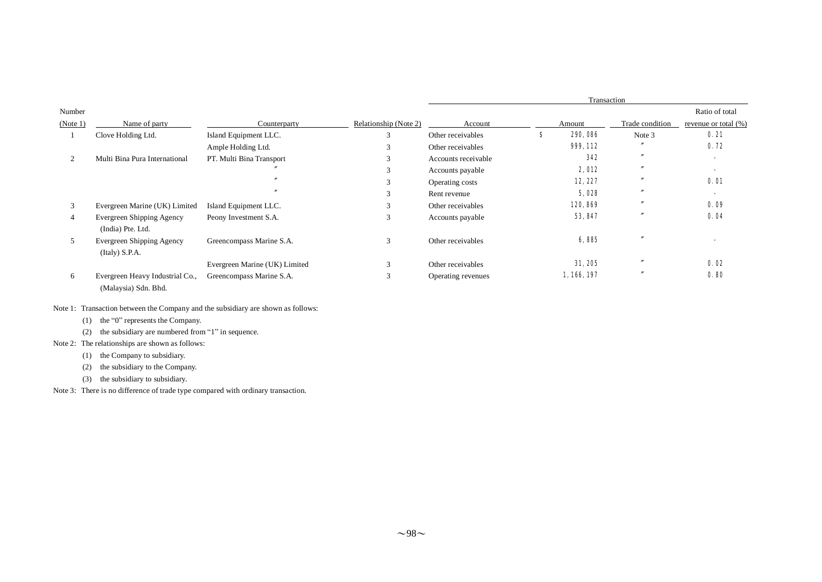|          |                                                         |                               |                       | Transaction         |   |           |                   |                      |  |
|----------|---------------------------------------------------------|-------------------------------|-----------------------|---------------------|---|-----------|-------------------|----------------------|--|
| Number   |                                                         |                               |                       |                     |   |           |                   | Ratio of total       |  |
| (Note 1) | Name of party                                           | Counterparty                  | Relationship (Note 2) | Account             |   | Amount    | Trade condition   | revenue or total (%) |  |
|          | Clove Holding Ltd.                                      | Island Equipment LLC.         | $\sim$                | Other receivables   | s | 290, 086  | Note 3            | 0.21                 |  |
|          |                                                         | Ample Holding Ltd.            |                       | Other receivables   |   | 999, 112  |                   | 0.72                 |  |
| 2        | Multi Bina Pura International                           | PT. Multi Bina Transport      | 3                     | Accounts receivable |   | 342       | $\overline{ }$    |                      |  |
|          |                                                         |                               |                       | Accounts payable    |   | 2,012     | $^{\prime\prime}$ |                      |  |
|          |                                                         |                               | 3                     | Operating costs     |   | 12, 227   |                   | <b>0.01</b>          |  |
|          |                                                         |                               | 3                     | Rent revenue        |   | 5,028     | $^{\prime\prime}$ |                      |  |
| 3        | Evergreen Marine (UK) Limited                           | Island Equipment LLC.         | 3                     | Other receivables   |   | 120, 869  |                   | 0.09                 |  |
| 4        | Evergreen Shipping Agency<br>(India) Pte. Ltd.          | Peony Investment S.A.         | 3                     | Accounts payable    |   | 53, 847   |                   | 0.04                 |  |
| 5        | Evergreen Shipping Agency<br>(Italy) S.P.A.             | Greencompass Marine S.A.      | 3                     | Other receivables   |   | 6,885     |                   |                      |  |
|          |                                                         | Evergreen Marine (UK) Limited | 3                     | Other receivables   |   | 31, 205   |                   | 0.02                 |  |
| 6        | Evergreen Heavy Industrial Co.,<br>(Malaysia) Sdn. Bhd. | Greencompass Marine S.A.      | 3                     | Operating revenues  |   | 1,166,197 | $\prime$          | 0.80                 |  |

### Note 1: Transaction between the Company and the subsidiary are shown as follows:

(1) the "0" represents the Company.

(2) the subsidiary are numbered from "1" in sequence.

### Note 2: The relationships are shown as follows:

- (1) the Company to subsidiary.
- (2) the subsidiary to the Company.
- (3) the subsidiary to subsidiary.

Note 3: There is no difference of trade type compared with ordinary transaction.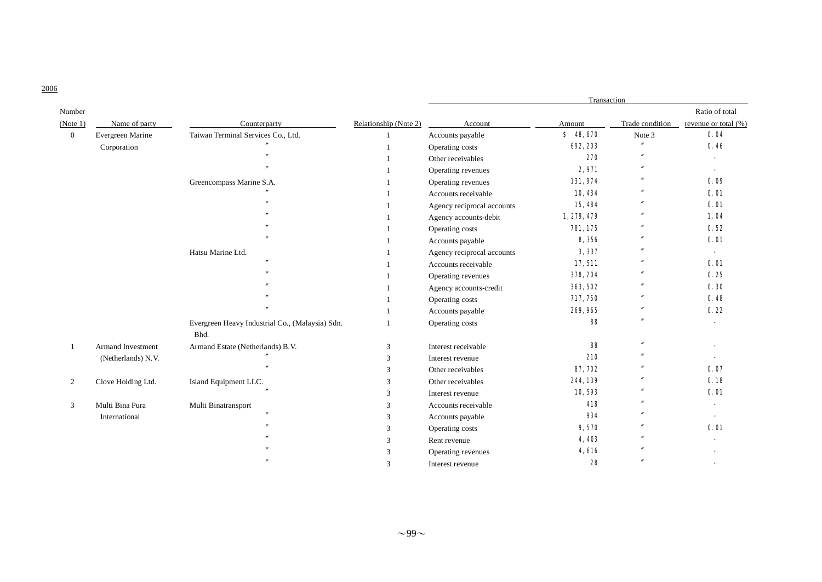|                |                    |                                                 |                       | Transaction                |             |                   |                      |  |  |
|----------------|--------------------|-------------------------------------------------|-----------------------|----------------------------|-------------|-------------------|----------------------|--|--|
| Number         |                    |                                                 |                       |                            |             |                   | Ratio of total       |  |  |
| (Note 1)       | Name of party      | Counterparty                                    | Relationship (Note 2) | Account                    | Amount      | Trade condition   | revenue or total (%) |  |  |
| $\mathbf{0}$   | Evergreen Marine   | Taiwan Terminal Services Co., Ltd.              |                       | Accounts payable           | \$48,870    | Note 3            | 0.04                 |  |  |
|                | Corporation        |                                                 |                       | Operating costs            | 692, 203    | $^{\prime\prime}$ | 0.46                 |  |  |
|                |                    |                                                 |                       | Other receivables          | 270         | $\mathbf{v}$      |                      |  |  |
|                |                    |                                                 |                       | Operating revenues         | 2,971       | $^{\prime\prime}$ |                      |  |  |
|                |                    | Greencompass Marine S.A.                        |                       | Operating revenues         | 131,974     |                   | 0.09                 |  |  |
|                |                    |                                                 |                       | Accounts receivable        | 10,434      |                   | <b>0. 01</b>         |  |  |
|                |                    |                                                 |                       | Agency reciprocal accounts | 15,484      |                   | 0.01                 |  |  |
|                |                    |                                                 |                       | Agency accounts-debit      | 1, 279, 479 |                   | 1.04                 |  |  |
|                |                    |                                                 |                       | Operating costs            | 781, 175    | $^{\prime\prime}$ | 0.52                 |  |  |
|                |                    |                                                 |                       | Accounts payable           | 8,356       |                   | 0.01                 |  |  |
|                |                    | Hatsu Marine Ltd.                               |                       | Agency reciprocal accounts | 3,337       |                   |                      |  |  |
|                |                    |                                                 |                       | Accounts receivable        | 17, 511     |                   | 0.01                 |  |  |
|                |                    |                                                 |                       | Operating revenues         | 378, 204    | $\prime$          | 0.25                 |  |  |
|                |                    |                                                 |                       | Agency accounts-credit     | 363, 502    |                   | 0.30                 |  |  |
|                |                    |                                                 |                       | Operating costs            | 717, 750    | $^{\prime\prime}$ | 0.48                 |  |  |
|                |                    |                                                 |                       | Accounts payable           | 269, 965    | $^{\prime\prime}$ | 0.22                 |  |  |
|                |                    | Evergreen Heavy Industrial Co., (Malaysia) Sdn. |                       | Operating costs            | 88          |                   |                      |  |  |
|                |                    | Bhd.                                            |                       |                            |             |                   |                      |  |  |
|                | Armand Investment  | Armand Estate (Netherlands) B.V.                | 3                     | Interest receivable        | 88          | $^{\prime\prime}$ |                      |  |  |
|                | (Netherlands) N.V. |                                                 | 3                     | Interest revenue           | 210         |                   |                      |  |  |
|                |                    |                                                 | 3                     | Other receivables          | 87, 702     |                   | 0.07                 |  |  |
| $\overline{2}$ | Clove Holding Ltd. | Island Equipment LLC.                           | 3                     | Other receivables          | 244, 139    |                   | 0.18                 |  |  |
|                |                    |                                                 | 3                     | Interest revenue           | 10,593      |                   | 0.01                 |  |  |
| 3              | Multi Bina Pura    | Multi Binatransport                             | 3                     | Accounts receivable        | 418         |                   |                      |  |  |
|                | International      |                                                 | 3                     | Accounts payable           | 934         |                   |                      |  |  |
|                |                    |                                                 | 3                     | Operating costs            | 9,570       |                   | 0.01                 |  |  |
|                |                    |                                                 | 3                     | Rent revenue               | 4,403       |                   |                      |  |  |
|                |                    |                                                 | 3                     | Operating revenues         | 4,616       |                   |                      |  |  |
|                |                    |                                                 | 3                     | Interest revenue           | 28          |                   |                      |  |  |

2006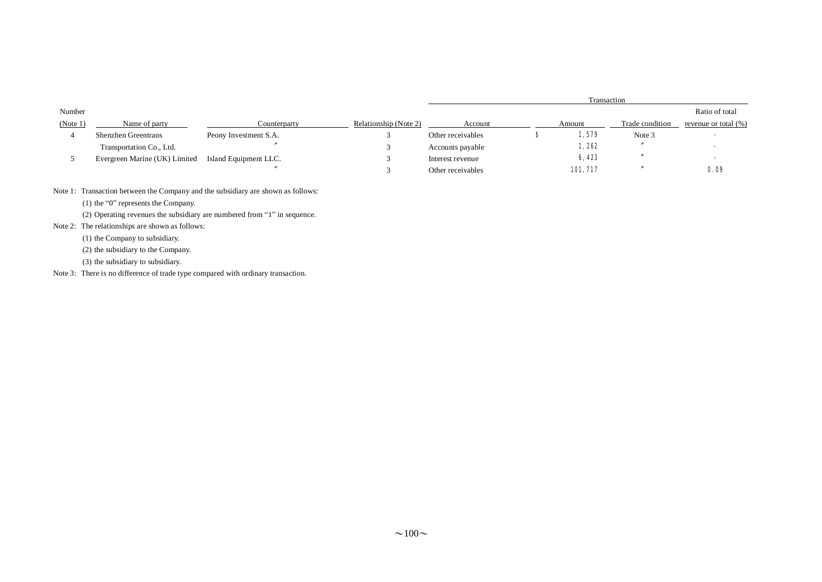|          |                               |                       |                       | Transaction       |  |          |                 |                          |  |  |
|----------|-------------------------------|-----------------------|-----------------------|-------------------|--|----------|-----------------|--------------------------|--|--|
| Number   |                               |                       |                       |                   |  |          |                 | Ratio of total           |  |  |
| (Note 1) | Name of party                 | Counterparty          | Relationship (Note 2) | Account           |  | Amount   | Trade condition | revenue or total $(\%)$  |  |  |
|          | <b>Shenzhen Greentrans</b>    | Peony Investment S.A. |                       | Other receivables |  | 1,579    | Note 3          |                          |  |  |
|          | Transportation Co., Ltd.      |                       |                       | Accounts payable  |  | 1,262    |                 |                          |  |  |
|          | Evergreen Marine (UK) Limited | Island Equipment LLC. |                       | Interest revenue  |  | 6,423    |                 | $\overline{\phantom{a}}$ |  |  |
|          |                               |                       |                       | Other receivables |  | 101, 717 |                 | 0.09                     |  |  |

Note 1: Transaction between the Company and the subsidiary are shown as follows:

(1) the "0" represents the Company.

(2) Operating revenues the subsidiary are numbered from "1" in sequence.

Note 2: The relationships are shown as follows:

(1) the Company to subsidiary.

(2) the subsidiary to the Company.

(3) the subsidiary to subsidiary.

Note 3: There is no difference of trade type compared with ordinary transaction.